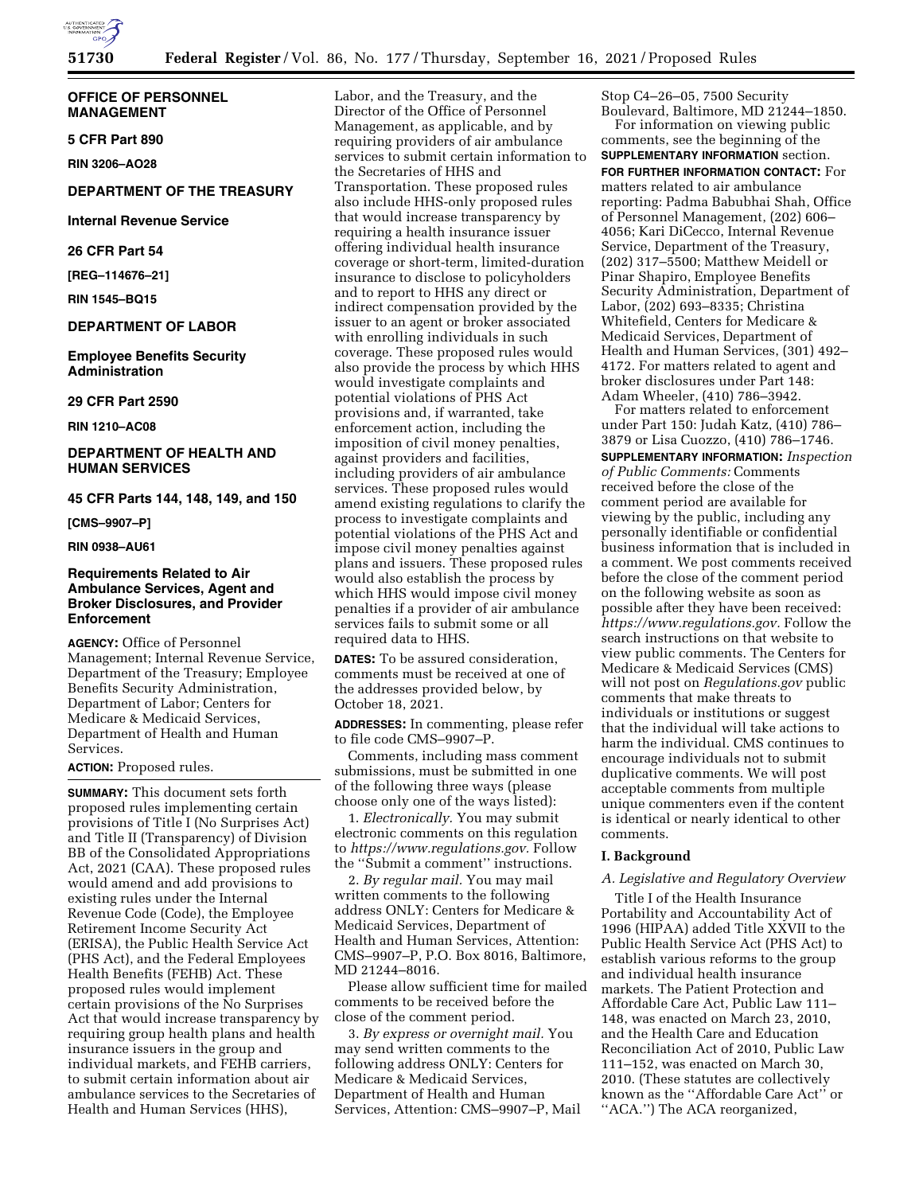

**OFFICE OF PERSONNEL MANAGEMENT** 

**5 CFR Part 890** 

**RIN 3206–AO28** 

### **DEPARTMENT OF THE TREASURY**

**Internal Revenue Service** 

**26 CFR Part 54** 

**[REG–114676–21]** 

**RIN 1545–BQ15** 

## **DEPARTMENT OF LABOR**

**Employee Benefits Security Administration** 

**29 CFR Part 2590** 

**RIN 1210–AC08** 

## **DEPARTMENT OF HEALTH AND HUMAN SERVICES**

## **45 CFR Parts 144, 148, 149, and 150**

**[CMS–9907–P]** 

#### **RIN 0938–AU61**

### **Requirements Related to Air Ambulance Services, Agent and Broker Disclosures, and Provider Enforcement**

**AGENCY:** Office of Personnel Management; Internal Revenue Service, Department of the Treasury; Employee Benefits Security Administration, Department of Labor; Centers for Medicare & Medicaid Services, Department of Health and Human Services.

#### **ACTION:** Proposed rules.

**SUMMARY:** This document sets forth proposed rules implementing certain provisions of Title I (No Surprises Act) and Title II (Transparency) of Division BB of the Consolidated Appropriations Act, 2021 (CAA). These proposed rules would amend and add provisions to existing rules under the Internal Revenue Code (Code), the Employee Retirement Income Security Act (ERISA), the Public Health Service Act (PHS Act), and the Federal Employees Health Benefits (FEHB) Act. These proposed rules would implement certain provisions of the No Surprises Act that would increase transparency by requiring group health plans and health insurance issuers in the group and individual markets, and FEHB carriers, to submit certain information about air ambulance services to the Secretaries of Health and Human Services (HHS),

Labor, and the Treasury, and the Director of the Office of Personnel Management, as applicable, and by requiring providers of air ambulance services to submit certain information to the Secretaries of HHS and Transportation. These proposed rules also include HHS-only proposed rules that would increase transparency by requiring a health insurance issuer offering individual health insurance coverage or short-term, limited-duration insurance to disclose to policyholders and to report to HHS any direct or indirect compensation provided by the issuer to an agent or broker associated with enrolling individuals in such coverage. These proposed rules would also provide the process by which HHS would investigate complaints and potential violations of PHS Act provisions and, if warranted, take enforcement action, including the imposition of civil money penalties, against providers and facilities, including providers of air ambulance services. These proposed rules would amend existing regulations to clarify the process to investigate complaints and potential violations of the PHS Act and impose civil money penalties against plans and issuers. These proposed rules would also establish the process by which HHS would impose civil money penalties if a provider of air ambulance services fails to submit some or all required data to HHS.

**DATES:** To be assured consideration, comments must be received at one of the addresses provided below, by October 18, 2021.

**ADDRESSES:** In commenting, please refer to file code CMS–9907–P.

Comments, including mass comment submissions, must be submitted in one of the following three ways (please choose only one of the ways listed):

1. *Electronically.* You may submit electronic comments on this regulation to *[https://www.regulations.gov.](https://www.regulations.gov)* Follow the ''Submit a comment'' instructions.

2. *By regular mail.* You may mail written comments to the following address ONLY: Centers for Medicare & Medicaid Services, Department of Health and Human Services, Attention: CMS–9907–P, P.O. Box 8016, Baltimore, MD 21244–8016.

Please allow sufficient time for mailed comments to be received before the close of the comment period.

3. *By express or overnight mail.* You may send written comments to the following address ONLY: Centers for Medicare & Medicaid Services, Department of Health and Human Services, Attention: CMS–9907–P, Mail Stop C4–26–05, 7500 Security Boulevard, Baltimore, MD 21244–1850.

For information on viewing public comments, see the beginning of the **SUPPLEMENTARY INFORMATION** section. **FOR FURTHER INFORMATION CONTACT:** For matters related to air ambulance reporting: Padma Babubhai Shah, Office of Personnel Management, (202) 606– 4056; Kari DiCecco, Internal Revenue Service, Department of the Treasury, (202) 317–5500; Matthew Meidell or Pinar Shapiro, Employee Benefits Security Administration, Department of Labor, (202) 693–8335; Christina Whitefield, Centers for Medicare & Medicaid Services, Department of Health and Human Services, (301) 492– 4172. For matters related to agent and broker disclosures under Part 148: Adam Wheeler, (410) 786–3942.

For matters related to enforcement under Part 150: Judah Katz, (410) 786– 3879 or Lisa Cuozzo, (410) 786–1746.

**SUPPLEMENTARY INFORMATION:** *Inspection of Public Comments:* Comments received before the close of the comment period are available for viewing by the public, including any personally identifiable or confidential business information that is included in a comment. We post comments received before the close of the comment period on the following website as soon as possible after they have been received: *[https://www.regulations.gov.](https://www.regulations.gov)* Follow the search instructions on that website to view public comments. The Centers for Medicare & Medicaid Services (CMS) will not post on *Regulations.gov* public comments that make threats to individuals or institutions or suggest that the individual will take actions to harm the individual. CMS continues to encourage individuals not to submit duplicative comments. We will post acceptable comments from multiple unique commenters even if the content is identical or nearly identical to other comments.

#### **I. Background**

## *A. Legislative and Regulatory Overview*

Title I of the Health Insurance Portability and Accountability Act of 1996 (HIPAA) added Title XXVII to the Public Health Service Act (PHS Act) to establish various reforms to the group and individual health insurance markets. The Patient Protection and Affordable Care Act, Public Law 111– 148, was enacted on March 23, 2010, and the Health Care and Education Reconciliation Act of 2010, Public Law 111–152, was enacted on March 30, 2010. (These statutes are collectively known as the ''Affordable Care Act'' or ''ACA.'') The ACA reorganized,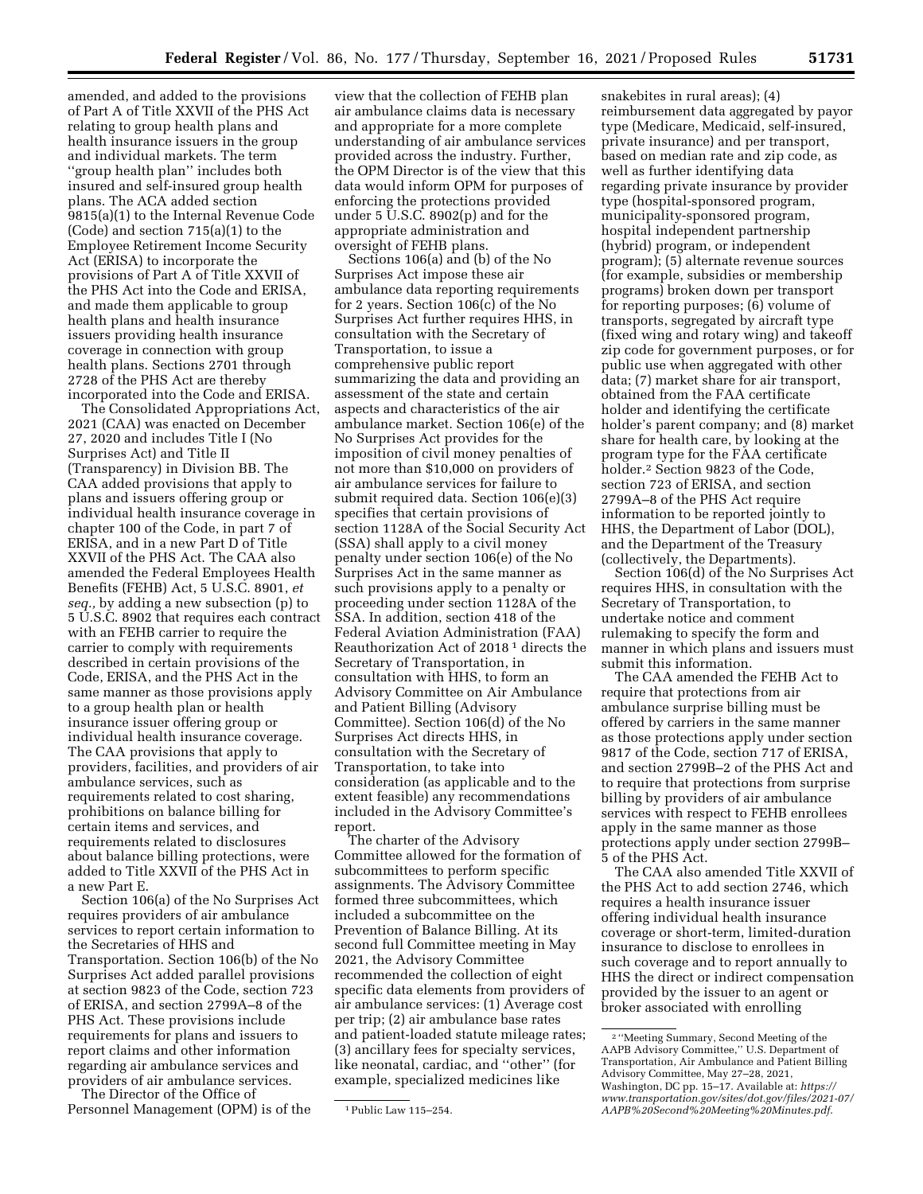amended, and added to the provisions of Part A of Title XXVII of the PHS Act relating to group health plans and health insurance issuers in the group and individual markets. The term ''group health plan'' includes both insured and self-insured group health plans. The ACA added section 9815(a)(1) to the Internal Revenue Code (Code) and section 715(a)(1) to the Employee Retirement Income Security Act (ERISA) to incorporate the provisions of Part A of Title XXVII of the PHS Act into the Code and ERISA, and made them applicable to group health plans and health insurance issuers providing health insurance coverage in connection with group health plans. Sections 2701 through 2728 of the PHS Act are thereby incorporated into the Code and ERISA.

The Consolidated Appropriations Act, 2021 (CAA) was enacted on December 27, 2020 and includes Title I (No Surprises Act) and Title II (Transparency) in Division BB. The CAA added provisions that apply to plans and issuers offering group or individual health insurance coverage in chapter 100 of the Code, in part 7 of ERISA, and in a new Part D of Title XXVII of the PHS Act. The CAA also amended the Federal Employees Health Benefits (FEHB) Act, 5 U.S.C. 8901, *et seq.,* by adding a new subsection (p) to 5 U.S.C. 8902 that requires each contract with an FEHB carrier to require the carrier to comply with requirements described in certain provisions of the Code, ERISA, and the PHS Act in the same manner as those provisions apply to a group health plan or health insurance issuer offering group or individual health insurance coverage. The CAA provisions that apply to providers, facilities, and providers of air ambulance services, such as requirements related to cost sharing, prohibitions on balance billing for certain items and services, and requirements related to disclosures about balance billing protections, were added to Title XXVII of the PHS Act in a new Part E.

Section 106(a) of the No Surprises Act requires providers of air ambulance services to report certain information to the Secretaries of HHS and Transportation. Section 106(b) of the No Surprises Act added parallel provisions at section 9823 of the Code, section 723 of ERISA, and section 2799A–8 of the PHS Act. These provisions include requirements for plans and issuers to report claims and other information regarding air ambulance services and providers of air ambulance services.

The Director of the Office of Personnel Management (OPM) is of the

view that the collection of FEHB plan air ambulance claims data is necessary and appropriate for a more complete understanding of air ambulance services provided across the industry. Further, the OPM Director is of the view that this data would inform OPM for purposes of enforcing the protections provided under 5 U.S.C. 8902(p) and for the appropriate administration and oversight of FEHB plans.

Sections 106(a) and (b) of the No Surprises Act impose these air ambulance data reporting requirements for 2 years. Section 106(c) of the No Surprises Act further requires HHS, in consultation with the Secretary of Transportation, to issue a comprehensive public report summarizing the data and providing an assessment of the state and certain aspects and characteristics of the air ambulance market. Section 106(e) of the No Surprises Act provides for the imposition of civil money penalties of not more than \$10,000 on providers of air ambulance services for failure to submit required data. Section 106(e)(3) specifies that certain provisions of section 1128A of the Social Security Act (SSA) shall apply to a civil money penalty under section 106(e) of the No Surprises Act in the same manner as such provisions apply to a penalty or proceeding under section 1128A of the SSA. In addition, section 418 of the Federal Aviation Administration (FAA) Reauthorization Act of 2018 1 directs the Secretary of Transportation, in consultation with HHS, to form an Advisory Committee on Air Ambulance and Patient Billing (Advisory Committee). Section 106(d) of the No Surprises Act directs HHS, in consultation with the Secretary of Transportation, to take into consideration (as applicable and to the extent feasible) any recommendations included in the Advisory Committee's report.

The charter of the Advisory Committee allowed for the formation of subcommittees to perform specific assignments. The Advisory Committee formed three subcommittees, which included a subcommittee on the Prevention of Balance Billing. At its second full Committee meeting in May 2021, the Advisory Committee recommended the collection of eight specific data elements from providers of air ambulance services: (1) Average cost per trip; (2) air ambulance base rates and patient-loaded statute mileage rates; (3) ancillary fees for specialty services, like neonatal, cardiac, and ''other'' (for example, specialized medicines like

snakebites in rural areas); (4) reimbursement data aggregated by payor type (Medicare, Medicaid, self-insured, private insurance) and per transport, based on median rate and zip code, as well as further identifying data regarding private insurance by provider type (hospital-sponsored program, municipality-sponsored program, hospital independent partnership (hybrid) program, or independent program); (5) alternate revenue sources (for example, subsidies or membership programs) broken down per transport for reporting purposes; (6) volume of transports, segregated by aircraft type (fixed wing and rotary wing) and takeoff zip code for government purposes, or for public use when aggregated with other data; (7) market share for air transport, obtained from the FAA certificate holder and identifying the certificate holder's parent company; and (8) market share for health care, by looking at the program type for the FAA certificate holder.2 Section 9823 of the Code, section 723 of ERISA, and section 2799A–8 of the PHS Act require information to be reported jointly to HHS, the Department of Labor (DOL), and the Department of the Treasury (collectively, the Departments).

Section 106(d) of the No Surprises Act requires HHS, in consultation with the Secretary of Transportation, to undertake notice and comment rulemaking to specify the form and manner in which plans and issuers must submit this information.

The CAA amended the FEHB Act to require that protections from air ambulance surprise billing must be offered by carriers in the same manner as those protections apply under section 9817 of the Code, section 717 of ERISA, and section 2799B–2 of the PHS Act and to require that protections from surprise billing by providers of air ambulance services with respect to FEHB enrollees apply in the same manner as those protections apply under section 2799B– 5 of the PHS Act.

The CAA also amended Title XXVII of the PHS Act to add section 2746, which requires a health insurance issuer offering individual health insurance coverage or short-term, limited-duration insurance to disclose to enrollees in such coverage and to report annually to HHS the direct or indirect compensation provided by the issuer to an agent or broker associated with enrolling

<sup>1</sup>Public Law 115–254.

<sup>2</sup> ''Meeting Summary, Second Meeting of the AAPB Advisory Committee,'' U.S. Department of Transportation, Air Ambulance and Patient Billing Advisory Committee, May 27–28, 2021, Washington, DC pp. 15–17. Available at: *[https://](https://www.transportation.gov/sites/dot.gov/files/2021-07/AAPB%20Second%20Meeting%20Minutes.pdf) [www.transportation.gov/sites/dot.gov/files/2021-07/](https://www.transportation.gov/sites/dot.gov/files/2021-07/AAPB%20Second%20Meeting%20Minutes.pdf) [AAPB%20Second%20Meeting%20Minutes.pdf](https://www.transportation.gov/sites/dot.gov/files/2021-07/AAPB%20Second%20Meeting%20Minutes.pdf)*.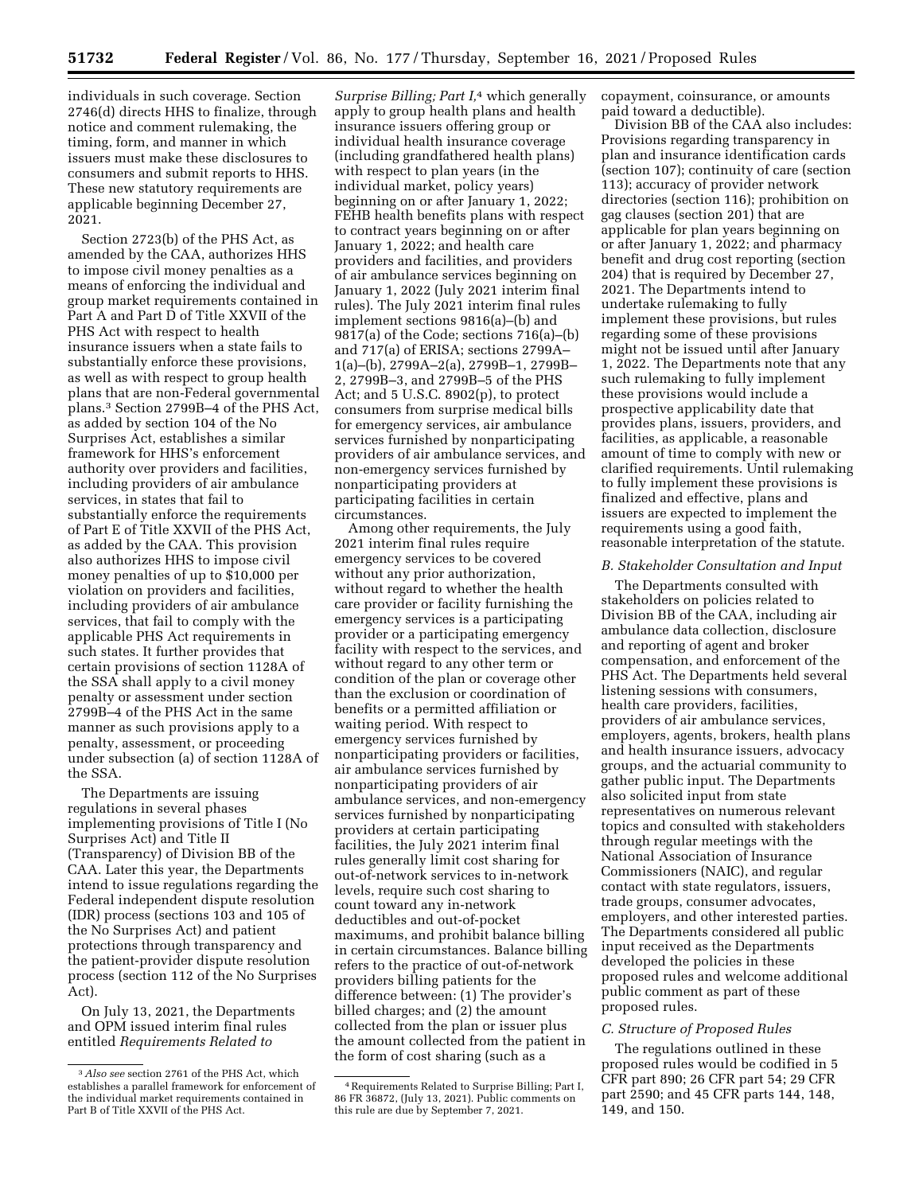individuals in such coverage. Section 2746(d) directs HHS to finalize, through notice and comment rulemaking, the timing, form, and manner in which issuers must make these disclosures to consumers and submit reports to HHS. These new statutory requirements are applicable beginning December 27, 2021.

Section 2723(b) of the PHS Act, as amended by the CAA, authorizes HHS to impose civil money penalties as a means of enforcing the individual and group market requirements contained in Part A and Part D of Title XXVII of the PHS Act with respect to health insurance issuers when a state fails to substantially enforce these provisions, as well as with respect to group health plans that are non-Federal governmental plans.3 Section 2799B–4 of the PHS Act, as added by section 104 of the No Surprises Act, establishes a similar framework for HHS's enforcement authority over providers and facilities, including providers of air ambulance services, in states that fail to substantially enforce the requirements of Part E of Title XXVII of the PHS Act, as added by the CAA. This provision also authorizes HHS to impose civil money penalties of up to \$10,000 per violation on providers and facilities, including providers of air ambulance services, that fail to comply with the applicable PHS Act requirements in such states. It further provides that certain provisions of section 1128A of the SSA shall apply to a civil money penalty or assessment under section 2799B–4 of the PHS Act in the same manner as such provisions apply to a penalty, assessment, or proceeding under subsection (a) of section 1128A of the SSA.

The Departments are issuing regulations in several phases implementing provisions of Title I (No Surprises Act) and Title II (Transparency) of Division BB of the CAA. Later this year, the Departments intend to issue regulations regarding the Federal independent dispute resolution (IDR) process (sections 103 and 105 of the No Surprises Act) and patient protections through transparency and the patient-provider dispute resolution process (section 112 of the No Surprises Act).

On July 13, 2021, the Departments and OPM issued interim final rules entitled *Requirements Related to* 

*Surprise Billing; Part I,*4 which generally apply to group health plans and health insurance issuers offering group or individual health insurance coverage (including grandfathered health plans) with respect to plan years (in the individual market, policy years) beginning on or after January 1, 2022; FEHB health benefits plans with respect to contract years beginning on or after January 1, 2022; and health care providers and facilities, and providers of air ambulance services beginning on January 1, 2022 (July 2021 interim final rules). The July 2021 interim final rules implement sections 9816(a)–(b) and 9817(a) of the Code; sections 716(a)–(b) and 717(a) of ERISA; sections 2799A– 1(a)–(b), 2799A–2(a), 2799B–1, 2799B– 2, 2799B–3, and 2799B–5 of the PHS Act; and 5 U.S.C. 8902(p), to protect consumers from surprise medical bills for emergency services, air ambulance services furnished by nonparticipating providers of air ambulance services, and non-emergency services furnished by nonparticipating providers at participating facilities in certain circumstances.

Among other requirements, the July 2021 interim final rules require emergency services to be covered without any prior authorization, without regard to whether the health care provider or facility furnishing the emergency services is a participating provider or a participating emergency facility with respect to the services, and without regard to any other term or condition of the plan or coverage other than the exclusion or coordination of benefits or a permitted affiliation or waiting period. With respect to emergency services furnished by nonparticipating providers or facilities, air ambulance services furnished by nonparticipating providers of air ambulance services, and non-emergency services furnished by nonparticipating providers at certain participating facilities, the July 2021 interim final rules generally limit cost sharing for out-of-network services to in-network levels, require such cost sharing to count toward any in-network deductibles and out-of-pocket maximums, and prohibit balance billing in certain circumstances. Balance billing refers to the practice of out-of-network providers billing patients for the difference between: (1) The provider's billed charges; and (2) the amount collected from the plan or issuer plus the amount collected from the patient in the form of cost sharing (such as a

copayment, coinsurance, or amounts paid toward a deductible).

Division BB of the CAA also includes: Provisions regarding transparency in plan and insurance identification cards (section 107); continuity of care (section 113); accuracy of provider network directories (section 116); prohibition on gag clauses (section 201) that are applicable for plan years beginning on or after January 1, 2022; and pharmacy benefit and drug cost reporting (section 204) that is required by December 27, 2021. The Departments intend to undertake rulemaking to fully implement these provisions, but rules regarding some of these provisions might not be issued until after January 1, 2022. The Departments note that any such rulemaking to fully implement these provisions would include a prospective applicability date that provides plans, issuers, providers, and facilities, as applicable, a reasonable amount of time to comply with new or clarified requirements. Until rulemaking to fully implement these provisions is finalized and effective, plans and issuers are expected to implement the requirements using a good faith, reasonable interpretation of the statute.

#### *B. Stakeholder Consultation and Input*

The Departments consulted with stakeholders on policies related to Division BB of the CAA, including air ambulance data collection, disclosure and reporting of agent and broker compensation, and enforcement of the PHS Act. The Departments held several listening sessions with consumers, health care providers, facilities, providers of air ambulance services, employers, agents, brokers, health plans and health insurance issuers, advocacy groups, and the actuarial community to gather public input. The Departments also solicited input from state representatives on numerous relevant topics and consulted with stakeholders through regular meetings with the National Association of Insurance Commissioners (NAIC), and regular contact with state regulators, issuers, trade groups, consumer advocates, employers, and other interested parties. The Departments considered all public input received as the Departments developed the policies in these proposed rules and welcome additional public comment as part of these proposed rules.

#### *C. Structure of Proposed Rules*

The regulations outlined in these proposed rules would be codified in 5 CFR part 890; 26 CFR part 54; 29 CFR part 2590; and 45 CFR parts 144, 148, 149, and 150.

<sup>3</sup>*Also see* section 2761 of the PHS Act, which establishes a parallel framework for enforcement of the individual market requirements contained in Part B of Title XXVII of the PHS Act.

<sup>4</sup>Requirements Related to Surprise Billing; Part I, 86 FR 36872, (July 13, 2021). Public comments on this rule are due by September 7, 2021.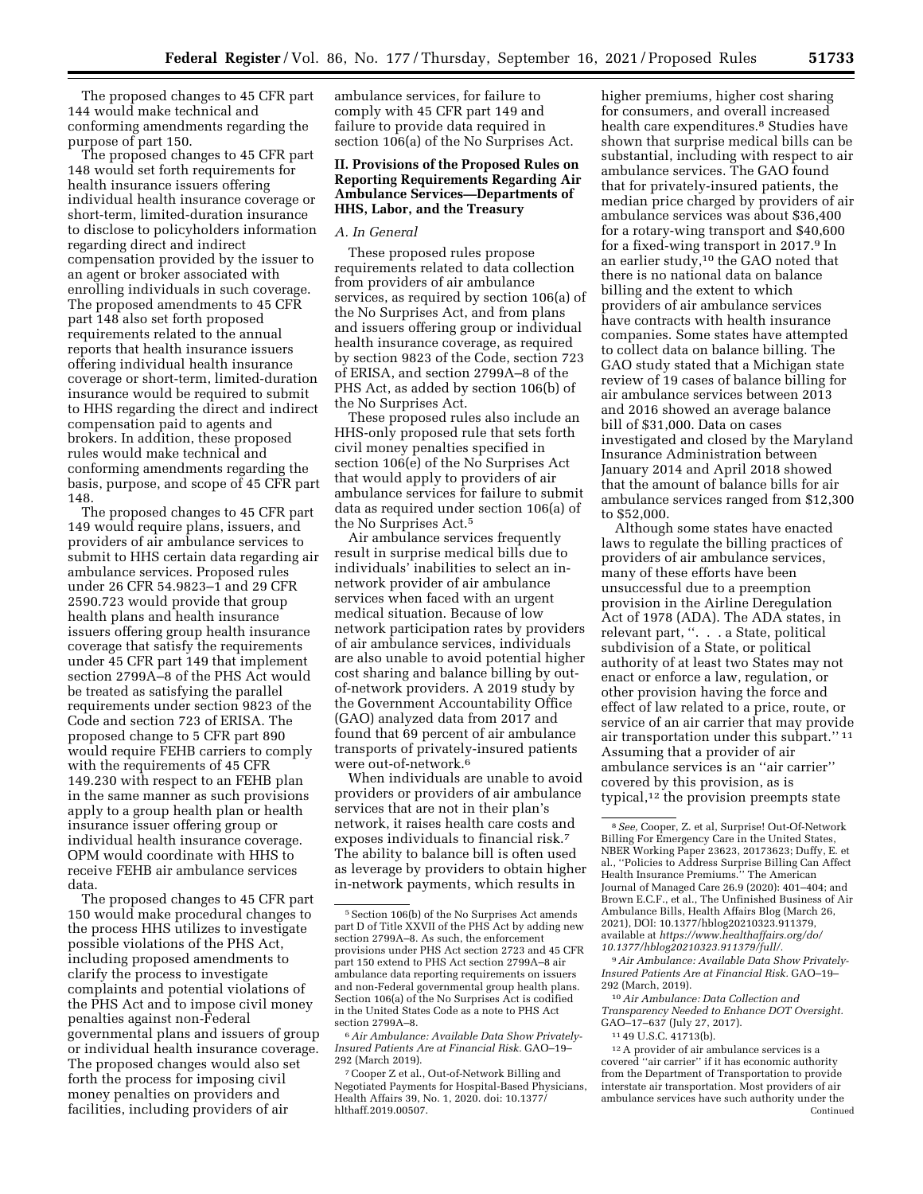The proposed changes to 45 CFR part 144 would make technical and conforming amendments regarding the purpose of part 150.

The proposed changes to 45 CFR part 148 would set forth requirements for health insurance issuers offering individual health insurance coverage or short-term, limited-duration insurance to disclose to policyholders information regarding direct and indirect compensation provided by the issuer to an agent or broker associated with enrolling individuals in such coverage. The proposed amendments to 45 CFR part 148 also set forth proposed requirements related to the annual reports that health insurance issuers offering individual health insurance coverage or short-term, limited-duration insurance would be required to submit to HHS regarding the direct and indirect compensation paid to agents and brokers. In addition, these proposed rules would make technical and conforming amendments regarding the basis, purpose, and scope of 45 CFR part 148.

The proposed changes to 45 CFR part 149 would require plans, issuers, and providers of air ambulance services to submit to HHS certain data regarding air ambulance services. Proposed rules under 26 CFR 54.9823–1 and 29 CFR 2590.723 would provide that group health plans and health insurance issuers offering group health insurance coverage that satisfy the requirements under 45 CFR part 149 that implement section 2799A–8 of the PHS Act would be treated as satisfying the parallel requirements under section 9823 of the Code and section 723 of ERISA. The proposed change to 5 CFR part 890 would require FEHB carriers to comply with the requirements of 45 CFR 149.230 with respect to an FEHB plan in the same manner as such provisions apply to a group health plan or health insurance issuer offering group or individual health insurance coverage. OPM would coordinate with HHS to receive FEHB air ambulance services data.

The proposed changes to 45 CFR part 150 would make procedural changes to the process HHS utilizes to investigate possible violations of the PHS Act, including proposed amendments to clarify the process to investigate complaints and potential violations of the PHS Act and to impose civil money penalties against non-Federal governmental plans and issuers of group or individual health insurance coverage. The proposed changes would also set forth the process for imposing civil money penalties on providers and facilities, including providers of air

ambulance services, for failure to comply with 45 CFR part 149 and failure to provide data required in section 106(a) of the No Surprises Act.

### **II. Provisions of the Proposed Rules on Reporting Requirements Regarding Air Ambulance Services—Departments of HHS, Labor, and the Treasury**

#### *A. In General*

These proposed rules propose requirements related to data collection from providers of air ambulance services, as required by section 106(a) of the No Surprises Act, and from plans and issuers offering group or individual health insurance coverage, as required by section 9823 of the Code, section 723 of ERISA, and section 2799A–8 of the PHS Act, as added by section 106(b) of the No Surprises Act.

These proposed rules also include an HHS-only proposed rule that sets forth civil money penalties specified in section 106(e) of the No Surprises Act that would apply to providers of air ambulance services for failure to submit data as required under section 106(a) of the No Surprises Act.5

Air ambulance services frequently result in surprise medical bills due to individuals' inabilities to select an innetwork provider of air ambulance services when faced with an urgent medical situation. Because of low network participation rates by providers of air ambulance services, individuals are also unable to avoid potential higher cost sharing and balance billing by outof-network providers. A 2019 study by the Government Accountability Office (GAO) analyzed data from 2017 and found that 69 percent of air ambulance transports of privately-insured patients were out-of-network.6

When individuals are unable to avoid providers or providers of air ambulance services that are not in their plan's network, it raises health care costs and exposes individuals to financial risk.7 The ability to balance bill is often used as leverage by providers to obtain higher in-network payments, which results in

6*Air Ambulance: Available Data Show Privately-Insured Patients Are at Financial Risk.* GAO–19– 292 (March 2019).

higher premiums, higher cost sharing for consumers, and overall increased health care expenditures.<sup>8</sup> Studies have shown that surprise medical bills can be substantial, including with respect to air ambulance services. The GAO found that for privately-insured patients, the median price charged by providers of air ambulance services was about \$36,400 for a rotary-wing transport and \$40,600 for a fixed-wing transport in 2017.9 In an earlier study,10 the GAO noted that there is no national data on balance billing and the extent to which providers of air ambulance services have contracts with health insurance companies. Some states have attempted to collect data on balance billing. The GAO study stated that a Michigan state review of 19 cases of balance billing for air ambulance services between 2013 and 2016 showed an average balance bill of \$31,000. Data on cases investigated and closed by the Maryland Insurance Administration between January 2014 and April 2018 showed that the amount of balance bills for air ambulance services ranged from \$12,300 to \$52,000.

Although some states have enacted laws to regulate the billing practices of providers of air ambulance services, many of these efforts have been unsuccessful due to a preemption provision in the Airline Deregulation Act of 1978 (ADA). The ADA states, in relevant part, ''. . . a State, political subdivision of a State, or political authority of at least two States may not enact or enforce a law, regulation, or other provision having the force and effect of law related to a price, route, or service of an air carrier that may provide air transportation under this subpart.'' 11 Assuming that a provider of air ambulance services is an ''air carrier'' covered by this provision, as is typical,12 the provision preempts state

9*Air Ambulance: Available Data Show Privately-Insured Patients Are at Financial Risk.* GAO–19– 292 (March, 2019).

10*Air Ambulance: Data Collection and Transparency Needed to Enhance DOT Oversight.*  GAO–17–637 (July 27, 2017).

11 49 U.S.C. 41713(b).

12A provider of air ambulance services is a covered ''air carrier'' if it has economic authority from the Department of Transportation to provide interstate air transportation. Most providers of air ambulance services have such authority under the Continued

<sup>5</sup>Section 106(b) of the No Surprises Act amends part D of Title XXVII of the PHS Act by adding new section 2799A–8. As such, the enforcement provisions under PHS Act section 2723 and 45 CFR part 150 extend to PHS Act section 2799A–8 air ambulance data reporting requirements on issuers and non-Federal governmental group health plans. Section 106(a) of the No Surprises Act is codified in the United States Code as a note to PHS Act section 2799A–8.

<sup>7</sup>Cooper Z et al., Out-of-Network Billing and Negotiated Payments for Hospital-Based Physicians, Health Affairs 39, No. 1, 2020. doi: 10.1377/ hlthaff.2019.00507.

<sup>8</sup>*See,* Cooper, Z. et al, Surprise! Out-Of-Network Billing For Emergency Care in the United States, NBER Working Paper 23623, 20173623; Duffy, E. et al., ''Policies to Address Surprise Billing Can Affect Health Insurance Premiums.'' The American Journal of Managed Care 26.9 (2020): 401–404; and Brown E.C.F., et al., The Unfinished Business of Air Ambulance Bills, Health Affairs Blog (March 26, 2021), DOI: 10.1377/hblog20210323.911379, available at *[https://www.healthaffairs.org/do/](https://www.healthaffairs.org/do/10.1377/hblog20210323.911379/full/)  [10.1377/hblog20210323.911379/full/.](https://www.healthaffairs.org/do/10.1377/hblog20210323.911379/full/)*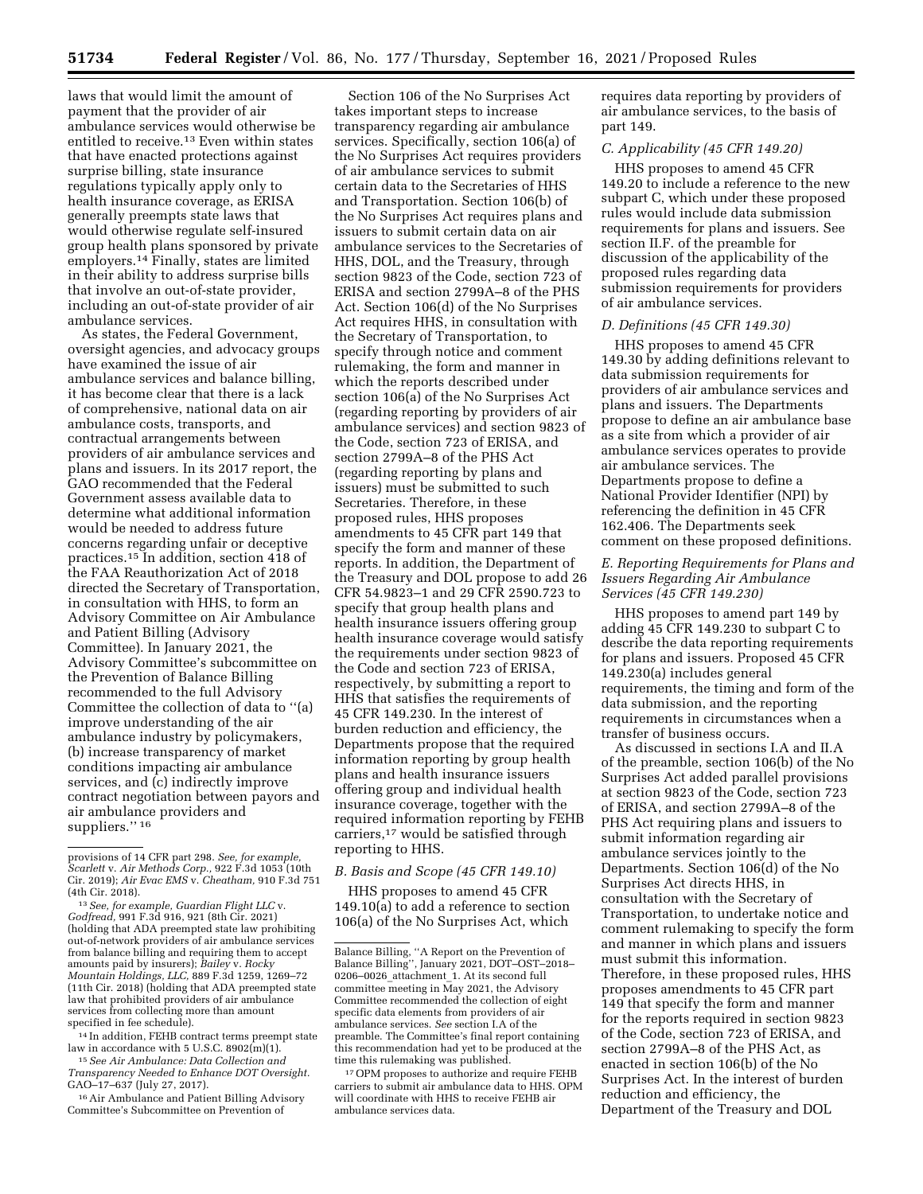laws that would limit the amount of payment that the provider of air ambulance services would otherwise be entitled to receive.13 Even within states that have enacted protections against surprise billing, state insurance regulations typically apply only to health insurance coverage, as ERISA generally preempts state laws that would otherwise regulate self-insured group health plans sponsored by private employers.14 Finally, states are limited in their ability to address surprise bills that involve an out-of-state provider, including an out-of-state provider of air ambulance services.

As states, the Federal Government, oversight agencies, and advocacy groups have examined the issue of air ambulance services and balance billing, it has become clear that there is a lack of comprehensive, national data on air ambulance costs, transports, and contractual arrangements between providers of air ambulance services and plans and issuers. In its 2017 report, the GAO recommended that the Federal Government assess available data to determine what additional information would be needed to address future concerns regarding unfair or deceptive practices.15 In addition, section 418 of the FAA Reauthorization Act of 2018 directed the Secretary of Transportation, in consultation with HHS, to form an Advisory Committee on Air Ambulance and Patient Billing (Advisory Committee). In January 2021, the Advisory Committee's subcommittee on the Prevention of Balance Billing recommended to the full Advisory Committee the collection of data to ''(a) improve understanding of the air ambulance industry by policymakers, (b) increase transparency of market conditions impacting air ambulance services, and (c) indirectly improve contract negotiation between payors and air ambulance providers and suppliers."<sup>16</sup>

<sup>13</sup> See, for example, Guardian Flight LLC v. *Godfread,* 991 F.3d 916, 921 (8th Cir. 2021) (holding that ADA preempted state law prohibiting out-of-network providers of air ambulance services from balance billing and requiring them to accept amounts paid by insurers); *Bailey* v. *Rocky Mountain Holdings, LLC,* 889 F.3d 1259, 1269–72 (11th Cir. 2018) (holding that ADA preempted state law that prohibited providers of air ambulance services from collecting more than amount specified in fee schedule).

 $^{14}$  In addition, FEHB contract terms preempt state law in accordance with 5 U.S.C. 8902(m)(1).

<sup>15</sup> See Air Ambulance: Data Collection and *Transparency Needed to Enhance DOT Oversight.*  GAO–17–637 (July 27, 2017).

16Air Ambulance and Patient Billing Advisory Committee's Subcommittee on Prevention of

Section 106 of the No Surprises Act takes important steps to increase transparency regarding air ambulance services. Specifically, section 106(a) of the No Surprises Act requires providers of air ambulance services to submit certain data to the Secretaries of HHS and Transportation. Section 106(b) of the No Surprises Act requires plans and issuers to submit certain data on air ambulance services to the Secretaries of HHS, DOL, and the Treasury, through section 9823 of the Code, section 723 of ERISA and section 2799A–8 of the PHS Act. Section 106(d) of the No Surprises Act requires HHS, in consultation with the Secretary of Transportation, to specify through notice and comment rulemaking, the form and manner in which the reports described under section 106(a) of the No Surprises Act (regarding reporting by providers of air ambulance services) and section 9823 of the Code, section 723 of ERISA, and section 2799A–8 of the PHS Act (regarding reporting by plans and issuers) must be submitted to such Secretaries. Therefore, in these proposed rules, HHS proposes amendments to 45 CFR part 149 that specify the form and manner of these reports. In addition, the Department of the Treasury and DOL propose to add 26 CFR 54.9823–1 and 29 CFR 2590.723 to specify that group health plans and health insurance issuers offering group health insurance coverage would satisfy the requirements under section 9823 of the Code and section 723 of ERISA, respectively, by submitting a report to HHS that satisfies the requirements of 45 CFR 149.230. In the interest of burden reduction and efficiency, the Departments propose that the required information reporting by group health plans and health insurance issuers offering group and individual health insurance coverage, together with the required information reporting by FEHB carriers,17 would be satisfied through reporting to HHS.

### *B. Basis and Scope (45 CFR 149.10)*

HHS proposes to amend 45 CFR 149.10(a) to add a reference to section 106(a) of the No Surprises Act, which

17OPM proposes to authorize and require FEHB carriers to submit air ambulance data to HHS. OPM will coordinate with HHS to receive FEHB air ambulance services data.

requires data reporting by providers of air ambulance services, to the basis of part 149.

## *C. Applicability (45 CFR 149.20)*

HHS proposes to amend 45 CFR 149.20 to include a reference to the new subpart C, which under these proposed rules would include data submission requirements for plans and issuers. See section II.F. of the preamble for discussion of the applicability of the proposed rules regarding data submission requirements for providers of air ambulance services.

#### *D. Definitions (45 CFR 149.30)*

HHS proposes to amend 45 CFR 149.30 by adding definitions relevant to data submission requirements for providers of air ambulance services and plans and issuers. The Departments propose to define an air ambulance base as a site from which a provider of air ambulance services operates to provide air ambulance services. The Departments propose to define a National Provider Identifier (NPI) by referencing the definition in 45 CFR 162.406. The Departments seek comment on these proposed definitions.

### *E. Reporting Requirements for Plans and Issuers Regarding Air Ambulance Services (45 CFR 149.230)*

HHS proposes to amend part 149 by adding 45 CFR 149.230 to subpart C to describe the data reporting requirements for plans and issuers. Proposed 45 CFR 149.230(a) includes general requirements, the timing and form of the data submission, and the reporting requirements in circumstances when a transfer of business occurs.

As discussed in sections I.A and II.A of the preamble, section 106(b) of the No Surprises Act added parallel provisions at section 9823 of the Code, section 723 of ERISA, and section 2799A–8 of the PHS Act requiring plans and issuers to submit information regarding air ambulance services jointly to the Departments. Section 106(d) of the No Surprises Act directs HHS, in consultation with the Secretary of Transportation, to undertake notice and comment rulemaking to specify the form and manner in which plans and issuers must submit this information. Therefore, in these proposed rules, HHS proposes amendments to 45 CFR part 149 that specify the form and manner for the reports required in section 9823 of the Code, section 723 of ERISA, and section 2799A–8 of the PHS Act, as enacted in section 106(b) of the No Surprises Act. In the interest of burden reduction and efficiency, the Department of the Treasury and DOL

provisions of 14 CFR part 298. *See, for example, Scarlett* v. *Air Methods Corp.,* 922 F.3d 1053 (10th Cir. 2019); *Air Evac EMS* v. *Cheatham,* 910 F.3d 751

Balance Billing, ''A Report on the Prevention of Balance Billing'', January 2021, DOT–OST–2018– 0206–0026\_attachment\_1. At its second full committee meeting in May 2021, the Advisory Committee recommended the collection of eight specific data elements from providers of air ambulance services. *See* section I.A of the preamble. The Committee's final report containing this recommendation had yet to be produced at the time this rulemaking was published.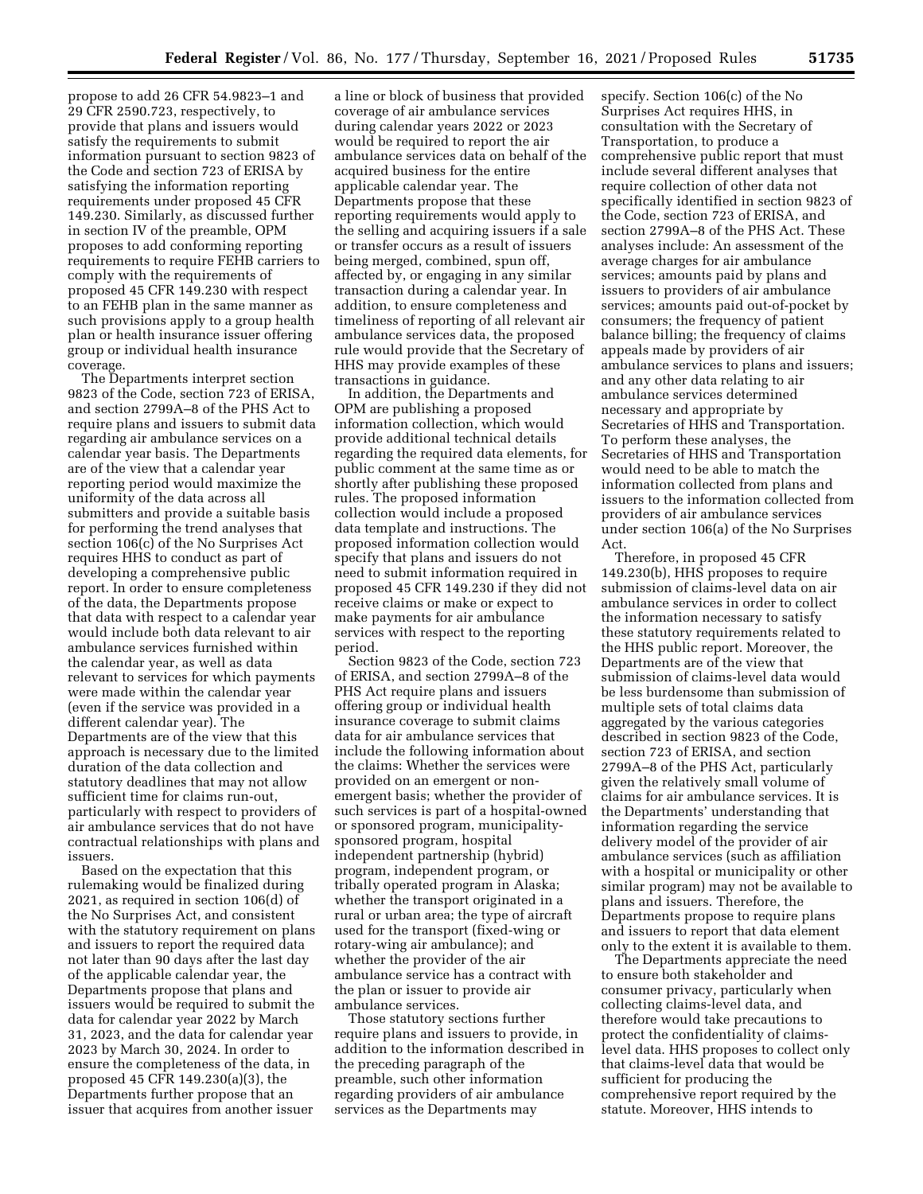propose to add 26 CFR 54.9823–1 and 29 CFR 2590.723, respectively, to provide that plans and issuers would satisfy the requirements to submit information pursuant to section 9823 of the Code and section 723 of ERISA by satisfying the information reporting requirements under proposed 45 CFR 149.230. Similarly, as discussed further in section IV of the preamble, OPM proposes to add conforming reporting requirements to require FEHB carriers to comply with the requirements of proposed 45 CFR 149.230 with respect to an FEHB plan in the same manner as such provisions apply to a group health plan or health insurance issuer offering group or individual health insurance coverage.

The Departments interpret section 9823 of the Code, section 723 of ERISA, and section 2799A–8 of the PHS Act to require plans and issuers to submit data regarding air ambulance services on a calendar year basis. The Departments are of the view that a calendar year reporting period would maximize the uniformity of the data across all submitters and provide a suitable basis for performing the trend analyses that section 106(c) of the No Surprises Act requires HHS to conduct as part of developing a comprehensive public report. In order to ensure completeness of the data, the Departments propose that data with respect to a calendar year would include both data relevant to air ambulance services furnished within the calendar year, as well as data relevant to services for which payments were made within the calendar year (even if the service was provided in a different calendar year). The Departments are of the view that this approach is necessary due to the limited duration of the data collection and statutory deadlines that may not allow sufficient time for claims run-out, particularly with respect to providers of air ambulance services that do not have contractual relationships with plans and issuers.

Based on the expectation that this rulemaking would be finalized during 2021, as required in section 106(d) of the No Surprises Act, and consistent with the statutory requirement on plans and issuers to report the required data not later than 90 days after the last day of the applicable calendar year, the Departments propose that plans and issuers would be required to submit the data for calendar year 2022 by March 31, 2023, and the data for calendar year 2023 by March 30, 2024. In order to ensure the completeness of the data, in proposed 45 CFR 149.230(a)(3), the Departments further propose that an issuer that acquires from another issuer

a line or block of business that provided coverage of air ambulance services during calendar years 2022 or 2023 would be required to report the air ambulance services data on behalf of the acquired business for the entire applicable calendar year. The Departments propose that these reporting requirements would apply to the selling and acquiring issuers if a sale or transfer occurs as a result of issuers being merged, combined, spun off, affected by, or engaging in any similar transaction during a calendar year. In addition, to ensure completeness and timeliness of reporting of all relevant air ambulance services data, the proposed rule would provide that the Secretary of HHS may provide examples of these transactions in guidance.

In addition, the Departments and OPM are publishing a proposed information collection, which would provide additional technical details regarding the required data elements, for public comment at the same time as or shortly after publishing these proposed rules. The proposed information collection would include a proposed data template and instructions. The proposed information collection would specify that plans and issuers do not need to submit information required in proposed 45 CFR 149.230 if they did not receive claims or make or expect to make payments for air ambulance services with respect to the reporting period.

Section 9823 of the Code, section 723 of ERISA, and section 2799A–8 of the PHS Act require plans and issuers offering group or individual health insurance coverage to submit claims data for air ambulance services that include the following information about the claims: Whether the services were provided on an emergent or nonemergent basis; whether the provider of such services is part of a hospital-owned or sponsored program, municipalitysponsored program, hospital independent partnership (hybrid) program, independent program, or tribally operated program in Alaska; whether the transport originated in a rural or urban area; the type of aircraft used for the transport (fixed-wing or rotary-wing air ambulance); and whether the provider of the air ambulance service has a contract with the plan or issuer to provide air ambulance services.

Those statutory sections further require plans and issuers to provide, in addition to the information described in the preceding paragraph of the preamble, such other information regarding providers of air ambulance services as the Departments may

specify. Section 106(c) of the No Surprises Act requires HHS, in consultation with the Secretary of Transportation, to produce a comprehensive public report that must include several different analyses that require collection of other data not specifically identified in section 9823 of the Code, section 723 of ERISA, and section 2799A–8 of the PHS Act. These analyses include: An assessment of the average charges for air ambulance services; amounts paid by plans and issuers to providers of air ambulance services; amounts paid out-of-pocket by consumers; the frequency of patient balance billing; the frequency of claims appeals made by providers of air ambulance services to plans and issuers; and any other data relating to air ambulance services determined necessary and appropriate by Secretaries of HHS and Transportation. To perform these analyses, the Secretaries of HHS and Transportation would need to be able to match the information collected from plans and issuers to the information collected from providers of air ambulance services under section 106(a) of the No Surprises Act.

Therefore, in proposed 45 CFR 149.230(b), HHS proposes to require submission of claims-level data on air ambulance services in order to collect the information necessary to satisfy these statutory requirements related to the HHS public report. Moreover, the Departments are of the view that submission of claims-level data would be less burdensome than submission of multiple sets of total claims data aggregated by the various categories described in section 9823 of the Code, section 723 of ERISA, and section 2799A–8 of the PHS Act, particularly given the relatively small volume of claims for air ambulance services. It is the Departments' understanding that information regarding the service delivery model of the provider of air ambulance services (such as affiliation with a hospital or municipality or other similar program) may not be available to plans and issuers. Therefore, the Departments propose to require plans and issuers to report that data element only to the extent it is available to them.

The Departments appreciate the need to ensure both stakeholder and consumer privacy, particularly when collecting claims-level data, and therefore would take precautions to protect the confidentiality of claimslevel data. HHS proposes to collect only that claims-level data that would be sufficient for producing the comprehensive report required by the statute. Moreover, HHS intends to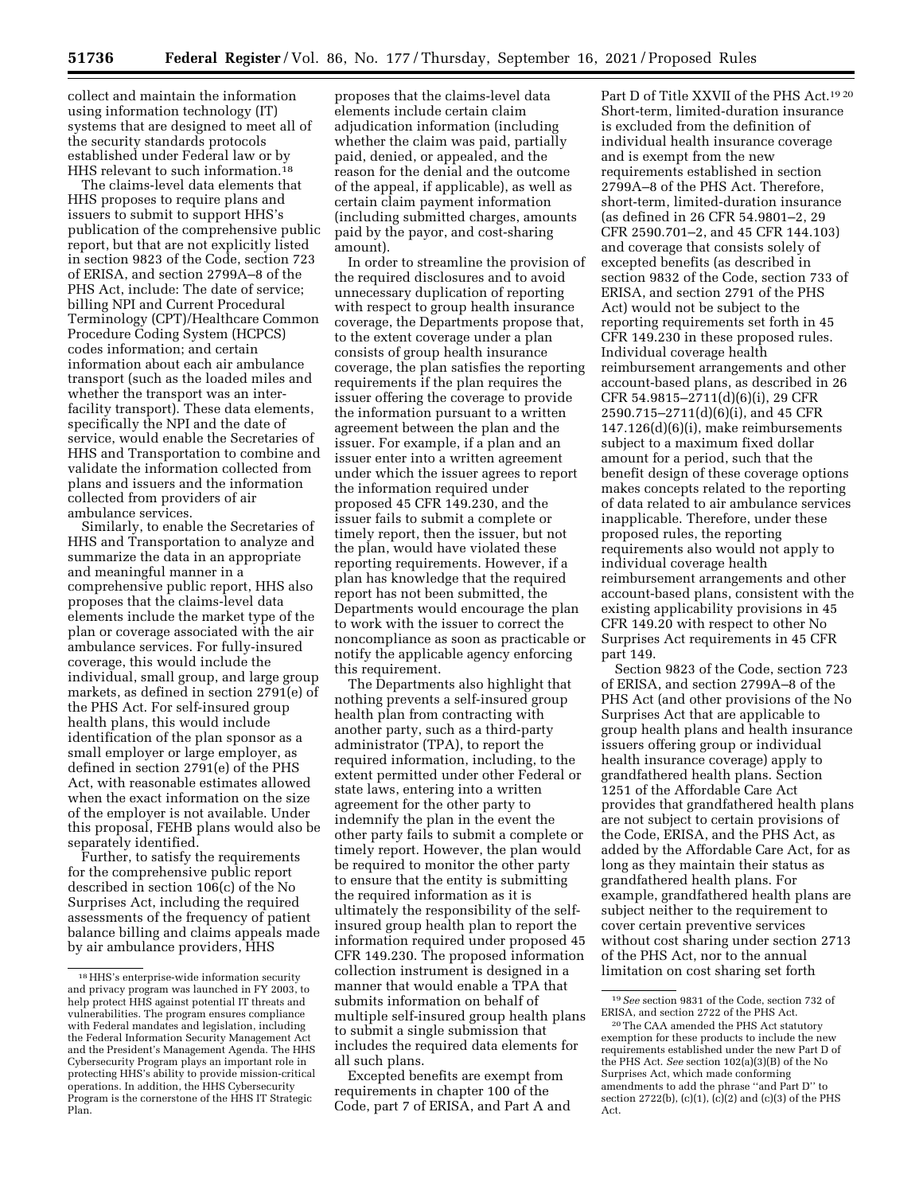collect and maintain the information using information technology (IT) systems that are designed to meet all of the security standards protocols established under Federal law or by HHS relevant to such information.<sup>18</sup>

The claims-level data elements that HHS proposes to require plans and issuers to submit to support HHS's publication of the comprehensive public report, but that are not explicitly listed in section 9823 of the Code, section 723 of ERISA, and section 2799A–8 of the PHS Act, include: The date of service; billing NPI and Current Procedural Terminology (CPT)/Healthcare Common Procedure Coding System (HCPCS) codes information; and certain information about each air ambulance transport (such as the loaded miles and whether the transport was an interfacility transport). These data elements, specifically the NPI and the date of service, would enable the Secretaries of HHS and Transportation to combine and validate the information collected from plans and issuers and the information collected from providers of air ambulance services.

Similarly, to enable the Secretaries of HHS and Transportation to analyze and summarize the data in an appropriate and meaningful manner in a comprehensive public report, HHS also proposes that the claims-level data elements include the market type of the plan or coverage associated with the air ambulance services. For fully-insured coverage, this would include the individual, small group, and large group markets, as defined in section 2791(e) of the PHS Act. For self-insured group health plans, this would include identification of the plan sponsor as a small employer or large employer, as defined in section 2791(e) of the PHS Act, with reasonable estimates allowed when the exact information on the size of the employer is not available. Under this proposal, FEHB plans would also be separately identified.

Further, to satisfy the requirements for the comprehensive public report described in section 106(c) of the No Surprises Act, including the required assessments of the frequency of patient balance billing and claims appeals made by air ambulance providers, HHS

proposes that the claims-level data elements include certain claim adjudication information (including whether the claim was paid, partially paid, denied, or appealed, and the reason for the denial and the outcome of the appeal, if applicable), as well as certain claim payment information (including submitted charges, amounts paid by the payor, and cost-sharing amount).

In order to streamline the provision of the required disclosures and to avoid unnecessary duplication of reporting with respect to group health insurance coverage, the Departments propose that, to the extent coverage under a plan consists of group health insurance coverage, the plan satisfies the reporting requirements if the plan requires the issuer offering the coverage to provide the information pursuant to a written agreement between the plan and the issuer. For example, if a plan and an issuer enter into a written agreement under which the issuer agrees to report the information required under proposed 45 CFR 149.230, and the issuer fails to submit a complete or timely report, then the issuer, but not the plan, would have violated these reporting requirements. However, if a plan has knowledge that the required report has not been submitted, the Departments would encourage the plan to work with the issuer to correct the noncompliance as soon as practicable or notify the applicable agency enforcing this requirement.

The Departments also highlight that nothing prevents a self-insured group health plan from contracting with another party, such as a third-party administrator (TPA), to report the required information, including, to the extent permitted under other Federal or state laws, entering into a written agreement for the other party to indemnify the plan in the event the other party fails to submit a complete or timely report. However, the plan would be required to monitor the other party to ensure that the entity is submitting the required information as it is ultimately the responsibility of the selfinsured group health plan to report the information required under proposed 45 CFR 149.230. The proposed information collection instrument is designed in a manner that would enable a TPA that submits information on behalf of multiple self-insured group health plans to submit a single submission that includes the required data elements for all such plans.

Excepted benefits are exempt from requirements in chapter 100 of the Code, part 7 of ERISA, and Part A and

Part D of Title XXVII of the PHS Act.19 20 Short-term, limited-duration insurance is excluded from the definition of individual health insurance coverage and is exempt from the new requirements established in section 2799A–8 of the PHS Act. Therefore, short-term, limited-duration insurance (as defined in 26 CFR 54.9801–2, 29 CFR 2590.701–2, and 45 CFR 144.103) and coverage that consists solely of excepted benefits (as described in section 9832 of the Code, section 733 of ERISA, and section 2791 of the PHS Act) would not be subject to the reporting requirements set forth in 45 CFR 149.230 in these proposed rules. Individual coverage health reimbursement arrangements and other account-based plans, as described in 26 CFR 54.9815–2711(d)(6)(i), 29 CFR 2590.715–2711(d)(6)(i), and 45 CFR 147.126(d)(6)(i), make reimbursements subject to a maximum fixed dollar amount for a period, such that the benefit design of these coverage options makes concepts related to the reporting of data related to air ambulance services inapplicable. Therefore, under these proposed rules, the reporting requirements also would not apply to individual coverage health reimbursement arrangements and other account-based plans, consistent with the existing applicability provisions in 45 CFR 149.20 with respect to other No Surprises Act requirements in 45 CFR part 149.

Section 9823 of the Code, section 723 of ERISA, and section 2799A–8 of the PHS Act (and other provisions of the No Surprises Act that are applicable to group health plans and health insurance issuers offering group or individual health insurance coverage) apply to grandfathered health plans. Section 1251 of the Affordable Care Act provides that grandfathered health plans are not subject to certain provisions of the Code, ERISA, and the PHS Act, as added by the Affordable Care Act, for as long as they maintain their status as grandfathered health plans. For example, grandfathered health plans are subject neither to the requirement to cover certain preventive services without cost sharing under section 2713 of the PHS Act, nor to the annual limitation on cost sharing set forth

 $^{\rm 18}\rm HHS$  's enterprise-wide information security and privacy program was launched in FY 2003, to help protect HHS against potential IT threats and vulnerabilities. The program ensures compliance with Federal mandates and legislation, including the Federal Information Security Management Act and the President's Management Agenda. The HHS Cybersecurity Program plays an important role in protecting HHS's ability to provide mission-critical operations. In addition, the HHS Cybersecurity Program is the cornerstone of the HHS IT Strategic Plan.

<sup>19</sup>*See* section 9831 of the Code, section 732 of ERISA, and section 2722 of the PHS Act.

<sup>20</sup>The CAA amended the PHS Act statutory exemption for these products to include the new requirements established under the new Part D of the PHS Act. *See* section 102(a)(3)(B) of the No Surprises Act, which made conforming amendments to add the phrase ''and Part D'' to section 2722(b), (c)(1), (c)(2) and (c)(3) of the PHS Act.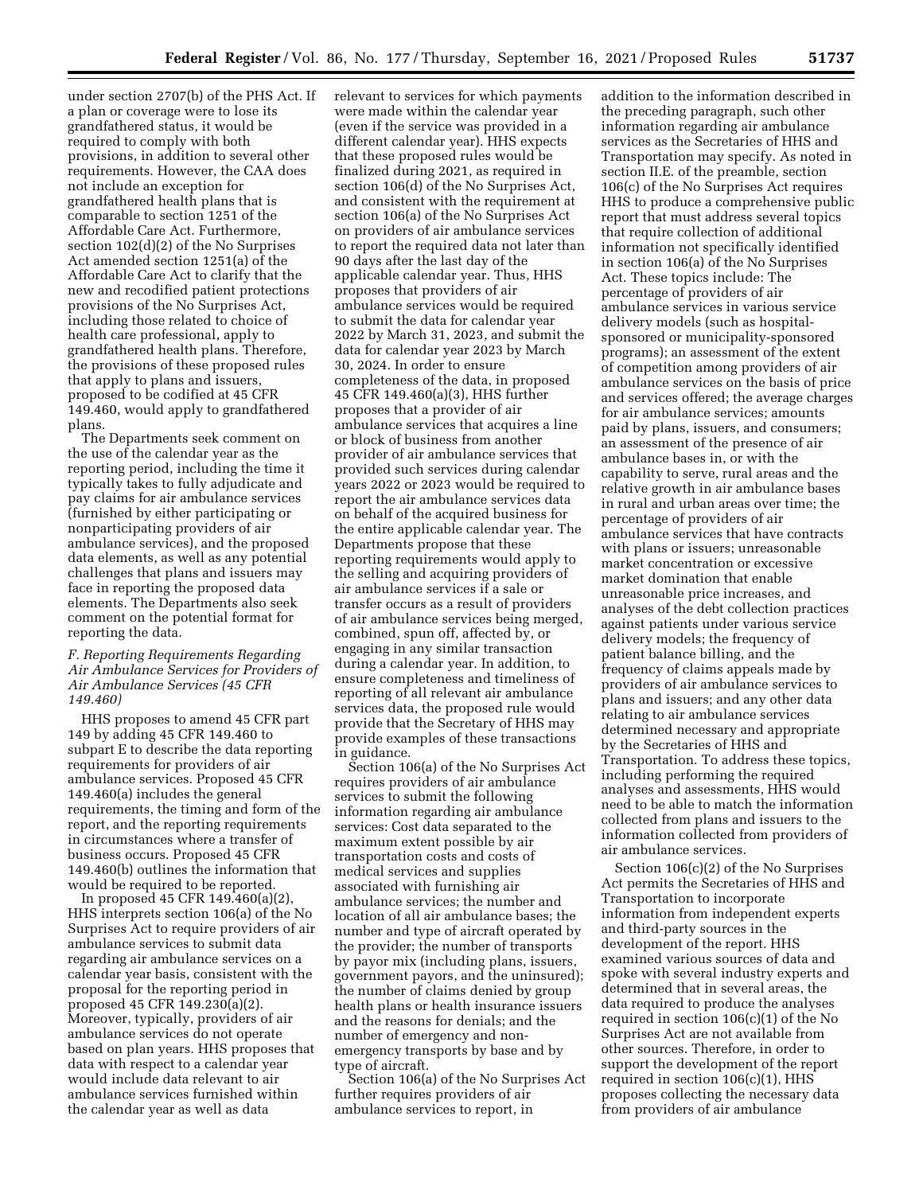under section 2707(b) of the PHS Act. If a plan or coverage were to lose its grandfathered status, it would be required to comply with both provisions, in addition to several other requirements. However, the CAA does not include an exception for grandfathered health plans that is comparable to section 1251 of the Affordable Care Act. Furthermore, section 102(d)(2) of the No Surprises Act amended section 1251(a) of the Affordable Care Act to clarify that the new and recodified patient protections provisions of the No Surprises Act, including those related to choice of health care professional, apply to grandfathered health plans. Therefore, the provisions of these proposed rules that apply to plans and issuers, proposed to be codified at 45 CFR 149.460, would apply to grandfathered plans.

The Departments seek comment on the use of the calendar year as the reporting period, including the time it typically takes to fully adjudicate and pay claims for air ambulance services (furnished by either participating or nonparticipating providers of air ambulance services), and the proposed data elements, as well as any potential challenges that plans and issuers may face in reporting the proposed data elements. The Departments also seek comment on the potential format for reporting the data.

## *F. Reporting Requirements Regarding Air Ambulance Services for Providers of Air Ambulance Services (45 CFR 149.460)*

HHS proposes to amend 45 CFR part 149 by adding 45 CFR 149.460 to subpart E to describe the data reporting requirements for providers of air ambulance services. Proposed 45 CFR 149.460(a) includes the general requirements, the timing and form of the report, and the reporting requirements in circumstances where a transfer of business occurs. Proposed 45 CFR 149.460(b) outlines the information that would be required to be reported.

In proposed 45 CFR 149.460(a)(2), HHS interprets section 106(a) of the No Surprises Act to require providers of air ambulance services to submit data regarding air ambulance services on a calendar year basis, consistent with the proposal for the reporting period in proposed 45 CFR 149.230(a)(2). Moreover, typically, providers of air ambulance services do not operate based on plan years. HHS proposes that data with respect to a calendar year would include data relevant to air ambulance services furnished within the calendar year as well as data

relevant to services for which payments were made within the calendar year (even if the service was provided in a different calendar year). HHS expects that these proposed rules would be finalized during 2021, as required in section 106(d) of the No Surprises Act, and consistent with the requirement at section 106(a) of the No Surprises Act on providers of air ambulance services to report the required data not later than 90 days after the last day of the applicable calendar year. Thus, HHS proposes that providers of air ambulance services would be required to submit the data for calendar year 2022 by March 31, 2023, and submit the data for calendar year 2023 by March 30, 2024. In order to ensure completeness of the data, in proposed 45 CFR 149.460(a)(3), HHS further proposes that a provider of air ambulance services that acquires a line or block of business from another provider of air ambulance services that provided such services during calendar years 2022 or 2023 would be required to report the air ambulance services data on behalf of the acquired business for the entire applicable calendar year. The Departments propose that these reporting requirements would apply to the selling and acquiring providers of air ambulance services if a sale or transfer occurs as a result of providers of air ambulance services being merged, combined, spun off, affected by, or engaging in any similar transaction during a calendar year. In addition, to ensure completeness and timeliness of reporting of all relevant air ambulance services data, the proposed rule would provide that the Secretary of HHS may provide examples of these transactions in guidance.

Section 106(a) of the No Surprises Act requires providers of air ambulance services to submit the following information regarding air ambulance services: Cost data separated to the maximum extent possible by air transportation costs and costs of medical services and supplies associated with furnishing air ambulance services; the number and location of all air ambulance bases; the number and type of aircraft operated by the provider; the number of transports by payor mix (including plans, issuers, government payors, and the uninsured); the number of claims denied by group health plans or health insurance issuers and the reasons for denials; and the number of emergency and nonemergency transports by base and by type of aircraft.

Section 106(a) of the No Surprises Act further requires providers of air ambulance services to report, in

addition to the information described in the preceding paragraph, such other information regarding air ambulance services as the Secretaries of HHS and Transportation may specify. As noted in section II.E. of the preamble, section 106(c) of the No Surprises Act requires HHS to produce a comprehensive public report that must address several topics that require collection of additional information not specifically identified in section 106(a) of the No Surprises Act. These topics include: The percentage of providers of air ambulance services in various service delivery models (such as hospitalsponsored or municipality-sponsored programs); an assessment of the extent of competition among providers of air ambulance services on the basis of price and services offered; the average charges for air ambulance services; amounts paid by plans, issuers, and consumers; an assessment of the presence of air ambulance bases in, or with the capability to serve, rural areas and the relative growth in air ambulance bases in rural and urban areas over time; the percentage of providers of air ambulance services that have contracts with plans or issuers; unreasonable market concentration or excessive market domination that enable unreasonable price increases, and analyses of the debt collection practices against patients under various service delivery models; the frequency of patient balance billing, and the frequency of claims appeals made by providers of air ambulance services to plans and issuers; and any other data relating to air ambulance services determined necessary and appropriate by the Secretaries of HHS and Transportation. To address these topics, including performing the required analyses and assessments, HHS would need to be able to match the information collected from plans and issuers to the information collected from providers of air ambulance services.

Section 106(c)(2) of the No Surprises Act permits the Secretaries of HHS and Transportation to incorporate information from independent experts and third-party sources in the development of the report. HHS examined various sources of data and spoke with several industry experts and determined that in several areas, the data required to produce the analyses required in section 106(c)(1) of the No Surprises Act are not available from other sources. Therefore, in order to support the development of the report required in section 106(c)(1), HHS proposes collecting the necessary data from providers of air ambulance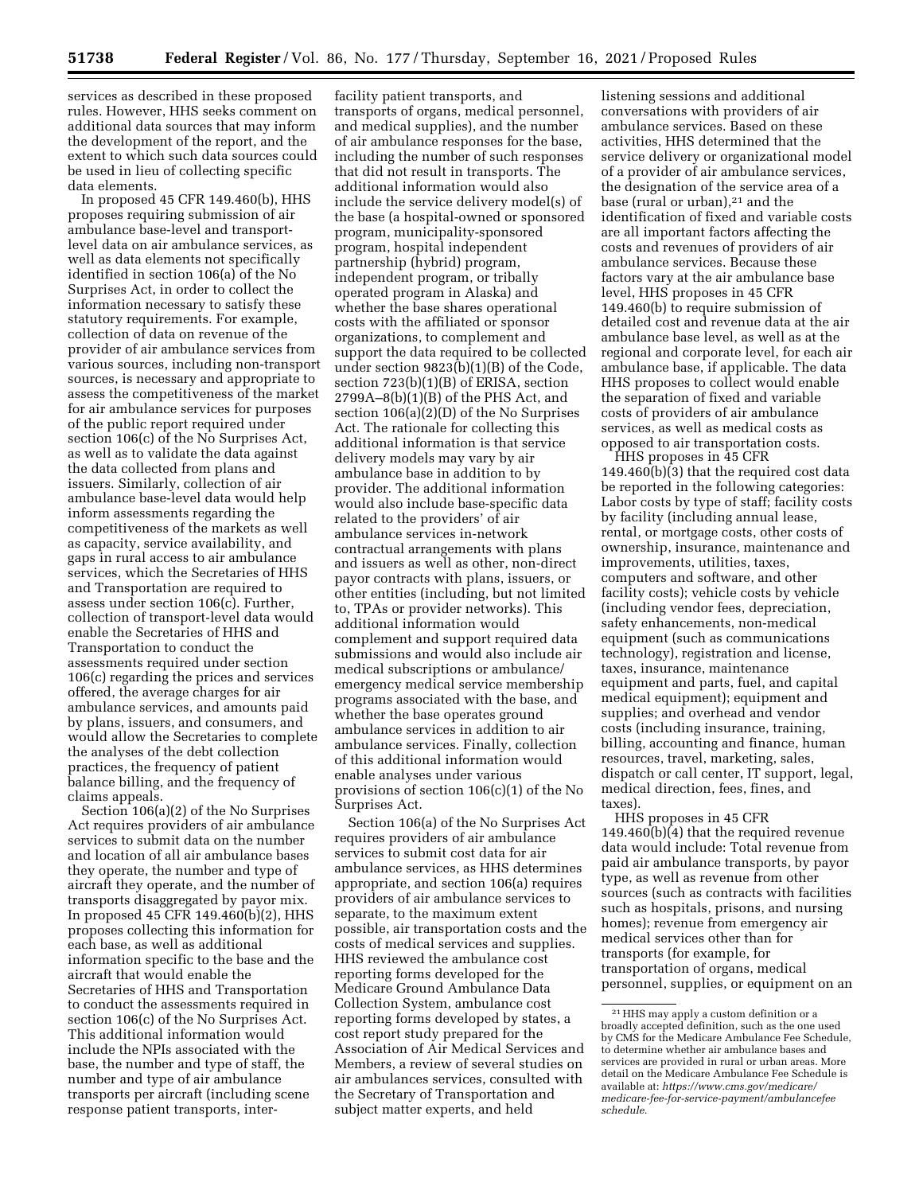services as described in these proposed rules. However, HHS seeks comment on additional data sources that may inform the development of the report, and the extent to which such data sources could be used in lieu of collecting specific data elements.

In proposed 45 CFR 149.460(b), HHS proposes requiring submission of air ambulance base-level and transportlevel data on air ambulance services, as well as data elements not specifically identified in section 106(a) of the No Surprises Act, in order to collect the information necessary to satisfy these statutory requirements. For example, collection of data on revenue of the provider of air ambulance services from various sources, including non-transport sources, is necessary and appropriate to assess the competitiveness of the market for air ambulance services for purposes of the public report required under section 106(c) of the No Surprises Act, as well as to validate the data against the data collected from plans and issuers. Similarly, collection of air ambulance base-level data would help inform assessments regarding the competitiveness of the markets as well as capacity, service availability, and gaps in rural access to air ambulance services, which the Secretaries of HHS and Transportation are required to assess under section 106(c). Further, collection of transport-level data would enable the Secretaries of HHS and Transportation to conduct the assessments required under section 106(c) regarding the prices and services offered, the average charges for air ambulance services, and amounts paid by plans, issuers, and consumers, and would allow the Secretaries to complete the analyses of the debt collection practices, the frequency of patient balance billing, and the frequency of claims appeals.

Section 106(a)(2) of the No Surprises Act requires providers of air ambulance services to submit data on the number and location of all air ambulance bases they operate, the number and type of aircraft they operate, and the number of transports disaggregated by payor mix. In proposed 45 CFR 149.460(b)(2), HHS proposes collecting this information for each base, as well as additional information specific to the base and the aircraft that would enable the Secretaries of HHS and Transportation to conduct the assessments required in section 106(c) of the No Surprises Act. This additional information would include the NPIs associated with the base, the number and type of staff, the number and type of air ambulance transports per aircraft (including scene response patient transports, inter-

facility patient transports, and transports of organs, medical personnel, and medical supplies), and the number of air ambulance responses for the base, including the number of such responses that did not result in transports. The additional information would also include the service delivery model(s) of the base (a hospital-owned or sponsored program, municipality-sponsored program, hospital independent partnership (hybrid) program, independent program, or tribally operated program in Alaska) and whether the base shares operational costs with the affiliated or sponsor organizations, to complement and support the data required to be collected under section 9823(b)(1)(B) of the Code, section 723(b)(1)(B) of ERISA, section 2799A–8(b)(1)(B) of the PHS Act, and section 106(a)(2)(D) of the No Surprises Act. The rationale for collecting this additional information is that service delivery models may vary by air ambulance base in addition to by provider. The additional information would also include base-specific data related to the providers' of air ambulance services in-network contractual arrangements with plans and issuers as well as other, non-direct payor contracts with plans, issuers, or other entities (including, but not limited to, TPAs or provider networks). This additional information would complement and support required data submissions and would also include air medical subscriptions or ambulance/ emergency medical service membership programs associated with the base, and whether the base operates ground ambulance services in addition to air ambulance services. Finally, collection of this additional information would enable analyses under various provisions of section 106(c)(1) of the No Surprises Act.

Section 106(a) of the No Surprises Act requires providers of air ambulance services to submit cost data for air ambulance services, as HHS determines appropriate, and section 106(a) requires providers of air ambulance services to separate, to the maximum extent possible, air transportation costs and the costs of medical services and supplies. HHS reviewed the ambulance cost reporting forms developed for the Medicare Ground Ambulance Data Collection System, ambulance cost reporting forms developed by states, a cost report study prepared for the Association of Air Medical Services and Members, a review of several studies on air ambulances services, consulted with the Secretary of Transportation and subject matter experts, and held

listening sessions and additional conversations with providers of air ambulance services. Based on these activities, HHS determined that the service delivery or organizational model of a provider of air ambulance services, the designation of the service area of a base (rural or urban), $21$  and the identification of fixed and variable costs are all important factors affecting the costs and revenues of providers of air ambulance services. Because these factors vary at the air ambulance base level, HHS proposes in 45 CFR 149.460(b) to require submission of detailed cost and revenue data at the air ambulance base level, as well as at the regional and corporate level, for each air ambulance base, if applicable. The data HHS proposes to collect would enable the separation of fixed and variable costs of providers of air ambulance services, as well as medical costs as opposed to air transportation costs.

HHS proposes in 45 CFR 149.460(b)(3) that the required cost data be reported in the following categories: Labor costs by type of staff; facility costs by facility (including annual lease, rental, or mortgage costs, other costs of ownership, insurance, maintenance and improvements, utilities, taxes, computers and software, and other facility costs); vehicle costs by vehicle (including vendor fees, depreciation, safety enhancements, non-medical equipment (such as communications technology), registration and license, taxes, insurance, maintenance equipment and parts, fuel, and capital medical equipment); equipment and supplies; and overhead and vendor costs (including insurance, training, billing, accounting and finance, human resources, travel, marketing, sales, dispatch or call center, IT support, legal, medical direction, fees, fines, and taxes).

HHS proposes in 45 CFR 149.460(b)(4) that the required revenue data would include: Total revenue from paid air ambulance transports, by payor type, as well as revenue from other sources (such as contracts with facilities such as hospitals, prisons, and nursing homes); revenue from emergency air medical services other than for transports (for example, for transportation of organs, medical personnel, supplies, or equipment on an

<sup>21</sup>HHS may apply a custom definition or a broadly accepted definition, such as the one used by CMS for the Medicare Ambulance Fee Schedule, to determine whether air ambulance bases and services are provided in rural or urban areas. More detail on the Medicare Ambulance Fee Schedule is available at: *[https://www.cms.gov/medicare/](https://www.cms.gov/medicare/medicare-fee-for-service-payment/ambulancefeeschedule) [medicare-fee-for-service-payment/ambulancefee](https://www.cms.gov/medicare/medicare-fee-for-service-payment/ambulancefeeschedule) [schedule.](https://www.cms.gov/medicare/medicare-fee-for-service-payment/ambulancefeeschedule)*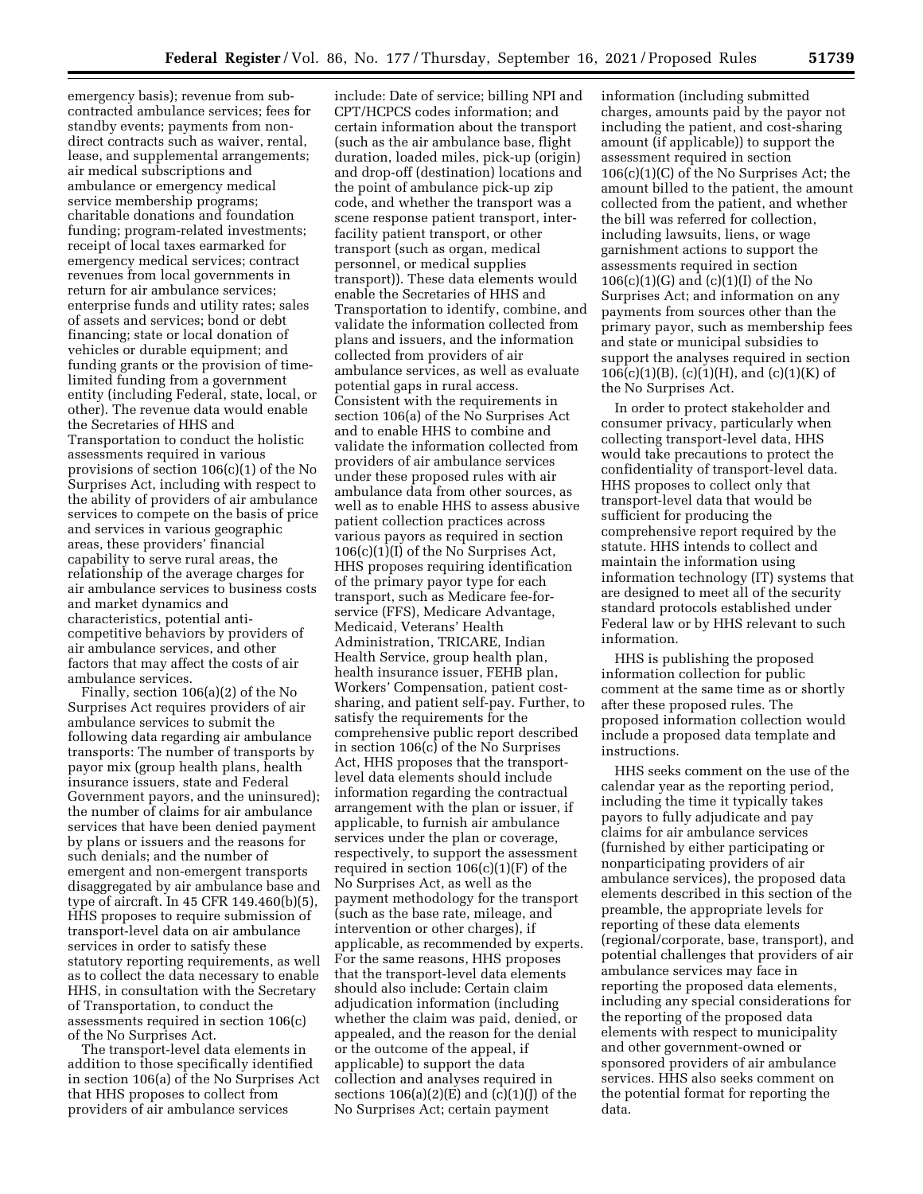emergency basis); revenue from subcontracted ambulance services; fees for standby events; payments from nondirect contracts such as waiver, rental, lease, and supplemental arrangements; air medical subscriptions and ambulance or emergency medical service membership programs; charitable donations and foundation funding; program-related investments; receipt of local taxes earmarked for emergency medical services; contract revenues from local governments in return for air ambulance services; enterprise funds and utility rates; sales of assets and services; bond or debt financing; state or local donation of vehicles or durable equipment; and funding grants or the provision of timelimited funding from a government entity (including Federal, state, local, or other). The revenue data would enable the Secretaries of HHS and Transportation to conduct the holistic assessments required in various provisions of section 106(c)(1) of the No Surprises Act, including with respect to the ability of providers of air ambulance services to compete on the basis of price and services in various geographic areas, these providers' financial capability to serve rural areas, the relationship of the average charges for air ambulance services to business costs and market dynamics and characteristics, potential anticompetitive behaviors by providers of air ambulance services, and other factors that may affect the costs of air ambulance services.

Finally, section 106(a)(2) of the No Surprises Act requires providers of air ambulance services to submit the following data regarding air ambulance transports: The number of transports by payor mix (group health plans, health insurance issuers, state and Federal Government payors, and the uninsured); the number of claims for air ambulance services that have been denied payment by plans or issuers and the reasons for such denials; and the number of emergent and non-emergent transports disaggregated by air ambulance base and type of aircraft. In 45 CFR 149.460(b)(5), HHS proposes to require submission of transport-level data on air ambulance services in order to satisfy these statutory reporting requirements, as well as to collect the data necessary to enable HHS, in consultation with the Secretary of Transportation, to conduct the assessments required in section 106(c) of the No Surprises Act.

The transport-level data elements in addition to those specifically identified in section 106(a) of the No Surprises Act that HHS proposes to collect from providers of air ambulance services

include: Date of service; billing NPI and CPT/HCPCS codes information; and certain information about the transport (such as the air ambulance base, flight duration, loaded miles, pick-up (origin) and drop-off (destination) locations and the point of ambulance pick-up zip code, and whether the transport was a scene response patient transport, interfacility patient transport, or other transport (such as organ, medical personnel, or medical supplies transport)). These data elements would enable the Secretaries of HHS and Transportation to identify, combine, and validate the information collected from plans and issuers, and the information collected from providers of air ambulance services, as well as evaluate potential gaps in rural access. Consistent with the requirements in section 106(a) of the No Surprises Act and to enable HHS to combine and validate the information collected from providers of air ambulance services under these proposed rules with air ambulance data from other sources, as well as to enable HHS to assess abusive patient collection practices across various payors as required in section 106(c)(1)(I) of the No Surprises Act, HHS proposes requiring identification of the primary payor type for each transport, such as Medicare fee-forservice (FFS), Medicare Advantage, Medicaid, Veterans' Health Administration, TRICARE, Indian Health Service, group health plan, health insurance issuer, FEHB plan, Workers' Compensation, patient costsharing, and patient self-pay. Further, to satisfy the requirements for the comprehensive public report described in section 106(c) of the No Surprises Act, HHS proposes that the transportlevel data elements should include information regarding the contractual arrangement with the plan or issuer, if applicable, to furnish air ambulance services under the plan or coverage, respectively, to support the assessment required in section  $106(c)(1)(F)$  of the No Surprises Act, as well as the payment methodology for the transport (such as the base rate, mileage, and intervention or other charges), if applicable, as recommended by experts. For the same reasons, HHS proposes that the transport-level data elements should also include: Certain claim adjudication information (including whether the claim was paid, denied, or appealed, and the reason for the denial or the outcome of the appeal, if applicable) to support the data collection and analyses required in sections  $106(a)(2)(E)$  and  $(c)(1)(I)$  of the No Surprises Act; certain payment

information (including submitted charges, amounts paid by the payor not including the patient, and cost-sharing amount (if applicable)) to support the assessment required in section 106(c)(1)(C) of the No Surprises Act; the amount billed to the patient, the amount collected from the patient, and whether the bill was referred for collection, including lawsuits, liens, or wage garnishment actions to support the assessments required in section  $106(c)(1)(G)$  and  $(c)(1)(I)$  of the No Surprises Act; and information on any payments from sources other than the primary payor, such as membership fees and state or municipal subsidies to support the analyses required in section  $106(c)(1)(B)$ , (c)(1)(H), and (c)(1)(K) of the No Surprises Act.

In order to protect stakeholder and consumer privacy, particularly when collecting transport-level data, HHS would take precautions to protect the confidentiality of transport-level data. HHS proposes to collect only that transport-level data that would be sufficient for producing the comprehensive report required by the statute. HHS intends to collect and maintain the information using information technology (IT) systems that are designed to meet all of the security standard protocols established under Federal law or by HHS relevant to such information.

HHS is publishing the proposed information collection for public comment at the same time as or shortly after these proposed rules. The proposed information collection would include a proposed data template and instructions.

HHS seeks comment on the use of the calendar year as the reporting period, including the time it typically takes payors to fully adjudicate and pay claims for air ambulance services (furnished by either participating or nonparticipating providers of air ambulance services), the proposed data elements described in this section of the preamble, the appropriate levels for reporting of these data elements (regional/corporate, base, transport), and potential challenges that providers of air ambulance services may face in reporting the proposed data elements, including any special considerations for the reporting of the proposed data elements with respect to municipality and other government-owned or sponsored providers of air ambulance services. HHS also seeks comment on the potential format for reporting the data.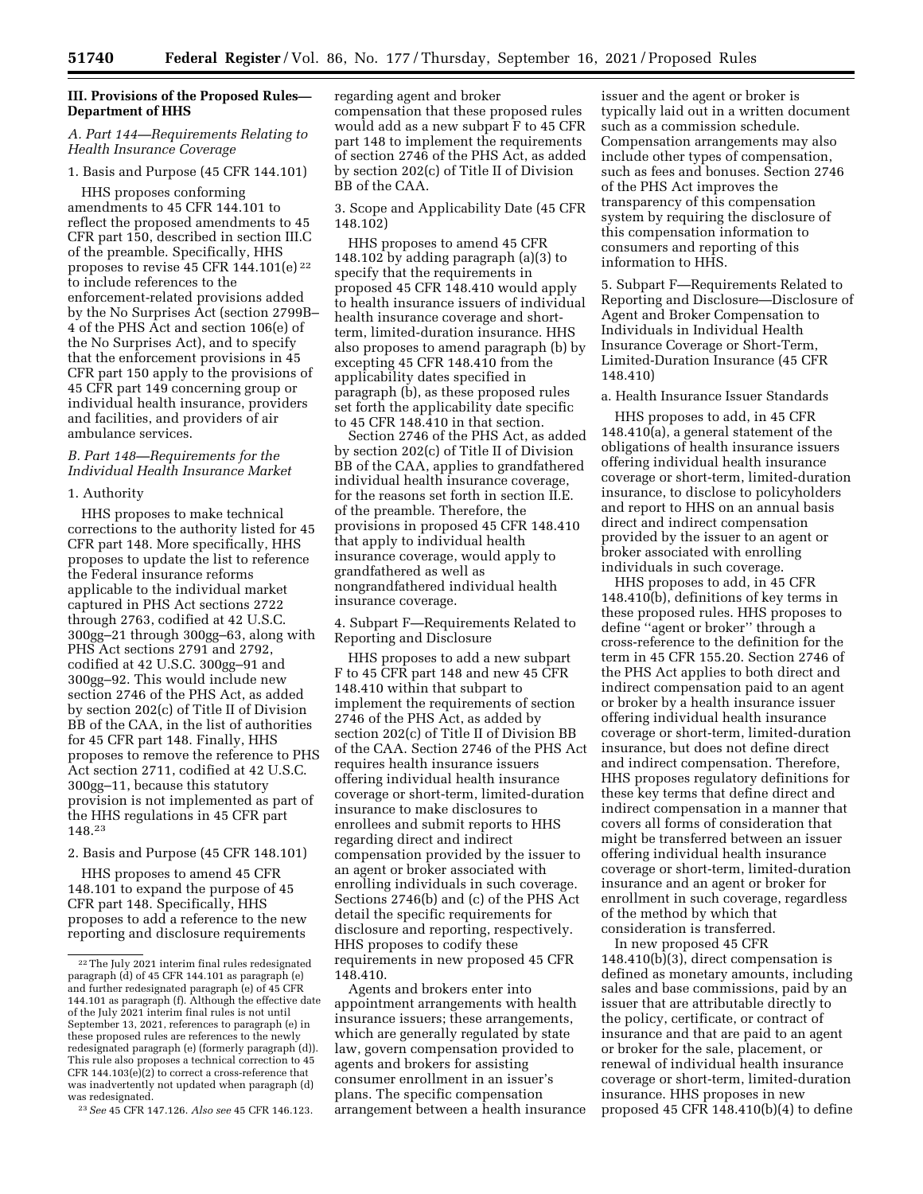## **III. Provisions of the Proposed Rules— Department of HHS**

## *A. Part 144—Requirements Relating to Health Insurance Coverage*

### 1. Basis and Purpose (45 CFR 144.101)

HHS proposes conforming amendments to 45 CFR 144.101 to reflect the proposed amendments to 45 CFR part 150, described in section III.C of the preamble. Specifically, HHS proposes to revise 45 CFR 144.101 $(e)$ <sup>22</sup> to include references to the enforcement-related provisions added by the No Surprises Act (section 2799B– 4 of the PHS Act and section 106(e) of the No Surprises Act), and to specify that the enforcement provisions in 45 CFR part 150 apply to the provisions of 45 CFR part 149 concerning group or individual health insurance, providers and facilities, and providers of air ambulance services.

### *B. Part 148—Requirements for the Individual Health Insurance Market*

### 1. Authority

HHS proposes to make technical corrections to the authority listed for 45 CFR part 148. More specifically, HHS proposes to update the list to reference the Federal insurance reforms applicable to the individual market captured in PHS Act sections 2722 through 2763, codified at 42 U.S.C. 300gg–21 through 300gg–63, along with PHS Act sections 2791 and 2792, codified at 42 U.S.C. 300gg–91 and 300gg–92. This would include new section 2746 of the PHS Act, as added by section 202(c) of Title II of Division BB of the CAA, in the list of authorities for 45 CFR part 148. Finally, HHS proposes to remove the reference to PHS Act section 2711, codified at 42 U.S.C. 300gg–11, because this statutory provision is not implemented as part of the HHS regulations in 45 CFR part 148.23

2. Basis and Purpose (45 CFR 148.101)

HHS proposes to amend 45 CFR 148.101 to expand the purpose of 45 CFR part 148. Specifically, HHS proposes to add a reference to the new reporting and disclosure requirements regarding agent and broker compensation that these proposed rules would add as a new subpart F to 45 CFR part 148 to implement the requirements of section 2746 of the PHS Act, as added by section 202(c) of Title II of Division BB of the CAA.

3. Scope and Applicability Date (45 CFR 148.102)

HHS proposes to amend 45 CFR 148.102 by adding paragraph (a)(3) to specify that the requirements in proposed 45 CFR 148.410 would apply to health insurance issuers of individual health insurance coverage and shortterm, limited-duration insurance. HHS also proposes to amend paragraph (b) by excepting 45 CFR 148.410 from the applicability dates specified in paragraph (b), as these proposed rules set forth the applicability date specific to 45 CFR 148.410 in that section.

Section 2746 of the PHS Act, as added by section 202(c) of Title II of Division BB of the CAA, applies to grandfathered individual health insurance coverage, for the reasons set forth in section II.E. of the preamble. Therefore, the provisions in proposed 45 CFR 148.410 that apply to individual health insurance coverage, would apply to grandfathered as well as nongrandfathered individual health insurance coverage.

4. Subpart F—Requirements Related to Reporting and Disclosure

HHS proposes to add a new subpart F to 45 CFR part 148 and new 45 CFR 148.410 within that subpart to implement the requirements of section 2746 of the PHS Act, as added by section 202(c) of Title II of Division BB of the CAA. Section 2746 of the PHS Act requires health insurance issuers offering individual health insurance coverage or short-term, limited-duration insurance to make disclosures to enrollees and submit reports to HHS regarding direct and indirect compensation provided by the issuer to an agent or broker associated with enrolling individuals in such coverage. Sections 2746(b) and (c) of the PHS Act detail the specific requirements for disclosure and reporting, respectively. HHS proposes to codify these requirements in new proposed 45 CFR 148.410.

Agents and brokers enter into appointment arrangements with health insurance issuers; these arrangements, which are generally regulated by state law, govern compensation provided to agents and brokers for assisting consumer enrollment in an issuer's plans. The specific compensation arrangement between a health insurance

issuer and the agent or broker is typically laid out in a written document such as a commission schedule. Compensation arrangements may also include other types of compensation, such as fees and bonuses. Section 2746 of the PHS Act improves the transparency of this compensation system by requiring the disclosure of this compensation information to consumers and reporting of this information to HHS.

5. Subpart F—Requirements Related to Reporting and Disclosure—Disclosure of Agent and Broker Compensation to Individuals in Individual Health Insurance Coverage or Short-Term, Limited-Duration Insurance (45 CFR 148.410)

### a. Health Insurance Issuer Standards

HHS proposes to add, in 45 CFR 148.410(a), a general statement of the obligations of health insurance issuers offering individual health insurance coverage or short-term, limited-duration insurance, to disclose to policyholders and report to HHS on an annual basis direct and indirect compensation provided by the issuer to an agent or broker associated with enrolling individuals in such coverage.

HHS proposes to add, in 45 CFR 148.410(b), definitions of key terms in these proposed rules. HHS proposes to define ''agent or broker'' through a cross-reference to the definition for the term in 45 CFR 155.20. Section 2746 of the PHS Act applies to both direct and indirect compensation paid to an agent or broker by a health insurance issuer offering individual health insurance coverage or short-term, limited-duration insurance, but does not define direct and indirect compensation. Therefore, HHS proposes regulatory definitions for these key terms that define direct and indirect compensation in a manner that covers all forms of consideration that might be transferred between an issuer offering individual health insurance coverage or short-term, limited-duration insurance and an agent or broker for enrollment in such coverage, regardless of the method by which that consideration is transferred.

In new proposed 45 CFR 148.410(b)(3), direct compensation is defined as monetary amounts, including sales and base commissions, paid by an issuer that are attributable directly to the policy, certificate, or contract of insurance and that are paid to an agent or broker for the sale, placement, or renewal of individual health insurance coverage or short-term, limited-duration insurance. HHS proposes in new proposed 45 CFR 148.410(b)(4) to define

<sup>22</sup>The July 2021 interim final rules redesignated paragraph (d) of 45 CFR 144.101 as paragraph (e) and further redesignated paragraph (e) of 45 CFR 144.101 as paragraph (f). Although the effective date of the July 2021 interim final rules is not until September 13, 2021, references to paragraph (e) in these proposed rules are references to the newly redesignated paragraph (e) (formerly paragraph (d)). This rule also proposes a technical correction to 45 CFR 144.103(e)(2) to correct a cross-reference that was inadvertently not updated when paragraph (d) was redesignated.

<sup>23</sup>*See* 45 CFR 147.126. *Also see* 45 CFR 146.123.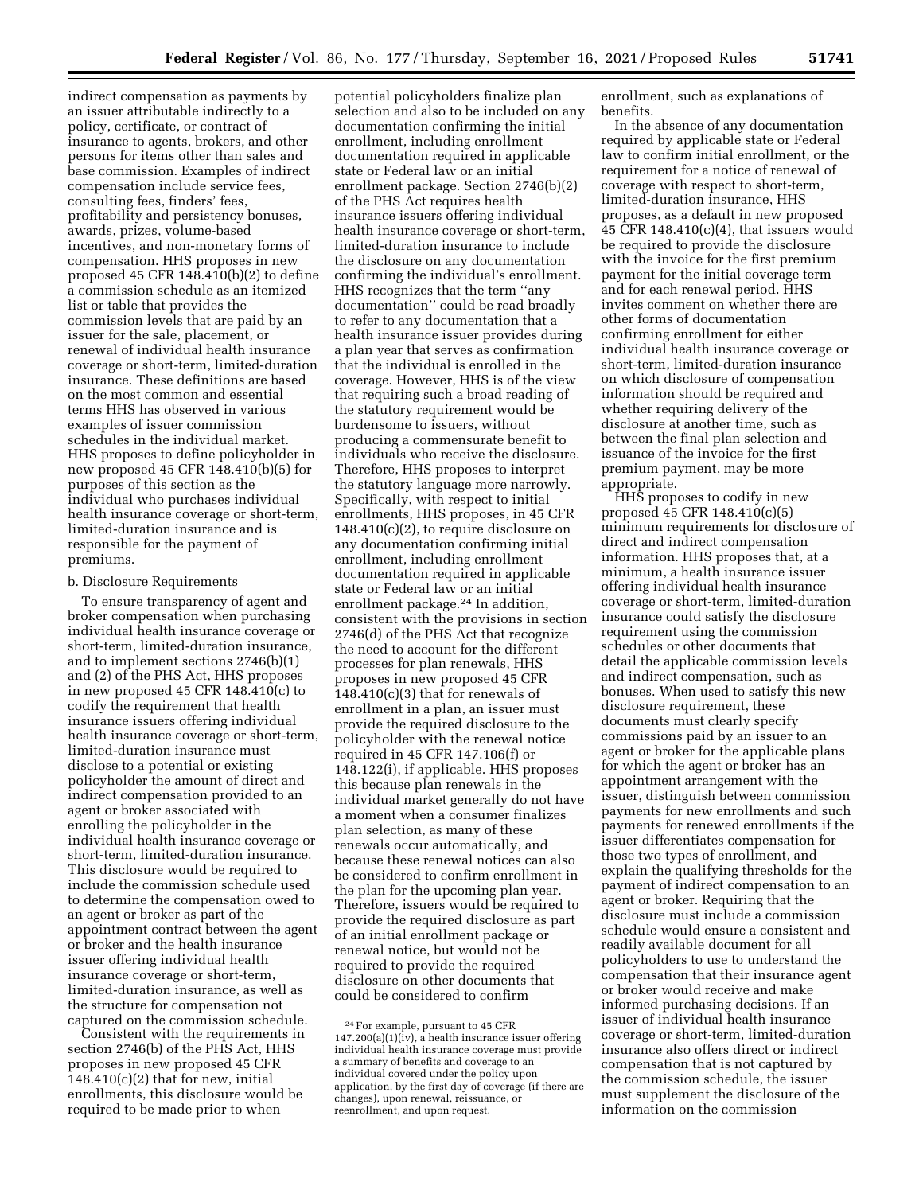indirect compensation as payments by an issuer attributable indirectly to a policy, certificate, or contract of insurance to agents, brokers, and other persons for items other than sales and base commission. Examples of indirect compensation include service fees, consulting fees, finders' fees, profitability and persistency bonuses, awards, prizes, volume-based incentives, and non-monetary forms of compensation. HHS proposes in new proposed 45 CFR 148.410(b)(2) to define a commission schedule as an itemized list or table that provides the commission levels that are paid by an issuer for the sale, placement, or renewal of individual health insurance coverage or short-term, limited-duration insurance. These definitions are based on the most common and essential terms HHS has observed in various examples of issuer commission schedules in the individual market. HHS proposes to define policyholder in new proposed 45 CFR 148.410(b)(5) for purposes of this section as the individual who purchases individual health insurance coverage or short-term, limited-duration insurance and is responsible for the payment of premiums.

#### b. Disclosure Requirements

To ensure transparency of agent and broker compensation when purchasing individual health insurance coverage or short-term, limited-duration insurance, and to implement sections 2746(b)(1) and (2) of the PHS Act, HHS proposes in new proposed 45 CFR 148.410(c) to codify the requirement that health insurance issuers offering individual health insurance coverage or short-term, limited-duration insurance must disclose to a potential or existing policyholder the amount of direct and indirect compensation provided to an agent or broker associated with enrolling the policyholder in the individual health insurance coverage or short-term, limited-duration insurance. This disclosure would be required to include the commission schedule used to determine the compensation owed to an agent or broker as part of the appointment contract between the agent or broker and the health insurance issuer offering individual health insurance coverage or short-term, limited-duration insurance, as well as the structure for compensation not captured on the commission schedule.

Consistent with the requirements in section 2746(b) of the PHS Act, HHS proposes in new proposed 45 CFR  $148.410(c)(2)$  that for new, initial enrollments, this disclosure would be required to be made prior to when

potential policyholders finalize plan selection and also to be included on any documentation confirming the initial enrollment, including enrollment documentation required in applicable state or Federal law or an initial enrollment package. Section 2746(b)(2) of the PHS Act requires health insurance issuers offering individual health insurance coverage or short-term, limited-duration insurance to include the disclosure on any documentation confirming the individual's enrollment. HHS recognizes that the term ''any documentation'' could be read broadly to refer to any documentation that a health insurance issuer provides during a plan year that serves as confirmation that the individual is enrolled in the coverage. However, HHS is of the view that requiring such a broad reading of the statutory requirement would be burdensome to issuers, without producing a commensurate benefit to individuals who receive the disclosure. Therefore, HHS proposes to interpret the statutory language more narrowly. Specifically, with respect to initial enrollments, HHS proposes, in 45 CFR  $148.410(c)(2)$ , to require disclosure on any documentation confirming initial enrollment, including enrollment documentation required in applicable state or Federal law or an initial enrollment package.24 In addition, consistent with the provisions in section 2746(d) of the PHS Act that recognize the need to account for the different processes for plan renewals, HHS proposes in new proposed 45 CFR  $148.410(c)(3)$  that for renewals of enrollment in a plan, an issuer must provide the required disclosure to the policyholder with the renewal notice required in 45 CFR 147.106(f) or 148.122(i), if applicable. HHS proposes this because plan renewals in the individual market generally do not have a moment when a consumer finalizes plan selection, as many of these renewals occur automatically, and because these renewal notices can also be considered to confirm enrollment in the plan for the upcoming plan year. Therefore, issuers would be required to provide the required disclosure as part of an initial enrollment package or renewal notice, but would not be required to provide the required disclosure on other documents that could be considered to confirm

enrollment, such as explanations of benefits.

In the absence of any documentation required by applicable state or Federal law to confirm initial enrollment, or the requirement for a notice of renewal of coverage with respect to short-term, limited-duration insurance, HHS proposes, as a default in new proposed 45 CFR  $148.410(c)(4)$ , that issuers would be required to provide the disclosure with the invoice for the first premium payment for the initial coverage term and for each renewal period. HHS invites comment on whether there are other forms of documentation confirming enrollment for either individual health insurance coverage or short-term, limited-duration insurance on which disclosure of compensation information should be required and whether requiring delivery of the disclosure at another time, such as between the final plan selection and issuance of the invoice for the first premium payment, may be more appropriate.

HHS proposes to codify in new proposed 45 CFR 148.410(c)(5) minimum requirements for disclosure of direct and indirect compensation information. HHS proposes that, at a minimum, a health insurance issuer offering individual health insurance coverage or short-term, limited-duration insurance could satisfy the disclosure requirement using the commission schedules or other documents that detail the applicable commission levels and indirect compensation, such as bonuses. When used to satisfy this new disclosure requirement, these documents must clearly specify commissions paid by an issuer to an agent or broker for the applicable plans for which the agent or broker has an appointment arrangement with the issuer, distinguish between commission payments for new enrollments and such payments for renewed enrollments if the issuer differentiates compensation for those two types of enrollment, and explain the qualifying thresholds for the payment of indirect compensation to an agent or broker. Requiring that the disclosure must include a commission schedule would ensure a consistent and readily available document for all policyholders to use to understand the compensation that their insurance agent or broker would receive and make informed purchasing decisions. If an issuer of individual health insurance coverage or short-term, limited-duration insurance also offers direct or indirect compensation that is not captured by the commission schedule, the issuer must supplement the disclosure of the information on the commission

<sup>24</sup>For example, pursuant to 45 CFR  $147.200(a)(1)(iv)$ , a health insurance issuer offering individual health insurance coverage must provide a summary of benefits and coverage to an individual covered under the policy upon application, by the first day of coverage (if there are changes), upon renewal, reissuance, or reenrollment, and upon request.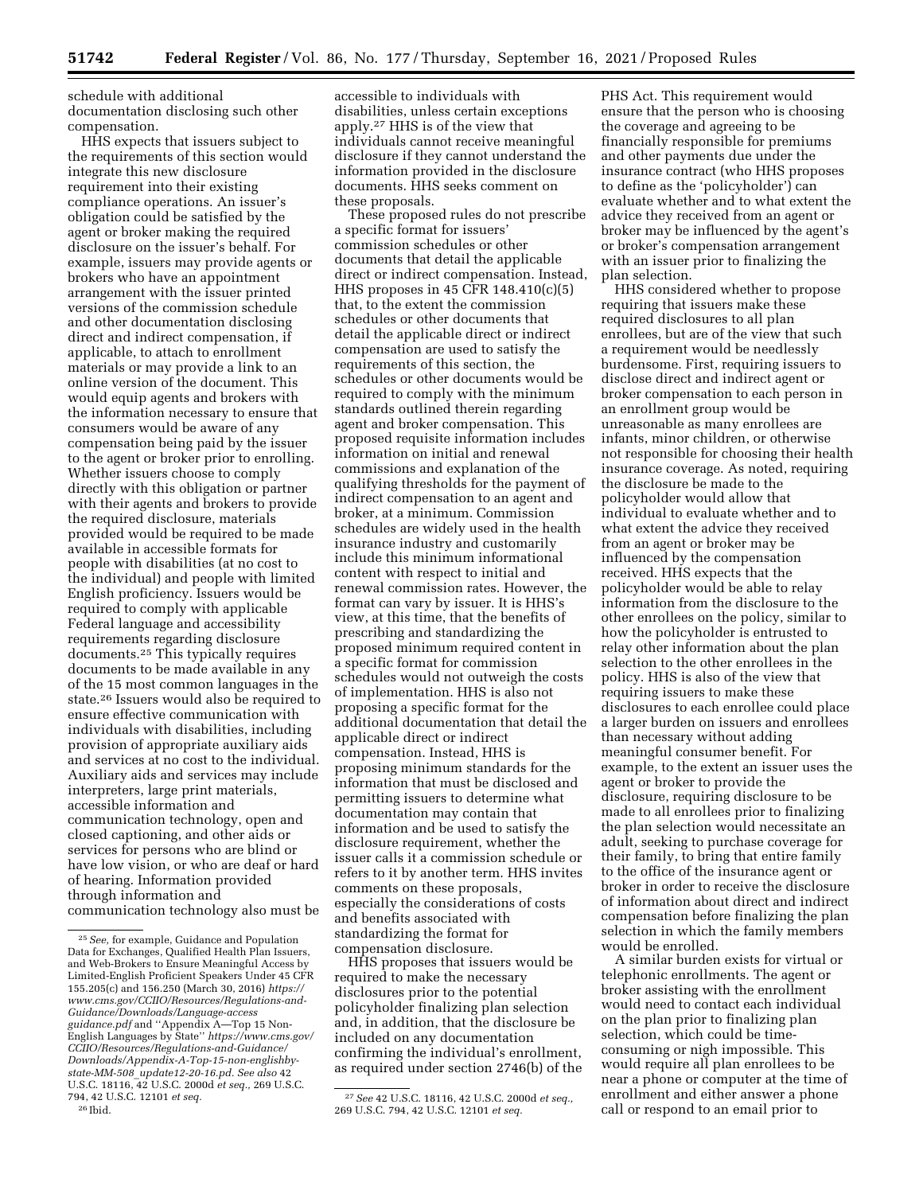schedule with additional documentation disclosing such other compensation.

HHS expects that issuers subject to the requirements of this section would integrate this new disclosure requirement into their existing compliance operations. An issuer's obligation could be satisfied by the agent or broker making the required disclosure on the issuer's behalf. For example, issuers may provide agents or brokers who have an appointment arrangement with the issuer printed versions of the commission schedule and other documentation disclosing direct and indirect compensation, if applicable, to attach to enrollment materials or may provide a link to an online version of the document. This would equip agents and brokers with the information necessary to ensure that consumers would be aware of any compensation being paid by the issuer to the agent or broker prior to enrolling. Whether issuers choose to comply directly with this obligation or partner with their agents and brokers to provide the required disclosure, materials provided would be required to be made available in accessible formats for people with disabilities (at no cost to the individual) and people with limited English proficiency. Issuers would be required to comply with applicable Federal language and accessibility requirements regarding disclosure documents.25 This typically requires documents to be made available in any of the 15 most common languages in the state.26 Issuers would also be required to ensure effective communication with individuals with disabilities, including provision of appropriate auxiliary aids and services at no cost to the individual. Auxiliary aids and services may include interpreters, large print materials, accessible information and communication technology, open and closed captioning, and other aids or services for persons who are blind or have low vision, or who are deaf or hard of hearing. Information provided through information and communication technology also must be

accessible to individuals with disabilities, unless certain exceptions apply.27 HHS is of the view that individuals cannot receive meaningful disclosure if they cannot understand the information provided in the disclosure documents. HHS seeks comment on these proposals.

These proposed rules do not prescribe a specific format for issuers' commission schedules or other documents that detail the applicable direct or indirect compensation. Instead, HHS proposes in 45 CFR 148.410(c)(5) that, to the extent the commission schedules or other documents that detail the applicable direct or indirect compensation are used to satisfy the requirements of this section, the schedules or other documents would be required to comply with the minimum standards outlined therein regarding agent and broker compensation. This proposed requisite information includes information on initial and renewal commissions and explanation of the qualifying thresholds for the payment of indirect compensation to an agent and broker, at a minimum. Commission schedules are widely used in the health insurance industry and customarily include this minimum informational content with respect to initial and renewal commission rates. However, the format can vary by issuer. It is HHS's view, at this time, that the benefits of prescribing and standardizing the proposed minimum required content in a specific format for commission schedules would not outweigh the costs of implementation. HHS is also not proposing a specific format for the additional documentation that detail the applicable direct or indirect compensation. Instead, HHS is proposing minimum standards for the information that must be disclosed and permitting issuers to determine what documentation may contain that information and be used to satisfy the disclosure requirement, whether the issuer calls it a commission schedule or refers to it by another term. HHS invites comments on these proposals, especially the considerations of costs and benefits associated with standardizing the format for compensation disclosure.

HHS proposes that issuers would be required to make the necessary disclosures prior to the potential policyholder finalizing plan selection and, in addition, that the disclosure be included on any documentation confirming the individual's enrollment, as required under section 2746(b) of the

27*See* 42 U.S.C. 18116, 42 U.S.C. 2000d *et seq.,*  269 U.S.C. 794, 42 U.S.C. 12101 *et seq.* 

PHS Act. This requirement would ensure that the person who is choosing the coverage and agreeing to be financially responsible for premiums and other payments due under the insurance contract (who HHS proposes to define as the 'policyholder') can evaluate whether and to what extent the advice they received from an agent or broker may be influenced by the agent's or broker's compensation arrangement with an issuer prior to finalizing the plan selection.

HHS considered whether to propose requiring that issuers make these required disclosures to all plan enrollees, but are of the view that such a requirement would be needlessly burdensome. First, requiring issuers to disclose direct and indirect agent or broker compensation to each person in an enrollment group would be unreasonable as many enrollees are infants, minor children, or otherwise not responsible for choosing their health insurance coverage. As noted, requiring the disclosure be made to the policyholder would allow that individual to evaluate whether and to what extent the advice they received from an agent or broker may be influenced by the compensation received. HHS expects that the policyholder would be able to relay information from the disclosure to the other enrollees on the policy, similar to how the policyholder is entrusted to relay other information about the plan selection to the other enrollees in the policy. HHS is also of the view that requiring issuers to make these disclosures to each enrollee could place a larger burden on issuers and enrollees than necessary without adding meaningful consumer benefit. For example, to the extent an issuer uses the agent or broker to provide the disclosure, requiring disclosure to be made to all enrollees prior to finalizing the plan selection would necessitate an adult, seeking to purchase coverage for their family, to bring that entire family to the office of the insurance agent or broker in order to receive the disclosure of information about direct and indirect compensation before finalizing the plan selection in which the family members would be enrolled.

A similar burden exists for virtual or telephonic enrollments. The agent or broker assisting with the enrollment would need to contact each individual on the plan prior to finalizing plan selection, which could be timeconsuming or nigh impossible. This would require all plan enrollees to be near a phone or computer at the time of enrollment and either answer a phone call or respond to an email prior to

<sup>25</sup>*See,* for example, Guidance and Population Data for Exchanges, Qualified Health Plan Issuers, and Web-Brokers to Ensure Meaningful Access by Limited-English Proficient Speakers Under 45 CFR 155.205(c) and 156.250 (March 30, 2016) *[https://](https://www.cms.gov/CCIIO/Resources/Regulations-and-Guidance/Downloads/Language-accessguidance.pdf) [www.cms.gov/CCIIO/Resources/Regulations-and-](https://www.cms.gov/CCIIO/Resources/Regulations-and-Guidance/Downloads/Language-accessguidance.pdf)[Guidance/Downloads/Language-access](https://www.cms.gov/CCIIO/Resources/Regulations-and-Guidance/Downloads/Language-accessguidance.pdf) [guidance.pdf](https://www.cms.gov/CCIIO/Resources/Regulations-and-Guidance/Downloads/Language-accessguidance.pdf)* and ''Appendix A—Top 15 Non-English Languages by State'' *[https://www.cms.gov/](https://www.cms.gov/CCIIO/Resources/Regulations-and-Guidance/Downloads/Appendix-A-Top-15-non-englishby-state-MM-508_update12-20-16.pd)  [CCIIO/Resources/Regulations-and-Guidance/](https://www.cms.gov/CCIIO/Resources/Regulations-and-Guidance/Downloads/Appendix-A-Top-15-non-englishby-state-MM-508_update12-20-16.pd)  [Downloads/Appendix-A-Top-15-non-englishby](https://www.cms.gov/CCIIO/Resources/Regulations-and-Guidance/Downloads/Appendix-A-Top-15-non-englishby-state-MM-508_update12-20-16.pd)state-MM-508*\_*[update12-20-16.pd.](https://www.cms.gov/CCIIO/Resources/Regulations-and-Guidance/Downloads/Appendix-A-Top-15-non-englishby-state-MM-508_update12-20-16.pd) See also* 42 U.S.C. 18116, 42 U.S.C. 2000d *et seq.,* 269 U.S.C. 794, 42 U.S.C. 12101 *et seq.*  26 Ibid.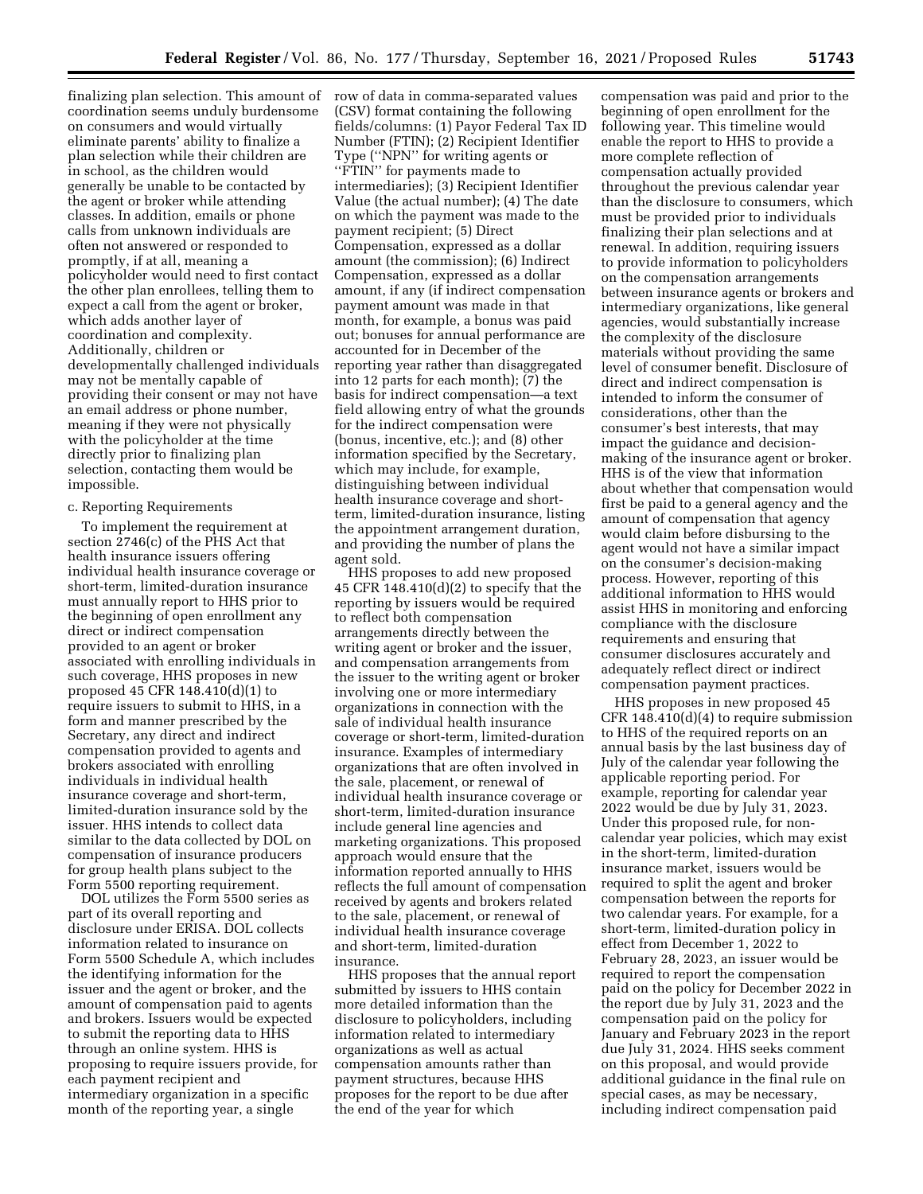finalizing plan selection. This amount of row of data in comma-separated values coordination seems unduly burdensome on consumers and would virtually eliminate parents' ability to finalize a plan selection while their children are in school, as the children would generally be unable to be contacted by the agent or broker while attending classes. In addition, emails or phone calls from unknown individuals are often not answered or responded to promptly, if at all, meaning a policyholder would need to first contact the other plan enrollees, telling them to expect a call from the agent or broker, which adds another layer of coordination and complexity. Additionally, children or developmentally challenged individuals may not be mentally capable of providing their consent or may not have an email address or phone number, meaning if they were not physically with the policyholder at the time directly prior to finalizing plan selection, contacting them would be impossible.

#### c. Reporting Requirements

To implement the requirement at section 2746(c) of the PHS Act that health insurance issuers offering individual health insurance coverage or short-term, limited-duration insurance must annually report to HHS prior to the beginning of open enrollment any direct or indirect compensation provided to an agent or broker associated with enrolling individuals in such coverage, HHS proposes in new proposed 45 CFR 148.410(d)(1) to require issuers to submit to HHS, in a form and manner prescribed by the Secretary, any direct and indirect compensation provided to agents and brokers associated with enrolling individuals in individual health insurance coverage and short-term, limited-duration insurance sold by the issuer. HHS intends to collect data similar to the data collected by DOL on compensation of insurance producers for group health plans subject to the Form 5500 reporting requirement.

DOL utilizes the Form 5500 series as part of its overall reporting and disclosure under ERISA. DOL collects information related to insurance on Form 5500 Schedule A, which includes the identifying information for the issuer and the agent or broker, and the amount of compensation paid to agents and brokers. Issuers would be expected to submit the reporting data to HHS through an online system. HHS is proposing to require issuers provide, for each payment recipient and intermediary organization in a specific month of the reporting year, a single

(CSV) format containing the following fields/columns: (1) Payor Federal Tax ID Number (FTIN); (2) Recipient Identifier Type (''NPN'' for writing agents or ''FTIN'' for payments made to intermediaries); (3) Recipient Identifier Value (the actual number); (4) The date on which the payment was made to the payment recipient; (5) Direct Compensation, expressed as a dollar amount (the commission); (6) Indirect Compensation, expressed as a dollar amount, if any (if indirect compensation payment amount was made in that month, for example, a bonus was paid out; bonuses for annual performance are accounted for in December of the reporting year rather than disaggregated into 12 parts for each month); (7) the basis for indirect compensation—a text field allowing entry of what the grounds for the indirect compensation were (bonus, incentive, etc.); and (8) other information specified by the Secretary, which may include, for example, distinguishing between individual health insurance coverage and shortterm, limited-duration insurance, listing the appointment arrangement duration, and providing the number of plans the agent sold.

HHS proposes to add new proposed 45 CFR  $148.410(d)(2)$  to specify that the reporting by issuers would be required to reflect both compensation arrangements directly between the writing agent or broker and the issuer, and compensation arrangements from the issuer to the writing agent or broker involving one or more intermediary organizations in connection with the sale of individual health insurance coverage or short-term, limited-duration insurance. Examples of intermediary organizations that are often involved in the sale, placement, or renewal of individual health insurance coverage or short-term, limited-duration insurance include general line agencies and marketing organizations. This proposed approach would ensure that the information reported annually to HHS reflects the full amount of compensation received by agents and brokers related to the sale, placement, or renewal of individual health insurance coverage and short-term, limited-duration insurance.

HHS proposes that the annual report submitted by issuers to HHS contain more detailed information than the disclosure to policyholders, including information related to intermediary organizations as well as actual compensation amounts rather than payment structures, because HHS proposes for the report to be due after the end of the year for which

compensation was paid and prior to the beginning of open enrollment for the following year. This timeline would enable the report to HHS to provide a more complete reflection of compensation actually provided throughout the previous calendar year than the disclosure to consumers, which must be provided prior to individuals finalizing their plan selections and at renewal. In addition, requiring issuers to provide information to policyholders on the compensation arrangements between insurance agents or brokers and intermediary organizations, like general agencies, would substantially increase the complexity of the disclosure materials without providing the same level of consumer benefit. Disclosure of direct and indirect compensation is intended to inform the consumer of considerations, other than the consumer's best interests, that may impact the guidance and decisionmaking of the insurance agent or broker. HHS is of the view that information about whether that compensation would first be paid to a general agency and the amount of compensation that agency would claim before disbursing to the agent would not have a similar impact on the consumer's decision-making process. However, reporting of this additional information to HHS would assist HHS in monitoring and enforcing compliance with the disclosure requirements and ensuring that consumer disclosures accurately and adequately reflect direct or indirect compensation payment practices.

HHS proposes in new proposed 45 CFR 148.410(d)(4) to require submission to HHS of the required reports on an annual basis by the last business day of July of the calendar year following the applicable reporting period. For example, reporting for calendar year 2022 would be due by July 31, 2023. Under this proposed rule, for noncalendar year policies, which may exist in the short-term, limited-duration insurance market, issuers would be required to split the agent and broker compensation between the reports for two calendar years. For example, for a short-term, limited-duration policy in effect from December 1, 2022 to February 28, 2023, an issuer would be required to report the compensation paid on the policy for December 2022 in the report due by July 31, 2023 and the compensation paid on the policy for January and February 2023 in the report due July 31, 2024. HHS seeks comment on this proposal, and would provide additional guidance in the final rule on special cases, as may be necessary, including indirect compensation paid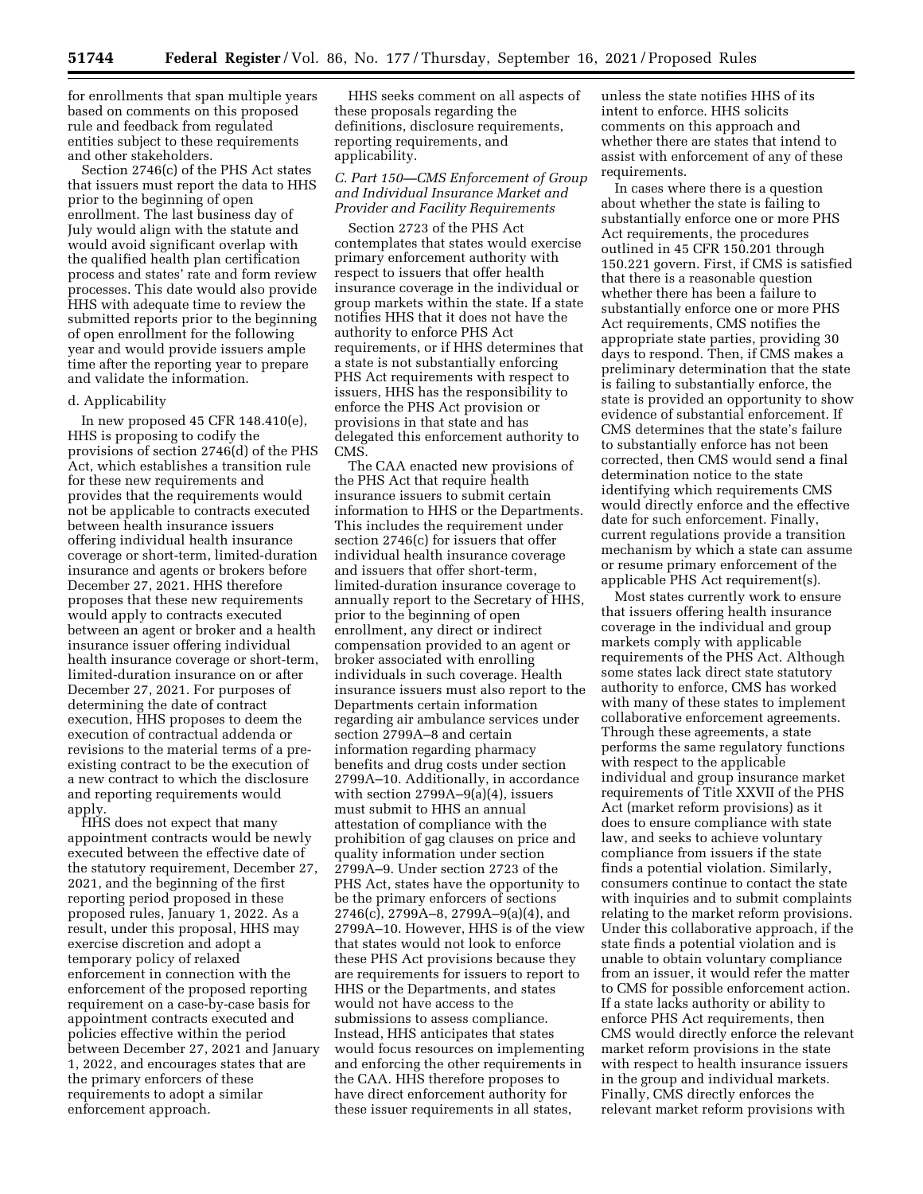for enrollments that span multiple years based on comments on this proposed rule and feedback from regulated entities subject to these requirements and other stakeholders.

Section 2746(c) of the PHS Act states that issuers must report the data to HHS prior to the beginning of open enrollment. The last business day of July would align with the statute and would avoid significant overlap with the qualified health plan certification process and states' rate and form review processes. This date would also provide HHS with adequate time to review the submitted reports prior to the beginning of open enrollment for the following year and would provide issuers ample time after the reporting year to prepare and validate the information.

#### d. Applicability

In new proposed 45 CFR 148.410(e), HHS is proposing to codify the provisions of section 2746(d) of the PHS Act, which establishes a transition rule for these new requirements and provides that the requirements would not be applicable to contracts executed between health insurance issuers offering individual health insurance coverage or short-term, limited-duration insurance and agents or brokers before December 27, 2021. HHS therefore proposes that these new requirements would apply to contracts executed between an agent or broker and a health insurance issuer offering individual health insurance coverage or short-term, limited-duration insurance on or after December 27, 2021. For purposes of determining the date of contract execution, HHS proposes to deem the execution of contractual addenda or revisions to the material terms of a preexisting contract to be the execution of a new contract to which the disclosure and reporting requirements would apply.

HHS does not expect that many appointment contracts would be newly executed between the effective date of the statutory requirement, December 27, 2021, and the beginning of the first reporting period proposed in these proposed rules, January 1, 2022. As a result, under this proposal, HHS may exercise discretion and adopt a temporary policy of relaxed enforcement in connection with the enforcement of the proposed reporting requirement on a case-by-case basis for appointment contracts executed and policies effective within the period between December 27, 2021 and January 1, 2022, and encourages states that are the primary enforcers of these requirements to adopt a similar enforcement approach.

HHS seeks comment on all aspects of these proposals regarding the definitions, disclosure requirements, reporting requirements, and applicability.

### *C. Part 150—CMS Enforcement of Group and Individual Insurance Market and Provider and Facility Requirements*

Section 2723 of the PHS Act contemplates that states would exercise primary enforcement authority with respect to issuers that offer health insurance coverage in the individual or group markets within the state. If a state notifies HHS that it does not have the authority to enforce PHS Act requirements, or if HHS determines that a state is not substantially enforcing PHS Act requirements with respect to issuers, HHS has the responsibility to enforce the PHS Act provision or provisions in that state and has delegated this enforcement authority to CMS.

The CAA enacted new provisions of the PHS Act that require health insurance issuers to submit certain information to HHS or the Departments. This includes the requirement under section 2746(c) for issuers that offer individual health insurance coverage and issuers that offer short-term, limited-duration insurance coverage to annually report to the Secretary of HHS, prior to the beginning of open enrollment, any direct or indirect compensation provided to an agent or broker associated with enrolling individuals in such coverage. Health insurance issuers must also report to the Departments certain information regarding air ambulance services under section 2799A–8 and certain information regarding pharmacy benefits and drug costs under section 2799A–10. Additionally, in accordance with section 2799A–9(a)(4), issuers must submit to HHS an annual attestation of compliance with the prohibition of gag clauses on price and quality information under section 2799A–9. Under section 2723 of the PHS Act, states have the opportunity to be the primary enforcers of sections 2746(c), 2799A–8, 2799A–9(a)(4), and 2799A–10. However, HHS is of the view that states would not look to enforce these PHS Act provisions because they are requirements for issuers to report to HHS or the Departments, and states would not have access to the submissions to assess compliance. Instead, HHS anticipates that states would focus resources on implementing and enforcing the other requirements in the CAA. HHS therefore proposes to have direct enforcement authority for these issuer requirements in all states,

unless the state notifies HHS of its intent to enforce. HHS solicits comments on this approach and whether there are states that intend to assist with enforcement of any of these requirements.

In cases where there is a question about whether the state is failing to substantially enforce one or more PHS Act requirements, the procedures outlined in 45 CFR 150.201 through 150.221 govern. First, if CMS is satisfied that there is a reasonable question whether there has been a failure to substantially enforce one or more PHS Act requirements, CMS notifies the appropriate state parties, providing 30 days to respond. Then, if CMS makes a preliminary determination that the state is failing to substantially enforce, the state is provided an opportunity to show evidence of substantial enforcement. If CMS determines that the state's failure to substantially enforce has not been corrected, then CMS would send a final determination notice to the state identifying which requirements CMS would directly enforce and the effective date for such enforcement. Finally, current regulations provide a transition mechanism by which a state can assume or resume primary enforcement of the applicable PHS Act requirement(s).

Most states currently work to ensure that issuers offering health insurance coverage in the individual and group markets comply with applicable requirements of the PHS Act. Although some states lack direct state statutory authority to enforce, CMS has worked with many of these states to implement collaborative enforcement agreements. Through these agreements, a state performs the same regulatory functions with respect to the applicable individual and group insurance market requirements of Title XXVII of the PHS Act (market reform provisions) as it does to ensure compliance with state law, and seeks to achieve voluntary compliance from issuers if the state finds a potential violation. Similarly, consumers continue to contact the state with inquiries and to submit complaints relating to the market reform provisions. Under this collaborative approach, if the state finds a potential violation and is unable to obtain voluntary compliance from an issuer, it would refer the matter to CMS for possible enforcement action. If a state lacks authority or ability to enforce PHS Act requirements, then CMS would directly enforce the relevant market reform provisions in the state with respect to health insurance issuers in the group and individual markets. Finally, CMS directly enforces the relevant market reform provisions with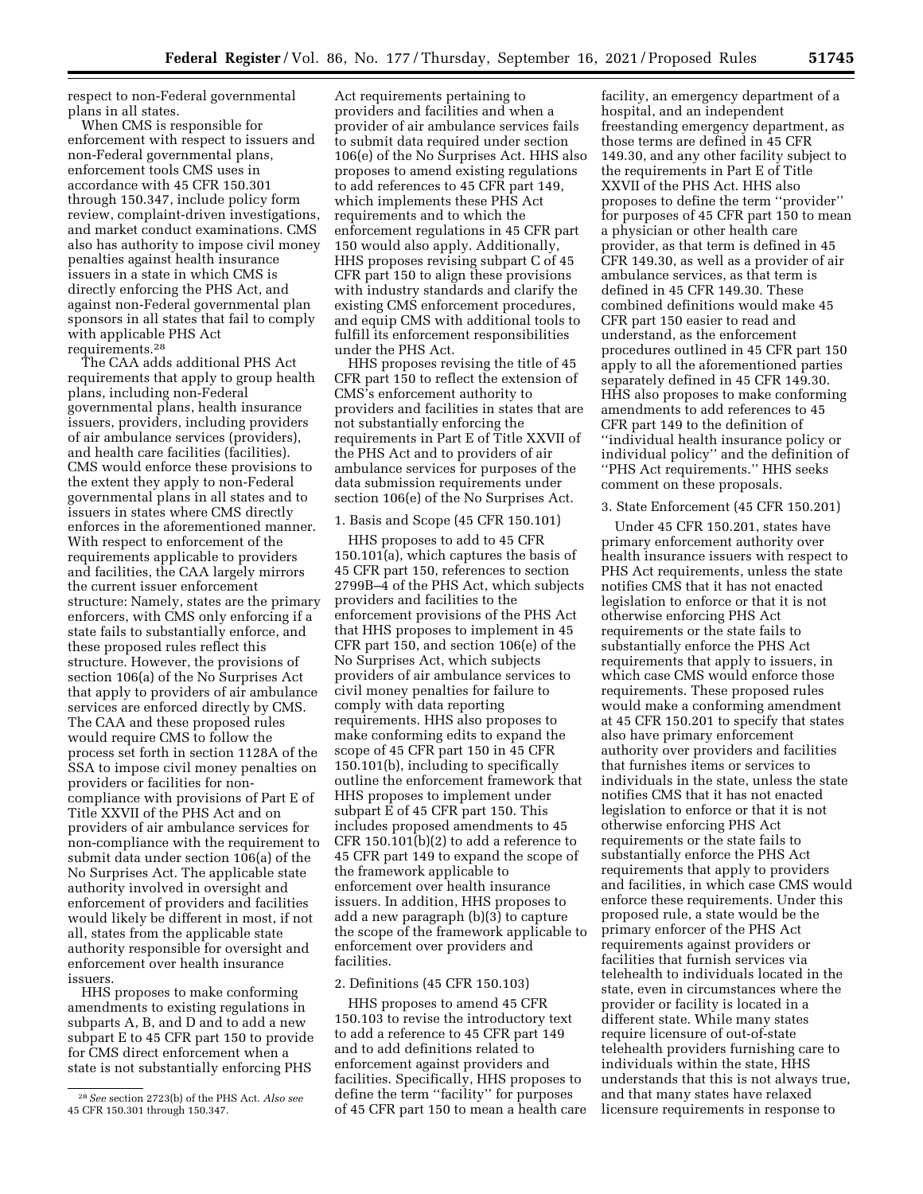respect to non-Federal governmental plans in all states.

When CMS is responsible for enforcement with respect to issuers and non-Federal governmental plans, enforcement tools CMS uses in accordance with 45 CFR 150.301 through 150.347, include policy form review, complaint-driven investigations, and market conduct examinations. CMS also has authority to impose civil money penalties against health insurance issuers in a state in which CMS is directly enforcing the PHS Act, and against non-Federal governmental plan sponsors in all states that fail to comply with applicable PHS Act requirements.28

The CAA adds additional PHS Act requirements that apply to group health plans, including non-Federal governmental plans, health insurance issuers, providers, including providers of air ambulance services (providers), and health care facilities (facilities). CMS would enforce these provisions to the extent they apply to non-Federal governmental plans in all states and to issuers in states where CMS directly enforces in the aforementioned manner. With respect to enforcement of the requirements applicable to providers and facilities, the CAA largely mirrors the current issuer enforcement structure: Namely, states are the primary enforcers, with CMS only enforcing if a state fails to substantially enforce, and these proposed rules reflect this structure. However, the provisions of section 106(a) of the No Surprises Act that apply to providers of air ambulance services are enforced directly by CMS. The CAA and these proposed rules would require CMS to follow the process set forth in section 1128A of the SSA to impose civil money penalties on providers or facilities for noncompliance with provisions of Part E of Title XXVII of the PHS Act and on providers of air ambulance services for non-compliance with the requirement to submit data under section 106(a) of the No Surprises Act. The applicable state authority involved in oversight and enforcement of providers and facilities would likely be different in most, if not all, states from the applicable state authority responsible for oversight and enforcement over health insurance issuers.

HHS proposes to make conforming amendments to existing regulations in subparts A, B, and D and to add a new subpart E to 45 CFR part 150 to provide for CMS direct enforcement when a state is not substantially enforcing PHS

Act requirements pertaining to providers and facilities and when a provider of air ambulance services fails to submit data required under section 106(e) of the No Surprises Act. HHS also proposes to amend existing regulations to add references to 45 CFR part 149, which implements these PHS Act requirements and to which the enforcement regulations in 45 CFR part 150 would also apply. Additionally, HHS proposes revising subpart C of 45 CFR part 150 to align these provisions with industry standards and clarify the existing CMS enforcement procedures, and equip CMS with additional tools to fulfill its enforcement responsibilities under the PHS Act.

HHS proposes revising the title of 45 CFR part 150 to reflect the extension of CMS's enforcement authority to providers and facilities in states that are not substantially enforcing the requirements in Part E of Title XXVII of the PHS Act and to providers of air ambulance services for purposes of the data submission requirements under section 106(e) of the No Surprises Act.

### 1. Basis and Scope (45 CFR 150.101)

HHS proposes to add to 45 CFR 150.101(a), which captures the basis of 45 CFR part 150, references to section 2799B–4 of the PHS Act, which subjects providers and facilities to the enforcement provisions of the PHS Act that HHS proposes to implement in 45 CFR part 150, and section 106(e) of the No Surprises Act, which subjects providers of air ambulance services to civil money penalties for failure to comply with data reporting requirements. HHS also proposes to make conforming edits to expand the scope of 45 CFR part 150 in 45 CFR 150.101(b), including to specifically outline the enforcement framework that HHS proposes to implement under subpart E of 45 CFR part 150. This includes proposed amendments to 45 CFR 150.101(b)(2) to add a reference to 45 CFR part 149 to expand the scope of the framework applicable to enforcement over health insurance issuers. In addition, HHS proposes to add a new paragraph (b)(3) to capture the scope of the framework applicable to enforcement over providers and facilities.

#### 2. Definitions (45 CFR 150.103)

HHS proposes to amend 45 CFR 150.103 to revise the introductory text to add a reference to 45 CFR part 149 and to add definitions related to enforcement against providers and facilities. Specifically, HHS proposes to define the term ''facility'' for purposes of 45 CFR part 150 to mean a health care

facility, an emergency department of a hospital, and an independent freestanding emergency department, as those terms are defined in 45 CFR 149.30, and any other facility subject to the requirements in Part E of Title XXVII of the PHS Act. HHS also proposes to define the term ''provider'' for purposes of 45 CFR part 150 to mean a physician or other health care provider, as that term is defined in 45 CFR 149.30, as well as a provider of air ambulance services, as that term is defined in 45 CFR 149.30. These combined definitions would make 45 CFR part 150 easier to read and understand, as the enforcement procedures outlined in 45 CFR part 150 apply to all the aforementioned parties separately defined in 45 CFR 149.30. HHS also proposes to make conforming amendments to add references to 45 CFR part 149 to the definition of ''individual health insurance policy or individual policy'' and the definition of ''PHS Act requirements.'' HHS seeks comment on these proposals.

### 3. State Enforcement (45 CFR 150.201)

Under 45 CFR 150.201, states have primary enforcement authority over health insurance issuers with respect to PHS Act requirements, unless the state notifies CMS that it has not enacted legislation to enforce or that it is not otherwise enforcing PHS Act requirements or the state fails to substantially enforce the PHS Act requirements that apply to issuers, in which case CMS would enforce those requirements. These proposed rules would make a conforming amendment at 45 CFR 150.201 to specify that states also have primary enforcement authority over providers and facilities that furnishes items or services to individuals in the state, unless the state notifies CMS that it has not enacted legislation to enforce or that it is not otherwise enforcing PHS Act requirements or the state fails to substantially enforce the PHS Act requirements that apply to providers and facilities, in which case CMS would enforce these requirements. Under this proposed rule, a state would be the primary enforcer of the PHS Act requirements against providers or facilities that furnish services via telehealth to individuals located in the state, even in circumstances where the provider or facility is located in a different state. While many states require licensure of out-of-state telehealth providers furnishing care to individuals within the state, HHS understands that this is not always true, and that many states have relaxed licensure requirements in response to

<sup>28</sup>*See* section 2723(b) of the PHS Act. *Also see*  45 CFR 150.301 through 150.347.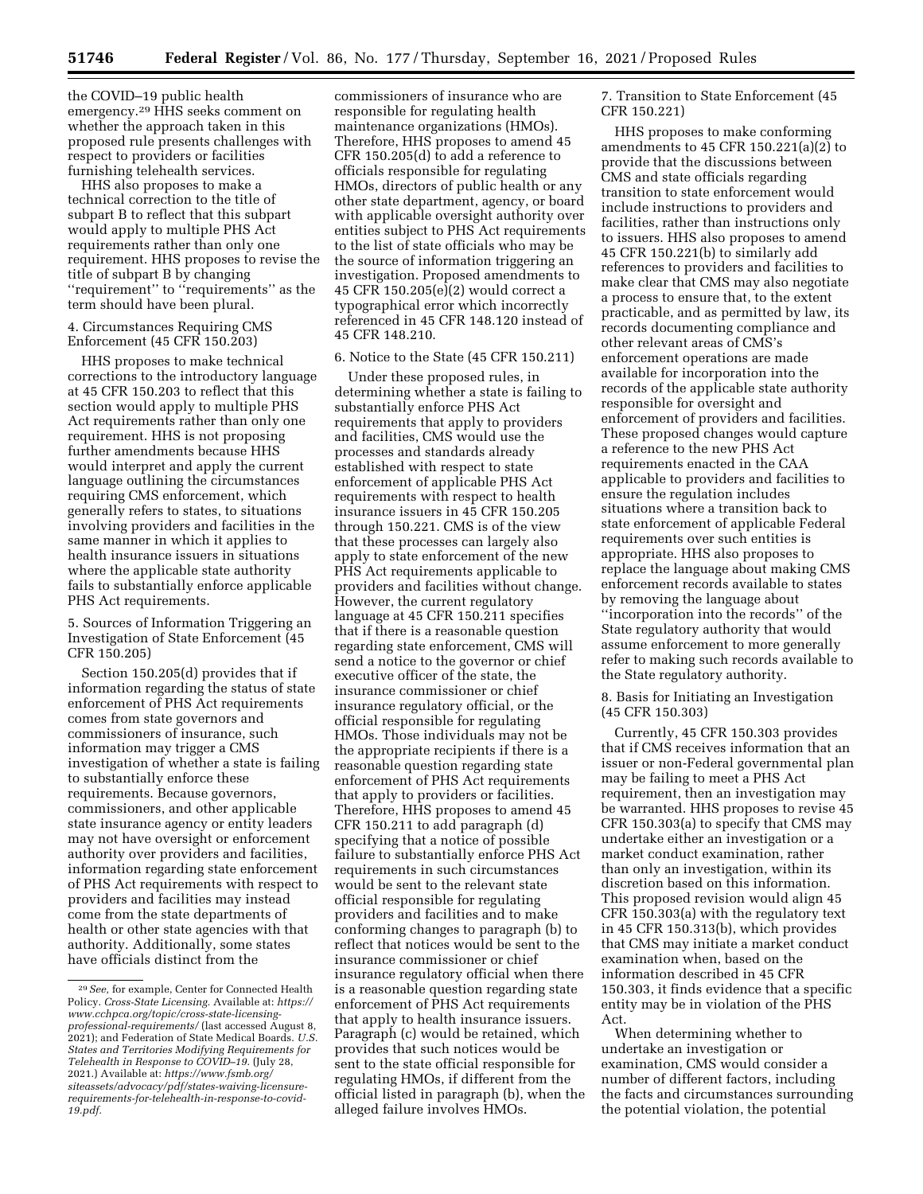the COVID–19 public health emergency.29 HHS seeks comment on whether the approach taken in this proposed rule presents challenges with respect to providers or facilities furnishing telehealth services.

HHS also proposes to make a technical correction to the title of subpart B to reflect that this subpart would apply to multiple PHS Act requirements rather than only one requirement. HHS proposes to revise the title of subpart B by changing ''requirement'' to ''requirements'' as the term should have been plural.

### 4. Circumstances Requiring CMS Enforcement (45 CFR 150.203)

HHS proposes to make technical corrections to the introductory language at 45 CFR 150.203 to reflect that this section would apply to multiple PHS Act requirements rather than only one requirement. HHS is not proposing further amendments because HHS would interpret and apply the current language outlining the circumstances requiring CMS enforcement, which generally refers to states, to situations involving providers and facilities in the same manner in which it applies to health insurance issuers in situations where the applicable state authority fails to substantially enforce applicable PHS Act requirements.

5. Sources of Information Triggering an Investigation of State Enforcement (45 CFR 150.205)

Section 150.205(d) provides that if information regarding the status of state enforcement of PHS Act requirements comes from state governors and commissioners of insurance, such information may trigger a CMS investigation of whether a state is failing to substantially enforce these requirements. Because governors, commissioners, and other applicable state insurance agency or entity leaders may not have oversight or enforcement authority over providers and facilities, information regarding state enforcement of PHS Act requirements with respect to providers and facilities may instead come from the state departments of health or other state agencies with that authority. Additionally, some states have officials distinct from the

commissioners of insurance who are responsible for regulating health maintenance organizations (HMOs). Therefore, HHS proposes to amend 45 CFR 150.205(d) to add a reference to officials responsible for regulating HMOs, directors of public health or any other state department, agency, or board with applicable oversight authority over entities subject to PHS Act requirements to the list of state officials who may be the source of information triggering an investigation. Proposed amendments to 45 CFR 150.205(e)(2) would correct a typographical error which incorrectly referenced in 45 CFR 148.120 instead of 45 CFR 148.210.

#### 6. Notice to the State (45 CFR 150.211)

Under these proposed rules, in determining whether a state is failing to substantially enforce PHS Act requirements that apply to providers and facilities, CMS would use the processes and standards already established with respect to state enforcement of applicable PHS Act requirements with respect to health insurance issuers in 45 CFR 150.205 through 150.221. CMS is of the view that these processes can largely also apply to state enforcement of the new PHS Act requirements applicable to providers and facilities without change. However, the current regulatory language at 45 CFR 150.211 specifies that if there is a reasonable question regarding state enforcement, CMS will send a notice to the governor or chief executive officer of the state, the insurance commissioner or chief insurance regulatory official, or the official responsible for regulating HMOs. Those individuals may not be the appropriate recipients if there is a reasonable question regarding state enforcement of PHS Act requirements that apply to providers or facilities. Therefore, HHS proposes to amend 45 CFR 150.211 to add paragraph (d) specifying that a notice of possible failure to substantially enforce PHS Act requirements in such circumstances would be sent to the relevant state official responsible for regulating providers and facilities and to make conforming changes to paragraph (b) to reflect that notices would be sent to the insurance commissioner or chief insurance regulatory official when there is a reasonable question regarding state enforcement of PHS Act requirements that apply to health insurance issuers. Paragraph (c) would be retained, which provides that such notices would be sent to the state official responsible for regulating HMOs, if different from the official listed in paragraph (b), when the alleged failure involves HMOs.

7. Transition to State Enforcement (45 CFR 150.221)

HHS proposes to make conforming amendments to 45 CFR 150.221(a)(2) to provide that the discussions between CMS and state officials regarding transition to state enforcement would include instructions to providers and facilities, rather than instructions only to issuers. HHS also proposes to amend 45 CFR 150.221(b) to similarly add references to providers and facilities to make clear that CMS may also negotiate a process to ensure that, to the extent practicable, and as permitted by law, its records documenting compliance and other relevant areas of CMS's enforcement operations are made available for incorporation into the records of the applicable state authority responsible for oversight and enforcement of providers and facilities. These proposed changes would capture a reference to the new PHS Act requirements enacted in the CAA applicable to providers and facilities to ensure the regulation includes situations where a transition back to state enforcement of applicable Federal requirements over such entities is appropriate. HHS also proposes to replace the language about making CMS enforcement records available to states by removing the language about ''incorporation into the records'' of the State regulatory authority that would assume enforcement to more generally refer to making such records available to the State regulatory authority.

8. Basis for Initiating an Investigation (45 CFR 150.303)

Currently, 45 CFR 150.303 provides that if CMS receives information that an issuer or non-Federal governmental plan may be failing to meet a PHS Act requirement, then an investigation may be warranted. HHS proposes to revise 45 CFR 150.303(a) to specify that CMS may undertake either an investigation or a market conduct examination, rather than only an investigation, within its discretion based on this information. This proposed revision would align 45 CFR 150.303(a) with the regulatory text in 45 CFR 150.313(b), which provides that CMS may initiate a market conduct examination when, based on the information described in 45 CFR 150.303, it finds evidence that a specific entity may be in violation of the PHS Act.

When determining whether to undertake an investigation or examination, CMS would consider a number of different factors, including the facts and circumstances surrounding the potential violation, the potential

<sup>29</sup>*See,* for example, Center for Connected Health Policy. *Cross-State Licensing.* Available at: *[https://](https://www.cchpca.org/topic/cross-state-licensing-professional-requirements/)  [www.cchpca.org/topic/cross-state-licensing](https://www.cchpca.org/topic/cross-state-licensing-professional-requirements/)[professional-requirements/](https://www.cchpca.org/topic/cross-state-licensing-professional-requirements/)* (last accessed August 8, 2021); and Federation of State Medical Boards. *U.S. States and Territories Modifying Requirements for Telehealth in Response to COVID–19.* (July 28, 2021.) Available at: *[https://www.fsmb.org/](https://www.fsmb.org/siteassets/advocacy/pdf/states-waiving-licensure-requirements-for-telehealth-in-response-to-covid-19.pdf) [siteassets/advocacy/pdf/states-waiving-licensure](https://www.fsmb.org/siteassets/advocacy/pdf/states-waiving-licensure-requirements-for-telehealth-in-response-to-covid-19.pdf)[requirements-for-telehealth-in-response-to-covid-](https://www.fsmb.org/siteassets/advocacy/pdf/states-waiving-licensure-requirements-for-telehealth-in-response-to-covid-19.pdf)[19.pdf.](https://www.fsmb.org/siteassets/advocacy/pdf/states-waiving-licensure-requirements-for-telehealth-in-response-to-covid-19.pdf)*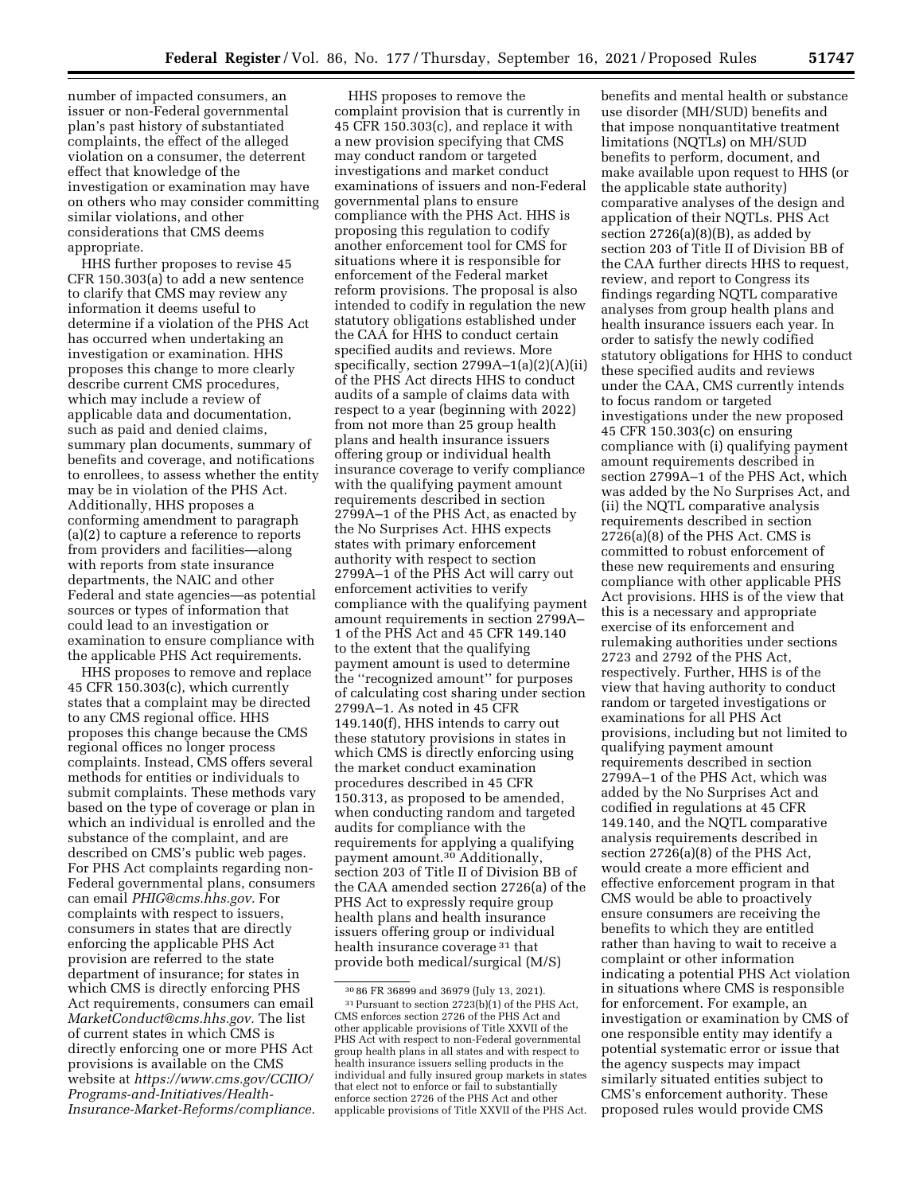number of impacted consumers, an issuer or non-Federal governmental plan's past history of substantiated complaints, the effect of the alleged violation on a consumer, the deterrent effect that knowledge of the investigation or examination may have on others who may consider committing similar violations, and other considerations that CMS deems appropriate.

HHS further proposes to revise 45 CFR 150.303(a) to add a new sentence to clarify that CMS may review any information it deems useful to determine if a violation of the PHS Act has occurred when undertaking an investigation or examination. HHS proposes this change to more clearly describe current CMS procedures, which may include a review of applicable data and documentation, such as paid and denied claims, summary plan documents, summary of benefits and coverage, and notifications to enrollees, to assess whether the entity may be in violation of the PHS Act. Additionally, HHS proposes a conforming amendment to paragraph (a)(2) to capture a reference to reports from providers and facilities—along with reports from state insurance departments, the NAIC and other Federal and state agencies—as potential sources or types of information that could lead to an investigation or examination to ensure compliance with the applicable PHS Act requirements.

HHS proposes to remove and replace 45 CFR 150.303(c), which currently states that a complaint may be directed to any CMS regional office. HHS proposes this change because the CMS regional offices no longer process complaints. Instead, CMS offers several methods for entities or individuals to submit complaints. These methods vary based on the type of coverage or plan in which an individual is enrolled and the substance of the complaint, and are described on CMS's public web pages. For PHS Act complaints regarding non-Federal governmental plans, consumers can email *[PHIG@cms.hhs.gov.](mailto:PHIG@cms.hhs.gov)* For complaints with respect to issuers, consumers in states that are directly enforcing the applicable PHS Act provision are referred to the state department of insurance; for states in which CMS is directly enforcing PHS Act requirements, consumers can email *[MarketConduct@cms.hhs.gov.](mailto:MarketConduct@cms.hhs.gov)* The list of current states in which CMS is directly enforcing one or more PHS Act provisions is available on the CMS website at *[https://www.cms.gov/CCIIO/](https://www.cms.gov/CCIIO/Programs-and-Initiatives/Health-Insurance-Market-Reforms/compliance)  [Programs-and-Initiatives/Health-](https://www.cms.gov/CCIIO/Programs-and-Initiatives/Health-Insurance-Market-Reforms/compliance)[Insurance-Market-Reforms/compliance.](https://www.cms.gov/CCIIO/Programs-and-Initiatives/Health-Insurance-Market-Reforms/compliance)* 

HHS proposes to remove the complaint provision that is currently in 45 CFR 150.303(c), and replace it with a new provision specifying that CMS may conduct random or targeted investigations and market conduct examinations of issuers and non-Federal governmental plans to ensure compliance with the PHS Act. HHS is proposing this regulation to codify another enforcement tool for CMS for situations where it is responsible for enforcement of the Federal market reform provisions. The proposal is also intended to codify in regulation the new statutory obligations established under the CAA for HHS to conduct certain specified audits and reviews. More specifically, section 2799A–1(a)(2)(A)(ii) of the PHS Act directs HHS to conduct audits of a sample of claims data with respect to a year (beginning with 2022) from not more than 25 group health plans and health insurance issuers offering group or individual health insurance coverage to verify compliance with the qualifying payment amount requirements described in section 2799A–1 of the PHS Act, as enacted by the No Surprises Act. HHS expects states with primary enforcement authority with respect to section 2799A–1 of the PHS Act will carry out enforcement activities to verify compliance with the qualifying payment amount requirements in section 2799A– 1 of the PHS Act and 45 CFR 149.140 to the extent that the qualifying payment amount is used to determine the ''recognized amount'' for purposes of calculating cost sharing under section 2799A–1. As noted in 45 CFR 149.140(f), HHS intends to carry out these statutory provisions in states in which CMS is directly enforcing using the market conduct examination procedures described in 45 CFR 150.313, as proposed to be amended, when conducting random and targeted audits for compliance with the requirements for applying a qualifying payment amount.30 Additionally, section 203 of Title II of Division BB of the CAA amended section 2726(a) of the PHS Act to expressly require group health plans and health insurance issuers offering group or individual health insurance coverage 31 that provide both medical/surgical (M/S)

benefits and mental health or substance use disorder (MH/SUD) benefits and that impose nonquantitative treatment limitations (NQTLs) on MH/SUD benefits to perform, document, and make available upon request to HHS (or the applicable state authority) comparative analyses of the design and application of their NQTLs. PHS Act section  $2726(a)(8)(B)$ , as added by section 203 of Title II of Division BB of the CAA further directs HHS to request, review, and report to Congress its findings regarding NQTL comparative analyses from group health plans and health insurance issuers each year. In order to satisfy the newly codified statutory obligations for HHS to conduct these specified audits and reviews under the CAA, CMS currently intends to focus random or targeted investigations under the new proposed 45 CFR 150.303(c) on ensuring compliance with (i) qualifying payment amount requirements described in section 2799A–1 of the PHS Act, which was added by the No Surprises Act, and (ii) the NQTL comparative analysis requirements described in section 2726(a)(8) of the PHS Act. CMS is committed to robust enforcement of these new requirements and ensuring compliance with other applicable PHS Act provisions. HHS is of the view that this is a necessary and appropriate exercise of its enforcement and rulemaking authorities under sections 2723 and 2792 of the PHS Act, respectively. Further, HHS is of the view that having authority to conduct random or targeted investigations or examinations for all PHS Act provisions, including but not limited to qualifying payment amount requirements described in section 2799A–1 of the PHS Act, which was added by the No Surprises Act and codified in regulations at 45 CFR 149.140, and the NQTL comparative analysis requirements described in section 2726(a)(8) of the PHS Act, would create a more efficient and effective enforcement program in that CMS would be able to proactively ensure consumers are receiving the benefits to which they are entitled rather than having to wait to receive a complaint or other information indicating a potential PHS Act violation in situations where CMS is responsible for enforcement. For example, an investigation or examination by CMS of one responsible entity may identify a potential systematic error or issue that the agency suspects may impact similarly situated entities subject to CMS's enforcement authority. These proposed rules would provide CMS

 $30\,86$  FR 36899 and 36979 (July 13, 2021).<br> $31$  Pursuant to section 2723(b)(1) of the PHS Act, CMS enforces section 2726 of the PHS Act and other applicable provisions of Title XXVII of the PHS Act with respect to non-Federal governmental group health plans in all states and with respect to health insurance issuers selling products in the individual and fully insured group markets in states that elect not to enforce or fail to substantially enforce section 2726 of the PHS Act and other applicable provisions of Title XXVII of the PHS Act.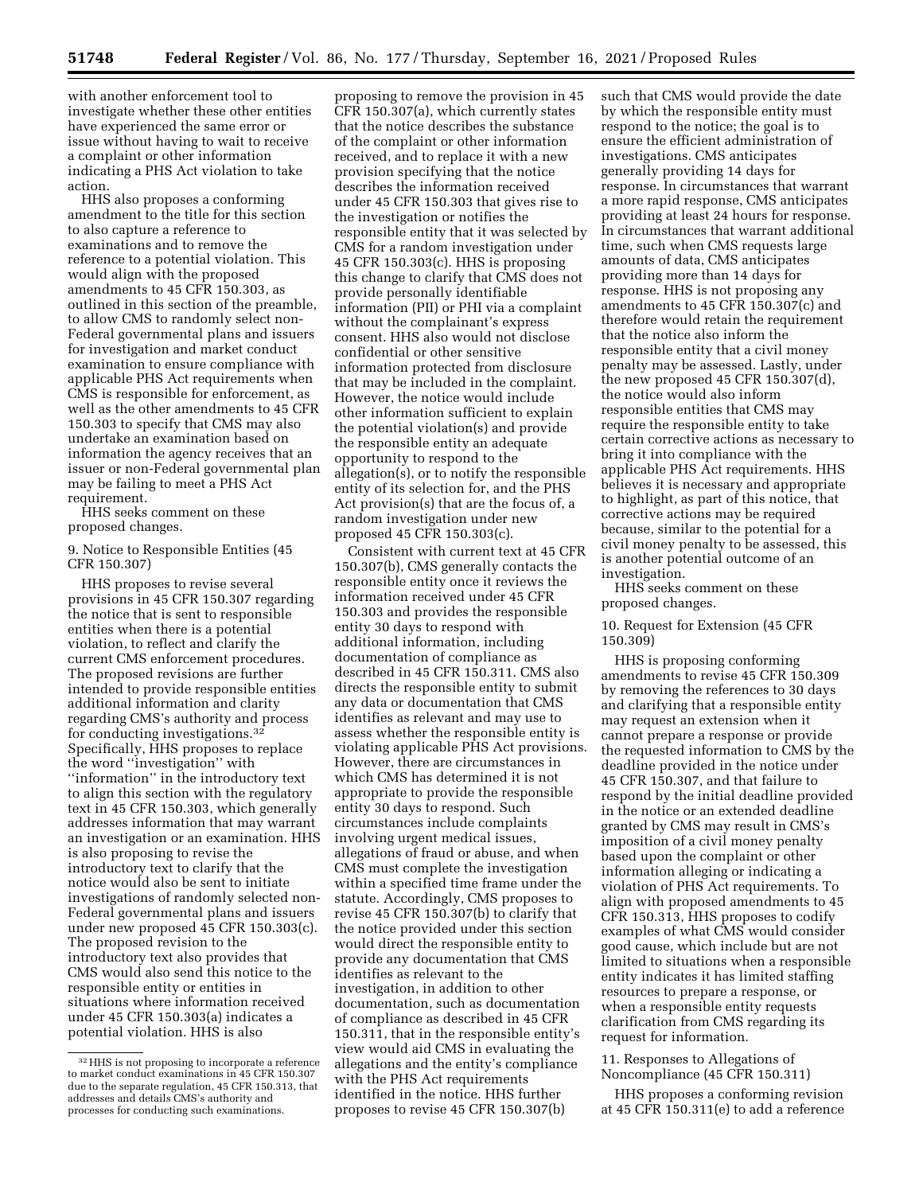with another enforcement tool to investigate whether these other entities have experienced the same error or issue without having to wait to receive a complaint or other information indicating a PHS Act violation to take action.

HHS also proposes a conforming amendment to the title for this section to also capture a reference to examinations and to remove the reference to a potential violation. This would align with the proposed amendments to 45 CFR 150.303, as outlined in this section of the preamble, to allow CMS to randomly select non-Federal governmental plans and issuers for investigation and market conduct examination to ensure compliance with applicable PHS Act requirements when CMS is responsible for enforcement, as well as the other amendments to 45 CFR 150.303 to specify that CMS may also undertake an examination based on information the agency receives that an issuer or non-Federal governmental plan may be failing to meet a PHS Act requirement.

HHS seeks comment on these proposed changes.

## 9. Notice to Responsible Entities (45 CFR 150.307)

HHS proposes to revise several provisions in 45 CFR 150.307 regarding the notice that is sent to responsible entities when there is a potential violation, to reflect and clarify the current CMS enforcement procedures. The proposed revisions are further intended to provide responsible entities additional information and clarity regarding CMS's authority and process for conducting investigations.32 Specifically, HHS proposes to replace the word ''investigation'' with ''information'' in the introductory text to align this section with the regulatory text in 45 CFR 150.303, which generally addresses information that may warrant an investigation or an examination. HHS is also proposing to revise the introductory text to clarify that the notice would also be sent to initiate investigations of randomly selected non-Federal governmental plans and issuers under new proposed 45 CFR 150.303(c). The proposed revision to the introductory text also provides that CMS would also send this notice to the responsible entity or entities in situations where information received under 45 CFR 150.303(a) indicates a potential violation. HHS is also

proposing to remove the provision in 45 CFR 150.307(a), which currently states that the notice describes the substance of the complaint or other information received, and to replace it with a new provision specifying that the notice describes the information received under 45 CFR 150.303 that gives rise to the investigation or notifies the responsible entity that it was selected by CMS for a random investigation under 45 CFR 150.303(c). HHS is proposing this change to clarify that CMS does not provide personally identifiable information (PII) or PHI via a complaint without the complainant's express consent. HHS also would not disclose confidential or other sensitive information protected from disclosure that may be included in the complaint. However, the notice would include other information sufficient to explain the potential violation(s) and provide the responsible entity an adequate opportunity to respond to the allegation(s), or to notify the responsible entity of its selection for, and the PHS Act provision(s) that are the focus of, a random investigation under new proposed 45 CFR 150.303(c).

Consistent with current text at 45 CFR 150.307(b), CMS generally contacts the responsible entity once it reviews the information received under 45 CFR 150.303 and provides the responsible entity 30 days to respond with additional information, including documentation of compliance as described in 45 CFR 150.311. CMS also directs the responsible entity to submit any data or documentation that CMS identifies as relevant and may use to assess whether the responsible entity is violating applicable PHS Act provisions. However, there are circumstances in which CMS has determined it is not appropriate to provide the responsible entity 30 days to respond. Such circumstances include complaints involving urgent medical issues, allegations of fraud or abuse, and when CMS must complete the investigation within a specified time frame under the statute. Accordingly, CMS proposes to revise 45 CFR 150.307(b) to clarify that the notice provided under this section would direct the responsible entity to provide any documentation that CMS identifies as relevant to the investigation, in addition to other documentation, such as documentation of compliance as described in 45 CFR 150.311, that in the responsible entity's view would aid CMS in evaluating the allegations and the entity's compliance with the PHS Act requirements identified in the notice. HHS further proposes to revise 45 CFR 150.307(b)

such that CMS would provide the date by which the responsible entity must respond to the notice; the goal is to ensure the efficient administration of investigations. CMS anticipates generally providing 14 days for response. In circumstances that warrant a more rapid response, CMS anticipates providing at least 24 hours for response. In circumstances that warrant additional time, such when CMS requests large amounts of data, CMS anticipates providing more than 14 days for response. HHS is not proposing any amendments to 45 CFR 150.307(c) and therefore would retain the requirement that the notice also inform the responsible entity that a civil money penalty may be assessed. Lastly, under the new proposed 45 CFR 150.307(d), the notice would also inform responsible entities that CMS may require the responsible entity to take certain corrective actions as necessary to bring it into compliance with the applicable PHS Act requirements. HHS believes it is necessary and appropriate to highlight, as part of this notice, that corrective actions may be required because, similar to the potential for a civil money penalty to be assessed, this is another potential outcome of an investigation.

HHS seeks comment on these proposed changes.

### 10. Request for Extension (45 CFR 150.309)

HHS is proposing conforming amendments to revise 45 CFR 150.309 by removing the references to 30 days and clarifying that a responsible entity may request an extension when it cannot prepare a response or provide the requested information to CMS by the deadline provided in the notice under 45 CFR 150.307, and that failure to respond by the initial deadline provided in the notice or an extended deadline granted by CMS may result in CMS's imposition of a civil money penalty based upon the complaint or other information alleging or indicating a violation of PHS Act requirements. To align with proposed amendments to 45 CFR 150.313, HHS proposes to codify examples of what CMS would consider good cause, which include but are not limited to situations when a responsible entity indicates it has limited staffing resources to prepare a response, or when a responsible entity requests clarification from CMS regarding its request for information.

11. Responses to Allegations of Noncompliance (45 CFR 150.311)

HHS proposes a conforming revision at 45 CFR 150.311(e) to add a reference

<sup>32</sup>HHS is not proposing to incorporate a reference to market conduct examinations in 45 CFR 150.307 due to the separate regulation, 45 CFR 150.313, that addresses and details CMS's authority and processes for conducting such examinations.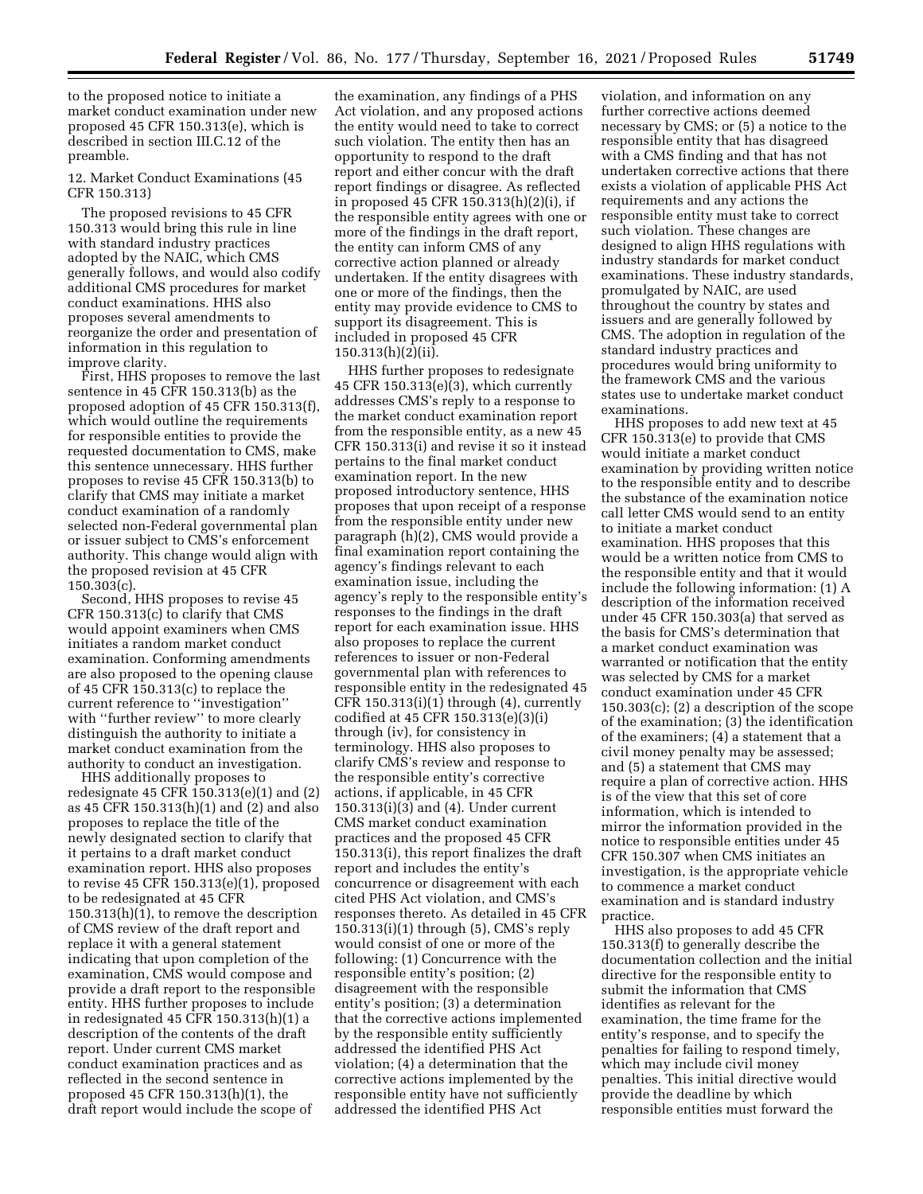to the proposed notice to initiate a market conduct examination under new proposed 45 CFR 150.313(e), which is described in section III.C.12 of the preamble.

12. Market Conduct Examinations (45 CFR 150.313)

The proposed revisions to 45 CFR 150.313 would bring this rule in line with standard industry practices adopted by the NAIC, which CMS generally follows, and would also codify additional CMS procedures for market conduct examinations. HHS also proposes several amendments to reorganize the order and presentation of information in this regulation to improve clarity.

First, HHS proposes to remove the last sentence in 45 CFR 150.313(b) as the proposed adoption of 45 CFR 150.313(f), which would outline the requirements for responsible entities to provide the requested documentation to CMS, make this sentence unnecessary. HHS further proposes to revise 45 CFR 150.313(b) to clarify that CMS may initiate a market conduct examination of a randomly selected non-Federal governmental plan or issuer subject to CMS's enforcement authority. This change would align with the proposed revision at 45 CFR 150.303(c).

Second, HHS proposes to revise 45 CFR 150.313(c) to clarify that CMS would appoint examiners when CMS initiates a random market conduct examination. Conforming amendments are also proposed to the opening clause of 45 CFR 150.313(c) to replace the current reference to ''investigation'' with "further review" to more clearly distinguish the authority to initiate a market conduct examination from the authority to conduct an investigation.

HHS additionally proposes to redesignate 45 CFR 150.313(e)(1) and (2) as 45 CFR 150.313(h)(1) and (2) and also proposes to replace the title of the newly designated section to clarify that it pertains to a draft market conduct examination report. HHS also proposes to revise 45 CFR 150.313(e)(1), proposed to be redesignated at 45 CFR 150.313(h)(1), to remove the description of CMS review of the draft report and replace it with a general statement indicating that upon completion of the examination, CMS would compose and provide a draft report to the responsible entity. HHS further proposes to include in redesignated 45 CFR 150.313(h)(1) a description of the contents of the draft report. Under current CMS market conduct examination practices and as reflected in the second sentence in proposed 45 CFR 150.313(h)(1), the draft report would include the scope of

the examination, any findings of a PHS Act violation, and any proposed actions the entity would need to take to correct such violation. The entity then has an opportunity to respond to the draft report and either concur with the draft report findings or disagree. As reflected in proposed 45 CFR 150.313(h)(2)(i), if the responsible entity agrees with one or more of the findings in the draft report, the entity can inform CMS of any corrective action planned or already undertaken. If the entity disagrees with one or more of the findings, then the entity may provide evidence to CMS to support its disagreement. This is included in proposed 45 CFR 150.313(h)(2)(ii).

HHS further proposes to redesignate 45 CFR 150.313(e)(3), which currently addresses CMS's reply to a response to the market conduct examination report from the responsible entity, as a new 45 CFR 150.313(i) and revise it so it instead pertains to the final market conduct examination report. In the new proposed introductory sentence, HHS proposes that upon receipt of a response from the responsible entity under new paragraph (h)(2), CMS would provide a final examination report containing the agency's findings relevant to each examination issue, including the agency's reply to the responsible entity's responses to the findings in the draft report for each examination issue. HHS also proposes to replace the current references to issuer or non-Federal governmental plan with references to responsible entity in the redesignated 45 CFR 150.313(i)(1) through (4), currently codified at 45 CFR 150.313(e)(3)(i) through (iv), for consistency in terminology. HHS also proposes to clarify CMS's review and response to the responsible entity's corrective actions, if applicable, in 45 CFR 150.313(i)(3) and (4). Under current CMS market conduct examination practices and the proposed 45 CFR 150.313(i), this report finalizes the draft report and includes the entity's concurrence or disagreement with each cited PHS Act violation, and CMS's responses thereto. As detailed in 45 CFR 150.313(i)(1) through (5), CMS's reply would consist of one or more of the following: (1) Concurrence with the responsible entity's position; (2) disagreement with the responsible entity's position; (3) a determination that the corrective actions implemented by the responsible entity sufficiently addressed the identified PHS Act violation; (4) a determination that the corrective actions implemented by the responsible entity have not sufficiently addressed the identified PHS Act

violation, and information on any further corrective actions deemed necessary by CMS; or (5) a notice to the responsible entity that has disagreed with a CMS finding and that has not undertaken corrective actions that there exists a violation of applicable PHS Act requirements and any actions the responsible entity must take to correct such violation. These changes are designed to align HHS regulations with industry standards for market conduct examinations. These industry standards, promulgated by NAIC, are used throughout the country by states and issuers and are generally followed by CMS. The adoption in regulation of the standard industry practices and procedures would bring uniformity to the framework CMS and the various states use to undertake market conduct examinations.

HHS proposes to add new text at 45 CFR 150.313(e) to provide that CMS would initiate a market conduct examination by providing written notice to the responsible entity and to describe the substance of the examination notice call letter CMS would send to an entity to initiate a market conduct examination. HHS proposes that this would be a written notice from CMS to the responsible entity and that it would include the following information: (1) A description of the information received under 45 CFR 150.303(a) that served as the basis for CMS's determination that a market conduct examination was warranted or notification that the entity was selected by CMS for a market conduct examination under 45 CFR 150.303(c); (2) a description of the scope of the examination; (3) the identification of the examiners; (4) a statement that a civil money penalty may be assessed; and (5) a statement that CMS may require a plan of corrective action. HHS is of the view that this set of core information, which is intended to mirror the information provided in the notice to responsible entities under 45 CFR 150.307 when CMS initiates an investigation, is the appropriate vehicle to commence a market conduct examination and is standard industry practice.

HHS also proposes to add 45 CFR 150.313(f) to generally describe the documentation collection and the initial directive for the responsible entity to submit the information that CMS identifies as relevant for the examination, the time frame for the entity's response, and to specify the penalties for failing to respond timely, which may include civil money penalties. This initial directive would provide the deadline by which responsible entities must forward the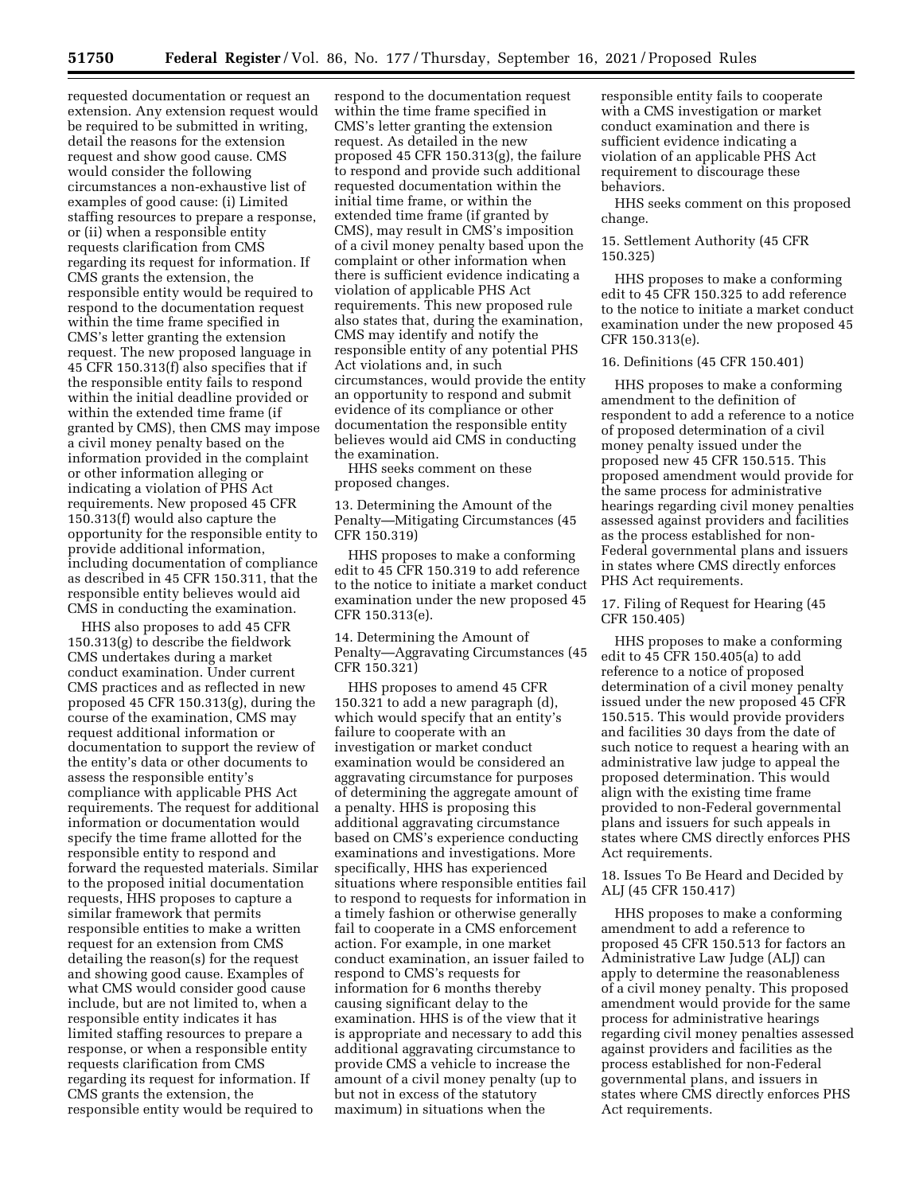requested documentation or request an extension. Any extension request would be required to be submitted in writing, detail the reasons for the extension request and show good cause. CMS would consider the following circumstances a non-exhaustive list of examples of good cause: (i) Limited staffing resources to prepare a response, or (ii) when a responsible entity requests clarification from CMS regarding its request for information. If CMS grants the extension, the responsible entity would be required to respond to the documentation request within the time frame specified in CMS's letter granting the extension request. The new proposed language in 45 CFR 150.313(f) also specifies that if the responsible entity fails to respond within the initial deadline provided or within the extended time frame (if granted by CMS), then CMS may impose a civil money penalty based on the information provided in the complaint or other information alleging or indicating a violation of PHS Act requirements. New proposed 45 CFR 150.313(f) would also capture the opportunity for the responsible entity to provide additional information, including documentation of compliance as described in 45 CFR 150.311, that the responsible entity believes would aid CMS in conducting the examination.

HHS also proposes to add 45 CFR 150.313(g) to describe the fieldwork CMS undertakes during a market conduct examination. Under current CMS practices and as reflected in new proposed 45 CFR 150.313(g), during the course of the examination, CMS may request additional information or documentation to support the review of the entity's data or other documents to assess the responsible entity's compliance with applicable PHS Act requirements. The request for additional information or documentation would specify the time frame allotted for the responsible entity to respond and forward the requested materials. Similar to the proposed initial documentation requests, HHS proposes to capture a similar framework that permits responsible entities to make a written request for an extension from CMS detailing the reason(s) for the request and showing good cause. Examples of what CMS would consider good cause include, but are not limited to, when a responsible entity indicates it has limited staffing resources to prepare a response, or when a responsible entity requests clarification from CMS regarding its request for information. If CMS grants the extension, the responsible entity would be required to

respond to the documentation request within the time frame specified in CMS's letter granting the extension request. As detailed in the new proposed 45 CFR 150.313(g), the failure to respond and provide such additional requested documentation within the initial time frame, or within the extended time frame (if granted by CMS), may result in CMS's imposition of a civil money penalty based upon the complaint or other information when there is sufficient evidence indicating a violation of applicable PHS Act requirements. This new proposed rule also states that, during the examination, CMS may identify and notify the responsible entity of any potential PHS Act violations and, in such circumstances, would provide the entity an opportunity to respond and submit evidence of its compliance or other documentation the responsible entity believes would aid CMS in conducting the examination.

HHS seeks comment on these proposed changes.

13. Determining the Amount of the Penalty—Mitigating Circumstances (45 CFR 150.319)

HHS proposes to make a conforming edit to 45 CFR 150.319 to add reference to the notice to initiate a market conduct examination under the new proposed 45 CFR 150.313(e).

14. Determining the Amount of Penalty—Aggravating Circumstances (45 CFR 150.321)

HHS proposes to amend 45 CFR 150.321 to add a new paragraph (d), which would specify that an entity's failure to cooperate with an investigation or market conduct examination would be considered an aggravating circumstance for purposes of determining the aggregate amount of a penalty. HHS is proposing this additional aggravating circumstance based on CMS's experience conducting examinations and investigations. More specifically, HHS has experienced situations where responsible entities fail to respond to requests for information in a timely fashion or otherwise generally fail to cooperate in a CMS enforcement action. For example, in one market conduct examination, an issuer failed to respond to CMS's requests for information for 6 months thereby causing significant delay to the examination. HHS is of the view that it is appropriate and necessary to add this additional aggravating circumstance to provide CMS a vehicle to increase the amount of a civil money penalty (up to but not in excess of the statutory maximum) in situations when the

responsible entity fails to cooperate with a CMS investigation or market conduct examination and there is sufficient evidence indicating a violation of an applicable PHS Act requirement to discourage these behaviors.

HHS seeks comment on this proposed change.

15. Settlement Authority (45 CFR 150.325)

HHS proposes to make a conforming edit to 45 CFR 150.325 to add reference to the notice to initiate a market conduct examination under the new proposed 45 CFR 150.313(e).

16. Definitions (45 CFR 150.401)

HHS proposes to make a conforming amendment to the definition of respondent to add a reference to a notice of proposed determination of a civil money penalty issued under the proposed new 45 CFR 150.515. This proposed amendment would provide for the same process for administrative hearings regarding civil money penalties assessed against providers and facilities as the process established for non-Federal governmental plans and issuers in states where CMS directly enforces PHS Act requirements.

17. Filing of Request for Hearing (45 CFR 150.405)

HHS proposes to make a conforming edit to 45 CFR 150.405(a) to add reference to a notice of proposed determination of a civil money penalty issued under the new proposed 45 CFR 150.515. This would provide providers and facilities 30 days from the date of such notice to request a hearing with an administrative law judge to appeal the proposed determination. This would align with the existing time frame provided to non-Federal governmental plans and issuers for such appeals in states where CMS directly enforces PHS Act requirements.

18. Issues To Be Heard and Decided by ALJ (45 CFR 150.417)

HHS proposes to make a conforming amendment to add a reference to proposed 45 CFR 150.513 for factors an Administrative Law Judge (ALJ) can apply to determine the reasonableness of a civil money penalty. This proposed amendment would provide for the same process for administrative hearings regarding civil money penalties assessed against providers and facilities as the process established for non-Federal governmental plans, and issuers in states where CMS directly enforces PHS Act requirements.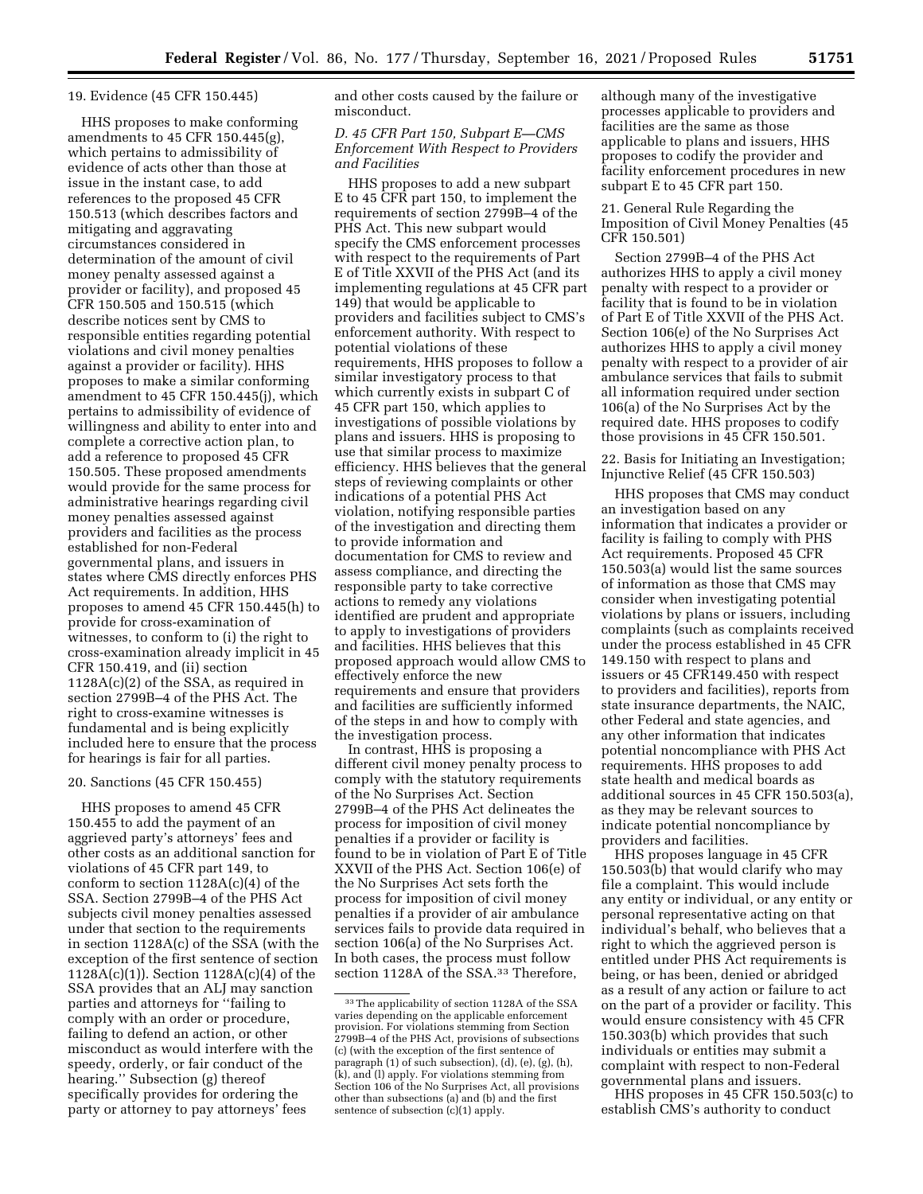#### 19. Evidence (45 CFR 150.445)

HHS proposes to make conforming amendments to 45 CFR 150.445(g), which pertains to admissibility of evidence of acts other than those at issue in the instant case, to add references to the proposed 45 CFR 150.513 (which describes factors and mitigating and aggravating circumstances considered in determination of the amount of civil money penalty assessed against a provider or facility), and proposed 45 CFR 150.505 and 150.515 (which describe notices sent by CMS to responsible entities regarding potential violations and civil money penalties against a provider or facility). HHS proposes to make a similar conforming amendment to 45 CFR 150.445(j), which pertains to admissibility of evidence of willingness and ability to enter into and complete a corrective action plan, to add a reference to proposed 45 CFR 150.505. These proposed amendments would provide for the same process for administrative hearings regarding civil money penalties assessed against providers and facilities as the process established for non-Federal governmental plans, and issuers in states where CMS directly enforces PHS Act requirements. In addition, HHS proposes to amend 45 CFR 150.445(h) to provide for cross-examination of witnesses, to conform to (i) the right to cross-examination already implicit in 45 CFR 150.419, and (ii) section 1128A(c)(2) of the SSA, as required in section 2799B–4 of the PHS Act. The right to cross-examine witnesses is fundamental and is being explicitly included here to ensure that the process for hearings is fair for all parties.

## 20. Sanctions (45 CFR 150.455)

HHS proposes to amend 45 CFR 150.455 to add the payment of an aggrieved party's attorneys' fees and other costs as an additional sanction for violations of 45 CFR part 149, to conform to section 1128A(c)(4) of the SSA. Section 2799B–4 of the PHS Act subjects civil money penalties assessed under that section to the requirements in section 1128A(c) of the SSA (with the exception of the first sentence of section 1128A(c)(1)). Section 1128A(c)(4) of the SSA provides that an ALJ may sanction parties and attorneys for ''failing to comply with an order or procedure, failing to defend an action, or other misconduct as would interfere with the speedy, orderly, or fair conduct of the hearing.'' Subsection (g) thereof specifically provides for ordering the party or attorney to pay attorneys' fees

and other costs caused by the failure or misconduct.

## *D. 45 CFR Part 150, Subpart E—CMS Enforcement With Respect to Providers and Facilities*

HHS proposes to add a new subpart E to 45 CFR part 150, to implement the requirements of section 2799B–4 of the PHS Act. This new subpart would specify the CMS enforcement processes with respect to the requirements of Part E of Title XXVII of the PHS Act (and its implementing regulations at 45 CFR part 149) that would be applicable to providers and facilities subject to CMS's enforcement authority. With respect to potential violations of these requirements, HHS proposes to follow a similar investigatory process to that which currently exists in subpart C of 45 CFR part 150, which applies to investigations of possible violations by plans and issuers. HHS is proposing to use that similar process to maximize efficiency. HHS believes that the general steps of reviewing complaints or other indications of a potential PHS Act violation, notifying responsible parties of the investigation and directing them to provide information and documentation for CMS to review and assess compliance, and directing the responsible party to take corrective actions to remedy any violations identified are prudent and appropriate to apply to investigations of providers and facilities. HHS believes that this proposed approach would allow CMS to effectively enforce the new requirements and ensure that providers and facilities are sufficiently informed of the steps in and how to comply with the investigation process.

In contrast, HHS is proposing a different civil money penalty process to comply with the statutory requirements of the No Surprises Act. Section 2799B–4 of the PHS Act delineates the process for imposition of civil money penalties if a provider or facility is found to be in violation of Part E of Title XXVII of the PHS Act. Section 106(e) of the No Surprises Act sets forth the process for imposition of civil money penalties if a provider of air ambulance services fails to provide data required in section 106(a) of the No Surprises Act. In both cases, the process must follow section 1128A of the SSA.33 Therefore,

although many of the investigative processes applicable to providers and facilities are the same as those applicable to plans and issuers, HHS proposes to codify the provider and facility enforcement procedures in new subpart E to 45 CFR part 150.

21. General Rule Regarding the Imposition of Civil Money Penalties (45 CFR 150.501)

Section 2799B–4 of the PHS Act authorizes HHS to apply a civil money penalty with respect to a provider or facility that is found to be in violation of Part E of Title XXVII of the PHS Act. Section 106(e) of the No Surprises Act authorizes HHS to apply a civil money penalty with respect to a provider of air ambulance services that fails to submit all information required under section 106(a) of the No Surprises Act by the required date. HHS proposes to codify those provisions in 45 CFR 150.501.

22. Basis for Initiating an Investigation; Injunctive Relief (45 CFR 150.503)

HHS proposes that CMS may conduct an investigation based on any information that indicates a provider or facility is failing to comply with PHS Act requirements. Proposed 45 CFR 150.503(a) would list the same sources of information as those that CMS may consider when investigating potential violations by plans or issuers, including complaints (such as complaints received under the process established in 45 CFR 149.150 with respect to plans and issuers or 45 CFR149.450 with respect to providers and facilities), reports from state insurance departments, the NAIC, other Federal and state agencies, and any other information that indicates potential noncompliance with PHS Act requirements. HHS proposes to add state health and medical boards as additional sources in 45 CFR 150.503(a), as they may be relevant sources to indicate potential noncompliance by providers and facilities.

HHS proposes language in 45 CFR 150.503(b) that would clarify who may file a complaint. This would include any entity or individual, or any entity or personal representative acting on that individual's behalf, who believes that a right to which the aggrieved person is entitled under PHS Act requirements is being, or has been, denied or abridged as a result of any action or failure to act on the part of a provider or facility. This would ensure consistency with 45 CFR 150.303(b) which provides that such individuals or entities may submit a complaint with respect to non-Federal governmental plans and issuers.

HHS proposes in 45 CFR 150.503(c) to establish CMS's authority to conduct

<sup>33</sup>The applicability of section 1128A of the SSA varies depending on the applicable enforcement provision. For violations stemming from Section 2799B–4 of the PHS Act, provisions of subsections (c) (with the exception of the first sentence of paragraph (1) of such subsection), (d), (e), (g), (h), (k), and (l) apply. For violations stemming from Section 106 of the No Surprises Act, all provisions other than subsections (a) and (b) and the first sentence of subsection (c)(1) apply.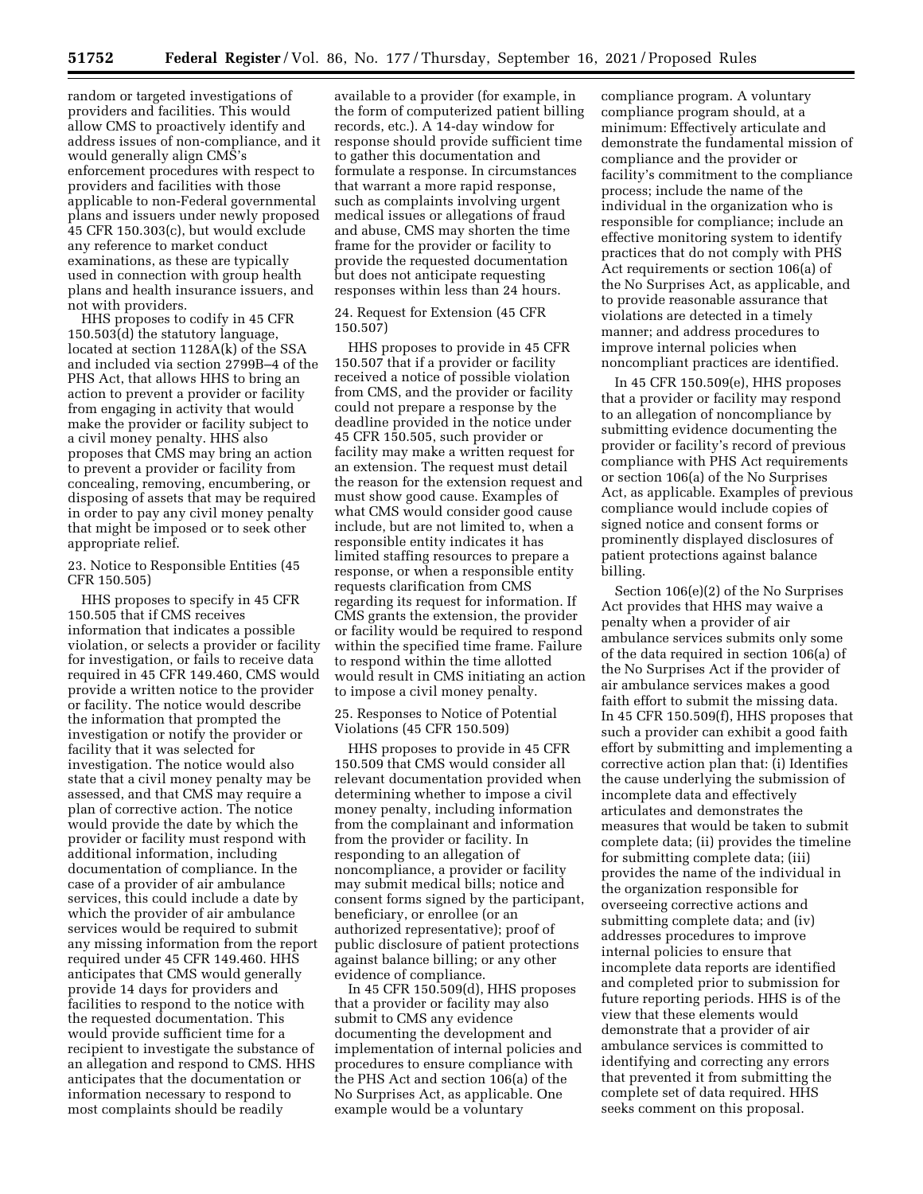random or targeted investigations of providers and facilities. This would allow CMS to proactively identify and address issues of non-compliance, and it would generally align CMS's enforcement procedures with respect to providers and facilities with those applicable to non-Federal governmental plans and issuers under newly proposed 45 CFR 150.303(c), but would exclude any reference to market conduct examinations, as these are typically used in connection with group health plans and health insurance issuers, and not with providers.

HHS proposes to codify in 45 CFR 150.503(d) the statutory language, located at section 1128A(k) of the SSA and included via section 2799B–4 of the PHS Act, that allows HHS to bring an action to prevent a provider or facility from engaging in activity that would make the provider or facility subject to a civil money penalty. HHS also proposes that CMS may bring an action to prevent a provider or facility from concealing, removing, encumbering, or disposing of assets that may be required in order to pay any civil money penalty that might be imposed or to seek other appropriate relief.

23. Notice to Responsible Entities (45 CFR 150.505)

HHS proposes to specify in 45 CFR 150.505 that if CMS receives information that indicates a possible violation, or selects a provider or facility for investigation, or fails to receive data required in 45 CFR 149.460, CMS would provide a written notice to the provider or facility. The notice would describe the information that prompted the investigation or notify the provider or facility that it was selected for investigation. The notice would also state that a civil money penalty may be assessed, and that CMS may require a plan of corrective action. The notice would provide the date by which the provider or facility must respond with additional information, including documentation of compliance. In the case of a provider of air ambulance services, this could include a date by which the provider of air ambulance services would be required to submit any missing information from the report required under 45 CFR 149.460. HHS anticipates that CMS would generally provide 14 days for providers and facilities to respond to the notice with the requested documentation. This would provide sufficient time for a recipient to investigate the substance of an allegation and respond to CMS. HHS anticipates that the documentation or information necessary to respond to most complaints should be readily

available to a provider (for example, in the form of computerized patient billing records, etc.). A 14-day window for response should provide sufficient time to gather this documentation and formulate a response. In circumstances that warrant a more rapid response, such as complaints involving urgent medical issues or allegations of fraud and abuse, CMS may shorten the time frame for the provider or facility to provide the requested documentation but does not anticipate requesting responses within less than 24 hours.

24. Request for Extension (45 CFR 150.507)

HHS proposes to provide in 45 CFR 150.507 that if a provider or facility received a notice of possible violation from CMS, and the provider or facility could not prepare a response by the deadline provided in the notice under 45 CFR 150.505, such provider or facility may make a written request for an extension. The request must detail the reason for the extension request and must show good cause. Examples of what CMS would consider good cause include, but are not limited to, when a responsible entity indicates it has limited staffing resources to prepare a response, or when a responsible entity requests clarification from CMS regarding its request for information. If CMS grants the extension, the provider or facility would be required to respond within the specified time frame. Failure to respond within the time allotted would result in CMS initiating an action to impose a civil money penalty.

25. Responses to Notice of Potential Violations (45 CFR 150.509)

HHS proposes to provide in 45 CFR 150.509 that CMS would consider all relevant documentation provided when determining whether to impose a civil money penalty, including information from the complainant and information from the provider or facility. In responding to an allegation of noncompliance, a provider or facility may submit medical bills; notice and consent forms signed by the participant, beneficiary, or enrollee (or an authorized representative); proof of public disclosure of patient protections against balance billing; or any other evidence of compliance.

In 45 CFR 150.509(d), HHS proposes that a provider or facility may also submit to CMS any evidence documenting the development and implementation of internal policies and procedures to ensure compliance with the PHS Act and section 106(a) of the No Surprises Act, as applicable. One example would be a voluntary

compliance program. A voluntary compliance program should, at a minimum: Effectively articulate and demonstrate the fundamental mission of compliance and the provider or facility's commitment to the compliance process; include the name of the individual in the organization who is responsible for compliance; include an effective monitoring system to identify practices that do not comply with PHS Act requirements or section 106(a) of the No Surprises Act, as applicable, and to provide reasonable assurance that violations are detected in a timely manner; and address procedures to improve internal policies when noncompliant practices are identified.

In 45 CFR 150.509(e), HHS proposes that a provider or facility may respond to an allegation of noncompliance by submitting evidence documenting the provider or facility's record of previous compliance with PHS Act requirements or section 106(a) of the No Surprises Act, as applicable. Examples of previous compliance would include copies of signed notice and consent forms or prominently displayed disclosures of patient protections against balance billing.

Section 106(e)(2) of the No Surprises Act provides that HHS may waive a penalty when a provider of air ambulance services submits only some of the data required in section 106(a) of the No Surprises Act if the provider of air ambulance services makes a good faith effort to submit the missing data. In 45 CFR 150.509(f), HHS proposes that such a provider can exhibit a good faith effort by submitting and implementing a corrective action plan that: (i) Identifies the cause underlying the submission of incomplete data and effectively articulates and demonstrates the measures that would be taken to submit complete data; (ii) provides the timeline for submitting complete data; (iii) provides the name of the individual in the organization responsible for overseeing corrective actions and submitting complete data; and (iv) addresses procedures to improve internal policies to ensure that incomplete data reports are identified and completed prior to submission for future reporting periods. HHS is of the view that these elements would demonstrate that a provider of air ambulance services is committed to identifying and correcting any errors that prevented it from submitting the complete set of data required. HHS seeks comment on this proposal.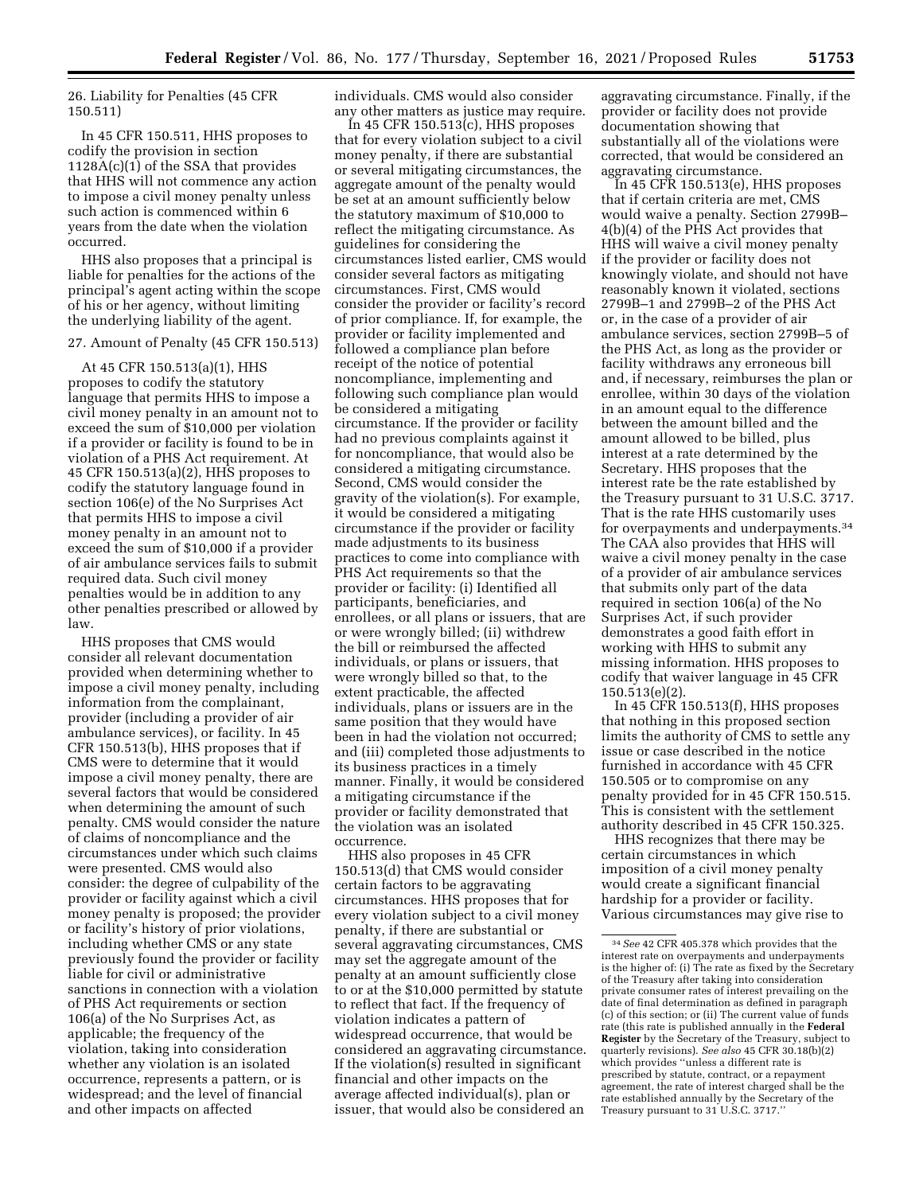26. Liability for Penalties (45 CFR 150.511)

In 45 CFR 150.511, HHS proposes to codify the provision in section 1128A(c)(1) of the SSA that provides that HHS will not commence any action to impose a civil money penalty unless such action is commenced within 6 years from the date when the violation occurred.

HHS also proposes that a principal is liable for penalties for the actions of the principal's agent acting within the scope of his or her agency, without limiting the underlying liability of the agent.

#### 27. Amount of Penalty (45 CFR 150.513)

At 45 CFR 150.513(a)(1), HHS proposes to codify the statutory language that permits HHS to impose a civil money penalty in an amount not to exceed the sum of \$10,000 per violation if a provider or facility is found to be in violation of a PHS Act requirement. At 45 CFR 150.513(a)(2), HHS proposes to codify the statutory language found in section 106(e) of the No Surprises Act that permits HHS to impose a civil money penalty in an amount not to exceed the sum of \$10,000 if a provider of air ambulance services fails to submit required data. Such civil money penalties would be in addition to any other penalties prescribed or allowed by law.

HHS proposes that CMS would consider all relevant documentation provided when determining whether to impose a civil money penalty, including information from the complainant, provider (including a provider of air ambulance services), or facility. In 45 CFR 150.513(b), HHS proposes that if CMS were to determine that it would impose a civil money penalty, there are several factors that would be considered when determining the amount of such penalty. CMS would consider the nature of claims of noncompliance and the circumstances under which such claims were presented. CMS would also consider: the degree of culpability of the provider or facility against which a civil money penalty is proposed; the provider or facility's history of prior violations, including whether CMS or any state previously found the provider or facility liable for civil or administrative sanctions in connection with a violation of PHS Act requirements or section 106(a) of the No Surprises Act, as applicable; the frequency of the violation, taking into consideration whether any violation is an isolated occurrence, represents a pattern, or is widespread; and the level of financial and other impacts on affected

individuals. CMS would also consider any other matters as justice may require.

In 45 CFR 150.513(c), HHS proposes that for every violation subject to a civil money penalty, if there are substantial or several mitigating circumstances, the aggregate amount of the penalty would be set at an amount sufficiently below the statutory maximum of \$10,000 to reflect the mitigating circumstance. As guidelines for considering the circumstances listed earlier, CMS would consider several factors as mitigating circumstances. First, CMS would consider the provider or facility's record of prior compliance. If, for example, the provider or facility implemented and followed a compliance plan before receipt of the notice of potential noncompliance, implementing and following such compliance plan would be considered a mitigating circumstance. If the provider or facility had no previous complaints against it for noncompliance, that would also be considered a mitigating circumstance. Second, CMS would consider the gravity of the violation(s). For example, it would be considered a mitigating circumstance if the provider or facility made adjustments to its business practices to come into compliance with PHS Act requirements so that the provider or facility: (i) Identified all participants, beneficiaries, and enrollees, or all plans or issuers, that are or were wrongly billed; (ii) withdrew the bill or reimbursed the affected individuals, or plans or issuers, that were wrongly billed so that, to the extent practicable, the affected individuals, plans or issuers are in the same position that they would have been in had the violation not occurred; and (iii) completed those adjustments to its business practices in a timely manner. Finally, it would be considered a mitigating circumstance if the provider or facility demonstrated that the violation was an isolated occurrence.

HHS also proposes in 45 CFR 150.513(d) that CMS would consider certain factors to be aggravating circumstances. HHS proposes that for every violation subject to a civil money penalty, if there are substantial or several aggravating circumstances, CMS may set the aggregate amount of the penalty at an amount sufficiently close to or at the \$10,000 permitted by statute to reflect that fact. If the frequency of violation indicates a pattern of widespread occurrence, that would be considered an aggravating circumstance. If the violation(s) resulted in significant financial and other impacts on the average affected individual(s), plan or issuer, that would also be considered an

aggravating circumstance. Finally, if the provider or facility does not provide documentation showing that substantially all of the violations were corrected, that would be considered an aggravating circumstance.

In 45 CFR 150.513(e), HHS proposes that if certain criteria are met, CMS would waive a penalty. Section 2799B– 4(b)(4) of the PHS Act provides that HHS will waive a civil money penalty if the provider or facility does not knowingly violate, and should not have reasonably known it violated, sections 2799B–1 and 2799B–2 of the PHS Act or, in the case of a provider of air ambulance services, section 2799B–5 of the PHS Act, as long as the provider or facility withdraws any erroneous bill and, if necessary, reimburses the plan or enrollee, within 30 days of the violation in an amount equal to the difference between the amount billed and the amount allowed to be billed, plus interest at a rate determined by the Secretary. HHS proposes that the interest rate be the rate established by the Treasury pursuant to 31 U.S.C. 3717. That is the rate HHS customarily uses for overpayments and underpayments.34 The CAA also provides that HHS will waive a civil money penalty in the case of a provider of air ambulance services that submits only part of the data required in section 106(a) of the No Surprises Act, if such provider demonstrates a good faith effort in working with HHS to submit any missing information. HHS proposes to codify that waiver language in 45 CFR 150.513(e)(2).

In 45 CFR 150.513(f), HHS proposes that nothing in this proposed section limits the authority of CMS to settle any issue or case described in the notice furnished in accordance with 45 CFR 150.505 or to compromise on any penalty provided for in 45 CFR 150.515. This is consistent with the settlement authority described in 45 CFR 150.325.

HHS recognizes that there may be certain circumstances in which imposition of a civil money penalty would create a significant financial hardship for a provider or facility. Various circumstances may give rise to

<sup>34</sup>*See* 42 CFR 405.378 which provides that the interest rate on overpayments and underpayments is the higher of: (i) The rate as fixed by the Secretary of the Treasury after taking into consideration private consumer rates of interest prevailing on the date of final determination as defined in paragraph (c) of this section; or (ii) The current value of funds rate (this rate is published annually in the **Federal Register** by the Secretary of the Treasury, subject to quarterly revisions). *See also* 45 CFR 30.18(b)(2) which provides ''unless a different rate is prescribed by statute, contract, or a repayment agreement, the rate of interest charged shall be the rate established annually by the Secretary of the Treasury pursuant to 31 U.S.C. 3717.''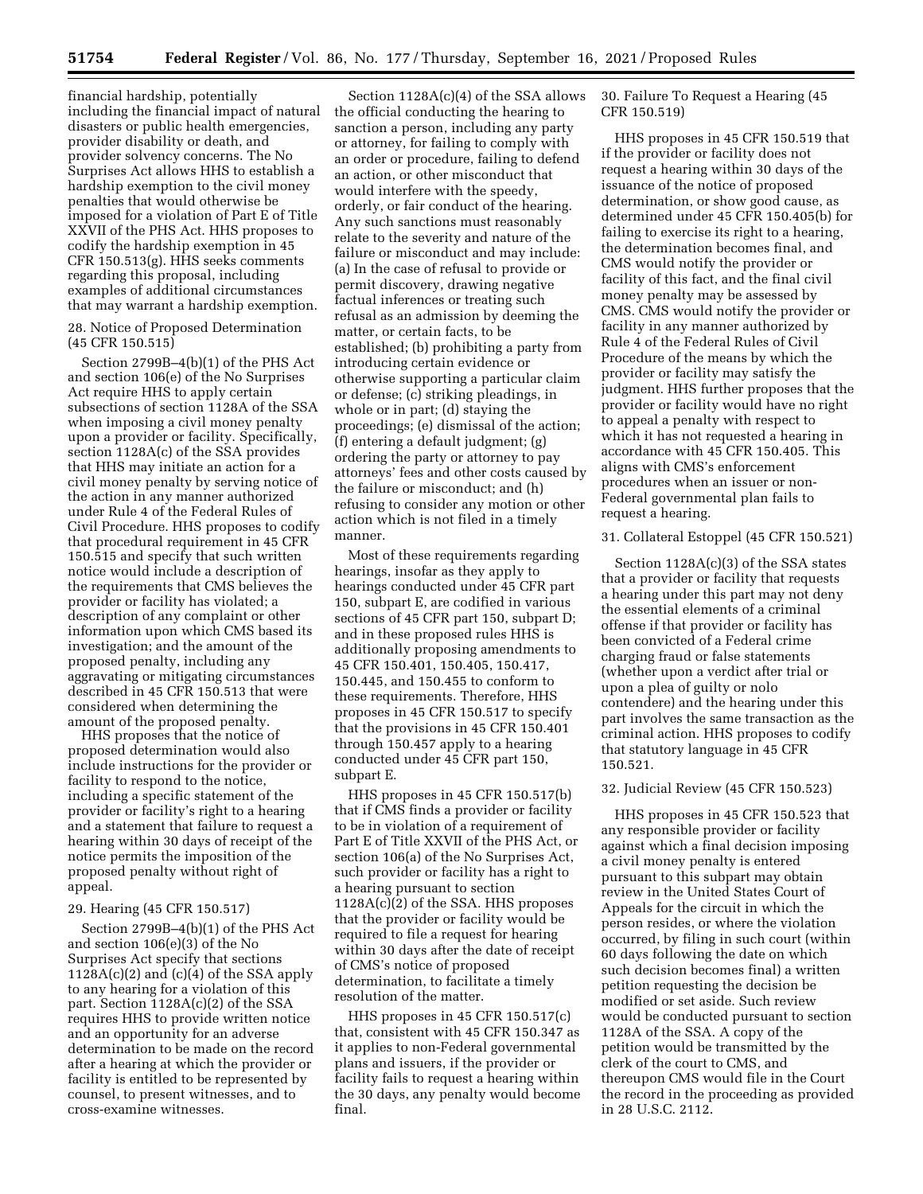financial hardship, potentially including the financial impact of natural disasters or public health emergencies, provider disability or death, and provider solvency concerns. The No Surprises Act allows HHS to establish a hardship exemption to the civil money penalties that would otherwise be imposed for a violation of Part E of Title XXVII of the PHS Act. HHS proposes to codify the hardship exemption in 45 CFR 150.513(g). HHS seeks comments regarding this proposal, including examples of additional circumstances that may warrant a hardship exemption.

28. Notice of Proposed Determination (45 CFR 150.515)

Section 2799B–4(b)(1) of the PHS Act and section 106(e) of the No Surprises Act require HHS to apply certain subsections of section 1128A of the SSA when imposing a civil money penalty upon a provider or facility. Specifically, section 1128A(c) of the SSA provides that HHS may initiate an action for a civil money penalty by serving notice of the action in any manner authorized under Rule 4 of the Federal Rules of Civil Procedure. HHS proposes to codify that procedural requirement in 45 CFR 150.515 and specify that such written notice would include a description of the requirements that CMS believes the provider or facility has violated; a description of any complaint or other information upon which CMS based its investigation; and the amount of the proposed penalty, including any aggravating or mitigating circumstances described in 45 CFR 150.513 that were considered when determining the amount of the proposed penalty.

HHS proposes that the notice of proposed determination would also include instructions for the provider or facility to respond to the notice, including a specific statement of the provider or facility's right to a hearing and a statement that failure to request a hearing within 30 days of receipt of the notice permits the imposition of the proposed penalty without right of appeal.

### 29. Hearing (45 CFR 150.517)

Section 2799B–4(b)(1) of the PHS Act and section 106(e)(3) of the No Surprises Act specify that sections  $1128A(c)(2)$  and  $(c)(4)$  of the SSA apply to any hearing for a violation of this part. Section 1128A(c)(2) of the SSA requires HHS to provide written notice and an opportunity for an adverse determination to be made on the record after a hearing at which the provider or facility is entitled to be represented by counsel, to present witnesses, and to cross-examine witnesses.

Section 1128A(c)(4) of the SSA allows the official conducting the hearing to sanction a person, including any party or attorney, for failing to comply with an order or procedure, failing to defend an action, or other misconduct that would interfere with the speedy, orderly, or fair conduct of the hearing. Any such sanctions must reasonably relate to the severity and nature of the failure or misconduct and may include: (a) In the case of refusal to provide or permit discovery, drawing negative factual inferences or treating such refusal as an admission by deeming the matter, or certain facts, to be established; (b) prohibiting a party from introducing certain evidence or otherwise supporting a particular claim or defense; (c) striking pleadings, in whole or in part; (d) staying the proceedings; (e) dismissal of the action; (f) entering a default judgment; (g) ordering the party or attorney to pay attorneys' fees and other costs caused by the failure or misconduct; and (h) refusing to consider any motion or other action which is not filed in a timely manner.

Most of these requirements regarding hearings, insofar as they apply to hearings conducted under 45 CFR part 150, subpart E, are codified in various sections of 45 CFR part 150, subpart D; and in these proposed rules HHS is additionally proposing amendments to 45 CFR 150.401, 150.405, 150.417, 150.445, and 150.455 to conform to these requirements. Therefore, HHS proposes in 45 CFR 150.517 to specify that the provisions in 45 CFR 150.401 through 150.457 apply to a hearing conducted under 45 CFR part 150, subpart E.

HHS proposes in 45 CFR 150.517(b) that if CMS finds a provider or facility to be in violation of a requirement of Part E of Title XXVII of the PHS Act, or section 106(a) of the No Surprises Act, such provider or facility has a right to a hearing pursuant to section 1128A(c)(2) of the SSA. HHS proposes that the provider or facility would be required to file a request for hearing within 30 days after the date of receipt of CMS's notice of proposed determination, to facilitate a timely resolution of the matter.

HHS proposes in 45 CFR 150.517(c) that, consistent with 45 CFR 150.347 as it applies to non-Federal governmental plans and issuers, if the provider or facility fails to request a hearing within the 30 days, any penalty would become final.

30. Failure To Request a Hearing (45 CFR 150.519)

HHS proposes in 45 CFR 150.519 that if the provider or facility does not request a hearing within 30 days of the issuance of the notice of proposed determination, or show good cause, as determined under 45 CFR 150.405(b) for failing to exercise its right to a hearing, the determination becomes final, and CMS would notify the provider or facility of this fact, and the final civil money penalty may be assessed by CMS. CMS would notify the provider or facility in any manner authorized by Rule 4 of the Federal Rules of Civil Procedure of the means by which the provider or facility may satisfy the judgment. HHS further proposes that the provider or facility would have no right to appeal a penalty with respect to which it has not requested a hearing in accordance with 45 CFR 150.405. This aligns with CMS's enforcement procedures when an issuer or non-Federal governmental plan fails to request a hearing.

### 31. Collateral Estoppel (45 CFR 150.521)

Section 1128A(c)(3) of the SSA states that a provider or facility that requests a hearing under this part may not deny the essential elements of a criminal offense if that provider or facility has been convicted of a Federal crime charging fraud or false statements (whether upon a verdict after trial or upon a plea of guilty or nolo contendere) and the hearing under this part involves the same transaction as the criminal action. HHS proposes to codify that statutory language in 45 CFR 150.521.

#### 32. Judicial Review (45 CFR 150.523)

HHS proposes in 45 CFR 150.523 that any responsible provider or facility against which a final decision imposing a civil money penalty is entered pursuant to this subpart may obtain review in the United States Court of Appeals for the circuit in which the person resides, or where the violation occurred, by filing in such court (within 60 days following the date on which such decision becomes final) a written petition requesting the decision be modified or set aside. Such review would be conducted pursuant to section 1128A of the SSA. A copy of the petition would be transmitted by the clerk of the court to CMS, and thereupon CMS would file in the Court the record in the proceeding as provided in 28 U.S.C. 2112.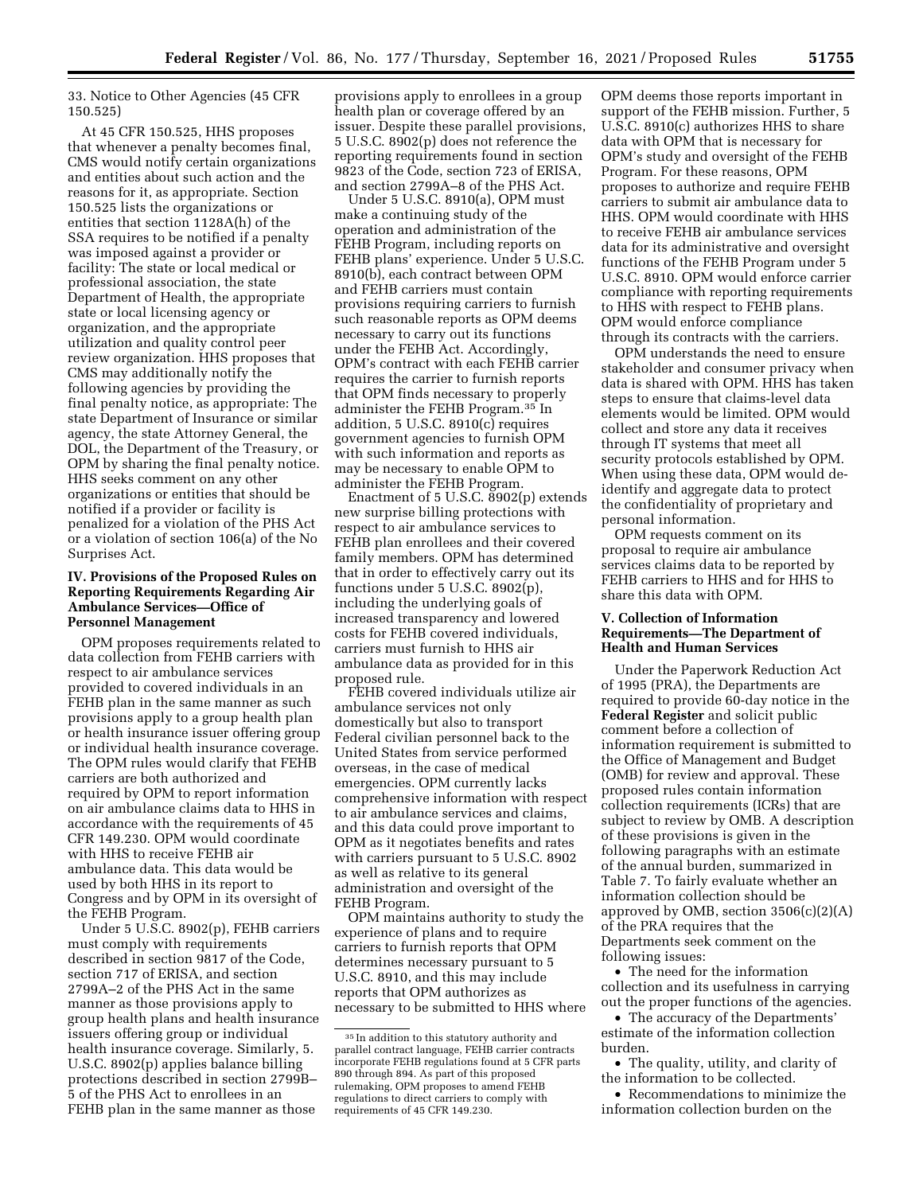33. Notice to Other Agencies (45 CFR 150.525)

At 45 CFR 150.525, HHS proposes that whenever a penalty becomes final, CMS would notify certain organizations and entities about such action and the reasons for it, as appropriate. Section 150.525 lists the organizations or entities that section 1128A(h) of the SSA requires to be notified if a penalty was imposed against a provider or facility: The state or local medical or professional association, the state Department of Health, the appropriate state or local licensing agency or organization, and the appropriate utilization and quality control peer review organization. HHS proposes that CMS may additionally notify the following agencies by providing the final penalty notice, as appropriate: The state Department of Insurance or similar agency, the state Attorney General, the DOL, the Department of the Treasury, or OPM by sharing the final penalty notice. HHS seeks comment on any other organizations or entities that should be notified if a provider or facility is penalized for a violation of the PHS Act or a violation of section 106(a) of the No Surprises Act.

## **IV. Provisions of the Proposed Rules on Reporting Requirements Regarding Air Ambulance Services—Office of Personnel Management**

OPM proposes requirements related to data collection from FEHB carriers with respect to air ambulance services provided to covered individuals in an FEHB plan in the same manner as such provisions apply to a group health plan or health insurance issuer offering group or individual health insurance coverage. The OPM rules would clarify that FEHB carriers are both authorized and required by OPM to report information on air ambulance claims data to HHS in accordance with the requirements of 45 CFR 149.230. OPM would coordinate with HHS to receive FEHB air ambulance data. This data would be used by both HHS in its report to Congress and by OPM in its oversight of the FEHB Program.

Under 5 U.S.C. 8902(p), FEHB carriers must comply with requirements described in section 9817 of the Code, section 717 of ERISA, and section 2799A–2 of the PHS Act in the same manner as those provisions apply to group health plans and health insurance issuers offering group or individual health insurance coverage. Similarly, 5. U.S.C. 8902(p) applies balance billing protections described in section 2799B– 5 of the PHS Act to enrollees in an FEHB plan in the same manner as those

provisions apply to enrollees in a group health plan or coverage offered by an issuer. Despite these parallel provisions, 5 U.S.C. 8902(p) does not reference the reporting requirements found in section 9823 of the Code, section 723 of ERISA, and section 2799A–8 of the PHS Act.

Under 5 U.S.C. 8910(a), OPM must make a continuing study of the operation and administration of the FEHB Program, including reports on FEHB plans' experience. Under 5 U.S.C. 8910(b), each contract between OPM and FEHB carriers must contain provisions requiring carriers to furnish such reasonable reports as OPM deems necessary to carry out its functions under the FEHB Act. Accordingly, OPM's contract with each FEHB carrier requires the carrier to furnish reports that OPM finds necessary to properly administer the FEHB Program.35 In addition, 5 U.S.C. 8910(c) requires government agencies to furnish OPM with such information and reports as may be necessary to enable OPM to administer the FEHB Program.

Enactment of 5 U.S.C. 8902(p) extends new surprise billing protections with respect to air ambulance services to FEHB plan enrollees and their covered family members. OPM has determined that in order to effectively carry out its functions under 5 U.S.C. 8902(p), including the underlying goals of increased transparency and lowered costs for FEHB covered individuals, carriers must furnish to HHS air ambulance data as provided for in this proposed rule.

FEHB covered individuals utilize air ambulance services not only domestically but also to transport Federal civilian personnel back to the United States from service performed overseas, in the case of medical emergencies. OPM currently lacks comprehensive information with respect to air ambulance services and claims, and this data could prove important to OPM as it negotiates benefits and rates with carriers pursuant to 5 U.S.C. 8902 as well as relative to its general administration and oversight of the FEHB Program.

OPM maintains authority to study the experience of plans and to require carriers to furnish reports that OPM determines necessary pursuant to 5 U.S.C. 8910, and this may include reports that OPM authorizes as necessary to be submitted to HHS where OPM deems those reports important in support of the FEHB mission. Further, 5 U.S.C. 8910(c) authorizes HHS to share data with OPM that is necessary for OPM's study and oversight of the FEHB Program. For these reasons, OPM proposes to authorize and require FEHB carriers to submit air ambulance data to HHS. OPM would coordinate with HHS to receive FEHB air ambulance services data for its administrative and oversight functions of the FEHB Program under 5 U.S.C. 8910. OPM would enforce carrier compliance with reporting requirements to HHS with respect to FEHB plans. OPM would enforce compliance through its contracts with the carriers.

OPM understands the need to ensure stakeholder and consumer privacy when data is shared with OPM. HHS has taken steps to ensure that claims-level data elements would be limited. OPM would collect and store any data it receives through IT systems that meet all security protocols established by OPM. When using these data, OPM would deidentify and aggregate data to protect the confidentiality of proprietary and personal information.

OPM requests comment on its proposal to require air ambulance services claims data to be reported by FEHB carriers to HHS and for HHS to share this data with OPM.

### **V. Collection of Information Requirements—The Department of Health and Human Services**

Under the Paperwork Reduction Act of 1995 (PRA), the Departments are required to provide 60-day notice in the **Federal Register** and solicit public comment before a collection of information requirement is submitted to the Office of Management and Budget (OMB) for review and approval. These proposed rules contain information collection requirements (ICRs) that are subject to review by OMB. A description of these provisions is given in the following paragraphs with an estimate of the annual burden, summarized in Table 7. To fairly evaluate whether an information collection should be approved by OMB, section  $3506(c)(2)(A)$ of the PRA requires that the Departments seek comment on the following issues:

• The need for the information collection and its usefulness in carrying out the proper functions of the agencies.

• The accuracy of the Departments' estimate of the information collection burden.

• The quality, utility, and clarity of the information to be collected.

• Recommendations to minimize the information collection burden on the

<sup>35</sup> In addition to this statutory authority and parallel contract language, FEHB carrier contracts incorporate FEHB regulations found at 5 CFR parts 890 through 894. As part of this proposed rulemaking, OPM proposes to amend FEHB regulations to direct carriers to comply with requirements of 45 CFR 149.230.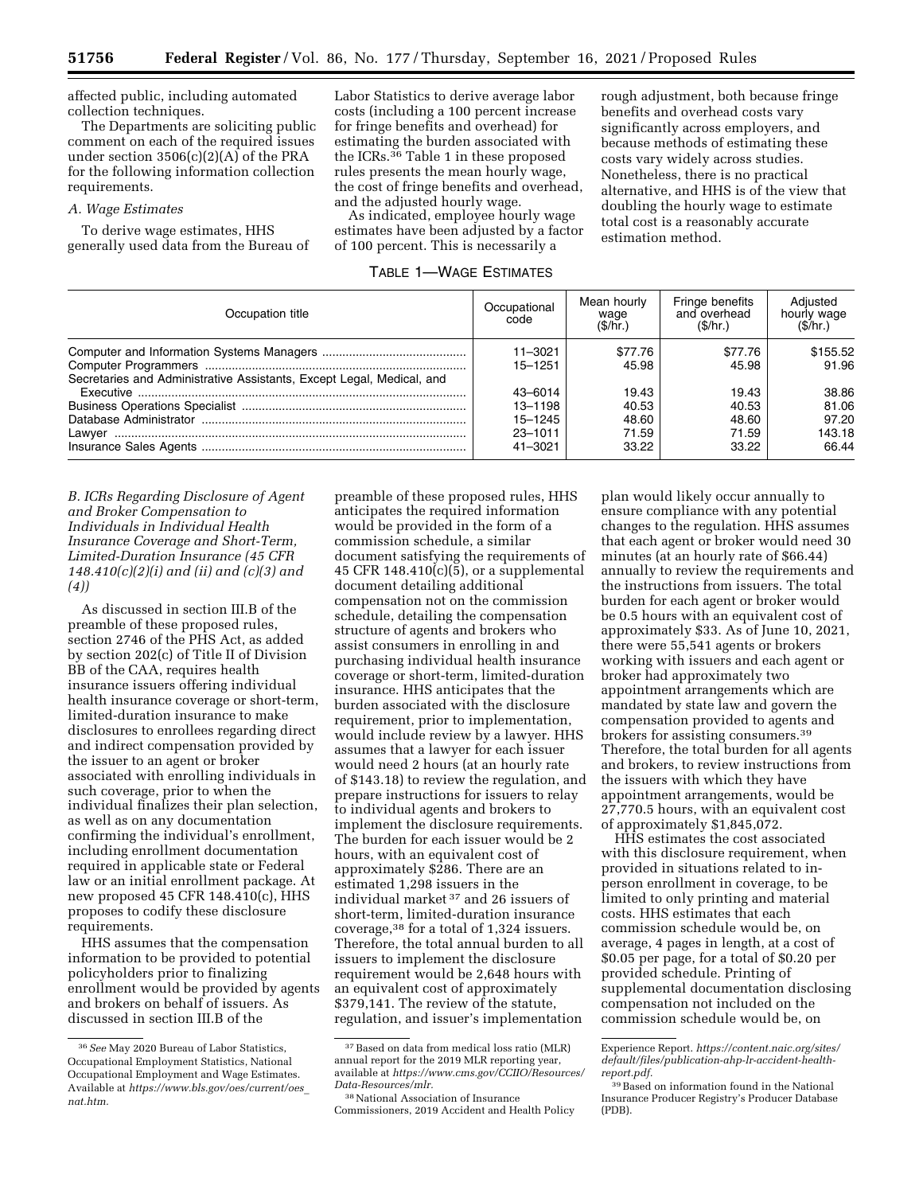affected public, including automated collection techniques.

The Departments are soliciting public comment on each of the required issues under section 3506(c)(2)(A) of the PRA for the following information collection requirements.

#### *A. Wage Estimates*

To derive wage estimates, HHS generally used data from the Bureau of Labor Statistics to derive average labor costs (including a 100 percent increase for fringe benefits and overhead) for estimating the burden associated with the ICRs.36 Table 1 in these proposed rules presents the mean hourly wage, the cost of fringe benefits and overhead, and the adjusted hourly wage.

As indicated, employee hourly wage estimates have been adjusted by a factor of 100 percent. This is necessarily a

## TABLE 1—WAGE ESTIMATES

rough adjustment, both because fringe benefits and overhead costs vary significantly across employers, and because methods of estimating these costs vary widely across studies. Nonetheless, there is no practical alternative, and HHS is of the view that doubling the hourly wage to estimate total cost is a reasonably accurate estimation method.

| Occupation title                                                      | Occupational<br>code | Mean hourly<br>wage<br>(S/hr.) | Fringe benefits<br>and overhead<br>(S/hr.) | Adiusted<br>hourly wage<br>(S/hr.) |
|-----------------------------------------------------------------------|----------------------|--------------------------------|--------------------------------------------|------------------------------------|
|                                                                       | $11 - 3021$          | \$77.76                        | \$77.76                                    | \$155.52                           |
|                                                                       | $15 - 1251$          | 45.98                          | 45.98                                      | 91.96                              |
| Secretaries and Administrative Assistants, Except Legal, Medical, and |                      |                                |                                            |                                    |
|                                                                       | 43-6014              | 19.43                          | 19.43                                      | 38.86                              |
|                                                                       | 13-1198              | 40.53                          | 40.53                                      | 81.06                              |
|                                                                       | $15 - 1245$          | 48.60                          | 48.60                                      | 97.20                              |
|                                                                       | $23 - 1011$          | 71.59                          | 71.59                                      | 143.18                             |
|                                                                       | 41-3021              | 33.22                          | 33.22                                      | 66.44                              |

*B. ICRs Regarding Disclosure of Agent and Broker Compensation to Individuals in Individual Health Insurance Coverage and Short-Term, Limited-Duration Insurance (45 CFR 148.410(c)(2)(i) and (ii) and (c)(3) and (4))* 

As discussed in section III.B of the preamble of these proposed rules, section 2746 of the PHS Act, as added by section 202(c) of Title II of Division BB of the CAA, requires health insurance issuers offering individual health insurance coverage or short-term, limited-duration insurance to make disclosures to enrollees regarding direct and indirect compensation provided by the issuer to an agent or broker associated with enrolling individuals in such coverage, prior to when the individual finalizes their plan selection, as well as on any documentation confirming the individual's enrollment, including enrollment documentation required in applicable state or Federal law or an initial enrollment package. At new proposed 45 CFR 148.410(c), HHS proposes to codify these disclosure requirements.

HHS assumes that the compensation information to be provided to potential policyholders prior to finalizing enrollment would be provided by agents and brokers on behalf of issuers. As discussed in section III.B of the

preamble of these proposed rules, HHS anticipates the required information would be provided in the form of a commission schedule, a similar document satisfying the requirements of 45 CFR  $148.410(c)(5)$ , or a supplemental document detailing additional compensation not on the commission schedule, detailing the compensation structure of agents and brokers who assist consumers in enrolling in and purchasing individual health insurance coverage or short-term, limited-duration insurance. HHS anticipates that the burden associated with the disclosure requirement, prior to implementation, would include review by a lawyer. HHS assumes that a lawyer for each issuer would need 2 hours (at an hourly rate of \$143.18) to review the regulation, and prepare instructions for issuers to relay to individual agents and brokers to implement the disclosure requirements. The burden for each issuer would be 2 hours, with an equivalent cost of approximately \$286. There are an estimated 1,298 issuers in the individual market 37 and 26 issuers of short-term, limited-duration insurance coverage,38 for a total of 1,324 issuers. Therefore, the total annual burden to all issuers to implement the disclosure requirement would be 2,648 hours with an equivalent cost of approximately \$379,141. The review of the statute, regulation, and issuer's implementation

plan would likely occur annually to ensure compliance with any potential changes to the regulation. HHS assumes that each agent or broker would need 30 minutes (at an hourly rate of \$66.44) annually to review the requirements and the instructions from issuers. The total burden for each agent or broker would be 0.5 hours with an equivalent cost of approximately \$33. As of June 10, 2021, there were 55,541 agents or brokers working with issuers and each agent or broker had approximately two appointment arrangements which are mandated by state law and govern the compensation provided to agents and brokers for assisting consumers.39 Therefore, the total burden for all agents and brokers, to review instructions from the issuers with which they have appointment arrangements, would be 27,770.5 hours, with an equivalent cost of approximately \$1,845,072.

HHS estimates the cost associated with this disclosure requirement, when provided in situations related to inperson enrollment in coverage, to be limited to only printing and material costs. HHS estimates that each commission schedule would be, on average, 4 pages in length, at a cost of \$0.05 per page, for a total of \$0.20 per provided schedule. Printing of supplemental documentation disclosing compensation not included on the commission schedule would be, on

<sup>36</sup>*See* May 2020 Bureau of Labor Statistics, Occupational Employment Statistics, National Occupational Employment and Wage Estimates. Available at *[https://www.bls.gov/oes/current/oes](https://www.bls.gov/oes/current/oes_nat.htm)*\_ *[nat.htm.](https://www.bls.gov/oes/current/oes_nat.htm)* 

<sup>37</sup>Based on data from medical loss ratio (MLR) annual report for the 2019 MLR reporting year, available at *[https://www.cms.gov/CCIIO/Resources/](https://www.cms.gov/CCIIO/Resources/Data-Resources/mlr)  [Data-Resources/mlr.](https://www.cms.gov/CCIIO/Resources/Data-Resources/mlr)* 

<sup>38</sup>National Association of Insurance Commissioners, 2019 Accident and Health Policy

Experience Report. *[https://content.naic.org/sites/](https://content.naic.org/sites/default/files/publication-ahp-lr-accident-health-report.pdf) [default/files/publication-ahp-lr-accident-health](https://content.naic.org/sites/default/files/publication-ahp-lr-accident-health-report.pdf)[report.pdf.](https://content.naic.org/sites/default/files/publication-ahp-lr-accident-health-report.pdf)* 

<sup>39</sup>Based on information found in the National Insurance Producer Registry's Producer Database (PDB).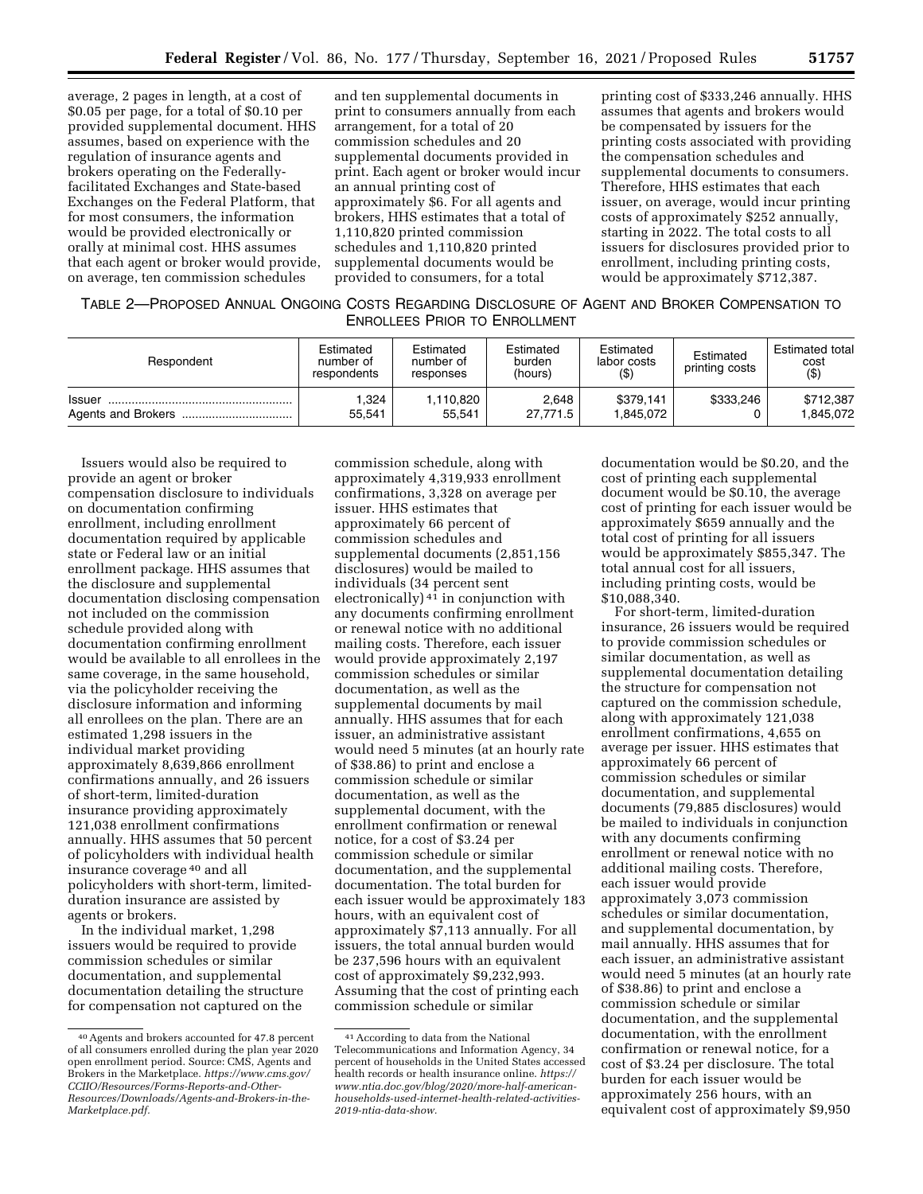average, 2 pages in length, at a cost of \$0.05 per page, for a total of \$0.10 per provided supplemental document. HHS assumes, based on experience with the regulation of insurance agents and brokers operating on the Federallyfacilitated Exchanges and State-based Exchanges on the Federal Platform, that for most consumers, the information would be provided electronically or orally at minimal cost. HHS assumes that each agent or broker would provide, on average, ten commission schedules

and ten supplemental documents in print to consumers annually from each arrangement, for a total of 20 commission schedules and 20 supplemental documents provided in print. Each agent or broker would incur an annual printing cost of approximately \$6. For all agents and brokers, HHS estimates that a total of 1,110,820 printed commission schedules and 1,110,820 printed supplemental documents would be provided to consumers, for a total

printing cost of \$333,246 annually. HHS assumes that agents and brokers would be compensated by issuers for the printing costs associated with providing the compensation schedules and supplemental documents to consumers. Therefore, HHS estimates that each issuer, on average, would incur printing costs of approximately \$252 annually, starting in 2022. The total costs to all issuers for disclosures provided prior to enrollment, including printing costs, would be approximately \$712,387.

| TABLE 2-PROPOSED ANNUAL ONGOING COSTS REGARDING DISCLOSURE OF AGENT AND BROKER COMPENSATION TO |
|------------------------------------------------------------------------------------------------|
| <b>ENROLLEES PRIOR TO ENROLLMENT</b>                                                           |

| Respondent | Estimated<br>number of<br>respondents | Estimated<br>number of<br>responses | Estimated<br>burden<br>(hours) | Estimated<br>labor costs<br>$($ \$) | Estimated<br>printing costs | Estimated total<br>cost<br>$($ \$ |
|------------|---------------------------------------|-------------------------------------|--------------------------------|-------------------------------------|-----------------------------|-----------------------------------|
| Issuer     | 1,324                                 | 1,110,820                           | 2.648                          | \$379.141                           | \$333.246                   | \$712.387                         |
|            | 55.541                                | 55.541                              | 27.771.5                       | 1.845.072                           |                             | 1.845.072                         |

Issuers would also be required to provide an agent or broker compensation disclosure to individuals on documentation confirming enrollment, including enrollment documentation required by applicable state or Federal law or an initial enrollment package. HHS assumes that the disclosure and supplemental documentation disclosing compensation not included on the commission schedule provided along with documentation confirming enrollment would be available to all enrollees in the same coverage, in the same household, via the policyholder receiving the disclosure information and informing all enrollees on the plan. There are an estimated 1,298 issuers in the individual market providing approximately 8,639,866 enrollment confirmations annually, and 26 issuers of short-term, limited-duration insurance providing approximately 121,038 enrollment confirmations annually. HHS assumes that 50 percent of policyholders with individual health insurance coverage 40 and all policyholders with short-term, limitedduration insurance are assisted by agents or brokers.

In the individual market, 1,298 issuers would be required to provide commission schedules or similar documentation, and supplemental documentation detailing the structure for compensation not captured on the

commission schedule, along with approximately 4,319,933 enrollment confirmations, 3,328 on average per issuer. HHS estimates that approximately 66 percent of commission schedules and supplemental documents (2,851,156 disclosures) would be mailed to individuals (34 percent sent electronically) 41 in conjunction with any documents confirming enrollment or renewal notice with no additional mailing costs. Therefore, each issuer would provide approximately 2,197 commission schedules or similar documentation, as well as the supplemental documents by mail annually. HHS assumes that for each issuer, an administrative assistant would need 5 minutes (at an hourly rate of \$38.86) to print and enclose a commission schedule or similar documentation, as well as the supplemental document, with the enrollment confirmation or renewal notice, for a cost of \$3.24 per commission schedule or similar documentation, and the supplemental documentation. The total burden for each issuer would be approximately 183 hours, with an equivalent cost of approximately \$7,113 annually. For all issuers, the total annual burden would be 237,596 hours with an equivalent cost of approximately \$9,232,993. Assuming that the cost of printing each commission schedule or similar

documentation would be \$0.20, and the cost of printing each supplemental document would be \$0.10, the average cost of printing for each issuer would be approximately \$659 annually and the total cost of printing for all issuers would be approximately \$855,347. The total annual cost for all issuers, including printing costs, would be \$10,088,340.

For short-term, limited-duration insurance, 26 issuers would be required to provide commission schedules or similar documentation, as well as supplemental documentation detailing the structure for compensation not captured on the commission schedule, along with approximately 121,038 enrollment confirmations, 4,655 on average per issuer. HHS estimates that approximately 66 percent of commission schedules or similar documentation, and supplemental documents (79,885 disclosures) would be mailed to individuals in conjunction with any documents confirming enrollment or renewal notice with no additional mailing costs. Therefore, each issuer would provide approximately 3,073 commission schedules or similar documentation, and supplemental documentation, by mail annually. HHS assumes that for each issuer, an administrative assistant would need 5 minutes (at an hourly rate of \$38.86) to print and enclose a commission schedule or similar documentation, and the supplemental documentation, with the enrollment confirmation or renewal notice, for a cost of \$3.24 per disclosure. The total burden for each issuer would be approximately 256 hours, with an equivalent cost of approximately \$9,950

<sup>40</sup>Agents and brokers accounted for 47.8 percent of all consumers enrolled during the plan year 2020 open enrollment period. Source: CMS, Agents and Brokers in the Marketplace. *[https://www.cms.gov/](https://www.cms.gov/CCIIO/Resources/Forms-Reports-and-Other-Resources/Downloads/Agents-and-Brokers-in-the-Marketplace.pdf)  [CCIIO/Resources/Forms-Reports-and-Other-](https://www.cms.gov/CCIIO/Resources/Forms-Reports-and-Other-Resources/Downloads/Agents-and-Brokers-in-the-Marketplace.pdf)[Resources/Downloads/Agents-and-Brokers-in-the-](https://www.cms.gov/CCIIO/Resources/Forms-Reports-and-Other-Resources/Downloads/Agents-and-Brokers-in-the-Marketplace.pdf)[Marketplace.pdf.](https://www.cms.gov/CCIIO/Resources/Forms-Reports-and-Other-Resources/Downloads/Agents-and-Brokers-in-the-Marketplace.pdf)* 

<sup>41</sup>According to data from the National Telecommunications and Information Agency, 34 percent of households in the United States accessed health records or health insurance online. *[https://](https://www.ntia.doc.gov/blog/2020/more-half-american-households-used-internet-health-related-activities-2019-ntia-data-show) [www.ntia.doc.gov/blog/2020/more-half-american](https://www.ntia.doc.gov/blog/2020/more-half-american-households-used-internet-health-related-activities-2019-ntia-data-show)[households-used-internet-health-related-activities-](https://www.ntia.doc.gov/blog/2020/more-half-american-households-used-internet-health-related-activities-2019-ntia-data-show)[2019-ntia-data-show.](https://www.ntia.doc.gov/blog/2020/more-half-american-households-used-internet-health-related-activities-2019-ntia-data-show)*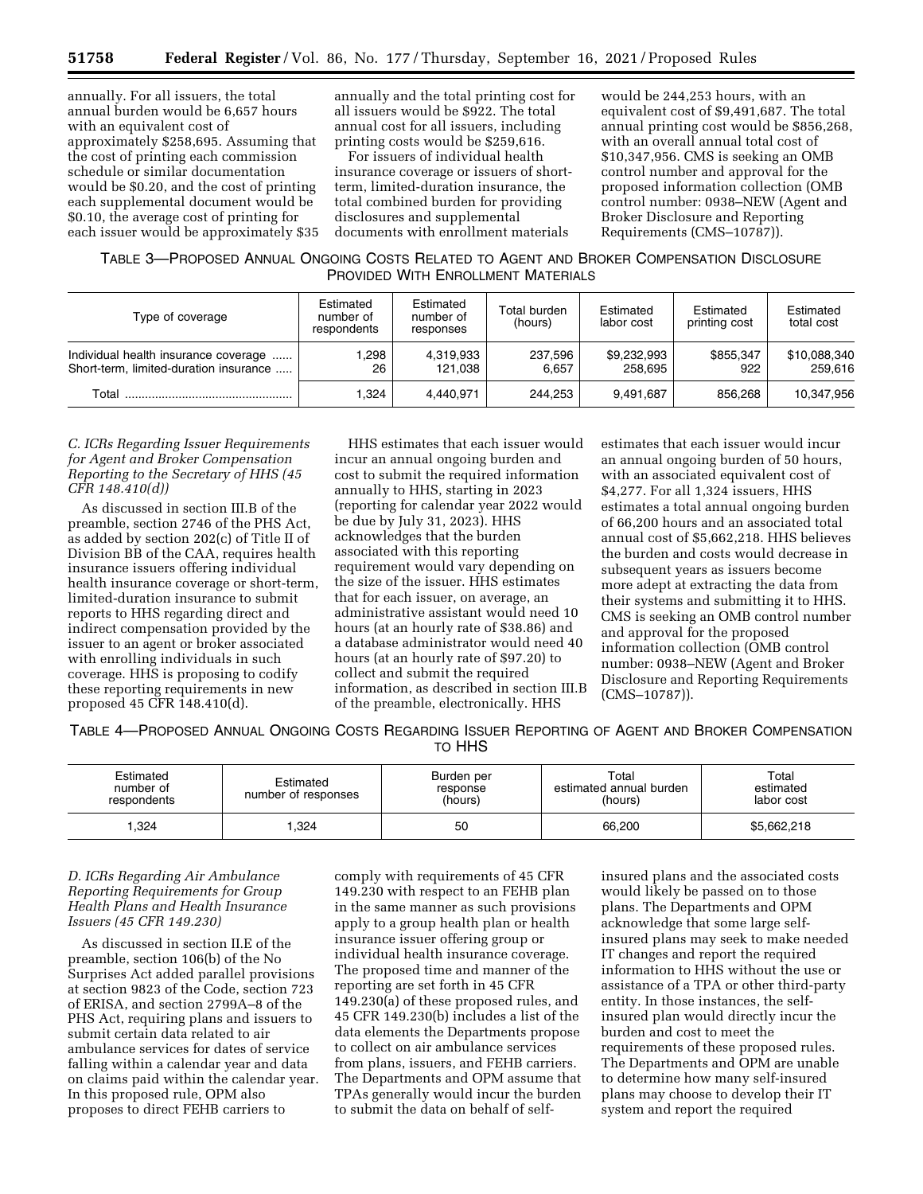annually. For all issuers, the total annual burden would be 6,657 hours with an equivalent cost of approximately \$258,695. Assuming that the cost of printing each commission schedule or similar documentation would be \$0.20, and the cost of printing each supplemental document would be \$0.10, the average cost of printing for each issuer would be approximately \$35

annually and the total printing cost for all issuers would be \$922. The total annual cost for all issuers, including printing costs would be \$259,616.

For issuers of individual health insurance coverage or issuers of shortterm, limited-duration insurance, the total combined burden for providing disclosures and supplemental documents with enrollment materials

would be 244,253 hours, with an equivalent cost of \$9,491,687. The total annual printing cost would be \$856,268, with an overall annual total cost of \$10,347,956. CMS is seeking an OMB control number and approval for the proposed information collection (OMB control number: 0938–NEW (Agent and Broker Disclosure and Reporting Requirements (CMS–10787)).

TABLE 3—PROPOSED ANNUAL ONGOING COSTS RELATED TO AGENT AND BROKER COMPENSATION DISCLOSURE PROVIDED WITH ENROLLMENT MATERIALS

| Type of coverage                                                               | Estimated<br>number of<br>respondents | Estimated<br>number of<br>responses | Total burden<br>(hours) | Estimated<br>labor cost | Estimated<br>printing cost | Estimated<br>total cost |
|--------------------------------------------------------------------------------|---------------------------------------|-------------------------------------|-------------------------|-------------------------|----------------------------|-------------------------|
| Individual health insurance coverage<br>Short-term, limited-duration insurance | .298<br>26                            | 4,319,933<br>121.038                | 237.596<br>6.657        | \$9,232,993<br>258.695  | \$855.347<br>922           | \$10,088,340<br>259.616 |
| Total                                                                          | 1.324                                 | 4.440.971                           | 244.253                 | 9.491.687               | 856.268                    | 10,347,956              |

### *C. ICRs Regarding Issuer Requirements for Agent and Broker Compensation Reporting to the Secretary of HHS (45 CFR 148.410(d))*

As discussed in section III.B of the preamble, section 2746 of the PHS Act, as added by section 202(c) of Title II of Division BB of the CAA, requires health insurance issuers offering individual health insurance coverage or short-term, limited-duration insurance to submit reports to HHS regarding direct and indirect compensation provided by the issuer to an agent or broker associated with enrolling individuals in such coverage. HHS is proposing to codify these reporting requirements in new proposed 45 CFR 148.410(d).

HHS estimates that each issuer would incur an annual ongoing burden and cost to submit the required information annually to HHS, starting in 2023 (reporting for calendar year 2022 would be due by July 31, 2023). HHS acknowledges that the burden associated with this reporting requirement would vary depending on the size of the issuer. HHS estimates that for each issuer, on average, an administrative assistant would need 10 hours (at an hourly rate of \$38.86) and a database administrator would need 40 hours (at an hourly rate of \$97.20) to collect and submit the required information, as described in section III.B of the preamble, electronically. HHS

estimates that each issuer would incur an annual ongoing burden of 50 hours, with an associated equivalent cost of \$4,277. For all 1,324 issuers, HHS estimates a total annual ongoing burden of 66,200 hours and an associated total annual cost of \$5,662,218. HHS believes the burden and costs would decrease in subsequent years as issuers become more adept at extracting the data from their systems and submitting it to HHS. CMS is seeking an OMB control number and approval for the proposed information collection (OMB control number: 0938–NEW (Agent and Broker Disclosure and Reporting Requirements (CMS–10787)).

TABLE 4—PROPOSED ANNUAL ONGOING COSTS REGARDING ISSUER REPORTING OF AGENT AND BROKER COMPENSATION TO HHS

| Estimated<br>number of<br>respondents | Estimated<br>number of responses | Burden per<br>response<br>(hours) | Total<br>estimated annual burden<br>(hours) | Total<br>estimated<br>labor cost |
|---------------------------------------|----------------------------------|-----------------------------------|---------------------------------------------|----------------------------------|
| .324                                  | ,324                             | 50                                | 66,200                                      | \$5,662,218                      |

## *D. ICRs Regarding Air Ambulance Reporting Requirements for Group Health Plans and Health Insurance Issuers (45 CFR 149.230)*

As discussed in section II.E of the preamble, section 106(b) of the No Surprises Act added parallel provisions at section 9823 of the Code, section 723 of ERISA, and section 2799A–8 of the PHS Act, requiring plans and issuers to submit certain data related to air ambulance services for dates of service falling within a calendar year and data on claims paid within the calendar year. In this proposed rule, OPM also proposes to direct FEHB carriers to

comply with requirements of 45 CFR 149.230 with respect to an FEHB plan in the same manner as such provisions apply to a group health plan or health insurance issuer offering group or individual health insurance coverage. The proposed time and manner of the reporting are set forth in 45 CFR 149.230(a) of these proposed rules, and 45 CFR 149.230(b) includes a list of the data elements the Departments propose to collect on air ambulance services from plans, issuers, and FEHB carriers. The Departments and OPM assume that TPAs generally would incur the burden to submit the data on behalf of selfinsured plans and the associated costs would likely be passed on to those plans. The Departments and OPM acknowledge that some large selfinsured plans may seek to make needed IT changes and report the required information to HHS without the use or assistance of a TPA or other third-party entity. In those instances, the selfinsured plan would directly incur the burden and cost to meet the requirements of these proposed rules. The Departments and OPM are unable to determine how many self-insured plans may choose to develop their IT system and report the required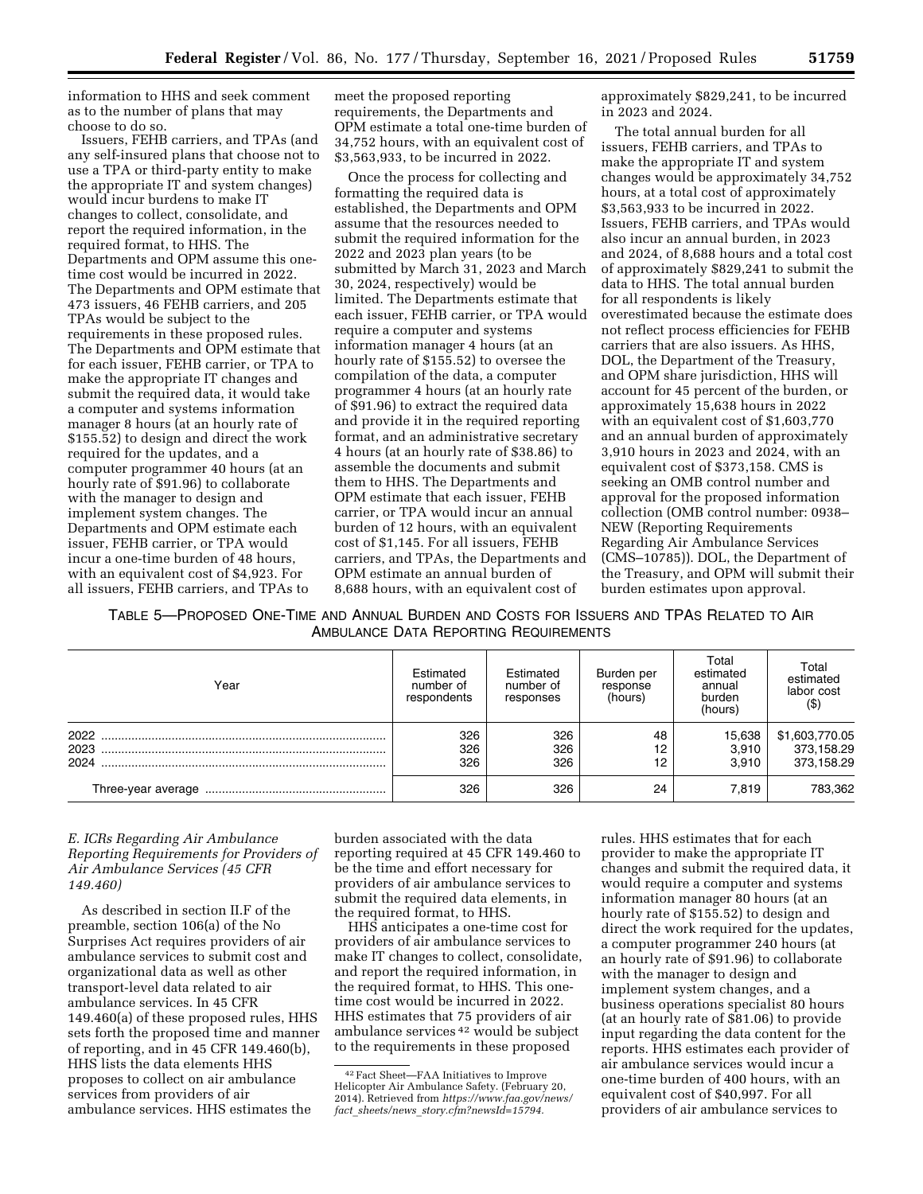information to HHS and seek comment as to the number of plans that may choose to do so.

Issuers, FEHB carriers, and TPAs (and any self-insured plans that choose not to use a TPA or third-party entity to make the appropriate IT and system changes) would incur burdens to make IT changes to collect, consolidate, and report the required information, in the required format, to HHS. The Departments and OPM assume this onetime cost would be incurred in 2022. The Departments and OPM estimate that 473 issuers, 46 FEHB carriers, and 205 TPAs would be subject to the requirements in these proposed rules. The Departments and OPM estimate that for each issuer, FEHB carrier, or TPA to make the appropriate IT changes and submit the required data, it would take a computer and systems information manager 8 hours (at an hourly rate of \$155.52) to design and direct the work required for the updates, and a computer programmer 40 hours (at an hourly rate of \$91.96) to collaborate with the manager to design and implement system changes. The Departments and OPM estimate each issuer, FEHB carrier, or TPA would incur a one-time burden of 48 hours, with an equivalent cost of \$4,923. For all issuers, FEHB carriers, and TPAs to

meet the proposed reporting requirements, the Departments and OPM estimate a total one-time burden of 34,752 hours, with an equivalent cost of \$3,563,933, to be incurred in 2022.

Once the process for collecting and formatting the required data is established, the Departments and OPM assume that the resources needed to submit the required information for the 2022 and 2023 plan years (to be submitted by March 31, 2023 and March 30, 2024, respectively) would be limited. The Departments estimate that each issuer, FEHB carrier, or TPA would require a computer and systems information manager 4 hours (at an hourly rate of \$155.52) to oversee the compilation of the data, a computer programmer 4 hours (at an hourly rate of \$91.96) to extract the required data and provide it in the required reporting format, and an administrative secretary 4 hours (at an hourly rate of \$38.86) to assemble the documents and submit them to HHS. The Departments and OPM estimate that each issuer, FEHB carrier, or TPA would incur an annual burden of 12 hours, with an equivalent cost of \$1,145. For all issuers, FEHB carriers, and TPAs, the Departments and OPM estimate an annual burden of 8,688 hours, with an equivalent cost of

approximately \$829,241, to be incurred in 2023 and 2024.

The total annual burden for all issuers, FEHB carriers, and TPAs to make the appropriate IT and system changes would be approximately 34,752 hours, at a total cost of approximately \$3,563,933 to be incurred in 2022. Issuers, FEHB carriers, and TPAs would also incur an annual burden, in 2023 and 2024, of 8,688 hours and a total cost of approximately \$829,241 to submit the data to HHS. The total annual burden for all respondents is likely overestimated because the estimate does not reflect process efficiencies for FEHB carriers that are also issuers. As HHS, DOL, the Department of the Treasury, and OPM share jurisdiction, HHS will account for 45 percent of the burden, or approximately 15,638 hours in 2022 with an equivalent cost of \$1,603,770 and an annual burden of approximately 3,910 hours in 2023 and 2024, with an equivalent cost of \$373,158. CMS is seeking an OMB control number and approval for the proposed information collection (OMB control number: 0938– NEW (Reporting Requirements Regarding Air Ambulance Services (CMS–10785)). DOL, the Department of the Treasury, and OPM will submit their burden estimates upon approval.

TABLE 5—PROPOSED ONE-TIME AND ANNUAL BURDEN AND COSTS FOR ISSUERS AND TPAS RELATED TO AIR AMBULANCE DATA REPORTING REQUIREMENTS

| Year                 | Estimated<br>number of<br>respondents | Estimated<br>number of<br>responses | Burden per<br>response<br>(hours) | Total<br>estimated<br>annual<br>burden<br>(hours) | Total<br>estimated<br>labor cost<br>$($ \$ |  |
|----------------------|---------------------------------------|-------------------------------------|-----------------------------------|---------------------------------------------------|--------------------------------------------|--|
| 2022<br>2023<br>2024 | 326<br>326<br>326                     | 326<br>326<br>326                   | 48<br>12<br>12                    | 15,638<br>3,910<br>3.910                          | \$1,603,770.05<br>373,158.29<br>373,158.29 |  |
|                      | 326                                   | 326                                 | 24                                | 7.819                                             | 783,362                                    |  |

## *E. ICRs Regarding Air Ambulance Reporting Requirements for Providers of Air Ambulance Services (45 CFR 149.460)*

As described in section II.F of the preamble, section 106(a) of the No Surprises Act requires providers of air ambulance services to submit cost and organizational data as well as other transport-level data related to air ambulance services. In 45 CFR 149.460(a) of these proposed rules, HHS sets forth the proposed time and manner of reporting, and in 45 CFR 149.460(b), HHS lists the data elements HHS proposes to collect on air ambulance services from providers of air ambulance services. HHS estimates the

burden associated with the data reporting required at 45 CFR 149.460 to be the time and effort necessary for providers of air ambulance services to submit the required data elements, in the required format, to HHS.

HHS anticipates a one-time cost for providers of air ambulance services to make IT changes to collect, consolidate, and report the required information, in the required format, to HHS. This onetime cost would be incurred in 2022. HHS estimates that 75 providers of air ambulance services 42 would be subject to the requirements in these proposed

rules. HHS estimates that for each provider to make the appropriate IT changes and submit the required data, it would require a computer and systems information manager 80 hours (at an hourly rate of \$155.52) to design and direct the work required for the updates, a computer programmer 240 hours (at an hourly rate of \$91.96) to collaborate with the manager to design and implement system changes, and a business operations specialist 80 hours (at an hourly rate of \$81.06) to provide input regarding the data content for the reports. HHS estimates each provider of air ambulance services would incur a one-time burden of 400 hours, with an equivalent cost of \$40,997. For all providers of air ambulance services to

<sup>42</sup>Fact Sheet—FAA Initiatives to Improve Helicopter Air Ambulance Safety. (February 20, 2014). Retrieved from *[https://www.faa.gov/news/](https://www.faa.gov/news/fact_sheets/news_story.cfm?newsId=15794)  fact*\_*sheets/news*\_*[story.cfm?newsId=15794.](https://www.faa.gov/news/fact_sheets/news_story.cfm?newsId=15794)*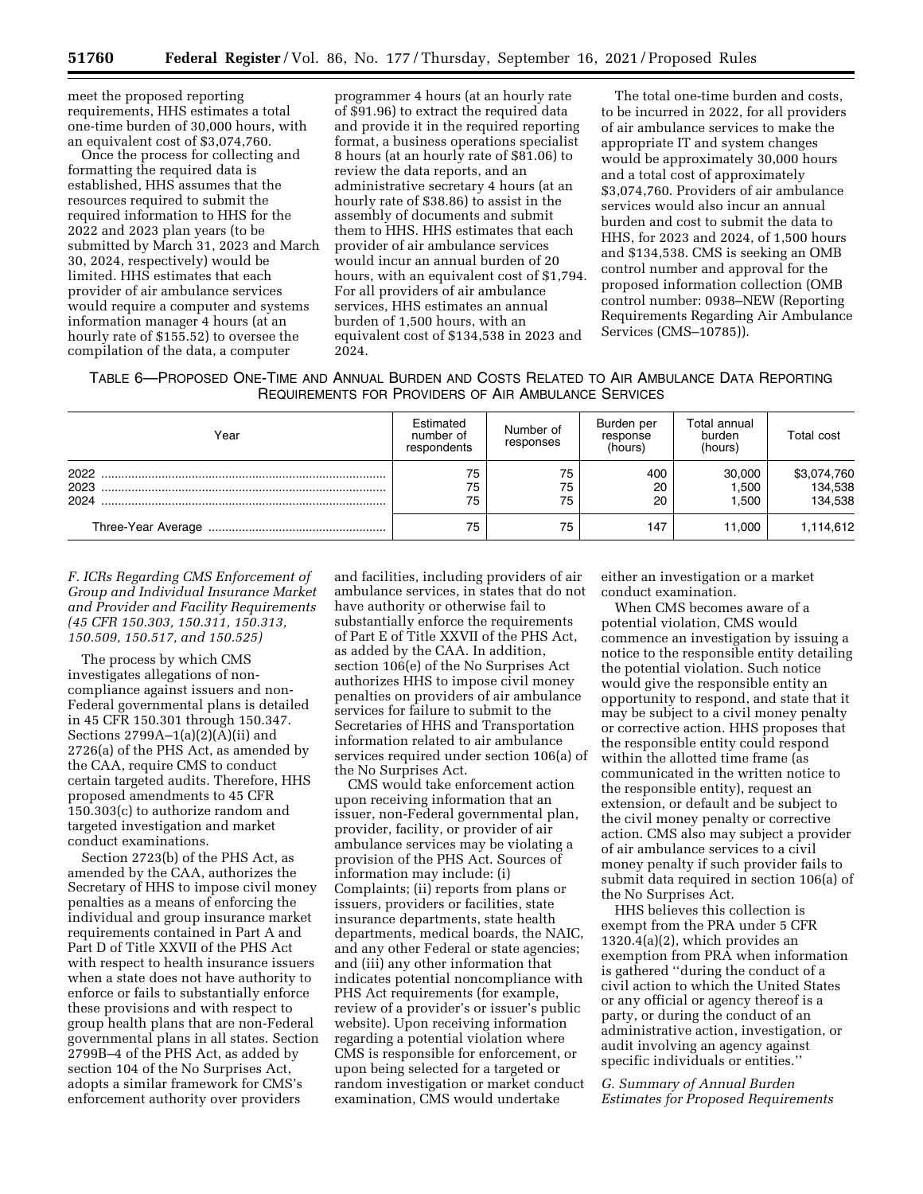meet the proposed reporting requirements, HHS estimates a total one-time burden of 30,000 hours, with an equivalent cost of \$3,074,760.

Once the process for collecting and formatting the required data is established, HHS assumes that the resources required to submit the required information to HHS for the 2022 and 2023 plan years (to be submitted by March 31, 2023 and March 30, 2024, respectively) would be limited. HHS estimates that each provider of air ambulance services would require a computer and systems information manager 4 hours (at an hourly rate of \$155.52) to oversee the compilation of the data, a computer

programmer 4 hours (at an hourly rate of \$91.96) to extract the required data and provide it in the required reporting format, a business operations specialist 8 hours (at an hourly rate of \$81.06) to review the data reports, and an administrative secretary 4 hours (at an hourly rate of \$38.86) to assist in the assembly of documents and submit them to HHS. HHS estimates that each provider of air ambulance services would incur an annual burden of 20 hours, with an equivalent cost of \$1,794. For all providers of air ambulance services, HHS estimates an annual burden of 1,500 hours, with an equivalent cost of \$134,538 in 2023 and 2024.

The total one-time burden and costs, to be incurred in 2022, for all providers of air ambulance services to make the appropriate IT and system changes would be approximately 30,000 hours and a total cost of approximately \$3,074,760. Providers of air ambulance services would also incur an annual burden and cost to submit the data to HHS, for 2023 and 2024, of 1,500 hours and \$134,538. CMS is seeking an OMB control number and approval for the proposed information collection (OMB control number: 0938–NEW (Reporting Requirements Regarding Air Ambulance Services (CMS–10785)).

| Table 6—Proposed One-Time and Annual Burden and Costs Related to Air Ambulance Data Reporting |  |
|-----------------------------------------------------------------------------------------------|--|
| REQUIREMENTS FOR PROVIDERS OF AIR AMBULANCE SERVICES                                          |  |

| Year                 | Estimated<br>number of<br>respondents | Number of<br>responses | Burden per<br>response<br>(hours) | Total annual<br>burden<br>(hours) | <b>Total cost</b>                 |
|----------------------|---------------------------------------|------------------------|-----------------------------------|-----------------------------------|-----------------------------------|
| 2022<br>2023<br>2024 | 75<br>75<br>75                        | 75<br>75<br>75         | 400<br>20<br>20                   | 30,000<br>1.500<br>1.500          | \$3,074,760<br>134,538<br>134,538 |
|                      | 75                                    | 75                     | 147                               | 11.000                            | 1,114,612                         |

*F. ICRs Regarding CMS Enforcement of Group and Individual Insurance Market and Provider and Facility Requirements (45 CFR 150.303, 150.311, 150.313, 150.509, 150.517, and 150.525)* 

The process by which CMS investigates allegations of noncompliance against issuers and non-Federal governmental plans is detailed in 45 CFR 150.301 through 150.347. Sections 2799A–1(a)(2)(A)(ii) and 2726(a) of the PHS Act, as amended by the CAA, require CMS to conduct certain targeted audits. Therefore, HHS proposed amendments to 45 CFR 150.303(c) to authorize random and targeted investigation and market conduct examinations.

Section 2723(b) of the PHS Act, as amended by the CAA, authorizes the Secretary of HHS to impose civil money penalties as a means of enforcing the individual and group insurance market requirements contained in Part A and Part D of Title XXVII of the PHS Act with respect to health insurance issuers when a state does not have authority to enforce or fails to substantially enforce these provisions and with respect to group health plans that are non-Federal governmental plans in all states. Section 2799B–4 of the PHS Act, as added by section 104 of the No Surprises Act, adopts a similar framework for CMS's enforcement authority over providers

and facilities, including providers of air ambulance services, in states that do not have authority or otherwise fail to substantially enforce the requirements of Part E of Title XXVII of the PHS Act, as added by the CAA. In addition, section 106(e) of the No Surprises Act authorizes HHS to impose civil money penalties on providers of air ambulance services for failure to submit to the Secretaries of HHS and Transportation information related to air ambulance services required under section 106(a) of the No Surprises Act.

CMS would take enforcement action upon receiving information that an issuer, non-Federal governmental plan, provider, facility, or provider of air ambulance services may be violating a provision of the PHS Act. Sources of information may include: (i) Complaints; (ii) reports from plans or issuers, providers or facilities, state insurance departments, state health departments, medical boards, the NAIC, and any other Federal or state agencies; and (iii) any other information that indicates potential noncompliance with PHS Act requirements (for example, review of a provider's or issuer's public website). Upon receiving information regarding a potential violation where CMS is responsible for enforcement, or upon being selected for a targeted or random investigation or market conduct examination, CMS would undertake

either an investigation or a market conduct examination.

When CMS becomes aware of a potential violation, CMS would commence an investigation by issuing a notice to the responsible entity detailing the potential violation. Such notice would give the responsible entity an opportunity to respond, and state that it may be subject to a civil money penalty or corrective action. HHS proposes that the responsible entity could respond within the allotted time frame (as communicated in the written notice to the responsible entity), request an extension, or default and be subject to the civil money penalty or corrective action. CMS also may subject a provider of air ambulance services to a civil money penalty if such provider fails to submit data required in section 106(a) of the No Surprises Act.

HHS believes this collection is exempt from the PRA under 5 CFR 1320.4(a)(2), which provides an exemption from PRA when information is gathered ''during the conduct of a civil action to which the United States or any official or agency thereof is a party, or during the conduct of an administrative action, investigation, or audit involving an agency against specific individuals or entities.''

*G. Summary of Annual Burden Estimates for Proposed Requirements*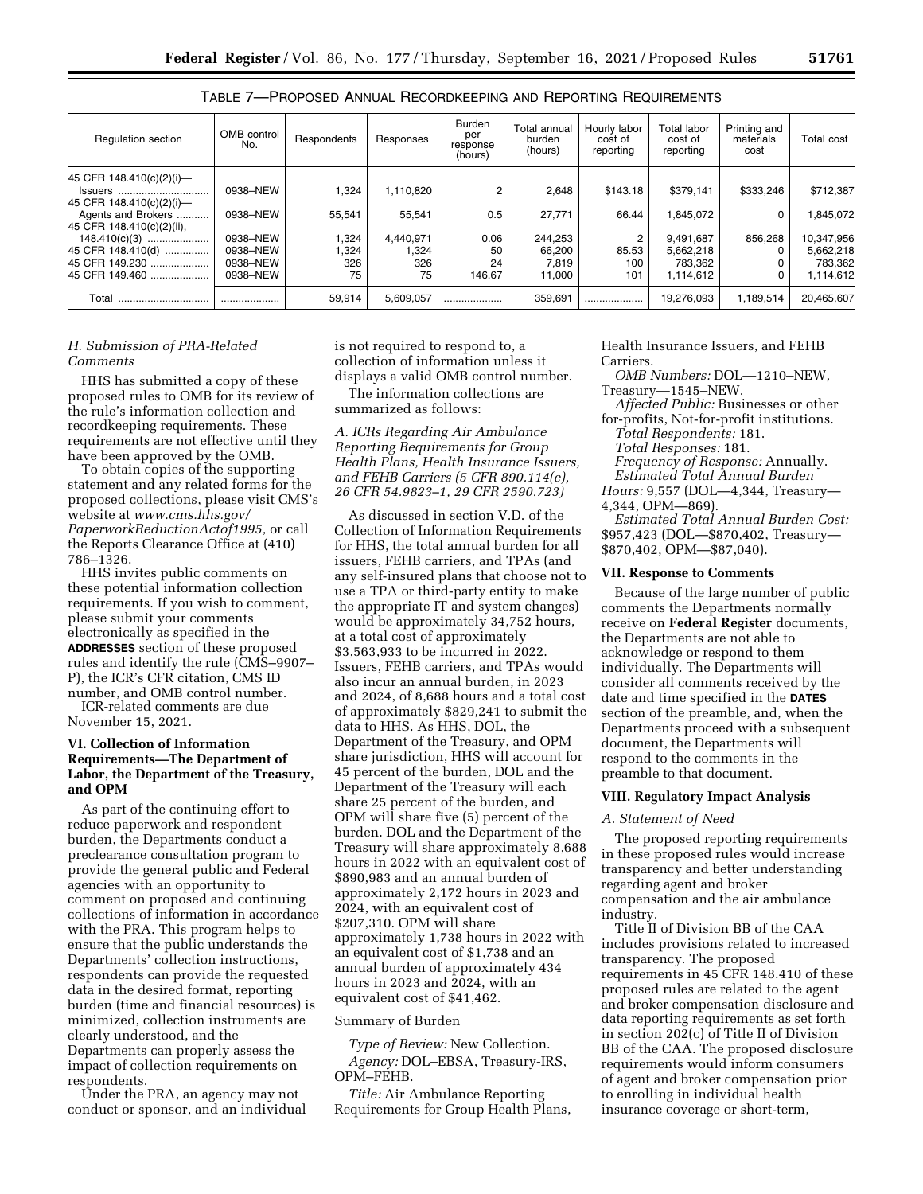|--|--|--|--|--|--|

| Table 7—Proposed Annual Recordkeeping and Reporting Requirements |  |
|------------------------------------------------------------------|--|
|------------------------------------------------------------------|--|

| <b>Regulation section</b> | OMB control<br>No. | Respondents | Responses | <b>Burden</b><br>per<br>response<br>(hours) | Total annual<br>burden<br>(hours) | Hourly labor<br>cost of<br>reporting | Total labor<br>cost of<br>reporting | Printing and<br>materials<br>cost | Total cost |
|---------------------------|--------------------|-------------|-----------|---------------------------------------------|-----------------------------------|--------------------------------------|-------------------------------------|-----------------------------------|------------|
| 45 CFR 148.410(c)(2)(i)-  |                    |             |           |                                             |                                   |                                      |                                     |                                   |            |
| <b>Issuers</b>            | 0938-NEW           | 1,324       | 1,110,820 |                                             | 2,648                             | \$143.18                             | \$379.141                           | \$333.246                         | \$712,387  |
| 45 CFR 148.410(c)(2)(i)-  |                    |             |           |                                             |                                   |                                      |                                     |                                   |            |
| Agents and Brokers        | 0938-NEW           | 55.541      | 55,541    | 0.5                                         | 27,771                            | 66.44                                | 1.845.072                           | 0                                 | 1,845,072  |
| 45 CFR 148.410(c)(2)(ii), |                    |             |           |                                             |                                   |                                      |                                     |                                   |            |
| $148.410(c)(3)$           | 0938-NEW           | 1,324       | 4.440.971 | 0.06                                        | 244,253                           | 2                                    | 9.491.687                           | 856.268                           | 10,347,956 |
| 45 CFR 148.410(d)         | 0938-NEW           | 1,324       | 324. ا    | 50                                          | 66,200                            | 85.53                                | 5,662,218                           |                                   | 5,662,218  |
| 45 CFR 149.230            | 0938-NEW           | 326         | 326       | 24                                          | 7.819                             | 100                                  | 783.362                             |                                   | 783.362    |
| 45 CFR 149.460            | 0938-NEW           | 75          | 75        | 146.67                                      | 11.000                            | 101                                  | 1.114.612                           |                                   | 1,114,612  |
| Total<br>                 |                    | 59.914      | 5.609.057 | .                                           | 359,691                           |                                      | 19.276.093                          | 1.189.514                         | 20.465.607 |

## *H. Submission of PRA-Related Comments*

HHS has submitted a copy of these proposed rules to OMB for its review of the rule's information collection and recordkeeping requirements. These requirements are not effective until they have been approved by the OMB.

To obtain copies of the supporting statement and any related forms for the proposed collections, please visit CMS's website at *[www.cms.hhs.gov/](http://www.cms.hhs.gov/PaperworkReductionActof1995) [PaperworkReductionActof1995,](http://www.cms.hhs.gov/PaperworkReductionActof1995)* or call the Reports Clearance Office at (410) 786–1326.

HHS invites public comments on these potential information collection requirements. If you wish to comment, please submit your comments electronically as specified in the **ADDRESSES** section of these proposed rules and identify the rule (CMS–9907– P), the ICR's CFR citation, CMS ID number, and OMB control number.

ICR-related comments are due November 15, 2021.

## **VI. Collection of Information Requirements—The Department of Labor, the Department of the Treasury, and OPM**

As part of the continuing effort to reduce paperwork and respondent burden, the Departments conduct a preclearance consultation program to provide the general public and Federal agencies with an opportunity to comment on proposed and continuing collections of information in accordance with the PRA. This program helps to ensure that the public understands the Departments' collection instructions, respondents can provide the requested data in the desired format, reporting burden (time and financial resources) is minimized, collection instruments are clearly understood, and the Departments can properly assess the impact of collection requirements on respondents.

Under the PRA, an agency may not conduct or sponsor, and an individual is not required to respond to, a collection of information unless it displays a valid OMB control number.

The information collections are summarized as follows:

*A. ICRs Regarding Air Ambulance Reporting Requirements for Group Health Plans, Health Insurance Issuers, and FEHB Carriers (5 CFR 890.114(e), 26 CFR 54.9823–1, 29 CFR 2590.723)* 

As discussed in section V.D. of the Collection of Information Requirements for HHS, the total annual burden for all issuers, FEHB carriers, and TPAs (and any self-insured plans that choose not to use a TPA or third-party entity to make the appropriate IT and system changes) would be approximately 34,752 hours, at a total cost of approximately \$3,563,933 to be incurred in 2022. Issuers, FEHB carriers, and TPAs would also incur an annual burden, in 2023 and 2024, of 8,688 hours and a total cost of approximately \$829,241 to submit the data to HHS. As HHS, DOL, the Department of the Treasury, and OPM share jurisdiction, HHS will account for 45 percent of the burden, DOL and the Department of the Treasury will each share 25 percent of the burden, and OPM will share five (5) percent of the burden. DOL and the Department of the Treasury will share approximately 8,688 hours in 2022 with an equivalent cost of \$890,983 and an annual burden of approximately 2,172 hours in 2023 and 2024, with an equivalent cost of \$207,310. OPM will share approximately 1,738 hours in 2022 with an equivalent cost of \$1,738 and an annual burden of approximately 434 hours in 2023 and 2024, with an equivalent cost of \$41,462.

#### Summary of Burden

*Type of Review:* New Collection. *Agency:* DOL–EBSA, Treasury-IRS, OPM–FEHB.

*Title:* Air Ambulance Reporting Requirements for Group Health Plans, Health Insurance Issuers, and FEHB Carriers.

*OMB Numbers:* DOL—1210–NEW,

Treasury—1545–NEW.

*Affected Public:* Businesses or other for-profits, Not-for-profit institutions.

*Total Respondents:* 181.

*Total Responses:* 181.

*Frequency of Response:* Annually.

*Estimated Total Annual Burden Hours:* 9,557 (DOL—4,344, Treasury— 4,344, OPM—869).

*Estimated Total Annual Burden Cost:*  \$957,423 (DOL—\$870,402, Treasury—

# \$870,402, OPM—\$87,040). **VII. Response to Comments**

Because of the large number of public comments the Departments normally receive on **Federal Register** documents, the Departments are not able to acknowledge or respond to them individually. The Departments will consider all comments received by the date and time specified in the **DATES** section of the preamble, and, when the Departments proceed with a subsequent document, the Departments will respond to the comments in the preamble to that document.

### **VIII. Regulatory Impact Analysis**

### *A. Statement of Need*

The proposed reporting requirements in these proposed rules would increase transparency and better understanding regarding agent and broker compensation and the air ambulance industry.

Title II of Division BB of the CAA includes provisions related to increased transparency. The proposed requirements in 45 CFR 148.410 of these proposed rules are related to the agent and broker compensation disclosure and data reporting requirements as set forth in section 202(c) of Title II of Division BB of the CAA. The proposed disclosure requirements would inform consumers of agent and broker compensation prior to enrolling in individual health insurance coverage or short-term,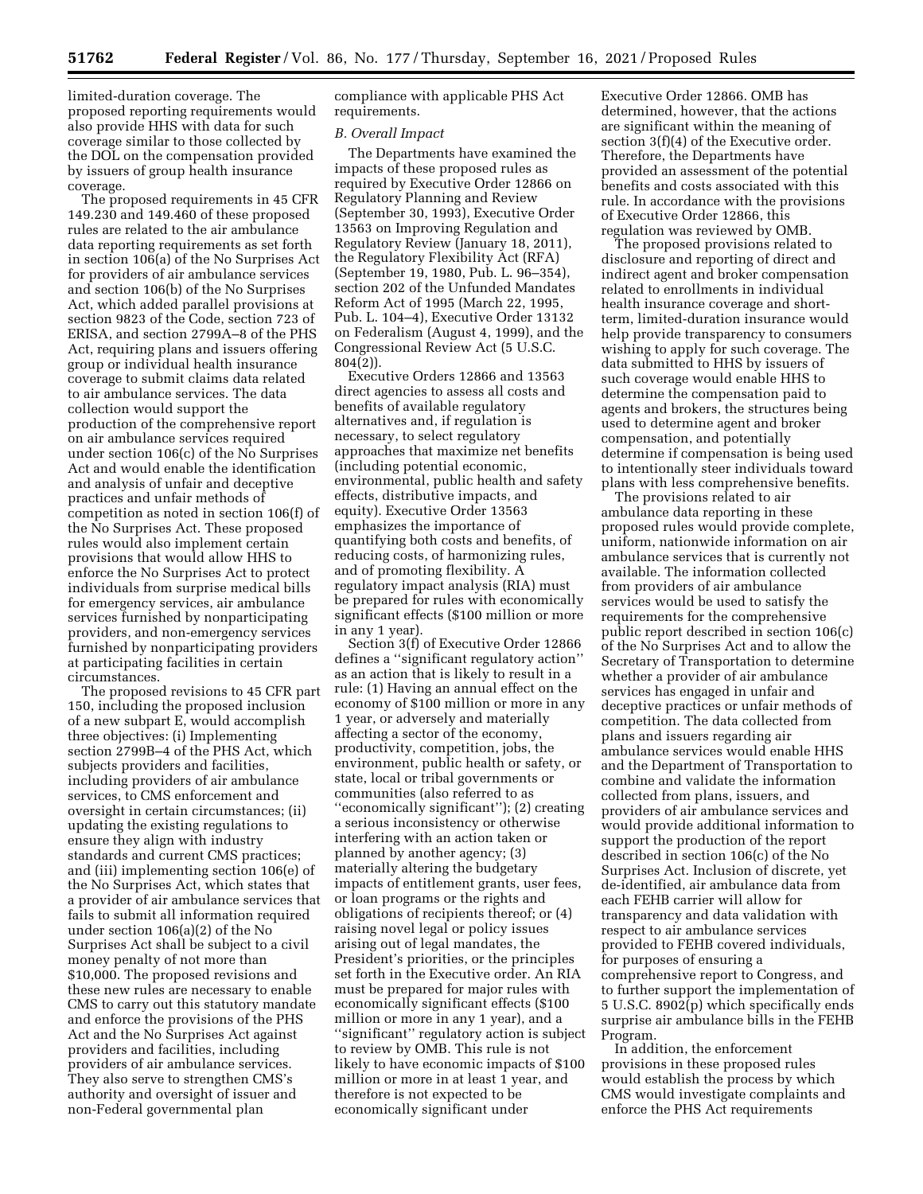limited-duration coverage. The proposed reporting requirements would also provide HHS with data for such coverage similar to those collected by the DOL on the compensation provided by issuers of group health insurance coverage.

The proposed requirements in 45 CFR 149.230 and 149.460 of these proposed rules are related to the air ambulance data reporting requirements as set forth in section 106(a) of the No Surprises Act for providers of air ambulance services and section 106(b) of the No Surprises Act, which added parallel provisions at section 9823 of the Code, section 723 of ERISA, and section 2799A–8 of the PHS Act, requiring plans and issuers offering group or individual health insurance coverage to submit claims data related to air ambulance services. The data collection would support the production of the comprehensive report on air ambulance services required under section 106(c) of the No Surprises Act and would enable the identification and analysis of unfair and deceptive practices and unfair methods of competition as noted in section 106(f) of the No Surprises Act. These proposed rules would also implement certain provisions that would allow HHS to enforce the No Surprises Act to protect individuals from surprise medical bills for emergency services, air ambulance services furnished by nonparticipating providers, and non-emergency services furnished by nonparticipating providers at participating facilities in certain circumstances.

The proposed revisions to 45 CFR part 150, including the proposed inclusion of a new subpart E, would accomplish three objectives: (i) Implementing section 2799B–4 of the PHS Act, which subjects providers and facilities, including providers of air ambulance services, to CMS enforcement and oversight in certain circumstances; (ii) updating the existing regulations to ensure they align with industry standards and current CMS practices; and (iii) implementing section 106(e) of the No Surprises Act, which states that a provider of air ambulance services that fails to submit all information required under section 106(a)(2) of the No Surprises Act shall be subject to a civil money penalty of not more than \$10,000. The proposed revisions and these new rules are necessary to enable CMS to carry out this statutory mandate and enforce the provisions of the PHS Act and the No Surprises Act against providers and facilities, including providers of air ambulance services. They also serve to strengthen CMS's authority and oversight of issuer and non-Federal governmental plan

compliance with applicable PHS Act requirements.

#### *B. Overall Impact*

The Departments have examined the impacts of these proposed rules as required by Executive Order 12866 on Regulatory Planning and Review (September 30, 1993), Executive Order 13563 on Improving Regulation and Regulatory Review (January 18, 2011), the Regulatory Flexibility Act (RFA) (September 19, 1980, Pub. L. 96–354), section 202 of the Unfunded Mandates Reform Act of 1995 (March 22, 1995, Pub. L. 104–4), Executive Order 13132 on Federalism (August 4, 1999), and the Congressional Review Act (5 U.S.C.  $804(2)$ ).

Executive Orders 12866 and 13563 direct agencies to assess all costs and benefits of available regulatory alternatives and, if regulation is necessary, to select regulatory approaches that maximize net benefits (including potential economic, environmental, public health and safety effects, distributive impacts, and equity). Executive Order 13563 emphasizes the importance of quantifying both costs and benefits, of reducing costs, of harmonizing rules, and of promoting flexibility. A regulatory impact analysis (RIA) must be prepared for rules with economically significant effects (\$100 million or more in any 1 year).

Section 3(f) of Executive Order 12866 defines a ''significant regulatory action'' as an action that is likely to result in a rule: (1) Having an annual effect on the economy of \$100 million or more in any 1 year, or adversely and materially affecting a sector of the economy, productivity, competition, jobs, the environment, public health or safety, or state, local or tribal governments or communities (also referred to as ''economically significant''); (2) creating a serious inconsistency or otherwise interfering with an action taken or planned by another agency; (3) materially altering the budgetary impacts of entitlement grants, user fees, or loan programs or the rights and obligations of recipients thereof; or (4) raising novel legal or policy issues arising out of legal mandates, the President's priorities, or the principles set forth in the Executive order. An RIA must be prepared for major rules with economically significant effects (\$100 million or more in any 1 year), and a ''significant'' regulatory action is subject to review by OMB. This rule is not likely to have economic impacts of \$100 million or more in at least 1 year, and therefore is not expected to be economically significant under

Executive Order 12866. OMB has determined, however, that the actions are significant within the meaning of section 3(f)(4) of the Executive order. Therefore, the Departments have provided an assessment of the potential benefits and costs associated with this rule. In accordance with the provisions of Executive Order 12866, this regulation was reviewed by OMB.

The proposed provisions related to disclosure and reporting of direct and indirect agent and broker compensation related to enrollments in individual health insurance coverage and shortterm, limited-duration insurance would help provide transparency to consumers wishing to apply for such coverage. The data submitted to HHS by issuers of such coverage would enable HHS to determine the compensation paid to agents and brokers, the structures being used to determine agent and broker compensation, and potentially determine if compensation is being used to intentionally steer individuals toward plans with less comprehensive benefits.

The provisions related to air ambulance data reporting in these proposed rules would provide complete, uniform, nationwide information on air ambulance services that is currently not available. The information collected from providers of air ambulance services would be used to satisfy the requirements for the comprehensive public report described in section 106(c) of the No Surprises Act and to allow the Secretary of Transportation to determine whether a provider of air ambulance services has engaged in unfair and deceptive practices or unfair methods of competition. The data collected from plans and issuers regarding air ambulance services would enable HHS and the Department of Transportation to combine and validate the information collected from plans, issuers, and providers of air ambulance services and would provide additional information to support the production of the report described in section 106(c) of the No Surprises Act. Inclusion of discrete, yet de-identified, air ambulance data from each FEHB carrier will allow for transparency and data validation with respect to air ambulance services provided to FEHB covered individuals, for purposes of ensuring a comprehensive report to Congress, and to further support the implementation of 5 U.S.C. 8902(p) which specifically ends surprise air ambulance bills in the FEHB Program.

In addition, the enforcement provisions in these proposed rules would establish the process by which CMS would investigate complaints and enforce the PHS Act requirements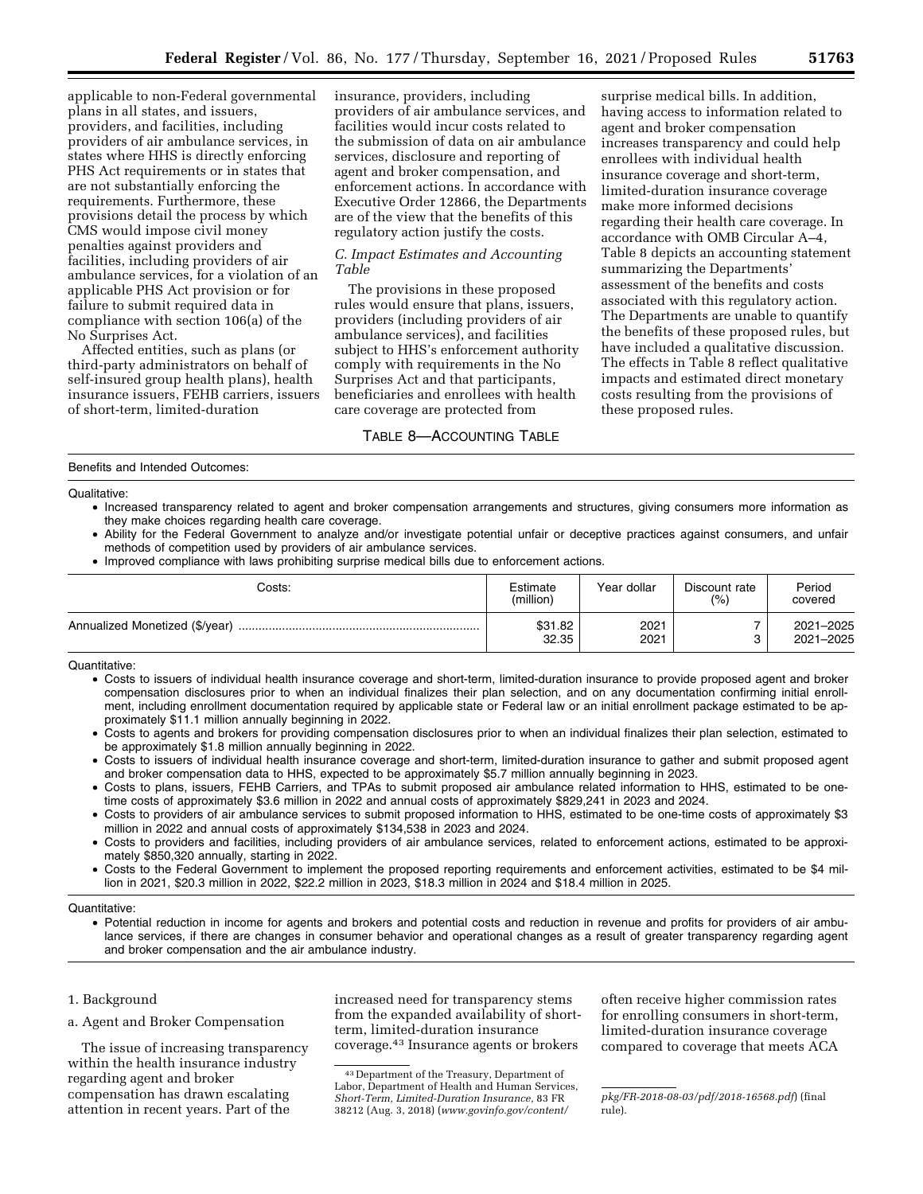applicable to non-Federal governmental plans in all states, and issuers, providers, and facilities, including providers of air ambulance services, in states where HHS is directly enforcing PHS Act requirements or in states that are not substantially enforcing the requirements. Furthermore, these provisions detail the process by which CMS would impose civil money penalties against providers and facilities, including providers of air ambulance services, for a violation of an applicable PHS Act provision or for failure to submit required data in compliance with section 106(a) of the No Surprises Act.

Affected entities, such as plans (or third-party administrators on behalf of self-insured group health plans), health insurance issuers, FEHB carriers, issuers of short-term, limited-duration

insurance, providers, including providers of air ambulance services, and facilities would incur costs related to the submission of data on air ambulance services, disclosure and reporting of agent and broker compensation, and enforcement actions. In accordance with Executive Order 12866, the Departments are of the view that the benefits of this regulatory action justify the costs.

## *C. Impact Estimates and Accounting Table*

The provisions in these proposed rules would ensure that plans, issuers, providers (including providers of air ambulance services), and facilities subject to HHS's enforcement authority comply with requirements in the No Surprises Act and that participants, beneficiaries and enrollees with health care coverage are protected from

## TABLE 8—ACCOUNTING TABLE

surprise medical bills. In addition, having access to information related to agent and broker compensation increases transparency and could help enrollees with individual health insurance coverage and short-term, limited-duration insurance coverage make more informed decisions regarding their health care coverage. In accordance with OMB Circular A–4, Table 8 depicts an accounting statement summarizing the Departments' assessment of the benefits and costs associated with this regulatory action. The Departments are unable to quantify the benefits of these proposed rules, but have included a qualitative discussion. The effects in Table 8 reflect qualitative impacts and estimated direct monetary costs resulting from the provisions of these proposed rules.

### Benefits and Intended Outcomes:

Qualitative:

- Increased transparency related to agent and broker compensation arrangements and structures, giving consumers more information as they make choices regarding health care coverage.
- Ability for the Federal Government to analyze and/or investigate potential unfair or deceptive practices against consumers, and unfair methods of competition used by providers of air ambulance services.
- Improved compliance with laws prohibiting surprise medical bills due to enforcement actions.

| Costs: | Estimate<br>(million) | Year dollar  | Discount rate<br>(% ) | Period<br>covered      |
|--------|-----------------------|--------------|-----------------------|------------------------|
|        | \$31.82<br>32.35      | 2021<br>2021 |                       | 2021-2025<br>2021-2025 |

Quantitative:

- Costs to issuers of individual health insurance coverage and short-term, limited-duration insurance to provide proposed agent and broker compensation disclosures prior to when an individual finalizes their plan selection, and on any documentation confirming initial enrollment, including enrollment documentation required by applicable state or Federal law or an initial enrollment package estimated to be approximately \$11.1 million annually beginning in 2022.
- Costs to agents and brokers for providing compensation disclosures prior to when an individual finalizes their plan selection, estimated to be approximately \$1.8 million annually beginning in 2022.
- Costs to issuers of individual health insurance coverage and short-term, limited-duration insurance to gather and submit proposed agent and broker compensation data to HHS, expected to be approximately \$5.7 million annually beginning in 2023.
- Costs to plans, issuers, FEHB Carriers, and TPAs to submit proposed air ambulance related information to HHS, estimated to be onetime costs of approximately \$3.6 million in 2022 and annual costs of approximately \$829,241 in 2023 and 2024.
- Costs to providers of air ambulance services to submit proposed information to HHS, estimated to be one-time costs of approximately \$3 million in 2022 and annual costs of approximately \$134,538 in 2023 and 2024.
- Costs to providers and facilities, including providers of air ambulance services, related to enforcement actions, estimated to be approximately \$850,320 annually, starting in 2022.
- Costs to the Federal Government to implement the proposed reporting requirements and enforcement activities, estimated to be \$4 million in 2021, \$20.3 million in 2022, \$22.2 million in 2023, \$18.3 million in 2024 and \$18.4 million in 2025.

#### Quantitative:

• Potential reduction in income for agents and brokers and potential costs and reduction in revenue and profits for providers of air ambulance services, if there are changes in consumer behavior and operational changes as a result of greater transparency regarding agent and broker compensation and the air ambulance industry.

## 1. Background

a. Agent and Broker Compensation

The issue of increasing transparency within the health insurance industry regarding agent and broker compensation has drawn escalating attention in recent years. Part of the

increased need for transparency stems from the expanded availability of shortterm, limited-duration insurance coverage.43 Insurance agents or brokers

often receive higher commission rates for enrolling consumers in short-term, limited-duration insurance coverage compared to coverage that meets ACA

<sup>43</sup> Department of the Treasury, Department of Labor, Department of Health and Human Services, *Short-Term, Limited-Duration Insurance,* 83 FR 38212 (Aug. 3, 2018) (*[www.govinfo.gov/content/](http://www.govinfo.gov/content/pkg/FR-2018-08-03/pdf/2018-16568.pdf)* 

*[pkg/FR-2018-08-03/pdf/2018-16568.pdf](http://www.govinfo.gov/content/pkg/FR-2018-08-03/pdf/2018-16568.pdf)*) (final rule).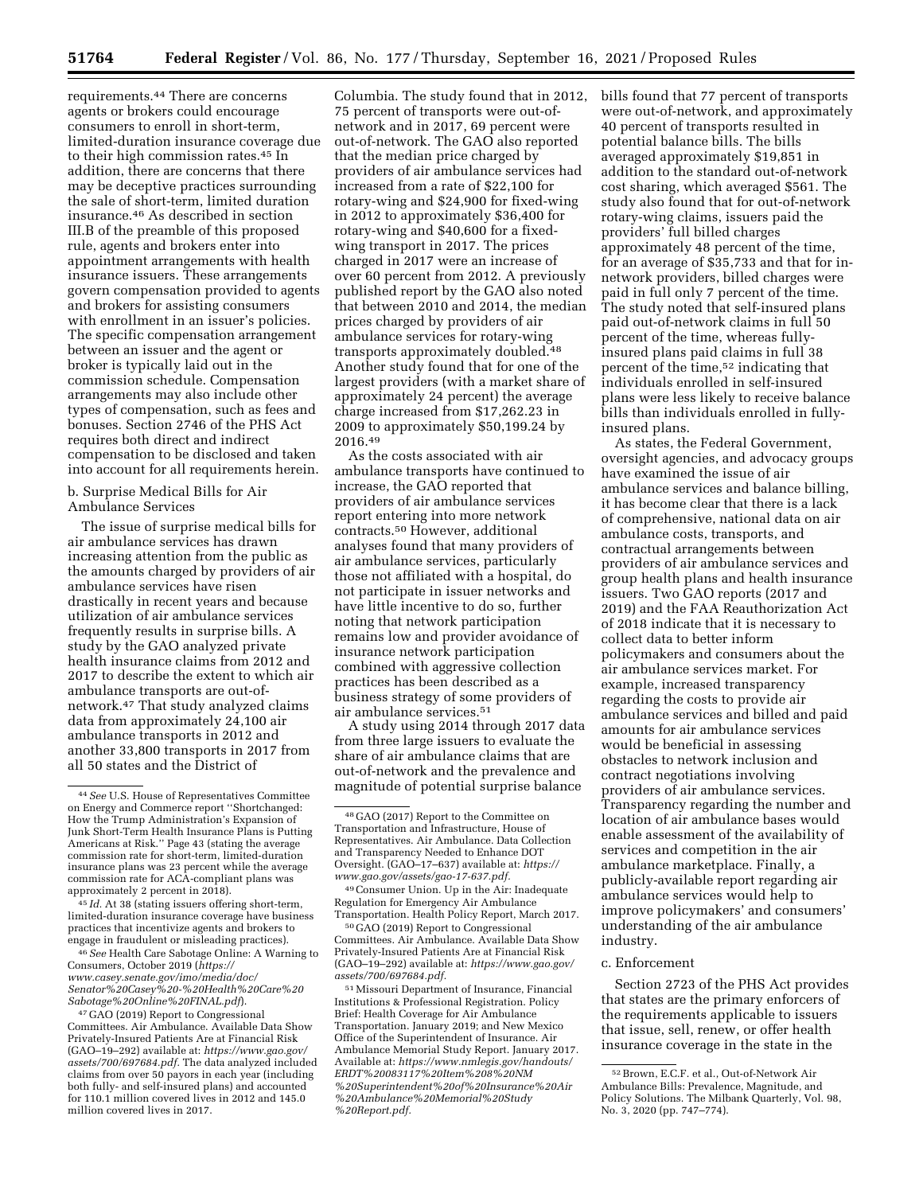requirements.44 There are concerns agents or brokers could encourage consumers to enroll in short-term, limited-duration insurance coverage due to their high commission rates.45 In addition, there are concerns that there may be deceptive practices surrounding the sale of short-term, limited duration insurance.46 As described in section III.B of the preamble of this proposed rule, agents and brokers enter into appointment arrangements with health insurance issuers. These arrangements govern compensation provided to agents and brokers for assisting consumers with enrollment in an issuer's policies. The specific compensation arrangement between an issuer and the agent or broker is typically laid out in the commission schedule. Compensation arrangements may also include other types of compensation, such as fees and bonuses. Section 2746 of the PHS Act requires both direct and indirect compensation to be disclosed and taken into account for all requirements herein.

## b. Surprise Medical Bills for Air Ambulance Services

The issue of surprise medical bills for air ambulance services has drawn increasing attention from the public as the amounts charged by providers of air ambulance services have risen drastically in recent years and because utilization of air ambulance services frequently results in surprise bills. A study by the GAO analyzed private health insurance claims from 2012 and 2017 to describe the extent to which air ambulance transports are out-ofnetwork.47 That study analyzed claims data from approximately 24,100 air ambulance transports in 2012 and another 33,800 transports in 2017 from all 50 states and the District of

45 *Id.* At 38 (stating issuers offering short-term, limited-duration insurance coverage have business practices that incentivize agents and brokers to engage in fraudulent or misleading practices).

46*See* Health Care Sabotage Online: A Warning to Consumers, October 2019 (*[https://](https://www.casey.senate.gov/imo/media/doc/Senator%20Casey%20-%20Health%20Care%20Sabotage%20Online%20FINAL.pdf) [www.casey.senate.gov/imo/media/doc/](https://www.casey.senate.gov/imo/media/doc/Senator%20Casey%20-%20Health%20Care%20Sabotage%20Online%20FINAL.pdf) [Senator%20Casey%20-%20Health%20Care%20](https://www.casey.senate.gov/imo/media/doc/Senator%20Casey%20-%20Health%20Care%20Sabotage%20Online%20FINAL.pdf) [Sabotage%20Online%20FINAL.pdf](https://www.casey.senate.gov/imo/media/doc/Senator%20Casey%20-%20Health%20Care%20Sabotage%20Online%20FINAL.pdf)*).

47 GAO (2019) Report to Congressional Committees. Air Ambulance. Available Data Show Privately-Insured Patients Are at Financial Risk (GAO–19–292) available at: *[https://www.gao.gov/](https://www.gao.gov/assets/700/697684.pdf)  [assets/700/697684.pdf.](https://www.gao.gov/assets/700/697684.pdf)* The data analyzed included claims from over 50 payors in each year (including both fully- and self-insured plans) and accounted for 110.1 million covered lives in 2012 and 145.0 million covered lives in 2017.

Columbia. The study found that in 2012, 75 percent of transports were out-ofnetwork and in 2017, 69 percent were out-of-network. The GAO also reported that the median price charged by providers of air ambulance services had increased from a rate of \$22,100 for rotary-wing and \$24,900 for fixed-wing in 2012 to approximately \$36,400 for rotary-wing and \$40,600 for a fixedwing transport in 2017. The prices charged in 2017 were an increase of over 60 percent from 2012. A previously published report by the GAO also noted that between 2010 and 2014, the median prices charged by providers of air ambulance services for rotary-wing transports approximately doubled.48 Another study found that for one of the largest providers (with a market share of approximately 24 percent) the average charge increased from \$17,262.23 in 2009 to approximately \$50,199.24 by 2016.49

As the costs associated with air ambulance transports have continued to increase, the GAO reported that providers of air ambulance services report entering into more network contracts.50 However, additional analyses found that many providers of air ambulance services, particularly those not affiliated with a hospital, do not participate in issuer networks and have little incentive to do so, further noting that network participation remains low and provider avoidance of insurance network participation combined with aggressive collection practices has been described as a business strategy of some providers of air ambulance services.51

A study using 2014 through 2017 data from three large issuers to evaluate the share of air ambulance claims that are out-of-network and the prevalence and magnitude of potential surprise balance

49Consumer Union. Up in the Air: Inadequate Regulation for Emergency Air Ambulance Transportation. Health Policy Report, March 2017.

50 GAO (2019) Report to Congressional Committees. Air Ambulance. Available Data Show Privately-Insured Patients Are at Financial Risk (GAO–19–292) available at: *[https://www.gao.gov/](https://www.gao.gov/assets/700/697684.pdf) [assets/700/697684.pdf.](https://www.gao.gov/assets/700/697684.pdf)* 

51Missouri Department of Insurance, Financial Institutions & Professional Registration. Policy Brief: Health Coverage for Air Ambulance Transportation. January 2019; and New Mexico Office of the Superintendent of Insurance. Air Ambulance Memorial Study Report. January 2017. Available at: *[https://www.nmlegis.gov/handouts/](https://www.nmlegis.gov/handouts/ERDT%20083117%20Item%208%20NM%20Superintendent%20of%20Insurance%20Air%20Ambulance%20Memorial%20Study%20Report.pdf) [ERDT%20083117%20Item%208%20NM](https://www.nmlegis.gov/handouts/ERDT%20083117%20Item%208%20NM%20Superintendent%20of%20Insurance%20Air%20Ambulance%20Memorial%20Study%20Report.pdf) [%20Superintendent%20of%20Insurance%20Air](https://www.nmlegis.gov/handouts/ERDT%20083117%20Item%208%20NM%20Superintendent%20of%20Insurance%20Air%20Ambulance%20Memorial%20Study%20Report.pdf) [%20Ambulance%20Memorial%20Study](https://www.nmlegis.gov/handouts/ERDT%20083117%20Item%208%20NM%20Superintendent%20of%20Insurance%20Air%20Ambulance%20Memorial%20Study%20Report.pdf) [%20Report.pdf.](https://www.nmlegis.gov/handouts/ERDT%20083117%20Item%208%20NM%20Superintendent%20of%20Insurance%20Air%20Ambulance%20Memorial%20Study%20Report.pdf)* 

bills found that 77 percent of transports were out-of-network, and approximately 40 percent of transports resulted in potential balance bills. The bills averaged approximately \$19,851 in addition to the standard out-of-network cost sharing, which averaged \$561. The study also found that for out-of-network rotary-wing claims, issuers paid the providers' full billed charges approximately 48 percent of the time, for an average of \$35,733 and that for innetwork providers, billed charges were paid in full only 7 percent of the time. The study noted that self-insured plans paid out-of-network claims in full 50 percent of the time, whereas fullyinsured plans paid claims in full 38 percent of the time,52 indicating that individuals enrolled in self-insured plans were less likely to receive balance bills than individuals enrolled in fullyinsured plans.

As states, the Federal Government, oversight agencies, and advocacy groups have examined the issue of air ambulance services and balance billing, it has become clear that there is a lack of comprehensive, national data on air ambulance costs, transports, and contractual arrangements between providers of air ambulance services and group health plans and health insurance issuers. Two GAO reports (2017 and 2019) and the FAA Reauthorization Act of 2018 indicate that it is necessary to collect data to better inform policymakers and consumers about the air ambulance services market. For example, increased transparency regarding the costs to provide air ambulance services and billed and paid amounts for air ambulance services would be beneficial in assessing obstacles to network inclusion and contract negotiations involving providers of air ambulance services. Transparency regarding the number and location of air ambulance bases would enable assessment of the availability of services and competition in the air ambulance marketplace. Finally, a publicly-available report regarding air ambulance services would help to improve policymakers' and consumers' understanding of the air ambulance industry.

### c. Enforcement

Section 2723 of the PHS Act provides that states are the primary enforcers of the requirements applicable to issuers that issue, sell, renew, or offer health insurance coverage in the state in the

<sup>44</sup>*See* U.S. House of Representatives Committee on Energy and Commerce report ''Shortchanged: How the Trump Administration's Expansion of Junk Short-Term Health Insurance Plans is Putting Americans at Risk.'' Page 43 (stating the average commission rate for short-term, limited-duration insurance plans was 23 percent while the average commission rate for ACA-compliant plans was approximately 2 percent in 2018).

<sup>48</sup> GAO (2017) Report to the Committee on Transportation and Infrastructure, House of Representatives. Air Ambulance. Data Collection and Transparency Needed to Enhance DOT Oversight. (GAO–17–637) available at: *[https://](https://www.gao.gov/assets/gao-17-637.pdf) [www.gao.gov/assets/gao-17-637.pdf.](https://www.gao.gov/assets/gao-17-637.pdf)* 

<sup>52</sup>Brown, E.C.F. et al., Out-of-Network Air Ambulance Bills: Prevalence, Magnitude, and Policy Solutions. The Milbank Quarterly, Vol. 98, No. 3, 2020 (pp. 747–774).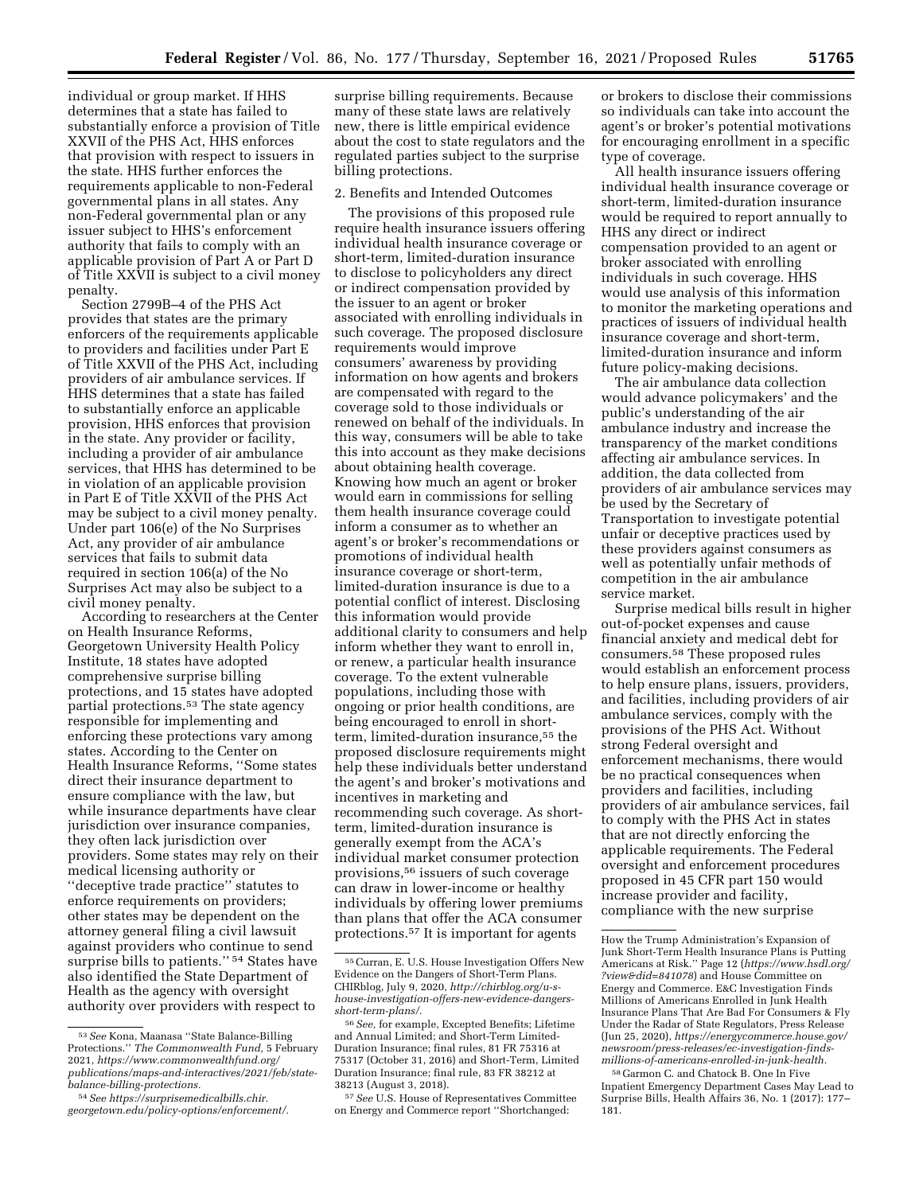individual or group market. If HHS determines that a state has failed to substantially enforce a provision of Title XXVII of the PHS Act, HHS enforces that provision with respect to issuers in the state. HHS further enforces the requirements applicable to non-Federal governmental plans in all states. Any non-Federal governmental plan or any issuer subject to HHS's enforcement authority that fails to comply with an applicable provision of Part A or Part D of Title XXVII is subject to a civil money penalty.

Section 2799B–4 of the PHS Act provides that states are the primary enforcers of the requirements applicable to providers and facilities under Part E of Title XXVII of the PHS Act, including providers of air ambulance services. If HHS determines that a state has failed to substantially enforce an applicable provision, HHS enforces that provision in the state. Any provider or facility, including a provider of air ambulance services, that HHS has determined to be in violation of an applicable provision in Part E of Title XXVII of the PHS Act may be subject to a civil money penalty. Under part 106(e) of the No Surprises Act, any provider of air ambulance services that fails to submit data required in section 106(a) of the No Surprises Act may also be subject to a civil money penalty.

According to researchers at the Center on Health Insurance Reforms, Georgetown University Health Policy Institute, 18 states have adopted comprehensive surprise billing protections, and 15 states have adopted partial protections.53 The state agency responsible for implementing and enforcing these protections vary among states. According to the Center on Health Insurance Reforms, ''Some states direct their insurance department to ensure compliance with the law, but while insurance departments have clear jurisdiction over insurance companies, they often lack jurisdiction over providers. Some states may rely on their medical licensing authority or ''deceptive trade practice'' statutes to enforce requirements on providers; other states may be dependent on the attorney general filing a civil lawsuit against providers who continue to send surprise bills to patients."<sup>54</sup> States have also identified the State Department of Health as the agency with oversight authority over providers with respect to

surprise billing requirements. Because many of these state laws are relatively new, there is little empirical evidence about the cost to state regulators and the regulated parties subject to the surprise billing protections.

#### 2. Benefits and Intended Outcomes

The provisions of this proposed rule require health insurance issuers offering individual health insurance coverage or short-term, limited-duration insurance to disclose to policyholders any direct or indirect compensation provided by the issuer to an agent or broker associated with enrolling individuals in such coverage. The proposed disclosure requirements would improve consumers' awareness by providing information on how agents and brokers are compensated with regard to the coverage sold to those individuals or renewed on behalf of the individuals. In this way, consumers will be able to take this into account as they make decisions about obtaining health coverage. Knowing how much an agent or broker would earn in commissions for selling them health insurance coverage could inform a consumer as to whether an agent's or broker's recommendations or promotions of individual health insurance coverage or short-term, limited-duration insurance is due to a potential conflict of interest. Disclosing this information would provide additional clarity to consumers and help inform whether they want to enroll in, or renew, a particular health insurance coverage. To the extent vulnerable populations, including those with ongoing or prior health conditions, are being encouraged to enroll in shortterm, limited-duration insurance,55 the proposed disclosure requirements might help these individuals better understand the agent's and broker's motivations and incentives in marketing and recommending such coverage. As shortterm, limited-duration insurance is generally exempt from the ACA's individual market consumer protection provisions,56 issuers of such coverage can draw in lower-income or healthy individuals by offering lower premiums than plans that offer the ACA consumer protections.57 It is important for agents

57*See* U.S. House of Representatives Committee on Energy and Commerce report ''Shortchanged:

or brokers to disclose their commissions so individuals can take into account the agent's or broker's potential motivations for encouraging enrollment in a specific type of coverage.

All health insurance issuers offering individual health insurance coverage or short-term, limited-duration insurance would be required to report annually to HHS any direct or indirect compensation provided to an agent or broker associated with enrolling individuals in such coverage. HHS would use analysis of this information to monitor the marketing operations and practices of issuers of individual health insurance coverage and short-term, limited-duration insurance and inform future policy-making decisions.

The air ambulance data collection would advance policymakers' and the public's understanding of the air ambulance industry and increase the transparency of the market conditions affecting air ambulance services. In addition, the data collected from providers of air ambulance services may be used by the Secretary of Transportation to investigate potential unfair or deceptive practices used by these providers against consumers as well as potentially unfair methods of competition in the air ambulance service market.

Surprise medical bills result in higher out-of-pocket expenses and cause financial anxiety and medical debt for consumers.58 These proposed rules would establish an enforcement process to help ensure plans, issuers, providers, and facilities, including providers of air ambulance services, comply with the provisions of the PHS Act. Without strong Federal oversight and enforcement mechanisms, there would be no practical consequences when providers and facilities, including providers of air ambulance services, fail to comply with the PHS Act in states that are not directly enforcing the applicable requirements. The Federal oversight and enforcement procedures proposed in 45 CFR part 150 would increase provider and facility, compliance with the new surprise

<sup>53</sup>*See* Kona, Maanasa ''State Balance-Billing Protections.'' *The Commonwealth Fund,* 5 February 2021, *[https://www.commonwealthfund.org/](https://www.commonwealthfund.org/publications/maps-and-interactives/2021/feb/state-balance-billing-protections)  [publications/maps-and-interactives/2021/feb/state](https://www.commonwealthfund.org/publications/maps-and-interactives/2021/feb/state-balance-billing-protections)[balance-billing-protections.](https://www.commonwealthfund.org/publications/maps-and-interactives/2021/feb/state-balance-billing-protections)* 

<sup>54</sup>*See [https://surprisemedicalbills.chir.](https://surprisemedicalbills.chir.georgetown.edu/policy-options/enforcement/) [georgetown.edu/policy-options/enforcement/.](https://surprisemedicalbills.chir.georgetown.edu/policy-options/enforcement/)* 

<sup>55</sup>Curran, E. U.S. House Investigation Offers New Evidence on the Dangers of Short-Term Plans. CHIRblog, July 9, 2020, *[http://chirblog.org/u-s](http://chirblog.org/u-s-house-investigation-offers-new-evidence-dangers-short-term-plans/)[house-investigation-offers-new-evidence-dangers](http://chirblog.org/u-s-house-investigation-offers-new-evidence-dangers-short-term-plans/)[short-term-plans/.](http://chirblog.org/u-s-house-investigation-offers-new-evidence-dangers-short-term-plans/)* 

<sup>56</sup>*See,* for example, Excepted Benefits; Lifetime and Annual Limited; and Short-Term Limited-Duration Insurance; final rules, 81 FR 75316 at 75317 (October 31, 2016) and Short-Term, Limited Duration Insurance; final rule, 83 FR 38212 at 38213 (August 3, 2018).

How the Trump Administration's Expansion of Junk Short-Term Health Insurance Plans is Putting Americans at Risk.'' Page 12 (*[https://www.hsdl.org/](https://www.hsdl.org/?view&did=841078) [?view&did=841078](https://www.hsdl.org/?view&did=841078)*) and House Committee on Energy and Commerce. E&C Investigation Finds Millions of Americans Enrolled in Junk Health Insurance Plans That Are Bad For Consumers & Fly Under the Radar of State Regulators, Press Release (Jun 25, 2020), *[https://energycommerce.house.gov/](https://energycommerce.house.gov/newsroom/press-releases/ec-investigation-finds-millions-of-americans-enrolled-in-junk-health) [newsroom/press-releases/ec-investigation-finds](https://energycommerce.house.gov/newsroom/press-releases/ec-investigation-finds-millions-of-americans-enrolled-in-junk-health)[millions-of-americans-enrolled-in-junk-health.](https://energycommerce.house.gov/newsroom/press-releases/ec-investigation-finds-millions-of-americans-enrolled-in-junk-health)* 

<sup>58</sup> Garmon C. and Chatock B. One In Five Inpatient Emergency Department Cases May Lead to Surprise Bills, Health Affairs 36, No. 1 (2017): 177– 181.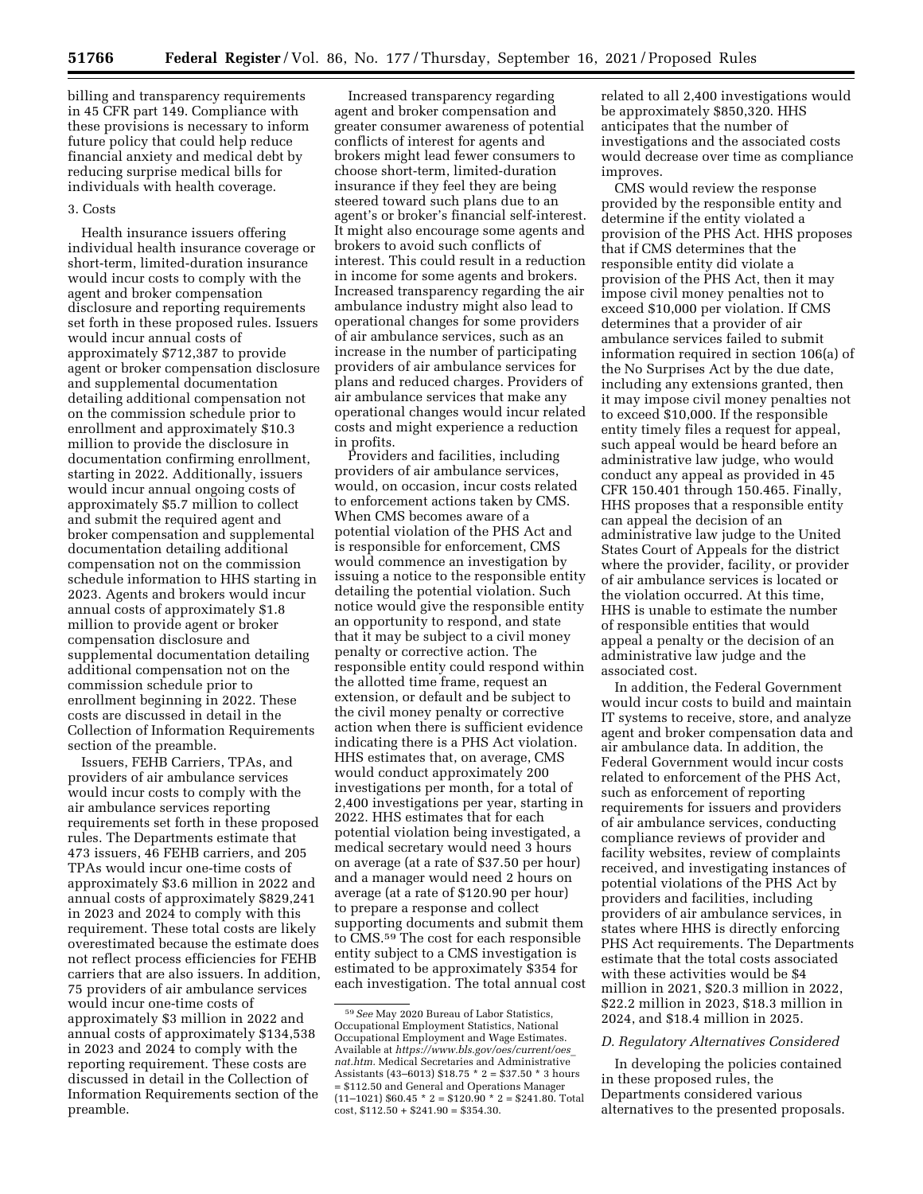billing and transparency requirements in 45 CFR part 149. Compliance with these provisions is necessary to inform future policy that could help reduce financial anxiety and medical debt by reducing surprise medical bills for individuals with health coverage.

#### 3. Costs

Health insurance issuers offering individual health insurance coverage or short-term, limited-duration insurance would incur costs to comply with the agent and broker compensation disclosure and reporting requirements set forth in these proposed rules. Issuers would incur annual costs of approximately \$712,387 to provide agent or broker compensation disclosure and supplemental documentation detailing additional compensation not on the commission schedule prior to enrollment and approximately \$10.3 million to provide the disclosure in documentation confirming enrollment, starting in 2022. Additionally, issuers would incur annual ongoing costs of approximately \$5.7 million to collect and submit the required agent and broker compensation and supplemental documentation detailing additional compensation not on the commission schedule information to HHS starting in 2023. Agents and brokers would incur annual costs of approximately \$1.8 million to provide agent or broker compensation disclosure and supplemental documentation detailing additional compensation not on the commission schedule prior to enrollment beginning in 2022. These costs are discussed in detail in the Collection of Information Requirements section of the preamble.

Issuers, FEHB Carriers, TPAs, and providers of air ambulance services would incur costs to comply with the air ambulance services reporting requirements set forth in these proposed rules. The Departments estimate that 473 issuers, 46 FEHB carriers, and 205 TPAs would incur one-time costs of approximately \$3.6 million in 2022 and annual costs of approximately \$829,241 in 2023 and 2024 to comply with this requirement. These total costs are likely overestimated because the estimate does not reflect process efficiencies for FEHB carriers that are also issuers. In addition, 75 providers of air ambulance services would incur one-time costs of approximately \$3 million in 2022 and annual costs of approximately \$134,538 in 2023 and 2024 to comply with the reporting requirement. These costs are discussed in detail in the Collection of Information Requirements section of the preamble.

Increased transparency regarding agent and broker compensation and greater consumer awareness of potential conflicts of interest for agents and brokers might lead fewer consumers to choose short-term, limited-duration insurance if they feel they are being steered toward such plans due to an agent's or broker's financial self-interest. It might also encourage some agents and brokers to avoid such conflicts of interest. This could result in a reduction in income for some agents and brokers. Increased transparency regarding the air ambulance industry might also lead to operational changes for some providers of air ambulance services, such as an increase in the number of participating providers of air ambulance services for plans and reduced charges. Providers of air ambulance services that make any operational changes would incur related costs and might experience a reduction in profits.

Providers and facilities, including providers of air ambulance services, would, on occasion, incur costs related to enforcement actions taken by CMS. When CMS becomes aware of a potential violation of the PHS Act and is responsible for enforcement, CMS would commence an investigation by issuing a notice to the responsible entity detailing the potential violation. Such notice would give the responsible entity an opportunity to respond, and state that it may be subject to a civil money penalty or corrective action. The responsible entity could respond within the allotted time frame, request an extension, or default and be subject to the civil money penalty or corrective action when there is sufficient evidence indicating there is a PHS Act violation. HHS estimates that, on average, CMS would conduct approximately 200 investigations per month, for a total of 2,400 investigations per year, starting in 2022. HHS estimates that for each potential violation being investigated, a medical secretary would need 3 hours on average (at a rate of \$37.50 per hour) and a manager would need 2 hours on average (at a rate of \$120.90 per hour) to prepare a response and collect supporting documents and submit them to CMS.59 The cost for each responsible entity subject to a CMS investigation is estimated to be approximately \$354 for each investigation. The total annual cost related to all 2,400 investigations would be approximately \$850,320. HHS anticipates that the number of investigations and the associated costs would decrease over time as compliance improves.

CMS would review the response provided by the responsible entity and determine if the entity violated a provision of the PHS Act. HHS proposes that if CMS determines that the responsible entity did violate a provision of the PHS Act, then it may impose civil money penalties not to exceed \$10,000 per violation. If CMS determines that a provider of air ambulance services failed to submit information required in section 106(a) of the No Surprises Act by the due date, including any extensions granted, then it may impose civil money penalties not to exceed \$10,000. If the responsible entity timely files a request for appeal, such appeal would be heard before an administrative law judge, who would conduct any appeal as provided in 45 CFR 150.401 through 150.465. Finally, HHS proposes that a responsible entity can appeal the decision of an administrative law judge to the United States Court of Appeals for the district where the provider, facility, or provider of air ambulance services is located or the violation occurred. At this time, HHS is unable to estimate the number of responsible entities that would appeal a penalty or the decision of an administrative law judge and the associated cost.

In addition, the Federal Government would incur costs to build and maintain IT systems to receive, store, and analyze agent and broker compensation data and air ambulance data. In addition, the Federal Government would incur costs related to enforcement of the PHS Act, such as enforcement of reporting requirements for issuers and providers of air ambulance services, conducting compliance reviews of provider and facility websites, review of complaints received, and investigating instances of potential violations of the PHS Act by providers and facilities, including providers of air ambulance services, in states where HHS is directly enforcing PHS Act requirements. The Departments estimate that the total costs associated with these activities would be \$4 million in 2021, \$20.3 million in 2022, \$22.2 million in 2023, \$18.3 million in 2024, and \$18.4 million in 2025.

## *D. Regulatory Alternatives Considered*

In developing the policies contained in these proposed rules, the Departments considered various alternatives to the presented proposals.

<sup>59</sup>*See* May 2020 Bureau of Labor Statistics, Occupational Employment Statistics, National Occupational Employment and Wage Estimates. Available at *[https://www.bls.gov/oes/current/oes](https://www.bls.gov/oes/current/oes_nat.htm)*\_ *[nat.htm.](https://www.bls.gov/oes/current/oes_nat.htm)* Medical Secretaries and Administrative Assistants (43–6013) \$18.75 \* 2 = \$37.50 \* 3 hours = \$112.50 and General and Operations Manager  $(11-1021)$  \$60.45  $*$  2 = \$120.90  $*$  2 = \$241.80. Total  $cost, $112.50 + $241.90 = $354.30.$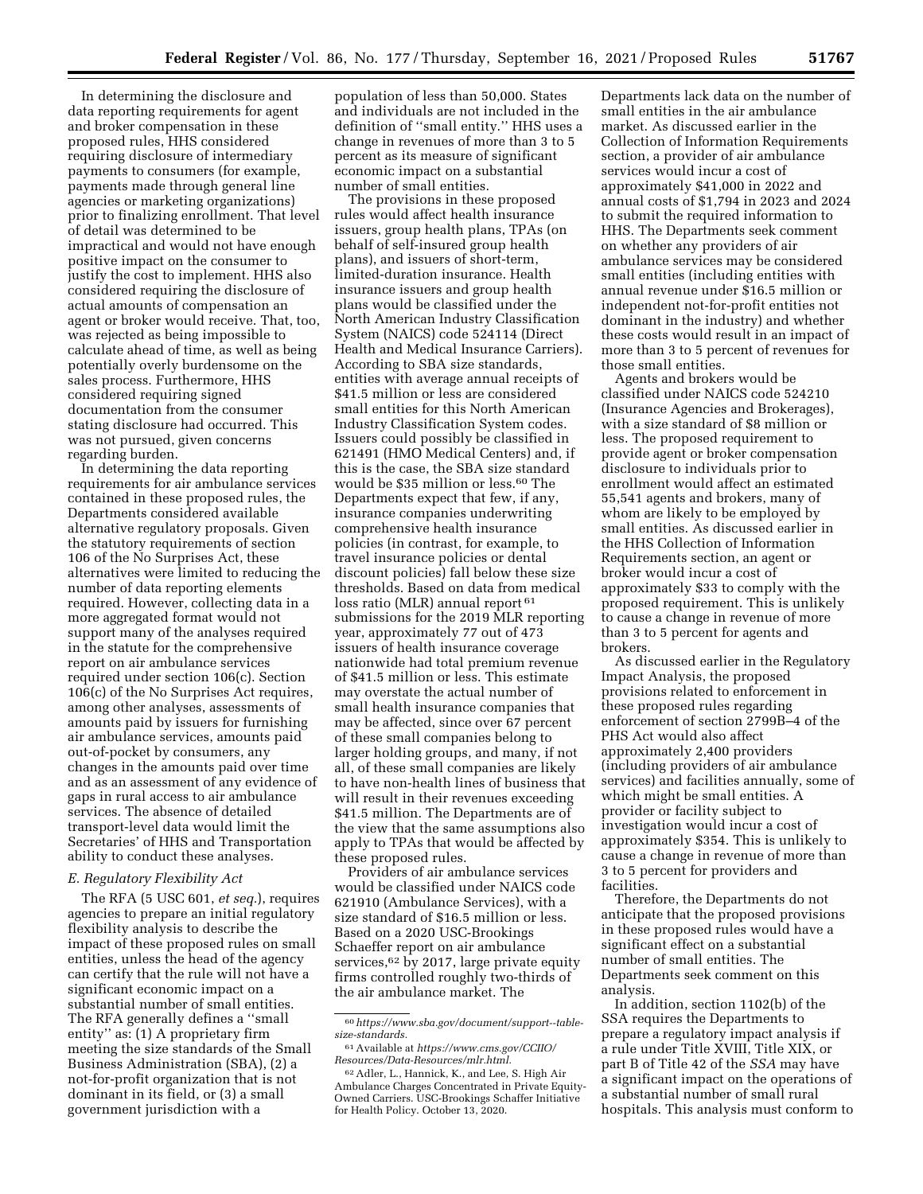In determining the disclosure and data reporting requirements for agent and broker compensation in these proposed rules, HHS considered requiring disclosure of intermediary payments to consumers (for example, payments made through general line agencies or marketing organizations) prior to finalizing enrollment. That level of detail was determined to be impractical and would not have enough positive impact on the consumer to justify the cost to implement. HHS also considered requiring the disclosure of actual amounts of compensation an agent or broker would receive. That, too, was rejected as being impossible to calculate ahead of time, as well as being potentially overly burdensome on the sales process. Furthermore, HHS considered requiring signed documentation from the consumer stating disclosure had occurred. This was not pursued, given concerns regarding burden.

In determining the data reporting requirements for air ambulance services contained in these proposed rules, the Departments considered available alternative regulatory proposals. Given the statutory requirements of section 106 of the No Surprises Act, these alternatives were limited to reducing the number of data reporting elements required. However, collecting data in a more aggregated format would not support many of the analyses required in the statute for the comprehensive report on air ambulance services required under section 106(c). Section 106(c) of the No Surprises Act requires, among other analyses, assessments of amounts paid by issuers for furnishing air ambulance services, amounts paid out-of-pocket by consumers, any changes in the amounts paid over time and as an assessment of any evidence of gaps in rural access to air ambulance services. The absence of detailed transport-level data would limit the Secretaries' of HHS and Transportation ability to conduct these analyses.

## *E. Regulatory Flexibility Act*

The RFA (5 USC 601, *et seq.*), requires agencies to prepare an initial regulatory flexibility analysis to describe the impact of these proposed rules on small entities, unless the head of the agency can certify that the rule will not have a significant economic impact on a substantial number of small entities. The RFA generally defines a ''small entity'' as: (1) A proprietary firm meeting the size standards of the Small Business Administration (SBA), (2) a not-for-profit organization that is not dominant in its field, or (3) a small government jurisdiction with a

population of less than 50,000. States and individuals are not included in the definition of ''small entity.'' HHS uses a change in revenues of more than 3 to 5 percent as its measure of significant economic impact on a substantial number of small entities.

The provisions in these proposed rules would affect health insurance issuers, group health plans, TPAs (on behalf of self-insured group health plans), and issuers of short-term, limited-duration insurance. Health insurance issuers and group health plans would be classified under the North American Industry Classification System (NAICS) code 524114 (Direct Health and Medical Insurance Carriers). According to SBA size standards, entities with average annual receipts of \$41.5 million or less are considered small entities for this North American Industry Classification System codes. Issuers could possibly be classified in 621491 (HMO Medical Centers) and, if this is the case, the SBA size standard would be \$35 million or less.60 The Departments expect that few, if any, insurance companies underwriting comprehensive health insurance policies (in contrast, for example, to travel insurance policies or dental discount policies) fall below these size thresholds. Based on data from medical loss ratio (MLR) annual report 61 submissions for the 2019 MLR reporting year, approximately 77 out of 473 issuers of health insurance coverage nationwide had total premium revenue of \$41.5 million or less. This estimate may overstate the actual number of small health insurance companies that may be affected, since over 67 percent of these small companies belong to larger holding groups, and many, if not all, of these small companies are likely to have non-health lines of business that will result in their revenues exceeding \$41.5 million. The Departments are of the view that the same assumptions also apply to TPAs that would be affected by these proposed rules.

Providers of air ambulance services would be classified under NAICS code 621910 (Ambulance Services), with a size standard of \$16.5 million or less. Based on a 2020 USC-Brookings Schaeffer report on air ambulance services,<sup>62</sup> by 2017, large private equity firms controlled roughly two-thirds of the air ambulance market. The

Departments lack data on the number of small entities in the air ambulance market. As discussed earlier in the Collection of Information Requirements section, a provider of air ambulance services would incur a cost of approximately \$41,000 in 2022 and annual costs of \$1,794 in 2023 and 2024 to submit the required information to HHS. The Departments seek comment on whether any providers of air ambulance services may be considered small entities (including entities with annual revenue under \$16.5 million or independent not-for-profit entities not dominant in the industry) and whether these costs would result in an impact of more than 3 to 5 percent of revenues for those small entities.

Agents and brokers would be classified under NAICS code 524210 (Insurance Agencies and Brokerages), with a size standard of \$8 million or less. The proposed requirement to provide agent or broker compensation disclosure to individuals prior to enrollment would affect an estimated 55,541 agents and brokers, many of whom are likely to be employed by small entities. As discussed earlier in the HHS Collection of Information Requirements section, an agent or broker would incur a cost of approximately \$33 to comply with the proposed requirement. This is unlikely to cause a change in revenue of more than 3 to 5 percent for agents and brokers.

As discussed earlier in the Regulatory Impact Analysis, the proposed provisions related to enforcement in these proposed rules regarding enforcement of section 2799B–4 of the PHS Act would also affect approximately 2,400 providers (including providers of air ambulance services) and facilities annually, some of which might be small entities. A provider or facility subject to investigation would incur a cost of approximately \$354. This is unlikely to cause a change in revenue of more than 3 to 5 percent for providers and facilities.

Therefore, the Departments do not anticipate that the proposed provisions in these proposed rules would have a significant effect on a substantial number of small entities. The Departments seek comment on this analysis.

In addition, section 1102(b) of the SSA requires the Departments to prepare a regulatory impact analysis if a rule under Title XVIII, Title XIX, or part B of Title 42 of the *SSA* may have a significant impact on the operations of a substantial number of small rural hospitals. This analysis must conform to

<sup>60</sup>*[https://www.sba.gov/document/support--table](https://www.sba.gov/document/support--table-size-standards)[size-standards.](https://www.sba.gov/document/support--table-size-standards)* 

<sup>61</sup>Available at *[https://www.cms.gov/CCIIO/](https://www.cms.gov/CCIIO/Resources/Data-Resources/mlr.html)  [Resources/Data-Resources/mlr.html.](https://www.cms.gov/CCIIO/Resources/Data-Resources/mlr.html)* 

<sup>62</sup>Adler, L., Hannick, K., and Lee, S. High Air Ambulance Charges Concentrated in Private Equity-Owned Carriers. USC-Brookings Schaffer Initiative for Health Policy. October 13, 2020.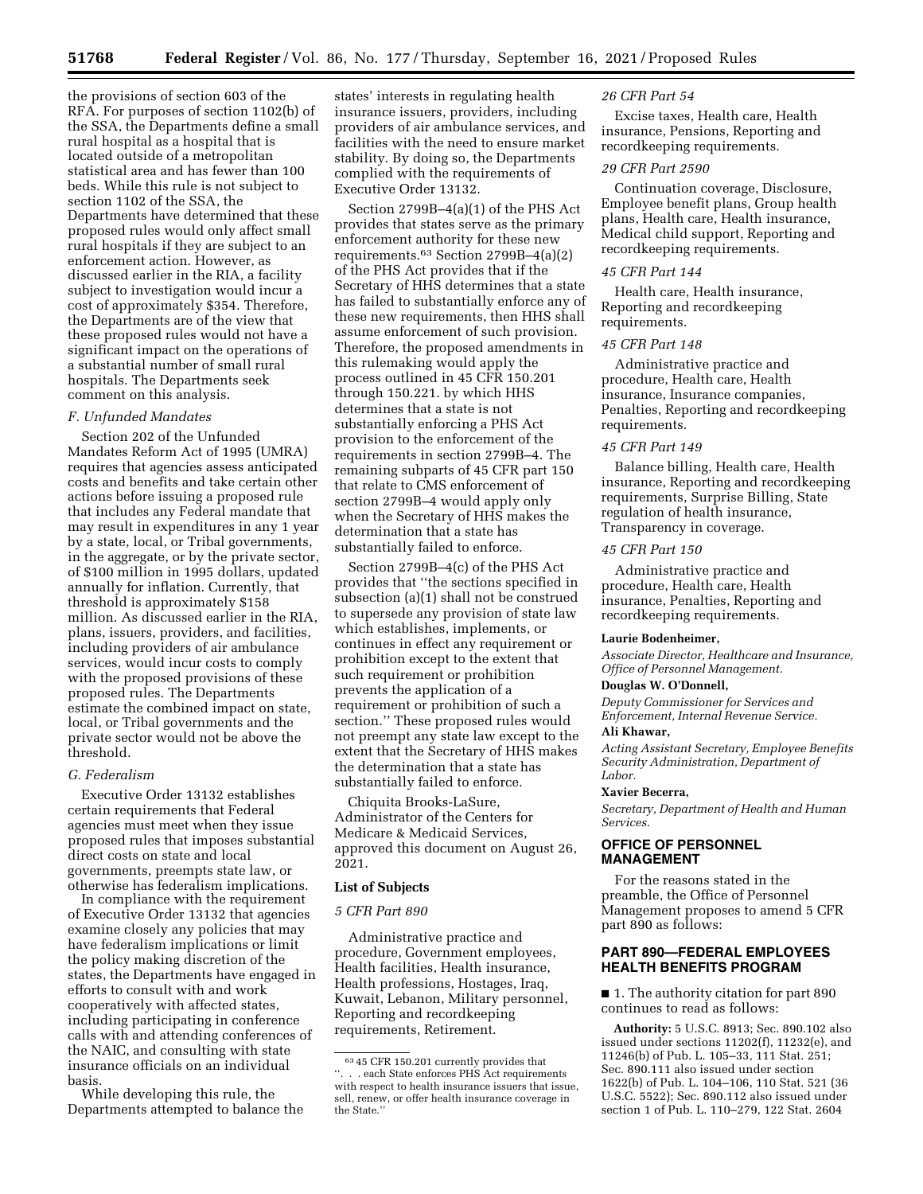the provisions of section 603 of the RFA. For purposes of section 1102(b) of the SSA, the Departments define a small rural hospital as a hospital that is located outside of a metropolitan statistical area and has fewer than 100 beds. While this rule is not subject to section 1102 of the SSA, the Departments have determined that these proposed rules would only affect small rural hospitals if they are subject to an enforcement action. However, as discussed earlier in the RIA, a facility subject to investigation would incur a cost of approximately \$354. Therefore, the Departments are of the view that these proposed rules would not have a significant impact on the operations of a substantial number of small rural hospitals. The Departments seek comment on this analysis.

### *F. Unfunded Mandates*

Section 202 of the Unfunded Mandates Reform Act of 1995 (UMRA) requires that agencies assess anticipated costs and benefits and take certain other actions before issuing a proposed rule that includes any Federal mandate that may result in expenditures in any 1 year by a state, local, or Tribal governments, in the aggregate, or by the private sector, of \$100 million in 1995 dollars, updated annually for inflation. Currently, that threshold is approximately \$158 million. As discussed earlier in the RIA, plans, issuers, providers, and facilities, including providers of air ambulance services, would incur costs to comply with the proposed provisions of these proposed rules. The Departments estimate the combined impact on state, local, or Tribal governments and the private sector would not be above the threshold.

### *G. Federalism*

Executive Order 13132 establishes certain requirements that Federal agencies must meet when they issue proposed rules that imposes substantial direct costs on state and local governments, preempts state law, or otherwise has federalism implications.

In compliance with the requirement of Executive Order 13132 that agencies examine closely any policies that may have federalism implications or limit the policy making discretion of the states, the Departments have engaged in efforts to consult with and work cooperatively with affected states, including participating in conference calls with and attending conferences of the NAIC, and consulting with state insurance officials on an individual basis.

While developing this rule, the Departments attempted to balance the states' interests in regulating health insurance issuers, providers, including providers of air ambulance services, and facilities with the need to ensure market stability. By doing so, the Departments complied with the requirements of Executive Order 13132.

Section 2799B–4(a)(1) of the PHS Act provides that states serve as the primary enforcement authority for these new requirements.63 Section 2799B–4(a)(2) of the PHS Act provides that if the Secretary of HHS determines that a state has failed to substantially enforce any of these new requirements, then HHS shall assume enforcement of such provision. Therefore, the proposed amendments in this rulemaking would apply the process outlined in 45 CFR 150.201 through 150.221. by which HHS determines that a state is not substantially enforcing a PHS Act provision to the enforcement of the requirements in section 2799B–4. The remaining subparts of 45 CFR part 150 that relate to CMS enforcement of section 2799B–4 would apply only when the Secretary of HHS makes the determination that a state has substantially failed to enforce.

Section 2799B–4(c) of the PHS Act provides that ''the sections specified in subsection (a)(1) shall not be construed to supersede any provision of state law which establishes, implements, or continues in effect any requirement or prohibition except to the extent that such requirement or prohibition prevents the application of a requirement or prohibition of such a section.'' These proposed rules would not preempt any state law except to the extent that the Secretary of HHS makes the determination that a state has substantially failed to enforce.

Chiquita Brooks-LaSure, Administrator of the Centers for Medicare & Medicaid Services, approved this document on August 26, 2021.

### **List of Subjects**

#### *5 CFR Part 890*

Administrative practice and procedure, Government employees, Health facilities, Health insurance, Health professions, Hostages, Iraq, Kuwait, Lebanon, Military personnel, Reporting and recordkeeping requirements, Retirement.

#### *26 CFR Part 54*

Excise taxes, Health care, Health insurance, Pensions, Reporting and recordkeeping requirements.

#### *29 CFR Part 2590*

Continuation coverage, Disclosure, Employee benefit plans, Group health plans, Health care, Health insurance, Medical child support, Reporting and recordkeeping requirements.

## *45 CFR Part 144*

Health care, Health insurance, Reporting and recordkeeping requirements.

### *45 CFR Part 148*

Administrative practice and procedure, Health care, Health insurance, Insurance companies, Penalties, Reporting and recordkeeping requirements.

#### *45 CFR Part 149*

Balance billing, Health care, Health insurance, Reporting and recordkeeping requirements, Surprise Billing, State regulation of health insurance, Transparency in coverage.

#### *45 CFR Part 150*

Administrative practice and procedure, Health care, Health insurance, Penalties, Reporting and recordkeeping requirements.

#### **Laurie Bodenheimer,**

*Associate Director, Healthcare and Insurance, Office of Personnel Management.* 

### **Douglas W. O'Donnell,**

*Deputy Commissioner for Services and Enforcement, Internal Revenue Service.* 

#### **Ali Khawar,**

*Acting Assistant Secretary, Employee Benefits Security Administration, Department of Labor.* 

#### **Xavier Becerra,**

*Secretary, Department of Health and Human Services.* 

## **OFFICE OF PERSONNEL MANAGEMENT**

For the reasons stated in the preamble, the Office of Personnel Management proposes to amend 5 CFR part 890 as follows:

## **PART 890—FEDERAL EMPLOYEES HEALTH BENEFITS PROGRAM**

■ 1. The authority citation for part 890 continues to read as follows:

**Authority:** 5 U.S.C. 8913; Sec. 890.102 also issued under sections 11202(f), 11232(e), and 11246(b) of Pub. L. 105–33, 111 Stat. 251; Sec. 890.111 also issued under section 1622(b) of Pub. L. 104–106, 110 Stat. 521 (36 U.S.C. 5522); Sec. 890.112 also issued under section 1 of Pub. L. 110–279, 122 Stat. 2604

<sup>63</sup> 45 CFR 150.201 currently provides that ''. . . each State enforces PHS Act requirements with respect to health insurance issuers that issue, sell, renew, or offer health insurance coverage in the State.''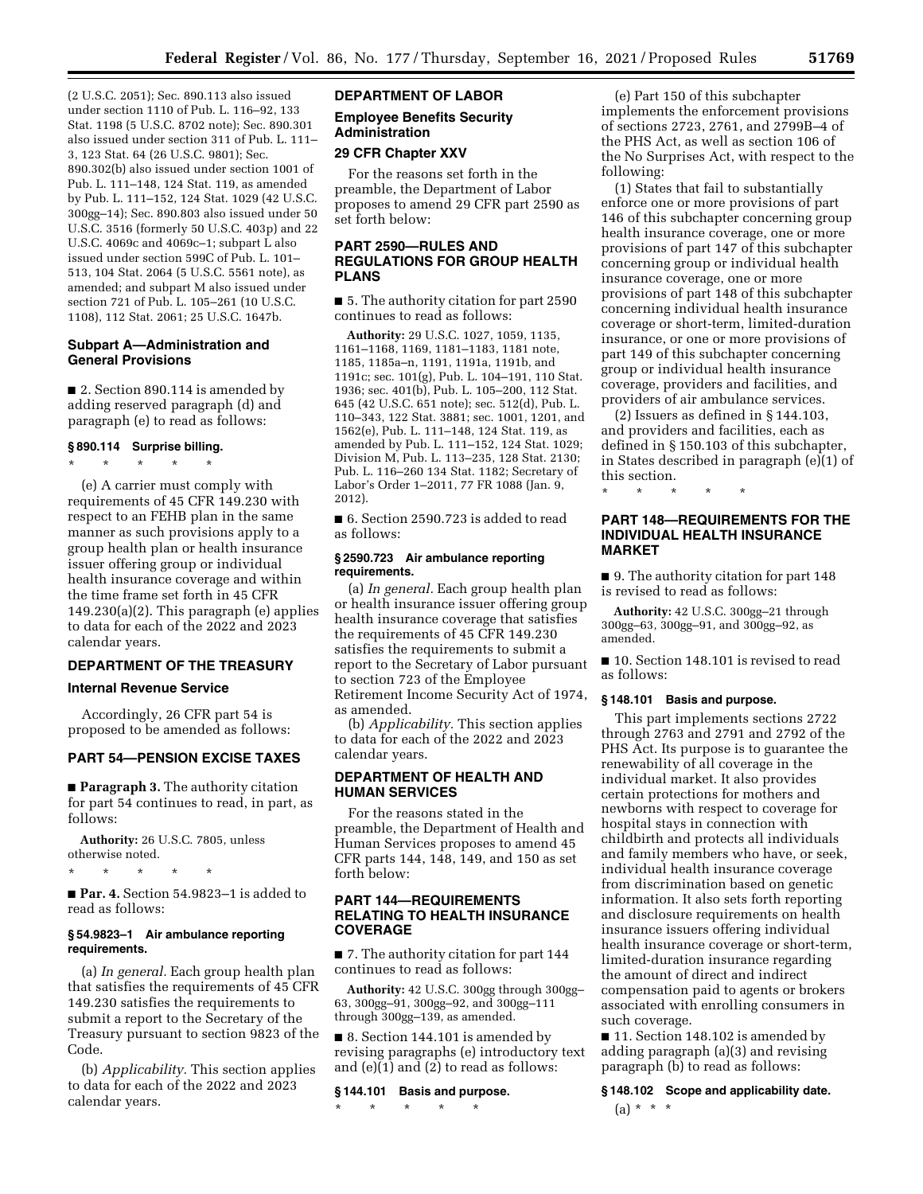(2 U.S.C. 2051); Sec. 890.113 also issued under section 1110 of Pub. L. 116–92, 133 Stat. 1198 (5 U.S.C. 8702 note); Sec. 890.301 also issued under section 311 of Pub. L. 111– 3, 123 Stat. 64 (26 U.S.C. 9801); Sec. 890.302(b) also issued under section 1001 of Pub. L. 111–148, 124 Stat. 119, as amended by Pub. L. 111–152, 124 Stat. 1029 (42 U.S.C. 300gg–14); Sec. 890.803 also issued under 50 U.S.C. 3516 (formerly 50 U.S.C. 403p) and 22 U.S.C. 4069c and 4069c–1; subpart L also issued under section 599C of Pub. L. 101– 513, 104 Stat. 2064 (5 U.S.C. 5561 note), as amended; and subpart M also issued under section 721 of Pub. L. 105–261 (10 U.S.C. 1108), 112 Stat. 2061; 25 U.S.C. 1647b.

## **Subpart A—Administration and General Provisions**

■ 2. Section 890.114 is amended by adding reserved paragraph (d) and paragraph (e) to read as follows:

### **§ 890.114 Surprise billing.**

\* \* \* \* \* (e) A carrier must comply with requirements of 45 CFR 149.230 with respect to an FEHB plan in the same manner as such provisions apply to a group health plan or health insurance issuer offering group or individual health insurance coverage and within the time frame set forth in 45 CFR 149.230(a)(2). This paragraph (e) applies to data for each of the 2022 and 2023 calendar years.

## **DEPARTMENT OF THE TREASURY**

## **Internal Revenue Service**

Accordingly, 26 CFR part 54 is proposed to be amended as follows:

## **PART 54—PENSION EXCISE TAXES**

■ **Paragraph 3.** The authority citation for part 54 continues to read, in part, as follows:

**Authority:** 26 U.S.C. 7805, unless otherwise noted.

\* \* \* \* \*

■ **Par. 4.** Section 54.9823-1 is added to read as follows:

#### **§ 54.9823–1 Air ambulance reporting requirements.**

(a) *In general.* Each group health plan that satisfies the requirements of 45 CFR 149.230 satisfies the requirements to submit a report to the Secretary of the Treasury pursuant to section 9823 of the Code.

(b) *Applicability.* This section applies to data for each of the 2022 and 2023 calendar years.

## **DEPARTMENT OF LABOR**

### **Employee Benefits Security Administration**

### **29 CFR Chapter XXV**

For the reasons set forth in the preamble, the Department of Labor proposes to amend 29 CFR part 2590 as set forth below:

## **PART 2590—RULES AND REGULATIONS FOR GROUP HEALTH PLANS**

■ 5. The authority citation for part 2590 continues to read as follows:

**Authority:** 29 U.S.C. 1027, 1059, 1135, 1161–1168, 1169, 1181–1183, 1181 note, 1185, 1185a–n, 1191, 1191a, 1191b, and 1191c; sec. 101(g), Pub. L. 104–191, 110 Stat. 1936; sec. 401(b), Pub. L. 105–200, 112 Stat. 645 (42 U.S.C. 651 note); sec. 512(d), Pub. L. 110–343, 122 Stat. 3881; sec. 1001, 1201, and 1562(e), Pub. L. 111–148, 124 Stat. 119, as amended by Pub. L. 111–152, 124 Stat. 1029; Division M, Pub. L. 113–235, 128 Stat. 2130; Pub. L. 116–260 134 Stat. 1182; Secretary of Labor's Order 1–2011, 77 FR 1088 (Jan. 9, 2012).

■ 6. Section 2590.723 is added to read as follows:

#### **§ 2590.723 Air ambulance reporting requirements.**

(a) *In general.* Each group health plan or health insurance issuer offering group health insurance coverage that satisfies the requirements of 45 CFR 149.230 satisfies the requirements to submit a report to the Secretary of Labor pursuant to section 723 of the Employee Retirement Income Security Act of 1974, as amended.

(b) *Applicability.* This section applies to data for each of the 2022 and 2023 calendar years.

## **DEPARTMENT OF HEALTH AND HUMAN SERVICES**

For the reasons stated in the preamble, the Department of Health and Human Services proposes to amend 45 CFR parts 144, 148, 149, and 150 as set forth below:

## **PART 144—REQUIREMENTS RELATING TO HEALTH INSURANCE COVERAGE**

■ 7. The authority citation for part 144 continues to read as follows:

**Authority:** 42 U.S.C. 300gg through 300gg– 63, 300gg–91, 300gg–92, and 300gg–111 through 300gg–139, as amended.

■ 8. Section 144.101 is amended by revising paragraphs (e) introductory text and  $(e)(1)$  and  $(2)$  to read as follows:

#### **§ 144.101 Basis and purpose.**

\* \* \* \* \*

(e) Part 150 of this subchapter implements the enforcement provisions of sections 2723, 2761, and 2799B–4 of the PHS Act, as well as section 106 of the No Surprises Act, with respect to the following:

(1) States that fail to substantially enforce one or more provisions of part 146 of this subchapter concerning group health insurance coverage, one or more provisions of part 147 of this subchapter concerning group or individual health insurance coverage, one or more provisions of part 148 of this subchapter concerning individual health insurance coverage or short-term, limited-duration insurance, or one or more provisions of part 149 of this subchapter concerning group or individual health insurance coverage, providers and facilities, and providers of air ambulance services.

(2) Issuers as defined in § 144.103, and providers and facilities, each as defined in § 150.103 of this subchapter, in States described in paragraph (e)(1) of this section.

\* \* \* \* \*

### **PART 148—REQUIREMENTS FOR THE INDIVIDUAL HEALTH INSURANCE MARKET**

■ 9. The authority citation for part 148 is revised to read as follows:

**Authority:** 42 U.S.C. 300gg–21 through 300gg–63, 300gg–91, and 300gg–92, as amended.

■ 10. Section 148.101 is revised to read as follows:

### **§ 148.101 Basis and purpose.**

This part implements sections 2722 through 2763 and 2791 and 2792 of the PHS Act. Its purpose is to guarantee the renewability of all coverage in the individual market. It also provides certain protections for mothers and newborns with respect to coverage for hospital stays in connection with childbirth and protects all individuals and family members who have, or seek, individual health insurance coverage from discrimination based on genetic information. It also sets forth reporting and disclosure requirements on health insurance issuers offering individual health insurance coverage or short-term, limited-duration insurance regarding the amount of direct and indirect compensation paid to agents or brokers associated with enrolling consumers in such coverage.

■ 11. Section 148.102 is amended by adding paragraph (a)(3) and revising paragraph (b) to read as follows:

**§ 148.102 Scope and applicability date.**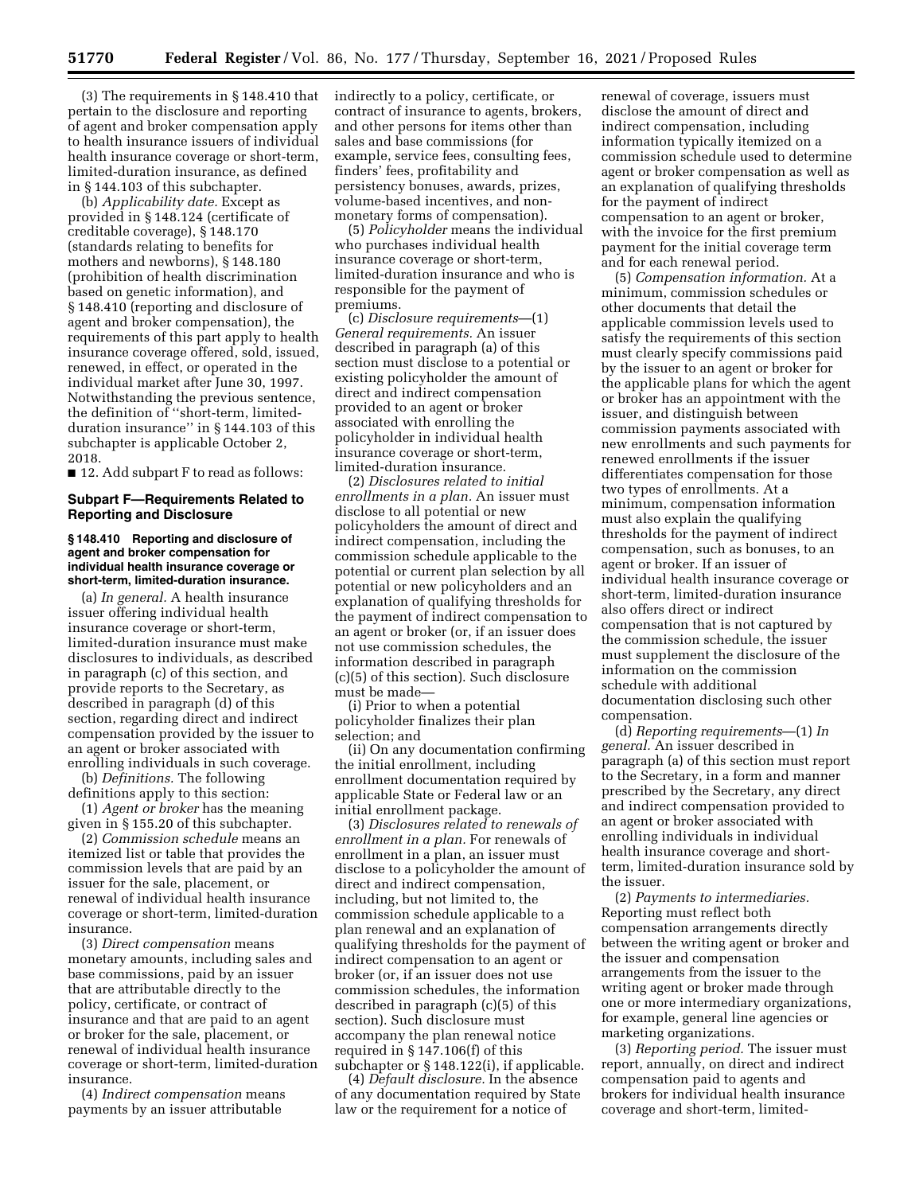(3) The requirements in § 148.410 that pertain to the disclosure and reporting of agent and broker compensation apply to health insurance issuers of individual health insurance coverage or short-term, limited-duration insurance, as defined in § 144.103 of this subchapter.

(b) *Applicability date.* Except as provided in § 148.124 (certificate of creditable coverage), § 148.170 (standards relating to benefits for mothers and newborns), § 148.180 (prohibition of health discrimination based on genetic information), and § 148.410 (reporting and disclosure of agent and broker compensation), the requirements of this part apply to health insurance coverage offered, sold, issued, renewed, in effect, or operated in the individual market after June 30, 1997. Notwithstanding the previous sentence, the definition of ''short-term, limitedduration insurance'' in § 144.103 of this subchapter is applicable October 2, 2018.

■ 12. Add subpart F to read as follows:

### **Subpart F—Requirements Related to Reporting and Disclosure**

### **§ 148.410 Reporting and disclosure of agent and broker compensation for individual health insurance coverage or short-term, limited-duration insurance.**

(a) *In general.* A health insurance issuer offering individual health insurance coverage or short-term, limited-duration insurance must make disclosures to individuals, as described in paragraph (c) of this section, and provide reports to the Secretary, as described in paragraph (d) of this section, regarding direct and indirect compensation provided by the issuer to an agent or broker associated with enrolling individuals in such coverage.

(b) *Definitions.* The following definitions apply to this section:

(1) *Agent or broker* has the meaning given in § 155.20 of this subchapter.

(2) *Commission schedule* means an itemized list or table that provides the commission levels that are paid by an issuer for the sale, placement, or renewal of individual health insurance coverage or short-term, limited-duration insurance.

(3) *Direct compensation* means monetary amounts, including sales and base commissions, paid by an issuer that are attributable directly to the policy, certificate, or contract of insurance and that are paid to an agent or broker for the sale, placement, or renewal of individual health insurance coverage or short-term, limited-duration insurance.

(4) *Indirect compensation* means payments by an issuer attributable

indirectly to a policy, certificate, or contract of insurance to agents, brokers, and other persons for items other than sales and base commissions (for example, service fees, consulting fees, finders' fees, profitability and persistency bonuses, awards, prizes, volume-based incentives, and nonmonetary forms of compensation).

(5) *Policyholder* means the individual who purchases individual health insurance coverage or short-term, limited-duration insurance and who is responsible for the payment of premiums.

(c) *Disclosure requirements*—(1) *General requirements.* An issuer described in paragraph (a) of this section must disclose to a potential or existing policyholder the amount of direct and indirect compensation provided to an agent or broker associated with enrolling the policyholder in individual health insurance coverage or short-term, limited-duration insurance.

(2) *Disclosures related to initial enrollments in a plan.* An issuer must disclose to all potential or new policyholders the amount of direct and indirect compensation, including the commission schedule applicable to the potential or current plan selection by all potential or new policyholders and an explanation of qualifying thresholds for the payment of indirect compensation to an agent or broker (or, if an issuer does not use commission schedules, the information described in paragraph (c)(5) of this section). Such disclosure must be made—

(i) Prior to when a potential policyholder finalizes their plan selection; and

(ii) On any documentation confirming the initial enrollment, including enrollment documentation required by applicable State or Federal law or an initial enrollment package.

(3) *Disclosures related to renewals of enrollment in a plan.* For renewals of enrollment in a plan, an issuer must disclose to a policyholder the amount of direct and indirect compensation, including, but not limited to, the commission schedule applicable to a plan renewal and an explanation of qualifying thresholds for the payment of indirect compensation to an agent or broker (or, if an issuer does not use commission schedules, the information described in paragraph (c)(5) of this section). Such disclosure must accompany the plan renewal notice required in § 147.106(f) of this subchapter or § 148.122(i), if applicable.

(4) *Default disclosure.* In the absence of any documentation required by State law or the requirement for a notice of

renewal of coverage, issuers must disclose the amount of direct and indirect compensation, including information typically itemized on a commission schedule used to determine agent or broker compensation as well as an explanation of qualifying thresholds for the payment of indirect compensation to an agent or broker, with the invoice for the first premium payment for the initial coverage term and for each renewal period.

(5) *Compensation information.* At a minimum, commission schedules or other documents that detail the applicable commission levels used to satisfy the requirements of this section must clearly specify commissions paid by the issuer to an agent or broker for the applicable plans for which the agent or broker has an appointment with the issuer, and distinguish between commission payments associated with new enrollments and such payments for renewed enrollments if the issuer differentiates compensation for those two types of enrollments. At a minimum, compensation information must also explain the qualifying thresholds for the payment of indirect compensation, such as bonuses, to an agent or broker. If an issuer of individual health insurance coverage or short-term, limited-duration insurance also offers direct or indirect compensation that is not captured by the commission schedule, the issuer must supplement the disclosure of the information on the commission schedule with additional documentation disclosing such other compensation.

(d) *Reporting requirements*—(1) *In general.* An issuer described in paragraph (a) of this section must report to the Secretary, in a form and manner prescribed by the Secretary, any direct and indirect compensation provided to an agent or broker associated with enrolling individuals in individual health insurance coverage and shortterm, limited-duration insurance sold by the issuer.

(2) *Payments to intermediaries.*  Reporting must reflect both compensation arrangements directly between the writing agent or broker and the issuer and compensation arrangements from the issuer to the writing agent or broker made through one or more intermediary organizations, for example, general line agencies or marketing organizations.

(3) *Reporting period.* The issuer must report, annually, on direct and indirect compensation paid to agents and brokers for individual health insurance coverage and short-term, limited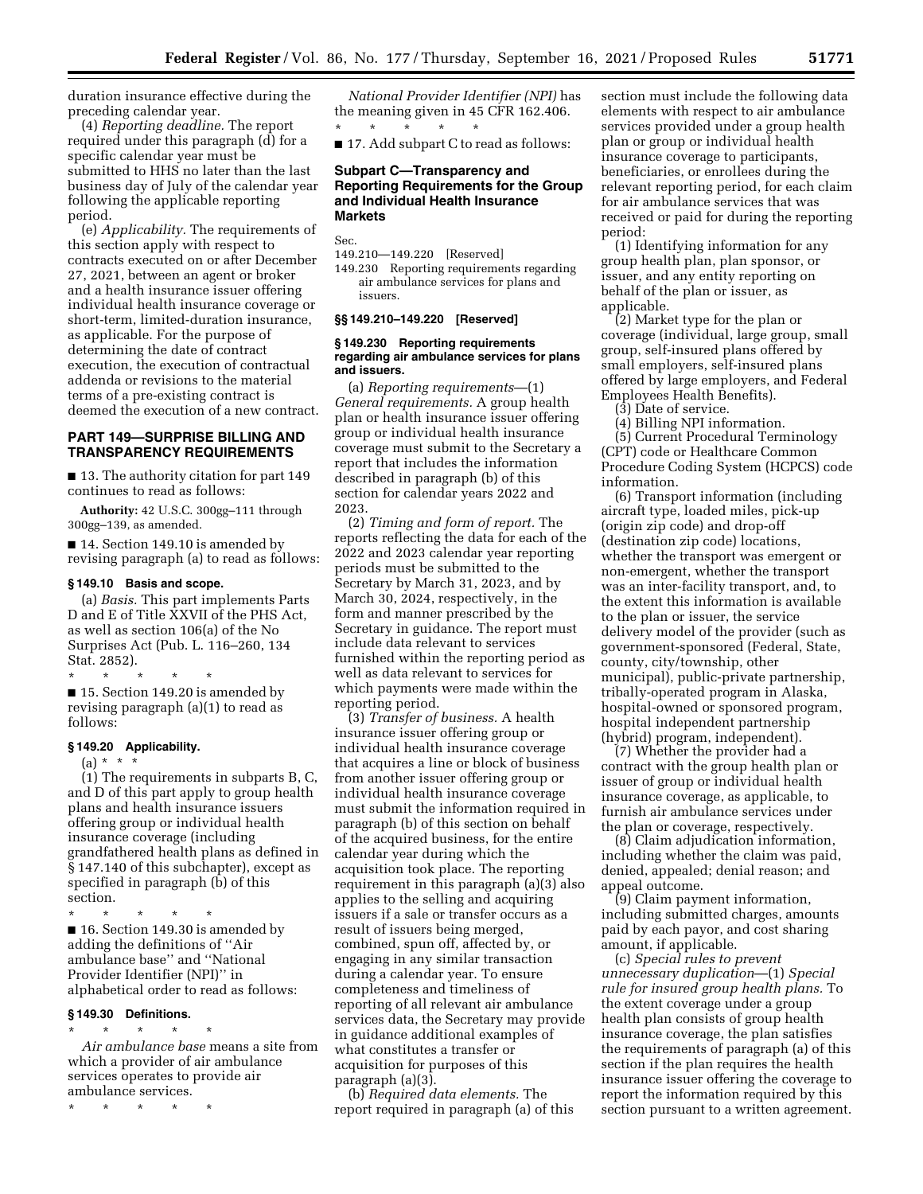duration insurance effective during the preceding calendar year.

(4) *Reporting deadline.* The report required under this paragraph (d) for a specific calendar year must be submitted to HHS no later than the last business day of July of the calendar year following the applicable reporting period.

(e) *Applicability.* The requirements of this section apply with respect to contracts executed on or after December 27, 2021, between an agent or broker and a health insurance issuer offering individual health insurance coverage or short-term, limited-duration insurance, as applicable. For the purpose of determining the date of contract execution, the execution of contractual addenda or revisions to the material terms of a pre-existing contract is deemed the execution of a new contract.

## **PART 149—SURPRISE BILLING AND TRANSPARENCY REQUIREMENTS**

■ 13. The authority citation for part 149 continues to read as follows:

**Authority:** 42 U.S.C. 300gg–111 through 300gg–139, as amended.

■ 14. Section 149.10 is amended by revising paragraph (a) to read as follows:

#### **§ 149.10 Basis and scope.**

(a) *Basis.* This part implements Parts D and E of Title XXVII of the PHS Act, as well as section 106(a) of the No Surprises Act (Pub. L. 116–260, 134 Stat. 2852).

\* \* \* \* \* ■ 15. Section 149.20 is amended by revising paragraph (a)(1) to read as follows:

#### **§ 149.20 Applicability.**

 $(a) * * * *$ 

(1) The requirements in subparts B, C, and D of this part apply to group health plans and health insurance issuers offering group or individual health insurance coverage (including grandfathered health plans as defined in § 147.140 of this subchapter), except as specified in paragraph (b) of this section.

\* \* \* \* \* ■ 16. Section 149.30 is amended by adding the definitions of ''Air

ambulance base'' and ''National Provider Identifier (NPI)'' in alphabetical order to read as follows:

### **§ 149.30 Definitions.**

\* \* \* \* \* *Air ambulance base* means a site from which a provider of air ambulance services operates to provide air ambulance services.

\* \* \* \* \*

*National Provider Identifier (NPI)* has the meaning given in 45 CFR 162.406. \* \* \* \* \*

■ 17. Add subpart C to read as follows:

### **Subpart C—Transparency and Reporting Requirements for the Group and Individual Health Insurance Markets**

Sec.

149.210—149.220 [Reserved] 149.230 Reporting requirements regarding air ambulance services for plans and issuers.

#### **§§ 149.210–149.220 [Reserved]**

### **§ 149.230 Reporting requirements regarding air ambulance services for plans and issuers.**

(a) *Reporting requirements*—(1) *General requirements.* A group health plan or health insurance issuer offering group or individual health insurance coverage must submit to the Secretary a report that includes the information described in paragraph (b) of this section for calendar years 2022 and 2023.

(2) *Timing and form of report.* The reports reflecting the data for each of the 2022 and 2023 calendar year reporting periods must be submitted to the Secretary by March 31, 2023, and by March 30, 2024, respectively, in the form and manner prescribed by the Secretary in guidance. The report must include data relevant to services furnished within the reporting period as well as data relevant to services for which payments were made within the reporting period.

(3) *Transfer of business.* A health insurance issuer offering group or individual health insurance coverage that acquires a line or block of business from another issuer offering group or individual health insurance coverage must submit the information required in paragraph (b) of this section on behalf of the acquired business, for the entire calendar year during which the acquisition took place. The reporting requirement in this paragraph (a)(3) also applies to the selling and acquiring issuers if a sale or transfer occurs as a result of issuers being merged, combined, spun off, affected by, or engaging in any similar transaction during a calendar year. To ensure completeness and timeliness of reporting of all relevant air ambulance services data, the Secretary may provide in guidance additional examples of what constitutes a transfer or acquisition for purposes of this paragraph (a)(3).

(b) *Required data elements.* The report required in paragraph (a) of this section must include the following data elements with respect to air ambulance services provided under a group health plan or group or individual health insurance coverage to participants, beneficiaries, or enrollees during the relevant reporting period, for each claim for air ambulance services that was received or paid for during the reporting period:

(1) Identifying information for any group health plan, plan sponsor, or issuer, and any entity reporting on behalf of the plan or issuer, as applicable.

(2) Market type for the plan or coverage (individual, large group, small group, self-insured plans offered by small employers, self-insured plans offered by large employers, and Federal Employees Health Benefits).

(3) Date of service.

(4) Billing NPI information. (5) Current Procedural Terminology (CPT) code or Healthcare Common

Procedure Coding System (HCPCS) code information.

(6) Transport information (including aircraft type, loaded miles, pick-up (origin zip code) and drop-off (destination zip code) locations, whether the transport was emergent or non-emergent, whether the transport was an inter-facility transport, and, to the extent this information is available to the plan or issuer, the service delivery model of the provider (such as government-sponsored (Federal, State, county, city/township, other municipal), public-private partnership, tribally-operated program in Alaska, hospital-owned or sponsored program, hospital independent partnership (hybrid) program, independent).

(7) Whether the provider had a contract with the group health plan or issuer of group or individual health insurance coverage, as applicable, to furnish air ambulance services under the plan or coverage, respectively.

(8) Claim adjudication information, including whether the claim was paid, denied, appealed; denial reason; and appeal outcome.

(9) Claim payment information, including submitted charges, amounts paid by each payor, and cost sharing amount, if applicable.

(c) *Special rules to prevent unnecessary duplication*—(1) *Special rule for insured group health plans.* To the extent coverage under a group health plan consists of group health insurance coverage, the plan satisfies the requirements of paragraph (a) of this section if the plan requires the health insurance issuer offering the coverage to report the information required by this section pursuant to a written agreement.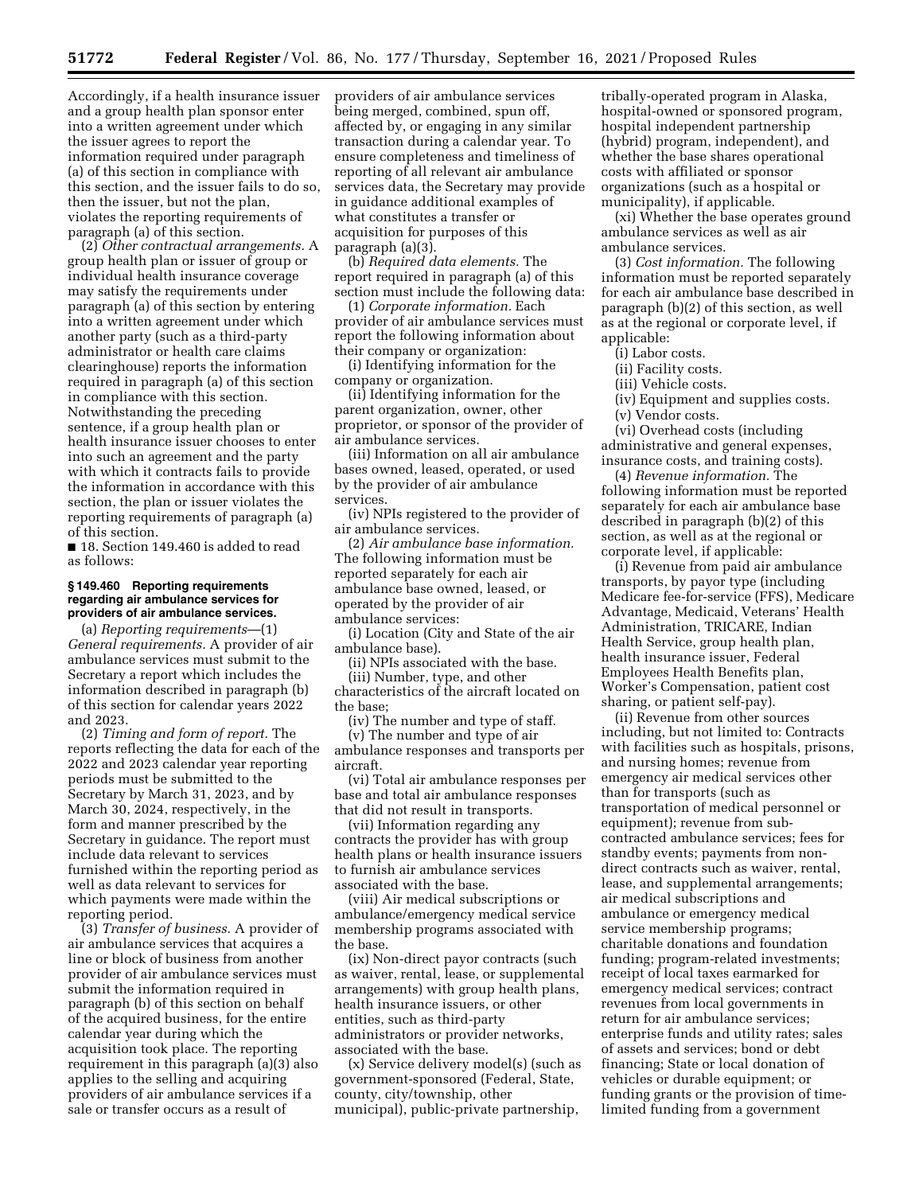Accordingly, if a health insurance issuer and a group health plan sponsor enter into a written agreement under which the issuer agrees to report the information required under paragraph (a) of this section in compliance with this section, and the issuer fails to do so, then the issuer, but not the plan, violates the reporting requirements of paragraph (a) of this section.

(2) *Other contractual arrangements.* A group health plan or issuer of group or individual health insurance coverage may satisfy the requirements under paragraph (a) of this section by entering into a written agreement under which another party (such as a third-party administrator or health care claims clearinghouse) reports the information required in paragraph (a) of this section in compliance with this section. Notwithstanding the preceding sentence, if a group health plan or health insurance issuer chooses to enter into such an agreement and the party with which it contracts fails to provide the information in accordance with this section, the plan or issuer violates the reporting requirements of paragraph (a) of this section.

■ 18. Section 149.460 is added to read as follows:

#### **§ 149.460 Reporting requirements regarding air ambulance services for providers of air ambulance services.**

(a) *Reporting requirements*—(1) *General requirements.* A provider of air ambulance services must submit to the Secretary a report which includes the information described in paragraph (b) of this section for calendar years 2022 and 2023.

(2) *Timing and form of report.* The reports reflecting the data for each of the 2022 and 2023 calendar year reporting periods must be submitted to the Secretary by March 31, 2023, and by March 30, 2024, respectively, in the form and manner prescribed by the Secretary in guidance. The report must include data relevant to services furnished within the reporting period as well as data relevant to services for which payments were made within the reporting period.

(3) *Transfer of business.* A provider of air ambulance services that acquires a line or block of business from another provider of air ambulance services must submit the information required in paragraph (b) of this section on behalf of the acquired business, for the entire calendar year during which the acquisition took place. The reporting requirement in this paragraph (a)(3) also applies to the selling and acquiring providers of air ambulance services if a sale or transfer occurs as a result of

providers of air ambulance services being merged, combined, spun off, affected by, or engaging in any similar transaction during a calendar year. To ensure completeness and timeliness of reporting of all relevant air ambulance services data, the Secretary may provide in guidance additional examples of what constitutes a transfer or acquisition for purposes of this paragraph (a)(3).

(b) *Required data elements.* The report required in paragraph (a) of this section must include the following data:

(1) *Corporate information.* Each provider of air ambulance services must report the following information about their company or organization:

(i) Identifying information for the company or organization.

(ii) Identifying information for the parent organization, owner, other proprietor, or sponsor of the provider of air ambulance services.

(iii) Information on all air ambulance bases owned, leased, operated, or used by the provider of air ambulance services.

(iv) NPIs registered to the provider of air ambulance services.

(2) *Air ambulance base information.*  The following information must be reported separately for each air ambulance base owned, leased, or operated by the provider of air ambulance services:

(i) Location (City and State of the air ambulance base).

(ii) NPIs associated with the base.

(iii) Number, type, and other characteristics of the aircraft located on the base;

(iv) The number and type of staff.

(v) The number and type of air ambulance responses and transports per aircraft.

(vi) Total air ambulance responses per base and total air ambulance responses that did not result in transports.

(vii) Information regarding any contracts the provider has with group health plans or health insurance issuers to furnish air ambulance services associated with the base.

(viii) Air medical subscriptions or ambulance/emergency medical service membership programs associated with the base.

(ix) Non-direct payor contracts (such as waiver, rental, lease, or supplemental arrangements) with group health plans, health insurance issuers, or other entities, such as third-party administrators or provider networks, associated with the base.

(x) Service delivery model(s) (such as government-sponsored (Federal, State, county, city/township, other municipal), public-private partnership,

tribally-operated program in Alaska, hospital-owned or sponsored program, hospital independent partnership (hybrid) program, independent), and whether the base shares operational costs with affiliated or sponsor organizations (such as a hospital or municipality), if applicable.

(xi) Whether the base operates ground ambulance services as well as air ambulance services.

(3) *Cost information.* The following information must be reported separately for each air ambulance base described in paragraph (b)(2) of this section, as well as at the regional or corporate level, if applicable:

(i) Labor costs.

(ii) Facility costs.

(iii) Vehicle costs.

(iv) Equipment and supplies costs.

(v) Vendor costs.

(vi) Overhead costs (including administrative and general expenses, insurance costs, and training costs).

(4) *Revenue information.* The following information must be reported separately for each air ambulance base described in paragraph (b)(2) of this section, as well as at the regional or corporate level, if applicable:

(i) Revenue from paid air ambulance transports, by payor type (including Medicare fee-for-service (FFS), Medicare Advantage, Medicaid, Veterans' Health Administration, TRICARE, Indian Health Service, group health plan, health insurance issuer, Federal Employees Health Benefits plan, Worker's Compensation, patient cost sharing, or patient self-pay).

(ii) Revenue from other sources including, but not limited to: Contracts with facilities such as hospitals, prisons, and nursing homes; revenue from emergency air medical services other than for transports (such as transportation of medical personnel or equipment); revenue from subcontracted ambulance services; fees for standby events; payments from nondirect contracts such as waiver, rental, lease, and supplemental arrangements; air medical subscriptions and ambulance or emergency medical service membership programs; charitable donations and foundation funding; program-related investments; receipt of local taxes earmarked for emergency medical services; contract revenues from local governments in return for air ambulance services; enterprise funds and utility rates; sales of assets and services; bond or debt financing; State or local donation of vehicles or durable equipment; or funding grants or the provision of timelimited funding from a government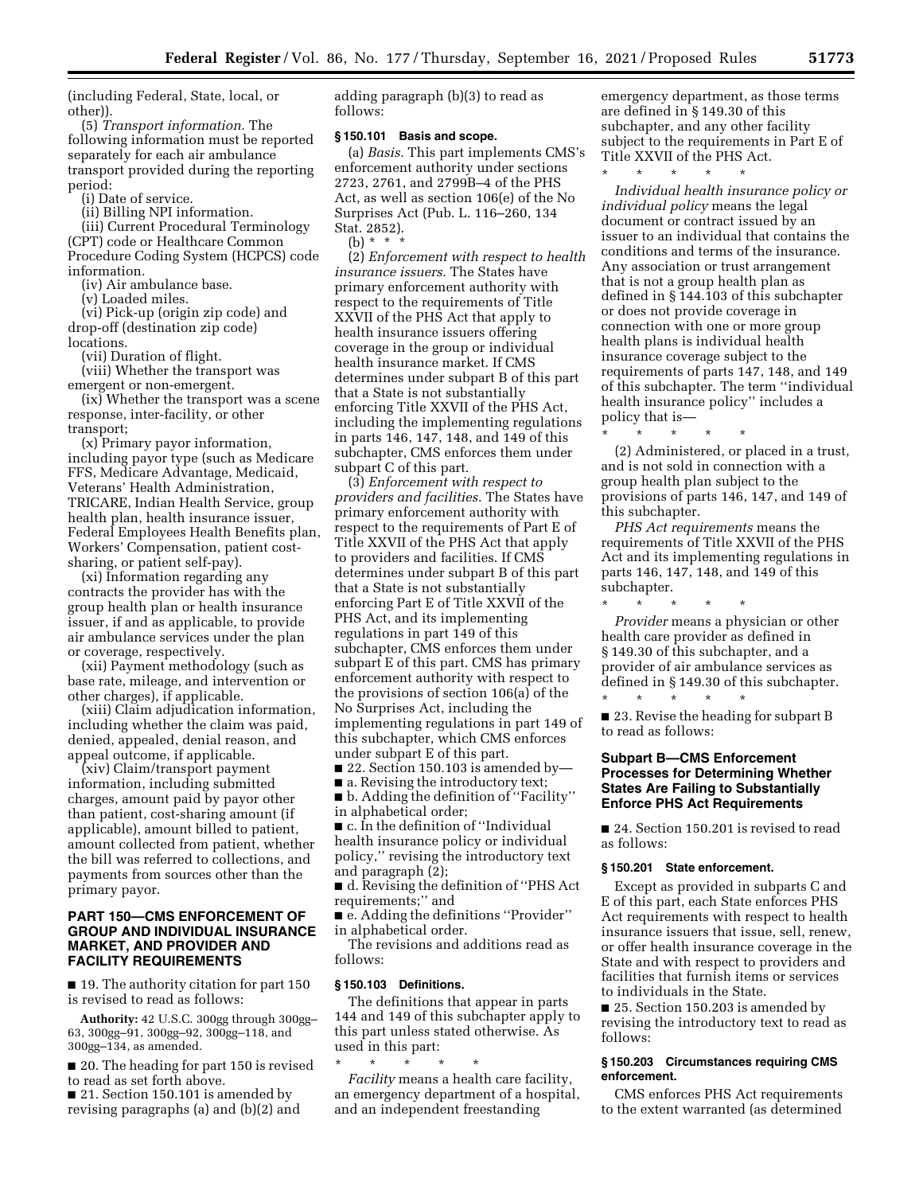(including Federal, State, local, or other)).

(5) *Transport information.* The following information must be reported separately for each air ambulance transport provided during the reporting period:

(i) Date of service.

(ii) Billing NPI information.

(iii) Current Procedural Terminology (CPT) code or Healthcare Common Procedure Coding System (HCPCS) code information.

(iv) Air ambulance base.

(v) Loaded miles.

(vi) Pick-up (origin zip code) and drop-off (destination zip code) locations.

(vii) Duration of flight.

(viii) Whether the transport was emergent or non-emergent.

(ix) Whether the transport was a scene response, inter-facility, or other transport;

(x) Primary payor information, including payor type (such as Medicare FFS, Medicare Advantage, Medicaid, Veterans' Health Administration, TRICARE, Indian Health Service, group health plan, health insurance issuer, Federal Employees Health Benefits plan, Workers' Compensation, patient costsharing, or patient self-pay).

(xi) Information regarding any contracts the provider has with the group health plan or health insurance issuer, if and as applicable, to provide air ambulance services under the plan or coverage, respectively.

(xii) Payment methodology (such as base rate, mileage, and intervention or other charges), if applicable.

(xiii) Claim adjudication information, including whether the claim was paid, denied, appealed, denial reason, and appeal outcome, if applicable.

(xiv) Claim/transport payment information, including submitted charges, amount paid by payor other than patient, cost-sharing amount (if applicable), amount billed to patient, amount collected from patient, whether the bill was referred to collections, and payments from sources other than the primary payor.

### **PART 150—CMS ENFORCEMENT OF GROUP AND INDIVIDUAL INSURANCE MARKET, AND PROVIDER AND FACILITY REQUIREMENTS**

■ 19. The authority citation for part 150 is revised to read as follows:

**Authority:** 42 U.S.C. 300gg through 300gg– 63, 300gg–91, 300gg–92, 300gg–118, and 300gg–134, as amended.

■ 20. The heading for part 150 is revised to read as set forth above.

■ 21. Section 150.101 is amended by revising paragraphs (a) and (b)(2) and adding paragraph (b)(3) to read as follows:

#### **§ 150.101 Basis and scope.**

(a) *Basis.* This part implements CMS's enforcement authority under sections 2723, 2761, and 2799B–4 of the PHS Act, as well as section 106(e) of the No Surprises Act (Pub. L. 116–260, 134 Stat. 2852). (b) \* \* \*

(2) *Enforcement with respect to health insurance issuers.* The States have primary enforcement authority with respect to the requirements of Title XXVII of the PHS Act that apply to health insurance issuers offering coverage in the group or individual health insurance market. If CMS determines under subpart B of this part that a State is not substantially enforcing Title XXVII of the PHS Act, including the implementing regulations in parts 146, 147, 148, and 149 of this subchapter, CMS enforces them under subpart C of this part.

(3) *Enforcement with respect to providers and facilities.* The States have primary enforcement authority with respect to the requirements of Part E of Title XXVII of the PHS Act that apply to providers and facilities. If CMS determines under subpart B of this part that a State is not substantially enforcing Part E of Title XXVII of the PHS Act, and its implementing regulations in part 149 of this subchapter, CMS enforces them under subpart E of this part. CMS has primary enforcement authority with respect to the provisions of section 106(a) of the No Surprises Act, including the implementing regulations in part 149 of this subchapter, which CMS enforces under subpart E of this part.

■ 22. Section 150.103 is amended by—

■ a. Revising the introductory text;

■ b. Adding the definition of ''Facility'' in alphabetical order;

■ c. In the definition of "Individual health insurance policy or individual policy,'' revising the introductory text and paragraph (2);

■ d. Revising the definition of "PHS Act requirements;'' and

■ e. Adding the definitions "Provider" in alphabetical order.

The revisions and additions read as follows:

### **§ 150.103 Definitions.**

The definitions that appear in parts 144 and 149 of this subchapter apply to this part unless stated otherwise. As used in this part:

\* \* \* \* \* *Facility* means a health care facility, an emergency department of a hospital, and an independent freestanding

emergency department, as those terms are defined in § 149.30 of this subchapter, and any other facility subject to the requirements in Part E of Title XXVII of the PHS Act. \* \* \* \* \*

*Individual health insurance policy or individual policy* means the legal document or contract issued by an issuer to an individual that contains the conditions and terms of the insurance. Any association or trust arrangement that is not a group health plan as defined in § 144.103 of this subchapter or does not provide coverage in connection with one or more group health plans is individual health insurance coverage subject to the requirements of parts 147, 148, and 149 of this subchapter. The term ''individual health insurance policy'' includes a policy that is—

\* \* \* \* \* (2) Administered, or placed in a trust, and is not sold in connection with a group health plan subject to the provisions of parts 146, 147, and 149 of this subchapter.

*PHS Act requirements* means the requirements of Title XXVII of the PHS Act and its implementing regulations in parts 146, 147, 148, and 149 of this subchapter.

\* \* \* \* \* *Provider* means a physician or other health care provider as defined in § 149.30 of this subchapter, and a provider of air ambulance services as defined in § 149.30 of this subchapter.

■ 23. Revise the heading for subpart B to read as follows:

## **Subpart B—CMS Enforcement Processes for Determining Whether States Are Failing to Substantially Enforce PHS Act Requirements**

■ 24. Section 150.201 is revised to read as follows:

### **§ 150.201 State enforcement.**

\* \* \* \* \*

Except as provided in subparts C and E of this part, each State enforces PHS Act requirements with respect to health insurance issuers that issue, sell, renew, or offer health insurance coverage in the State and with respect to providers and facilities that furnish items or services to individuals in the State.

■ 25. Section 150.203 is amended by revising the introductory text to read as follows:

### **§ 150.203 Circumstances requiring CMS enforcement.**

CMS enforces PHS Act requirements to the extent warranted (as determined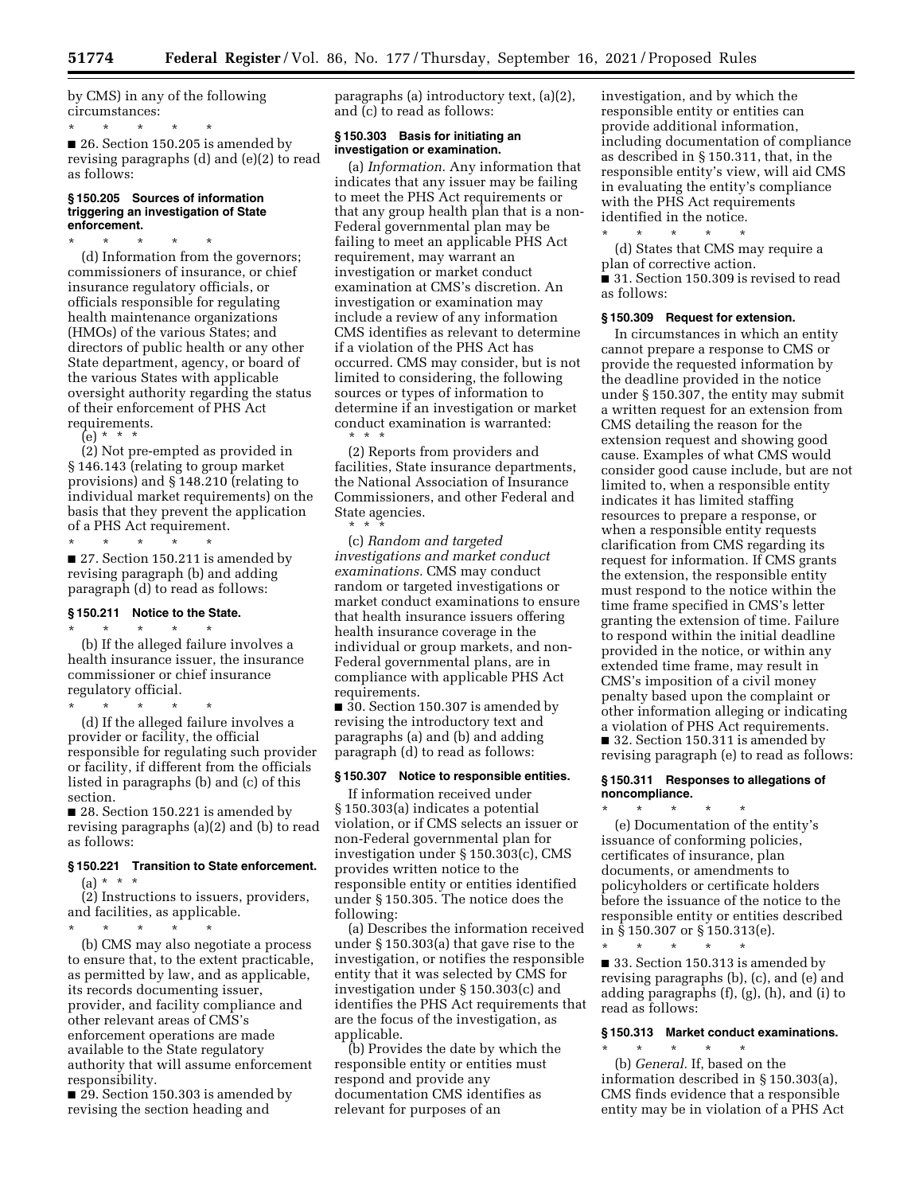by CMS) in any of the following circumstances:

\* \* \* \* \* ■ 26. Section 150.205 is amended by revising paragraphs (d) and (e)(2) to read as follows:

#### **§ 150.205 Sources of information triggering an investigation of State enforcement.**

\* \* \* \* \* (d) Information from the governors; commissioners of insurance, or chief insurance regulatory officials, or officials responsible for regulating health maintenance organizations (HMOs) of the various States; and directors of public health or any other State department, agency, or board of the various States with applicable oversight authority regarding the status of their enforcement of PHS Act requirements.

(e) \* \* \*

(2) Not pre-empted as provided in § 146.143 (relating to group market provisions) and § 148.210 (relating to individual market requirements) on the basis that they prevent the application of a PHS Act requirement.

\* \* \* \* \* ■ 27. Section 150.211 is amended by revising paragraph (b) and adding paragraph (d) to read as follows:

#### **§ 150.211 Notice to the State.**

\* \* \* \* \* (b) If the alleged failure involves a health insurance issuer, the insurance commissioner or chief insurance regulatory official.

\* \* \* \* \* (d) If the alleged failure involves a provider or facility, the official responsible for regulating such provider or facility, if different from the officials listed in paragraphs (b) and (c) of this section.

■ 28. Section 150.221 is amended by revising paragraphs (a)(2) and (b) to read as follows:

# **§ 150.221 Transition to State enforcement.**

 $(a) * * * *$ 

(2) Instructions to issuers, providers, and facilities, as applicable. \* \* \* \* \*

(b) CMS may also negotiate a process to ensure that, to the extent practicable, as permitted by law, and as applicable, its records documenting issuer, provider, and facility compliance and other relevant areas of CMS's enforcement operations are made available to the State regulatory authority that will assume enforcement responsibility.

■ 29. Section 150.303 is amended by revising the section heading and

paragraphs (a) introductory text, (a)(2), and (c) to read as follows:

### **§ 150.303 Basis for initiating an investigation or examination.**

(a) *Information.* Any information that indicates that any issuer may be failing to meet the PHS Act requirements or that any group health plan that is a non-Federal governmental plan may be failing to meet an applicable PHS Act requirement, may warrant an investigation or market conduct examination at CMS's discretion. An investigation or examination may include a review of any information CMS identifies as relevant to determine if a violation of the PHS Act has occurred. CMS may consider, but is not limited to considering, the following sources or types of information to determine if an investigation or market conduct examination is warranted: \* \* \*

(2) Reports from providers and facilities, State insurance departments, the National Association of Insurance Commissioners, and other Federal and State agencies.

\* \* \* (c) *Random and targeted investigations and market conduct examinations.* CMS may conduct random or targeted investigations or market conduct examinations to ensure that health insurance issuers offering health insurance coverage in the individual or group markets, and non-Federal governmental plans, are in compliance with applicable PHS Act requirements.

■ 30. Section 150.307 is amended by revising the introductory text and paragraphs (a) and (b) and adding paragraph (d) to read as follows:

### **§ 150.307 Notice to responsible entities.**

If information received under § 150.303(a) indicates a potential violation, or if CMS selects an issuer or non-Federal governmental plan for investigation under § 150.303(c), CMS provides written notice to the responsible entity or entities identified under § 150.305. The notice does the following:

(a) Describes the information received under § 150.303(a) that gave rise to the investigation, or notifies the responsible entity that it was selected by CMS for investigation under § 150.303(c) and identifies the PHS Act requirements that are the focus of the investigation, as applicable.

(b) Provides the date by which the responsible entity or entities must respond and provide any documentation CMS identifies as relevant for purposes of an

investigation, and by which the responsible entity or entities can provide additional information, including documentation of compliance as described in § 150.311, that, in the responsible entity's view, will aid CMS in evaluating the entity's compliance with the PHS Act requirements identified in the notice.

\* \* \* \* \* (d) States that CMS may require a plan of corrective action. ■ 31. Section 150.309 is revised to read as follows:

#### **§ 150.309 Request for extension.**

In circumstances in which an entity cannot prepare a response to CMS or provide the requested information by the deadline provided in the notice under § 150.307, the entity may submit a written request for an extension from CMS detailing the reason for the extension request and showing good cause. Examples of what CMS would consider good cause include, but are not limited to, when a responsible entity indicates it has limited staffing resources to prepare a response, or when a responsible entity requests clarification from CMS regarding its request for information. If CMS grants the extension, the responsible entity must respond to the notice within the time frame specified in CMS's letter granting the extension of time. Failure to respond within the initial deadline provided in the notice, or within any extended time frame, may result in CMS's imposition of a civil money penalty based upon the complaint or other information alleging or indicating a violation of PHS Act requirements. ■ 32. Section 150.311 is amended by revising paragraph (e) to read as follows:

#### **§ 150.311 Responses to allegations of noncompliance.**

\* \* \* \* \* (e) Documentation of the entity's issuance of conforming policies, certificates of insurance, plan documents, or amendments to policyholders or certificate holders before the issuance of the notice to the responsible entity or entities described in § 150.307 or § 150.313(e).

\* \* \* \* \* ■ 33. Section 150.313 is amended by revising paragraphs (b), (c), and (e) and adding paragraphs (f), (g), (h), and (i) to read as follows:

### **§ 150.313 Market conduct examinations.**  \* \* \* \* \*

(b) *General.* If, based on the information described in § 150.303(a), CMS finds evidence that a responsible entity may be in violation of a PHS Act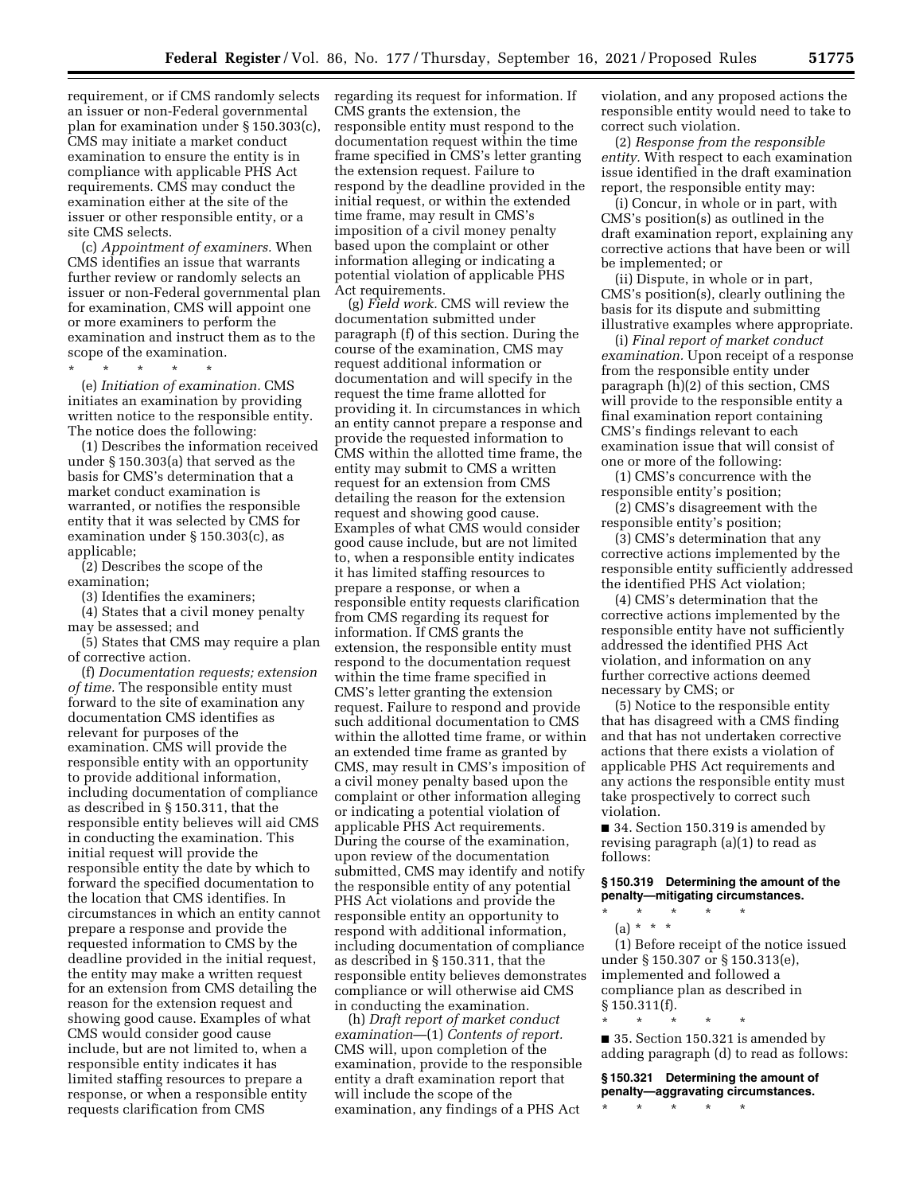requirement, or if CMS randomly selects an issuer or non-Federal governmental plan for examination under § 150.303(c), CMS may initiate a market conduct examination to ensure the entity is in compliance with applicable PHS Act requirements. CMS may conduct the examination either at the site of the issuer or other responsible entity, or a site CMS selects.

(c) *Appointment of examiners.* When CMS identifies an issue that warrants further review or randomly selects an issuer or non-Federal governmental plan for examination, CMS will appoint one or more examiners to perform the examination and instruct them as to the scope of the examination.

\* \* \* \* \*

(e) *Initiation of examination.* CMS initiates an examination by providing written notice to the responsible entity. The notice does the following:

(1) Describes the information received under § 150.303(a) that served as the basis for CMS's determination that a market conduct examination is warranted, or notifies the responsible entity that it was selected by CMS for examination under § 150.303(c), as applicable;

(2) Describes the scope of the examination;

(3) Identifies the examiners;

(4) States that a civil money penalty may be assessed; and

(5) States that CMS may require a plan of corrective action.

(f) *Documentation requests; extension of time.* The responsible entity must forward to the site of examination any documentation CMS identifies as relevant for purposes of the examination. CMS will provide the responsible entity with an opportunity to provide additional information, including documentation of compliance as described in § 150.311, that the responsible entity believes will aid CMS in conducting the examination. This initial request will provide the responsible entity the date by which to forward the specified documentation to the location that CMS identifies. In circumstances in which an entity cannot prepare a response and provide the requested information to CMS by the deadline provided in the initial request, the entity may make a written request for an extension from CMS detailing the reason for the extension request and showing good cause. Examples of what CMS would consider good cause include, but are not limited to, when a responsible entity indicates it has limited staffing resources to prepare a response, or when a responsible entity requests clarification from CMS

regarding its request for information. If CMS grants the extension, the responsible entity must respond to the documentation request within the time frame specified in CMS's letter granting the extension request. Failure to respond by the deadline provided in the initial request, or within the extended time frame, may result in CMS's imposition of a civil money penalty based upon the complaint or other information alleging or indicating a potential violation of applicable PHS Act requirements.

(g) *Field work.* CMS will review the documentation submitted under paragraph (f) of this section. During the course of the examination, CMS may request additional information or documentation and will specify in the request the time frame allotted for providing it. In circumstances in which an entity cannot prepare a response and provide the requested information to CMS within the allotted time frame, the entity may submit to CMS a written request for an extension from CMS detailing the reason for the extension request and showing good cause. Examples of what CMS would consider good cause include, but are not limited to, when a responsible entity indicates it has limited staffing resources to prepare a response, or when a responsible entity requests clarification from CMS regarding its request for information. If CMS grants the extension, the responsible entity must respond to the documentation request within the time frame specified in CMS's letter granting the extension request. Failure to respond and provide such additional documentation to CMS within the allotted time frame, or within an extended time frame as granted by CMS, may result in CMS's imposition of a civil money penalty based upon the complaint or other information alleging or indicating a potential violation of applicable PHS Act requirements. During the course of the examination, upon review of the documentation submitted, CMS may identify and notify the responsible entity of any potential PHS Act violations and provide the responsible entity an opportunity to respond with additional information, including documentation of compliance as described in § 150.311, that the responsible entity believes demonstrates compliance or will otherwise aid CMS in conducting the examination.

(h) *Draft report of market conduct examination*—(1) *Contents of report.*  CMS will, upon completion of the examination, provide to the responsible entity a draft examination report that will include the scope of the examination, any findings of a PHS Act

violation, and any proposed actions the responsible entity would need to take to correct such violation.

(2) *Response from the responsible entity.* With respect to each examination issue identified in the draft examination report, the responsible entity may:

(i) Concur, in whole or in part, with CMS's position(s) as outlined in the draft examination report, explaining any corrective actions that have been or will be implemented; or

(ii) Dispute, in whole or in part, CMS's position(s), clearly outlining the basis for its dispute and submitting illustrative examples where appropriate.

(i) *Final report of market conduct examination.* Upon receipt of a response from the responsible entity under paragraph (h)(2) of this section, CMS will provide to the responsible entity a final examination report containing CMS's findings relevant to each examination issue that will consist of one or more of the following:

(1) CMS's concurrence with the responsible entity's position;

(2) CMS's disagreement with the responsible entity's position;

(3) CMS's determination that any corrective actions implemented by the responsible entity sufficiently addressed the identified PHS Act violation;

(4) CMS's determination that the corrective actions implemented by the responsible entity have not sufficiently addressed the identified PHS Act violation, and information on any further corrective actions deemed necessary by CMS; or

(5) Notice to the responsible entity that has disagreed with a CMS finding and that has not undertaken corrective actions that there exists a violation of applicable PHS Act requirements and any actions the responsible entity must take prospectively to correct such violation.

■ 34. Section 150.319 is amended by revising paragraph (a)(1) to read as follows:

**§ 150.319 Determining the amount of the penalty—mitigating circumstances.** 

\* \* \* \* \* (a) \* \* \*

(1) Before receipt of the notice issued under § 150.307 or § 150.313(e), implemented and followed a compliance plan as described in  $§ 150.311(f).$ 

■ 35. Section 150.321 is amended by adding paragraph (d) to read as follows:

**§ 150.321 Determining the amount of penalty—aggravating circumstances.** 

\* \* \* \* \*

\* \* \* \* \*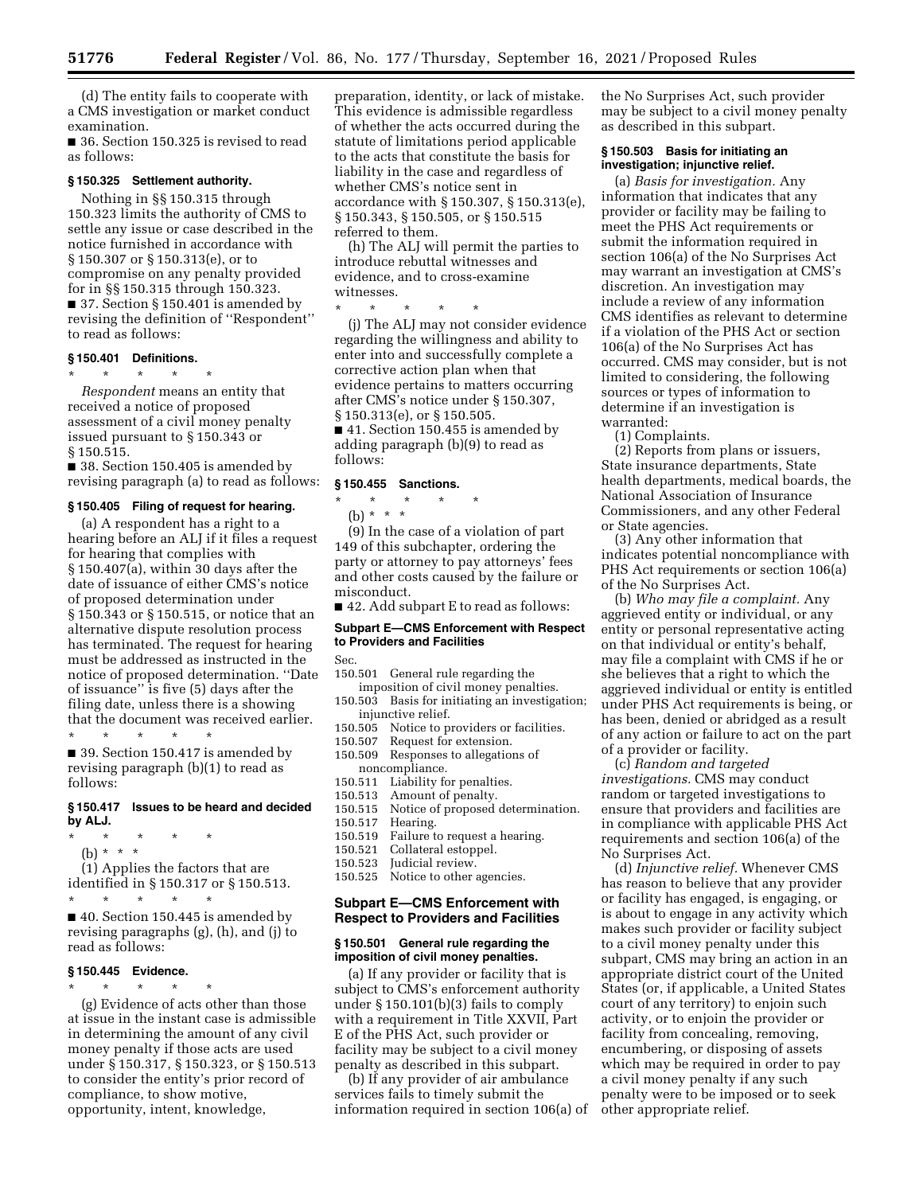(d) The entity fails to cooperate with a CMS investigation or market conduct examination.

■ 36. Section 150.325 is revised to read as follows:

#### **§ 150.325 Settlement authority.**

Nothing in §§ 150.315 through 150.323 limits the authority of CMS to settle any issue or case described in the notice furnished in accordance with § 150.307 or § 150.313(e), or to compromise on any penalty provided for in §§ 150.315 through 150.323. ■ 37. Section § 150.401 is amended by revising the definition of ''Respondent'' to read as follows:

### **§ 150.401 Definitions.**

\* \* \* \* \* *Respondent* means an entity that received a notice of proposed assessment of a civil money penalty issued pursuant to § 150.343 or § 150.515.

■ 38. Section 150.405 is amended by revising paragraph (a) to read as follows:

#### **§ 150.405 Filing of request for hearing.**

(a) A respondent has a right to a hearing before an ALJ if it files a request for hearing that complies with § 150.407(a), within 30 days after the date of issuance of either CMS's notice of proposed determination under § 150.343 or § 150.515, or notice that an alternative dispute resolution process has terminated. The request for hearing must be addressed as instructed in the notice of proposed determination. ''Date of issuance'' is five (5) days after the filing date, unless there is a showing that the document was received earlier. \* \* \* \* \*

■ 39. Section 150.417 is amended by revising paragraph (b)(1) to read as follows:

#### **§ 150.417 Issues to be heard and decided by ALJ.**

- \* \* \* \* \*
	- (b) \* \* \*

(1) Applies the factors that are identified in § 150.317 or § 150.513.

\* \* \* \* \* ■ 40. Section 150.445 is amended by revising paragraphs (g), (h), and (j) to read as follows:

#### **§ 150.445 Evidence.**

\* \* \* \* \*

(g) Evidence of acts other than those at issue in the instant case is admissible in determining the amount of any civil money penalty if those acts are used under § 150.317, § 150.323, or § 150.513 to consider the entity's prior record of compliance, to show motive, opportunity, intent, knowledge,

preparation, identity, or lack of mistake. This evidence is admissible regardless of whether the acts occurred during the statute of limitations period applicable to the acts that constitute the basis for liability in the case and regardless of whether CMS's notice sent in accordance with § 150.307, § 150.313(e), § 150.343, § 150.505, or § 150.515 referred to them.

(h) The ALJ will permit the parties to introduce rebuttal witnesses and evidence, and to cross-examine witnesses.

\* \* \* \* \* (j) The ALJ may not consider evidence regarding the willingness and ability to enter into and successfully complete a corrective action plan when that evidence pertains to matters occurring after CMS's notice under § 150.307, § 150.313(e), or § 150.505.

■ 41. Section 150.455 is amended by adding paragraph (b)(9) to read as follows:

#### **§ 150.455 Sanctions.**

\* \* \* \* \* (b) \* \* \*

(9) In the case of a violation of part 149 of this subchapter, ordering the party or attorney to pay attorneys' fees and other costs caused by the failure or misconduct.

■ 42. Add subpart E to read as follows:

### **Subpart E—CMS Enforcement with Respect to Providers and Facilities**

Sec.

- 150.501 General rule regarding the imposition of civil money penalties.
- 150.503 Basis for initiating an investigation; injunctive relief.
- 150.505 Notice to providers or facilities.
- 150.507 Request for extension.
- 150.509 Responses to allegations of noncompliance.
- 150.511 Liability for penalties.
- 150.513 Amount of penalty.
- 150.515 Notice of proposed determination.
- 150.517 Hearing.
	- Failure to request a hearing.
- 150.521 Collateral estoppel.
- 150.523 Judicial review.
- 150.525 Notice to other agencies.

### **Subpart E—CMS Enforcement with Respect to Providers and Facilities**

#### **§ 150.501 General rule regarding the imposition of civil money penalties.**

(a) If any provider or facility that is subject to CMS's enforcement authority under § 150.101(b)(3) fails to comply with a requirement in Title XXVII, Part E of the PHS Act, such provider or facility may be subject to a civil money penalty as described in this subpart.

(b) If any provider of air ambulance services fails to timely submit the information required in section 106(a) of the No Surprises Act, such provider may be subject to a civil money penalty as described in this subpart.

### **§ 150.503 Basis for initiating an investigation; injunctive relief.**

(a) *Basis for investigation.* Any information that indicates that any provider or facility may be failing to meet the PHS Act requirements or submit the information required in section 106(a) of the No Surprises Act may warrant an investigation at CMS's discretion. An investigation may include a review of any information CMS identifies as relevant to determine if a violation of the PHS Act or section 106(a) of the No Surprises Act has occurred. CMS may consider, but is not limited to considering, the following sources or types of information to determine if an investigation is warranted:

(1) Complaints.

(2) Reports from plans or issuers, State insurance departments, State health departments, medical boards, the National Association of Insurance Commissioners, and any other Federal or State agencies.

(3) Any other information that indicates potential noncompliance with PHS Act requirements or section 106(a) of the No Surprises Act.

(b) *Who may file a complaint.* Any aggrieved entity or individual, or any entity or personal representative acting on that individual or entity's behalf, may file a complaint with CMS if he or she believes that a right to which the aggrieved individual or entity is entitled under PHS Act requirements is being, or has been, denied or abridged as a result of any action or failure to act on the part of a provider or facility.

(c) *Random and targeted investigations.* CMS may conduct random or targeted investigations to ensure that providers and facilities are in compliance with applicable PHS Act requirements and section 106(a) of the No Surprises Act.

(d) *Injunctive relief.* Whenever CMS has reason to believe that any provider or facility has engaged, is engaging, or is about to engage in any activity which makes such provider or facility subject to a civil money penalty under this subpart, CMS may bring an action in an appropriate district court of the United States (or, if applicable, a United States court of any territory) to enjoin such activity, or to enjoin the provider or facility from concealing, removing, encumbering, or disposing of assets which may be required in order to pay a civil money penalty if any such penalty were to be imposed or to seek other appropriate relief.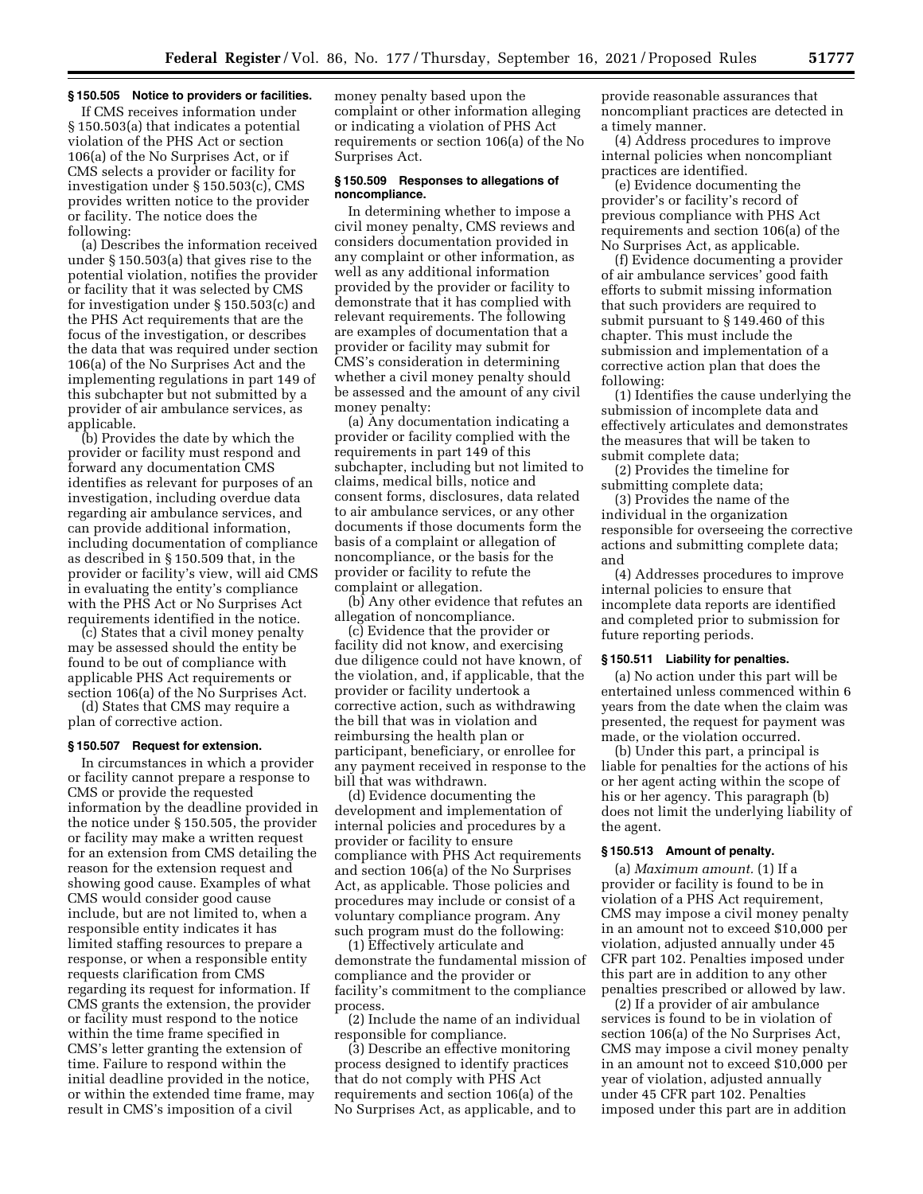#### **§ 150.505 Notice to providers or facilities.**

If CMS receives information under § 150.503(a) that indicates a potential violation of the PHS Act or section 106(a) of the No Surprises Act, or if CMS selects a provider or facility for investigation under § 150.503(c), CMS provides written notice to the provider or facility. The notice does the following:

(a) Describes the information received under § 150.503(a) that gives rise to the potential violation, notifies the provider or facility that it was selected by CMS for investigation under § 150.503(c) and the PHS Act requirements that are the focus of the investigation, or describes the data that was required under section 106(a) of the No Surprises Act and the implementing regulations in part 149 of this subchapter but not submitted by a provider of air ambulance services, as applicable.

(b) Provides the date by which the provider or facility must respond and forward any documentation CMS identifies as relevant for purposes of an investigation, including overdue data regarding air ambulance services, and can provide additional information, including documentation of compliance as described in § 150.509 that, in the provider or facility's view, will aid CMS in evaluating the entity's compliance with the PHS Act or No Surprises Act requirements identified in the notice.

(c) States that a civil money penalty may be assessed should the entity be found to be out of compliance with applicable PHS Act requirements or section 106(a) of the No Surprises Act.

(d) States that CMS may require a plan of corrective action.

#### **§ 150.507 Request for extension.**

In circumstances in which a provider or facility cannot prepare a response to CMS or provide the requested information by the deadline provided in the notice under § 150.505, the provider or facility may make a written request for an extension from CMS detailing the reason for the extension request and showing good cause. Examples of what CMS would consider good cause include, but are not limited to, when a responsible entity indicates it has limited staffing resources to prepare a response, or when a responsible entity requests clarification from CMS regarding its request for information. If CMS grants the extension, the provider or facility must respond to the notice within the time frame specified in CMS's letter granting the extension of time. Failure to respond within the initial deadline provided in the notice, or within the extended time frame, may result in CMS's imposition of a civil

money penalty based upon the complaint or other information alleging or indicating a violation of PHS Act requirements or section 106(a) of the No Surprises Act.

#### **§ 150.509 Responses to allegations of noncompliance.**

In determining whether to impose a civil money penalty, CMS reviews and considers documentation provided in any complaint or other information, as well as any additional information provided by the provider or facility to demonstrate that it has complied with relevant requirements. The following are examples of documentation that a provider or facility may submit for CMS's consideration in determining whether a civil money penalty should be assessed and the amount of any civil money penalty:

(a) Any documentation indicating a provider or facility complied with the requirements in part 149 of this subchapter, including but not limited to claims, medical bills, notice and consent forms, disclosures, data related to air ambulance services, or any other documents if those documents form the basis of a complaint or allegation of noncompliance, or the basis for the provider or facility to refute the complaint or allegation.

(b) Any other evidence that refutes an allegation of noncompliance.

(c) Evidence that the provider or facility did not know, and exercising due diligence could not have known, of the violation, and, if applicable, that the provider or facility undertook a corrective action, such as withdrawing the bill that was in violation and reimbursing the health plan or participant, beneficiary, or enrollee for any payment received in response to the bill that was withdrawn.

(d) Evidence documenting the development and implementation of internal policies and procedures by a provider or facility to ensure compliance with PHS Act requirements and section 106(a) of the No Surprises Act, as applicable. Those policies and procedures may include or consist of a voluntary compliance program. Any such program must do the following:

(1) Effectively articulate and demonstrate the fundamental mission of compliance and the provider or facility's commitment to the compliance process.

(2) Include the name of an individual responsible for compliance.

(3) Describe an effective monitoring process designed to identify practices that do not comply with PHS Act requirements and section 106(a) of the No Surprises Act, as applicable, and to

provide reasonable assurances that noncompliant practices are detected in a timely manner.

(4) Address procedures to improve internal policies when noncompliant practices are identified.

(e) Evidence documenting the provider's or facility's record of previous compliance with PHS Act requirements and section 106(a) of the No Surprises Act, as applicable.

(f) Evidence documenting a provider of air ambulance services' good faith efforts to submit missing information that such providers are required to submit pursuant to § 149.460 of this chapter. This must include the submission and implementation of a corrective action plan that does the following:

(1) Identifies the cause underlying the submission of incomplete data and effectively articulates and demonstrates the measures that will be taken to submit complete data;

(2) Provides the timeline for submitting complete data;

(3) Provides the name of the individual in the organization responsible for overseeing the corrective actions and submitting complete data; and

(4) Addresses procedures to improve internal policies to ensure that incomplete data reports are identified and completed prior to submission for future reporting periods.

#### **§ 150.511 Liability for penalties.**

(a) No action under this part will be entertained unless commenced within 6 years from the date when the claim was presented, the request for payment was made, or the violation occurred.

(b) Under this part, a principal is liable for penalties for the actions of his or her agent acting within the scope of his or her agency. This paragraph (b) does not limit the underlying liability of the agent.

### **§ 150.513 Amount of penalty.**

(a) *Maximum amount.* (1) If a provider or facility is found to be in violation of a PHS Act requirement, CMS may impose a civil money penalty in an amount not to exceed \$10,000 per violation, adjusted annually under 45 CFR part 102. Penalties imposed under this part are in addition to any other penalties prescribed or allowed by law.

(2) If a provider of air ambulance services is found to be in violation of section 106(a) of the No Surprises Act, CMS may impose a civil money penalty in an amount not to exceed \$10,000 per year of violation, adjusted annually under 45 CFR part 102. Penalties imposed under this part are in addition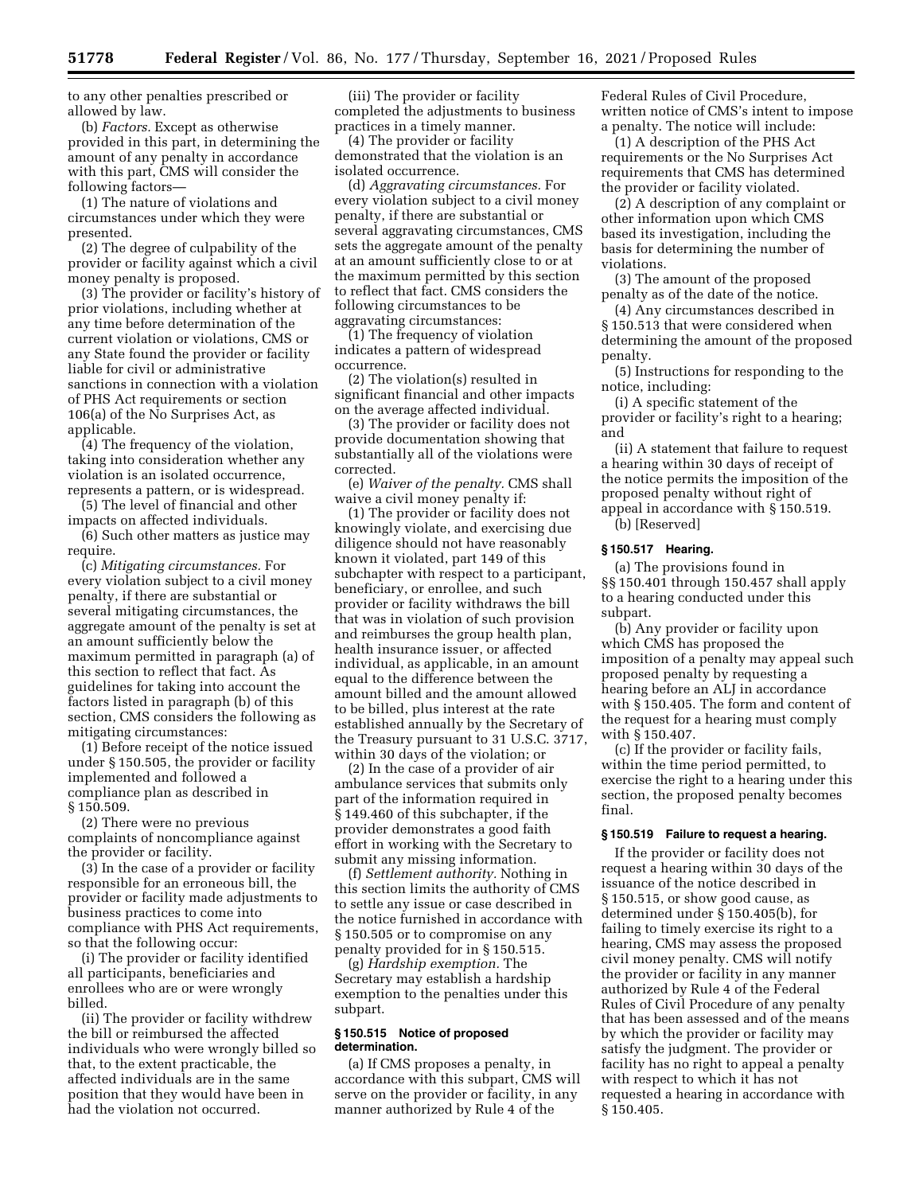to any other penalties prescribed or allowed by law.

(b) *Factors.* Except as otherwise provided in this part, in determining the amount of any penalty in accordance with this part, CMS will consider the following factors—

(1) The nature of violations and circumstances under which they were presented.

(2) The degree of culpability of the provider or facility against which a civil money penalty is proposed.

(3) The provider or facility's history of prior violations, including whether at any time before determination of the current violation or violations, CMS or any State found the provider or facility liable for civil or administrative sanctions in connection with a violation of PHS Act requirements or section 106(a) of the No Surprises Act, as applicable.

(4) The frequency of the violation, taking into consideration whether any violation is an isolated occurrence, represents a pattern, or is widespread.

(5) The level of financial and other impacts on affected individuals.

(6) Such other matters as justice may require.

(c) *Mitigating circumstances.* For every violation subject to a civil money penalty, if there are substantial or several mitigating circumstances, the aggregate amount of the penalty is set at an amount sufficiently below the maximum permitted in paragraph (a) of this section to reflect that fact. As guidelines for taking into account the factors listed in paragraph (b) of this section, CMS considers the following as mitigating circumstances:

(1) Before receipt of the notice issued under § 150.505, the provider or facility implemented and followed a compliance plan as described in § 150.509.

(2) There were no previous complaints of noncompliance against the provider or facility.

(3) In the case of a provider or facility responsible for an erroneous bill, the provider or facility made adjustments to business practices to come into compliance with PHS Act requirements, so that the following occur:

(i) The provider or facility identified all participants, beneficiaries and enrollees who are or were wrongly billed.

(ii) The provider or facility withdrew the bill or reimbursed the affected individuals who were wrongly billed so that, to the extent practicable, the affected individuals are in the same position that they would have been in had the violation not occurred.

(iii) The provider or facility completed the adjustments to business practices in a timely manner.

(4) The provider or facility demonstrated that the violation is an isolated occurrence.

(d) *Aggravating circumstances.* For every violation subject to a civil money penalty, if there are substantial or several aggravating circumstances, CMS sets the aggregate amount of the penalty at an amount sufficiently close to or at the maximum permitted by this section to reflect that fact. CMS considers the following circumstances to be aggravating circumstances:

(1) The frequency of violation indicates a pattern of widespread occurrence.

(2) The violation(s) resulted in significant financial and other impacts on the average affected individual.

(3) The provider or facility does not provide documentation showing that substantially all of the violations were corrected.

(e) *Waiver of the penalty.* CMS shall waive a civil money penalty if:

(1) The provider or facility does not knowingly violate, and exercising due diligence should not have reasonably known it violated, part 149 of this subchapter with respect to a participant, beneficiary, or enrollee, and such provider or facility withdraws the bill that was in violation of such provision and reimburses the group health plan, health insurance issuer, or affected individual, as applicable, in an amount equal to the difference between the amount billed and the amount allowed to be billed, plus interest at the rate established annually by the Secretary of the Treasury pursuant to 31 U.S.C. 3717, within 30 days of the violation; or

(2) In the case of a provider of air ambulance services that submits only part of the information required in § 149.460 of this subchapter, if the provider demonstrates a good faith effort in working with the Secretary to submit any missing information.

(f) *Settlement authority.* Nothing in this section limits the authority of CMS to settle any issue or case described in the notice furnished in accordance with § 150.505 or to compromise on any penalty provided for in § 150.515.

(g) *Hardship exemption.* The Secretary may establish a hardship exemption to the penalties under this subpart.

### **§ 150.515 Notice of proposed determination.**

(a) If CMS proposes a penalty, in accordance with this subpart, CMS will serve on the provider or facility, in any manner authorized by Rule 4 of the

Federal Rules of Civil Procedure, written notice of CMS's intent to impose a penalty. The notice will include:

(1) A description of the PHS Act requirements or the No Surprises Act requirements that CMS has determined the provider or facility violated.

(2) A description of any complaint or other information upon which CMS based its investigation, including the basis for determining the number of violations.

(3) The amount of the proposed penalty as of the date of the notice.

(4) Any circumstances described in § 150.513 that were considered when determining the amount of the proposed penalty.

(5) Instructions for responding to the notice, including:

(i) A specific statement of the provider or facility's right to a hearing; and

(ii) A statement that failure to request a hearing within 30 days of receipt of the notice permits the imposition of the proposed penalty without right of appeal in accordance with § 150.519. (b) [Reserved]

#### **§ 150.517 Hearing.**

(a) The provisions found in §§ 150.401 through 150.457 shall apply to a hearing conducted under this subpart.

(b) Any provider or facility upon which CMS has proposed the imposition of a penalty may appeal such proposed penalty by requesting a hearing before an ALJ in accordance with § 150.405. The form and content of the request for a hearing must comply with § 150.407.

(c) If the provider or facility fails, within the time period permitted, to exercise the right to a hearing under this section, the proposed penalty becomes final.

### **§ 150.519 Failure to request a hearing.**

If the provider or facility does not request a hearing within 30 days of the issuance of the notice described in § 150.515, or show good cause, as determined under § 150.405(b), for failing to timely exercise its right to a hearing, CMS may assess the proposed civil money penalty. CMS will notify the provider or facility in any manner authorized by Rule 4 of the Federal Rules of Civil Procedure of any penalty that has been assessed and of the means by which the provider or facility may satisfy the judgment. The provider or facility has no right to appeal a penalty with respect to which it has not requested a hearing in accordance with § 150.405.